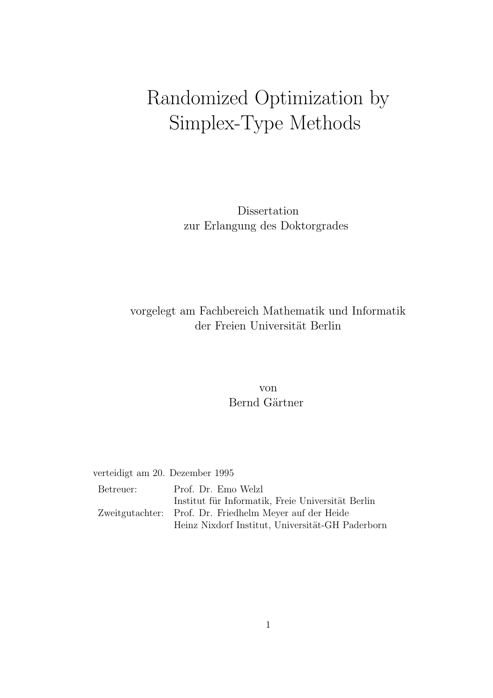## Randomized Optimization by Simplex-Type Methods

Dissertation zur Erlangung des Doktorgrades

## vorgelegt am Fachbereich Mathematik und Informatik der Freien Universität Berlin

#### von Bernd Gärtner

verteidigt am 20. Dezember 1995

| Betreuer: | Prof. Dr. Emo Welzl                                     |
|-----------|---------------------------------------------------------|
|           | Institut für Informatik, Freie Universität Berlin       |
|           | Zweitgutachter: Prof. Dr. Friedhelm Meyer auf der Heide |
|           | Heinz Nixdorf Institut, Universität-GH Paderborn        |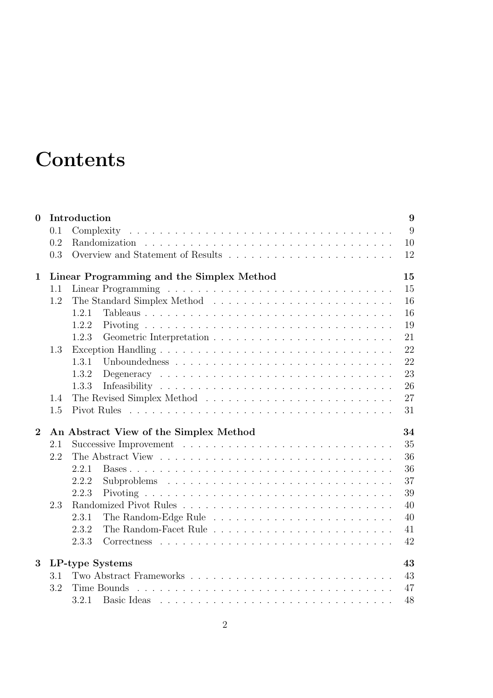## **Contents**

| $\mathbf{0}$   |     | Introduction                                                            | 9        |  |  |  |  |  |  |  |  |
|----------------|-----|-------------------------------------------------------------------------|----------|--|--|--|--|--|--|--|--|
|                | 0.1 | Complexity                                                              | 9        |  |  |  |  |  |  |  |  |
|                | 0.2 |                                                                         | 10       |  |  |  |  |  |  |  |  |
|                | 0.3 |                                                                         | 12       |  |  |  |  |  |  |  |  |
| $\mathbf{1}$   |     | Linear Programming and the Simplex Method<br>15                         |          |  |  |  |  |  |  |  |  |
|                | 1.1 |                                                                         | 15       |  |  |  |  |  |  |  |  |
|                | 1.2 |                                                                         | 16       |  |  |  |  |  |  |  |  |
|                |     | Tableaus<br>1.2.1                                                       | 16       |  |  |  |  |  |  |  |  |
|                |     | 1.2.2                                                                   | 19       |  |  |  |  |  |  |  |  |
|                |     | 1.2.3                                                                   | 21       |  |  |  |  |  |  |  |  |
|                | 1.3 |                                                                         | 22       |  |  |  |  |  |  |  |  |
|                |     | 1.3.1                                                                   | 22       |  |  |  |  |  |  |  |  |
|                |     | 1.3.2                                                                   | 23       |  |  |  |  |  |  |  |  |
|                |     | 1.3.3                                                                   | 26       |  |  |  |  |  |  |  |  |
|                | 1.4 |                                                                         | 27       |  |  |  |  |  |  |  |  |
|                | 1.5 |                                                                         | 31       |  |  |  |  |  |  |  |  |
| $\overline{2}$ |     | An Abstract View of the Simplex Method                                  | 34       |  |  |  |  |  |  |  |  |
|                | 2.1 |                                                                         |          |  |  |  |  |  |  |  |  |
|                | 2.2 |                                                                         | 35<br>36 |  |  |  |  |  |  |  |  |
|                |     | 2.2.1                                                                   | 36       |  |  |  |  |  |  |  |  |
|                |     | 2.2.2                                                                   | 37       |  |  |  |  |  |  |  |  |
|                |     | 2.2.3                                                                   | 39       |  |  |  |  |  |  |  |  |
|                | 2.3 |                                                                         | 40       |  |  |  |  |  |  |  |  |
|                |     | 2.3.1                                                                   | 40       |  |  |  |  |  |  |  |  |
|                |     | 2.3.2                                                                   | 41       |  |  |  |  |  |  |  |  |
|                |     | 2.3.3                                                                   | 42       |  |  |  |  |  |  |  |  |
| 3              |     | LP-type Systems                                                         | 43       |  |  |  |  |  |  |  |  |
|                | 3.1 |                                                                         | 43       |  |  |  |  |  |  |  |  |
|                | 3.2 | Time Bounds                                                             | 47       |  |  |  |  |  |  |  |  |
|                |     | 3.2.1<br>Basic Ideas research research research and all the Basic Ideas | 48       |  |  |  |  |  |  |  |  |
|                |     |                                                                         |          |  |  |  |  |  |  |  |  |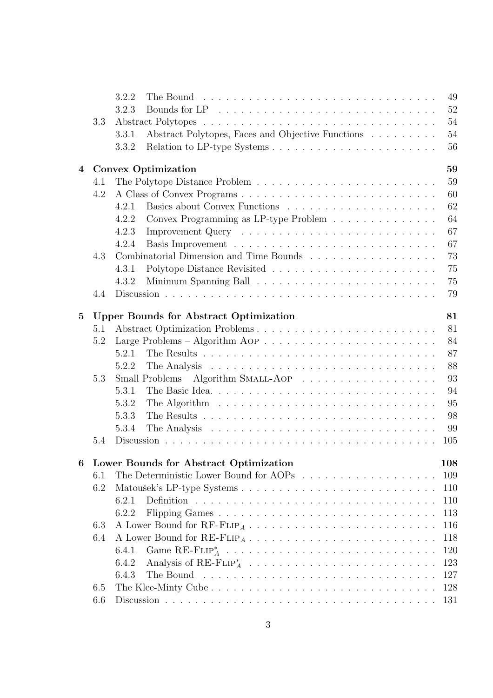|                 |            | 3.2.2<br>49                                                                                                     |  |  |  |  |  |  |  |  |
|-----------------|------------|-----------------------------------------------------------------------------------------------------------------|--|--|--|--|--|--|--|--|
|                 |            | 52<br>3.2.3                                                                                                     |  |  |  |  |  |  |  |  |
|                 | 3.3        | 54                                                                                                              |  |  |  |  |  |  |  |  |
|                 |            | Abstract Polytopes, Faces and Objective Functions<br>54<br>3.3.1                                                |  |  |  |  |  |  |  |  |
|                 |            | 56<br>3.3.2                                                                                                     |  |  |  |  |  |  |  |  |
| $\overline{4}$  |            | 59<br>Convex Optimization                                                                                       |  |  |  |  |  |  |  |  |
|                 | 4.1        | 59                                                                                                              |  |  |  |  |  |  |  |  |
|                 | 4.2        | 60                                                                                                              |  |  |  |  |  |  |  |  |
|                 |            | 62<br>4.2.1                                                                                                     |  |  |  |  |  |  |  |  |
|                 |            | 64<br>4.2.2<br>Convex Programming as LP-type Problem                                                            |  |  |  |  |  |  |  |  |
|                 |            | 67<br>4.2.3                                                                                                     |  |  |  |  |  |  |  |  |
|                 |            | 67<br>4.2.4                                                                                                     |  |  |  |  |  |  |  |  |
|                 | 4.3        | 73<br>Combinatorial Dimension and Time Bounds<br>$\hfill\ldots\ldots\ldots\ldots\ldots\ldots\ldots\ldots\ldots$ |  |  |  |  |  |  |  |  |
|                 |            | 75<br>4.3.1                                                                                                     |  |  |  |  |  |  |  |  |
|                 |            | 75<br>4.3.2                                                                                                     |  |  |  |  |  |  |  |  |
|                 | 4.4        | 79                                                                                                              |  |  |  |  |  |  |  |  |
|                 |            |                                                                                                                 |  |  |  |  |  |  |  |  |
| $5\phantom{.0}$ |            | 81<br><b>Upper Bounds for Abstract Optimization</b><br>81                                                       |  |  |  |  |  |  |  |  |
|                 | 5.1<br>5.2 | Abstract Optimization Problems<br>84                                                                            |  |  |  |  |  |  |  |  |
|                 |            | 87<br>5.2.1                                                                                                     |  |  |  |  |  |  |  |  |
|                 |            | 88<br>5.2.2                                                                                                     |  |  |  |  |  |  |  |  |
|                 | 5.3        | 93                                                                                                              |  |  |  |  |  |  |  |  |
|                 |            | Small Problems - Algorithm SMALL-AOP<br>94<br>5.3.1                                                             |  |  |  |  |  |  |  |  |
|                 |            | 95<br>5.3.2<br>The Algorithm $\ldots \ldots \ldots \ldots \ldots \ldots \ldots \ldots \ldots$                   |  |  |  |  |  |  |  |  |
|                 |            | 98<br>5.3.3                                                                                                     |  |  |  |  |  |  |  |  |
|                 |            | 99<br>5.3.4                                                                                                     |  |  |  |  |  |  |  |  |
|                 | 5.4        | 105                                                                                                             |  |  |  |  |  |  |  |  |
|                 |            |                                                                                                                 |  |  |  |  |  |  |  |  |
|                 |            | 108<br>6 Lower Bounds for Abstract Optimization                                                                 |  |  |  |  |  |  |  |  |
|                 | 6.1        | 109                                                                                                             |  |  |  |  |  |  |  |  |
|                 | 6.2        | 110                                                                                                             |  |  |  |  |  |  |  |  |
|                 |            | 6.2.1<br>110                                                                                                    |  |  |  |  |  |  |  |  |
|                 |            | 6.2.2<br>113                                                                                                    |  |  |  |  |  |  |  |  |
|                 | 6.3        | 116                                                                                                             |  |  |  |  |  |  |  |  |
|                 | 6.4        | 118                                                                                                             |  |  |  |  |  |  |  |  |
|                 |            | 6.4.1<br>120                                                                                                    |  |  |  |  |  |  |  |  |
|                 |            | 123<br>6.4.2                                                                                                    |  |  |  |  |  |  |  |  |
|                 |            | 127<br>6.4.3                                                                                                    |  |  |  |  |  |  |  |  |
|                 | 6.5        | 128                                                                                                             |  |  |  |  |  |  |  |  |
|                 | 6.6        |                                                                                                                 |  |  |  |  |  |  |  |  |

## 3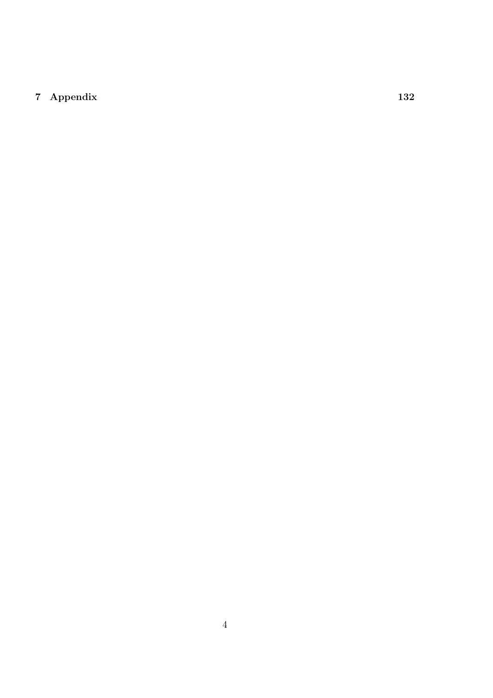### Appendix 132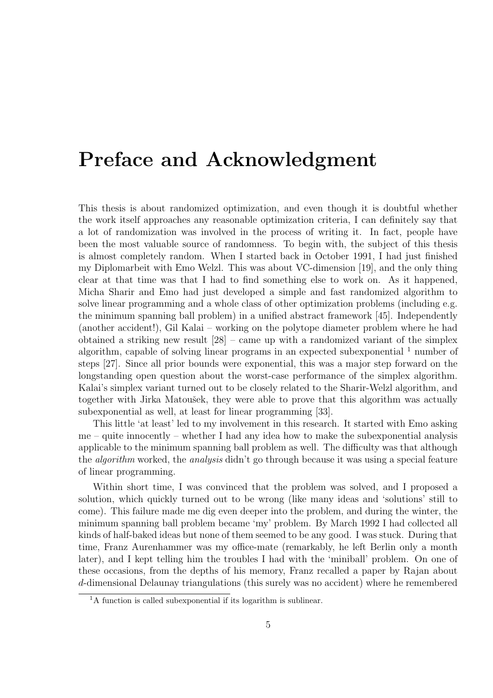## Preface and Acknowledgment

This thesis is about randomized optimization, and even though it is doubtful whether the work itself approaches any reasonable optimization criteria, I can definitely say that a lot of randomization was involved in the process of writing it. In fact, people have been the most valuable source of randomness. To begin with, the subject of this thesis is almost completely random. When I started back in October 1991, I had just finished my Diplomarbeit with Emo Welzl. This was about VC-dimension [19], and the only thing clear at that time was that I had to find something else to work on. As it happened, Micha Sharir and Emo had just developed a simple and fast randomized algorithm to solve linear programming and a whole class of other optimization problems (including e.g. the minimum spanning ball problem) in a unified abstract framework [45]. Independently (another accident!), Gil Kalai – working on the polytope diameter problem where he had obtained a striking new result [28] – came up with a randomized variant of the simplex algorithm, capable of solving linear programs in an expected subexponential  $<sup>1</sup>$  number of</sup> steps [27]. Since all prior bounds were exponential, this was a major step forward on the longstanding open question about the worst-case performance of the simplex algorithm. Kalai's simplex variant turned out to be closely related to the Sharir-Welzl algorithm, and together with Jirka Matoušek, they were able to prove that this algorithm was actually subexponential as well, at least for linear programming [33].

This little 'at least' led to my involvement in this research. It started with Emo asking  $me -$  quite innocently – whether I had any idea how to make the subexponential analysis applicable to the minimum spanning ball problem as well. The difficulty was that although the algorithm worked, the analysis didn't go through because it was using a special feature of linear programming.

Within short time, I was convinced that the problem was solved, and I proposed a solution, which quickly turned out to be wrong (like many ideas and 'solutions' still to come). This failure made me dig even deeper into the problem, and during the winter, the minimum spanning ball problem became 'my' problem. By March 1992 I had collected all kinds of half-baked ideas but none of them seemed to be any good. I was stuck. During that time, Franz Aurenhammer was my office-mate (remarkably, he left Berlin only a month later), and I kept telling him the troubles I had with the 'miniball' problem. On one of these occasions, from the depths of his memory, Franz recalled a paper by Rajan about d-dimensional Delaunay triangulations (this surely was no accident) where he remembered

 $1_A$  function is called subexponential if its logarithm is sublinear.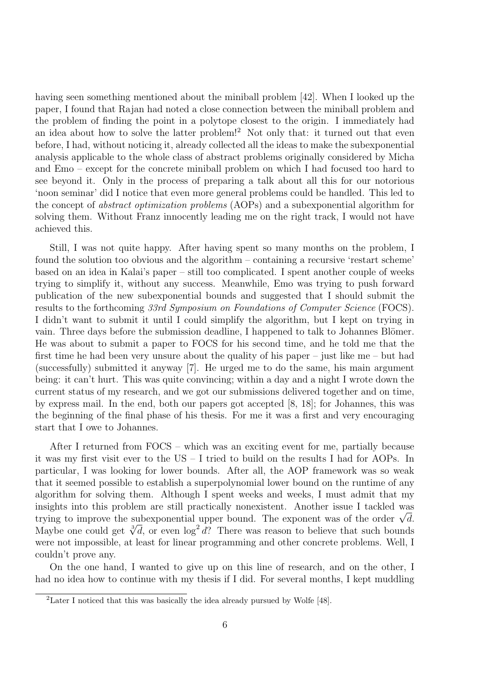having seen something mentioned about the miniball problem [42]. When I looked up the paper, I found that Rajan had noted a close connection between the miniball problem and the problem of finding the point in a polytope closest to the origin. I immediately had an idea about how to solve the latter problem!<sup>2</sup> Not only that: it turned out that even before, I had, without noticing it, already collected all the ideas to make the subexponential analysis applicable to the whole class of abstract problems originally considered by Micha and Emo – except for the concrete miniball problem on which I had focused too hard to see beyond it. Only in the process of preparing a talk about all this for our notorious 'noon seminar' did I notice that even more general problems could be handled. This led to the concept of abstract optimization problems (AOPs) and a subexponential algorithm for solving them. Without Franz innocently leading me on the right track, I would not have achieved this.

Still, I was not quite happy. After having spent so many months on the problem, I found the solution too obvious and the algorithm – containing a recursive 'restart scheme' based on an idea in Kalai's paper – still too complicated. I spent another couple of weeks trying to simplify it, without any success. Meanwhile, Emo was trying to push forward publication of the new subexponential bounds and suggested that I should submit the results to the forthcoming 33rd Symposium on Foundations of Computer Science (FOCS). I didn't want to submit it until I could simplify the algorithm, but I kept on trying in vain. Three days before the submission deadline, I happened to talk to Johannes Blömer. He was about to submit a paper to FOCS for his second time, and he told me that the first time he had been very unsure about the quality of his paper – just like me – but had (successfully) submitted it anyway [7]. He urged me to do the same, his main argument being: it can't hurt. This was quite convincing; within a day and a night I wrote down the current status of my research, and we got our submissions delivered together and on time, by express mail. In the end, both our papers got accepted [8, 18]; for Johannes, this was the beginning of the final phase of his thesis. For me it was a first and very encouraging start that I owe to Johannes.

After I returned from FOCS – which was an exciting event for me, partially because it was my first visit ever to the US – I tried to build on the results I had for AOPs. In particular, I was looking for lower bounds. After all, the AOP framework was so weak that it seemed possible to establish a superpolynomial lower bound on the runtime of any algorithm for solving them. Although I spent weeks and weeks, I must admit that my insights into this problem are still practically nonexistent. Another issue I tackled was trying to improve the subexponential upper bound. The exponent was of the order  $\sqrt{d}$ . Maybe one could get  $\sqrt[3]{d}$ , or even  $\log^2 d$ ? There was reason to believe that such bounds were not impossible, at least for linear programming and other concrete problems. Well, I couldn't prove any.

On the one hand, I wanted to give up on this line of research, and on the other, I had no idea how to continue with my thesis if I did. For several months, I kept muddling

<sup>&</sup>lt;sup>2</sup>Later I noticed that this was basically the idea already pursued by Wolfe [48].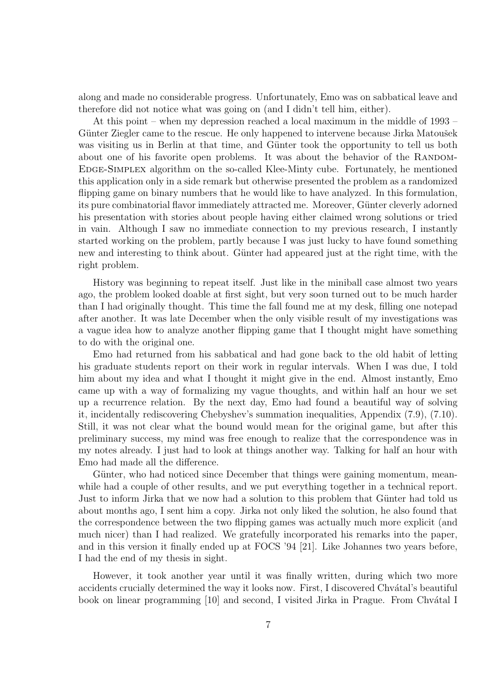along and made no considerable progress. Unfortunately, Emo was on sabbatical leave and therefore did not notice what was going on (and I didn't tell him, either).

At this point – when my depression reached a local maximum in the middle of 1993 – Günter Ziegler came to the rescue. He only happened to intervene because Jirka Matoušek was visiting us in Berlin at that time, and Günter took the opportunity to tell us both about one of his favorite open problems. It was about the behavior of the RANDOM-Edge-Simplex algorithm on the so-called Klee-Minty cube. Fortunately, he mentioned this application only in a side remark but otherwise presented the problem as a randomized flipping game on binary numbers that he would like to have analyzed. In this formulation, its pure combinatorial flavor immediately attracted me. Moreover, Günter cleverly adorned his presentation with stories about people having either claimed wrong solutions or tried in vain. Although I saw no immediate connection to my previous research, I instantly started working on the problem, partly because I was just lucky to have found something new and interesting to think about. Gunter had appeared just at the right time, with the right problem.

History was beginning to repeat itself. Just like in the miniball case almost two years ago, the problem looked doable at first sight, but very soon turned out to be much harder than I had originally thought. This time the fall found me at my desk, filling one notepad after another. It was late December when the only visible result of my investigations was a vague idea how to analyze another flipping game that I thought might have something to do with the original one.

Emo had returned from his sabbatical and had gone back to the old habit of letting his graduate students report on their work in regular intervals. When I was due, I told him about my idea and what I thought it might give in the end. Almost instantly, Emo came up with a way of formalizing my vague thoughts, and within half an hour we set up a recurrence relation. By the next day, Emo had found a beautiful way of solving it, incidentally rediscovering Chebyshev's summation inequalities, Appendix (7.9), (7.10). Still, it was not clear what the bound would mean for the original game, but after this preliminary success, my mind was free enough to realize that the correspondence was in my notes already. I just had to look at things another way. Talking for half an hour with Emo had made all the difference.

Günter, who had noticed since December that things were gaining momentum, meanwhile had a couple of other results, and we put everything together in a technical report. Just to inform Jirka that we now had a solution to this problem that Günter had told us about months ago, I sent him a copy. Jirka not only liked the solution, he also found that the correspondence between the two flipping games was actually much more explicit (and much nicer) than I had realized. We gratefully incorporated his remarks into the paper, and in this version it finally ended up at FOCS '94 [21]. Like Johannes two years before, I had the end of my thesis in sight.

However, it took another year until it was finally written, during which two more accidents crucially determined the way it looks now. First, I discovered Chvátal's beautiful book on linear programming [10] and second, I visited Jirka in Prague. From Chvátal I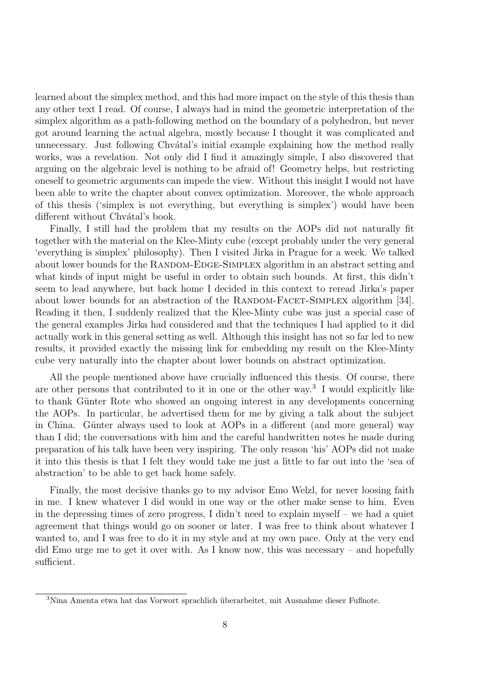learned about the simplex method, and this had more impact on the style of this thesis than any other text I read. Of course, I always had in mind the geometric interpretation of the simplex algorithm as a path-following method on the boundary of a polyhedron, but never got around learning the actual algebra, mostly because I thought it was complicated and unnecessary. Just following Chvatal's initial example explaining how the method really works, was a revelation. Not only did I find it amazingly simple, I also discovered that arguing on the algebraic level is nothing to be afraid of! Geometry helps, but restricting oneself to geometric arguments can impede the view. Without this insight I would not have been able to write the chapter about convex optimization. Moreover, the whole approach of this thesis ('simplex is not everything, but everything is simplex') would have been different without Chvátal's book.

Finally, I still had the problem that my results on the AOPs did not naturally fit together with the material on the Klee-Minty cube (except probably under the very general 'everything is simplex' philosophy). Then I visited Jirka in Prague for a week. We talked about lower bounds for the RANDOM-EDGE-SIMPLEX algorithm in an abstract setting and what kinds of input might be useful in order to obtain such bounds. At first, this didn't seem to lead anywhere, but back home I decided in this context to reread Jirka's paper about lower bounds for an abstraction of the RANDOM-FACET-SIMPLEX algorithm [34]. Reading it then, I suddenly realized that the Klee-Minty cube was just a special case of the general examples Jirka had considered and that the techniques I had applied to it did actually work in this general setting as well. Although this insight has not so far led to new results, it provided exactly the missing link for embedding my result on the Klee-Minty cube very naturally into the chapter about lower bounds on abstract optimization.

All the people mentioned above have crucially influenced this thesis. Of course, there are other persons that contributed to it in one or the other way. 3 I would explicitly like to thank Günter Rote who showed an ongoing interest in any developments concerning the AOPs. In particular, he advertised them for me by giving a talk about the subject in China. Günter always used to look at AOPs in a different (and more general) way than I did; the conversations with him and the careful handwritten notes he made during preparation of his talk have been very inspiring. The only reason 'his' AOPs did not make it into this thesis is that I felt they would take me just a little to far out into the 'sea of abstraction' to be able to get back home safely.

Finally, the most decisive thanks go to my advisor Emo Welzl, for never loosing faith in me. I knew whatever I did would in one way or the other make sense to him. Even in the depressing times of zero progress, I didn't need to explain myself – we had a quiet agreement that things would go on sooner or later. I was free to think about whatever I wanted to, and I was free to do it in my style and at my own pace. Only at the very end did Emo urge me to get it over with. As I know now, this was necessary – and hopefully sufficient.

 $3$ Nina Amenta etwa hat das Vorwort sprachlich überarbeitet, mit Ausnahme dieser Fußnote.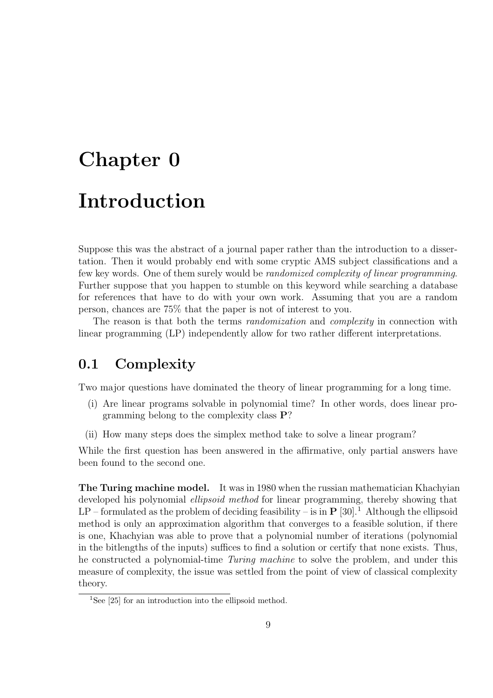# Chapter 0 Introduction

Suppose this was the abstract of a journal paper rather than the introduction to a dissertation. Then it would probably end with some cryptic AMS subject classifications and a few key words. One of them surely would be *randomized complexity of linear programming*. Further suppose that you happen to stumble on this keyword while searching a database for references that have to do with your own work. Assuming that you are a random person, chances are 75% that the paper is not of interest to you.

The reason is that both the terms *randomization* and *complexity* in connection with linear programming (LP) independently allow for two rather different interpretations.

## 0.1 Complexity

Two major questions have dominated the theory of linear programming for a long time.

- (i) Are linear programs solvable in polynomial time? In other words, does linear programming belong to the complexity class P?
- (ii) How many steps does the simplex method take to solve a linear program?

While the first question has been answered in the affirmative, only partial answers have been found to the second one.

The Turing machine model. It was in 1980 when the russian mathematician Khachyian developed his polynomial *ellipsoid method* for linear programming, thereby showing that  $LP$  – formulated as the problem of deciding feasibility – is in  $\bf{P}$  [30].<sup>1</sup> Although the ellipsoid method is only an approximation algorithm that converges to a feasible solution, if there is one, Khachyian was able to prove that a polynomial number of iterations (polynomial in the bitlengths of the inputs) suffices to find a solution or certify that none exists. Thus, he constructed a polynomial-time Turing machine to solve the problem, and under this measure of complexity, the issue was settled from the point of view of classical complexity theory.

<sup>&</sup>lt;sup>1</sup>See [25] for an introduction into the ellipsoid method.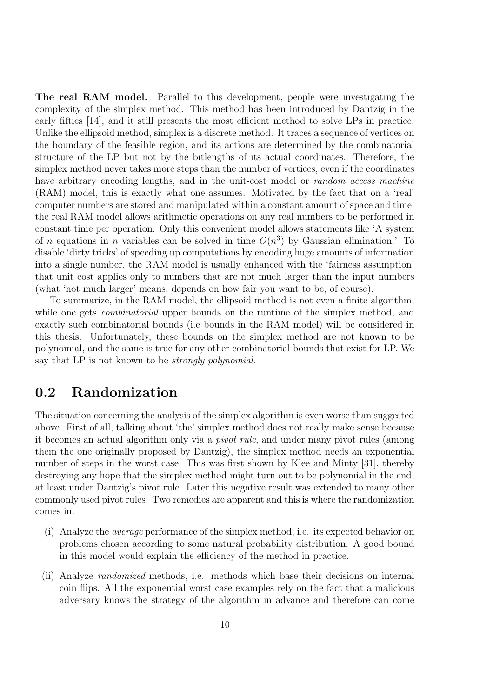The real RAM model. Parallel to this development, people were investigating the complexity of the simplex method. This method has been introduced by Dantzig in the early fifties [14], and it still presents the most efficient method to solve LPs in practice. Unlike the ellipsoid method, simplex is a discrete method. It traces a sequence of vertices on the boundary of the feasible region, and its actions are determined by the combinatorial structure of the LP but not by the bitlengths of its actual coordinates. Therefore, the simplex method never takes more steps than the number of vertices, even if the coordinates have arbitrary encoding lengths, and in the unit-cost model or *random access machine* (RAM) model, this is exactly what one assumes. Motivated by the fact that on a 'real' computer numbers are stored and manipulated within a constant amount of space and time, the real RAM model allows arithmetic operations on any real numbers to be performed in constant time per operation. Only this convenient model allows statements like 'A system of *n* equations in *n* variables can be solved in time  $O(n^3)$  by Gaussian elimination.' To disable 'dirty tricks' of speeding up computations by encoding huge amounts of information into a single number, the RAM model is usually enhanced with the 'fairness assumption' that unit cost applies only to numbers that are not much larger than the input numbers (what 'not much larger' means, depends on how fair you want to be, of course).

To summarize, in the RAM model, the ellipsoid method is not even a finite algorithm, while one gets *combinatorial* upper bounds on the runtime of the simplex method, and exactly such combinatorial bounds (i.e bounds in the RAM model) will be considered in this thesis. Unfortunately, these bounds on the simplex method are not known to be polynomial, and the same is true for any other combinatorial bounds that exist for LP. We say that LP is not known to be *strongly polynomial*.

### 0.2 Randomization

The situation concerning the analysis of the simplex algorithm is even worse than suggested above. First of all, talking about 'the' simplex method does not really make sense because it becomes an actual algorithm only via a pivot rule, and under many pivot rules (among them the one originally proposed by Dantzig), the simplex method needs an exponential number of steps in the worst case. This was first shown by Klee and Minty [31], thereby destroying any hope that the simplex method might turn out to be polynomial in the end, at least under Dantzig's pivot rule. Later this negative result was extended to many other commonly used pivot rules. Two remedies are apparent and this is where the randomization comes in.

- (i) Analyze the average performance of the simplex method, i.e. its expected behavior on problems chosen according to some natural probability distribution. A good bound in this model would explain the efficiency of the method in practice.
- (ii) Analyze randomized methods, i.e. methods which base their decisions on internal coin flips. All the exponential worst case examples rely on the fact that a malicious adversary knows the strategy of the algorithm in advance and therefore can come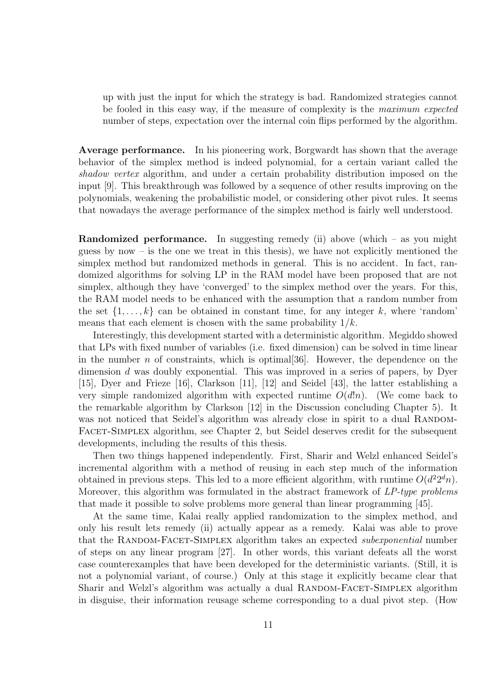up with just the input for which the strategy is bad. Randomized strategies cannot be fooled in this easy way, if the measure of complexity is the maximum expected number of steps, expectation over the internal coin flips performed by the algorithm.

Average performance. In his pioneering work, Borgwardt has shown that the average behavior of the simplex method is indeed polynomial, for a certain variant called the shadow vertex algorithm, and under a certain probability distribution imposed on the input [9]. This breakthrough was followed by a sequence of other results improving on the polynomials, weakening the probabilistic model, or considering other pivot rules. It seems that nowadays the average performance of the simplex method is fairly well understood.

**Randomized performance.** In suggesting remedy (ii) above (which  $-$  as you might guess by now – is the one we treat in this thesis), we have not explicitly mentioned the simplex method but randomized methods in general. This is no accident. In fact, randomized algorithms for solving LP in the RAM model have been proposed that are not simplex, although they have 'converged' to the simplex method over the years. For this, the RAM model needs to be enhanced with the assumption that a random number from the set  $\{1, \ldots, k\}$  can be obtained in constant time, for any integer k, where 'random' means that each element is chosen with the same probability  $1/k$ .

Interestingly, this development started with a deterministic algorithm. Megiddo showed that LPs with fixed number of variables (i.e. fixed dimension) can be solved in time linear in the number  $n$  of constraints, which is optimal [36]. However, the dependence on the dimension d was doubly exponential. This was improved in a series of papers, by Dyer [15], Dyer and Frieze [16], Clarkson [11], [12] and Seidel [43], the latter establishing a very simple randomized algorithm with expected runtime  $O(d!n)$ . (We come back to the remarkable algorithm by Clarkson [12] in the Discussion concluding Chapter 5). It was not noticed that Seidel's algorithm was already close in spirit to a dual RANDOM-FACET-SIMPLEX algorithm, see Chapter 2, but Seidel deserves credit for the subsequent developments, including the results of this thesis.

Then two things happened independently. First, Sharir and Welzl enhanced Seidel's incremental algorithm with a method of reusing in each step much of the information obtained in previous steps. This led to a more efficient algorithm, with runtime  $O(d^2 2^d n)$ . Moreover, this algorithm was formulated in the abstract framework of LP-type problems that made it possible to solve problems more general than linear programming [45].

At the same time, Kalai really applied randomization to the simplex method, and only his result lets remedy (ii) actually appear as a remedy. Kalai was able to prove that the RANDOM-FACET-SIMPLEX algorithm takes an expected *subexponential* number of steps on any linear program [27]. In other words, this variant defeats all the worst case counterexamples that have been developed for the deterministic variants. (Still, it is not a polynomial variant, of course.) Only at this stage it explicitly became clear that Sharir and Welzl's algorithm was actually a dual RANDOM-FACET-SIMPLEX algorithm in disguise, their information reusage scheme corresponding to a dual pivot step. (How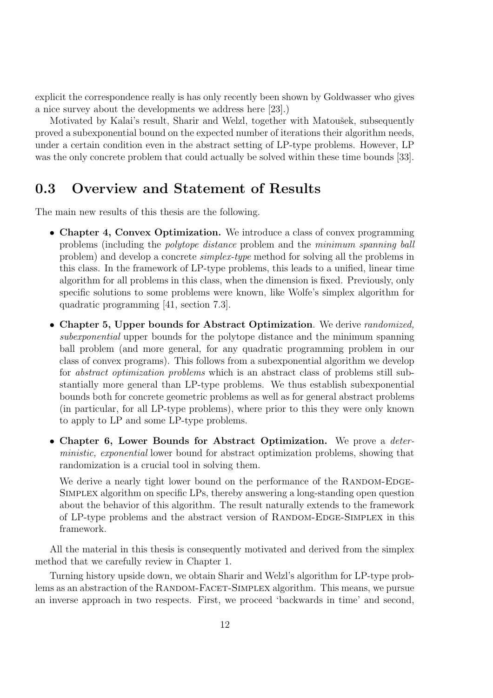explicit the correspondence really is has only recently been shown by Goldwasser who gives a nice survey about the developments we address here [23].)

Motivated by Kalai's result, Sharir and Welzl, together with Matoušek, subsequently proved a subexponential bound on the expected number of iterations their algorithm needs, under a certain condition even in the abstract setting of LP-type problems. However, LP was the only concrete problem that could actually be solved within these time bounds [33].

### 0.3 Overview and Statement of Results

The main new results of this thesis are the following.

- Chapter 4, Convex Optimization. We introduce a class of convex programming problems (including the polytope distance problem and the minimum spanning ball problem) and develop a concrete simplex-type method for solving all the problems in this class. In the framework of LP-type problems, this leads to a unified, linear time algorithm for all problems in this class, when the dimension is fixed. Previously, only specific solutions to some problems were known, like Wolfe's simplex algorithm for quadratic programming [41, section 7.3].
- Chapter 5, Upper bounds for Abstract Optimization. We derive *randomized*, subexponential upper bounds for the polytope distance and the minimum spanning ball problem (and more general, for any quadratic programming problem in our class of convex programs). This follows from a subexponential algorithm we develop for abstract optimization problems which is an abstract class of problems still substantially more general than LP-type problems. We thus establish subexponential bounds both for concrete geometric problems as well as for general abstract problems (in particular, for all LP-type problems), where prior to this they were only known to apply to LP and some LP-type problems.
- Chapter 6, Lower Bounds for Abstract Optimization. We prove a *deter*ministic, exponential lower bound for abstract optimization problems, showing that randomization is a crucial tool in solving them.

We derive a nearly tight lower bound on the performance of the RANDOM-EDGE-Simplex algorithm on specific LPs, thereby answering a long-standing open question about the behavior of this algorithm. The result naturally extends to the framework of LP-type problems and the abstract version of RANDOM-EDGE-SIMPLEX in this framework.

All the material in this thesis is consequently motivated and derived from the simplex method that we carefully review in Chapter 1.

Turning history upside down, we obtain Sharir and Welzl's algorithm for LP-type problems as an abstraction of the RANDOM-FACET-SIMPLEX algorithm. This means, we pursue an inverse approach in two respects. First, we proceed 'backwards in time' and second,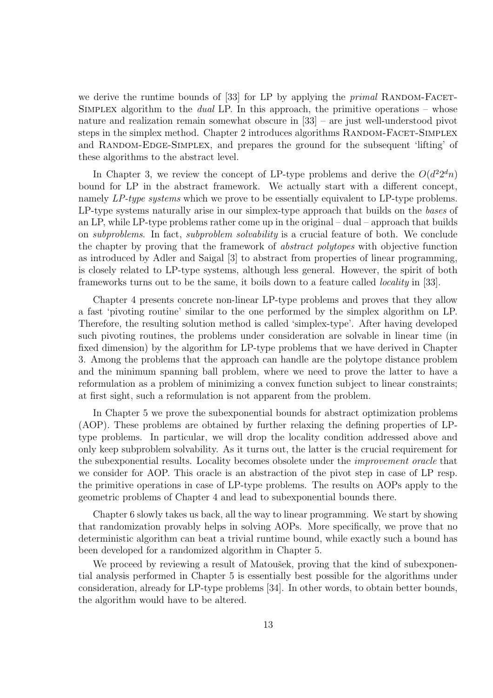we derive the runtime bounds of  $[33]$  for LP by applying the *primal* RANDOM-FACET-SIMPLEX algorithm to the *dual* LP. In this approach, the primitive operations – whose nature and realization remain somewhat obscure in [33] – are just well-understood pivot steps in the simplex method. Chapter 2 introduces algorithms RANDOM-FACET-SIMPLEX and RANDOM-EDGE-SIMPLEX, and prepares the ground for the subsequent 'lifting' of these algorithms to the abstract level.

In Chapter 3, we review the concept of LP-type problems and derive the  $O(d^2 2^d n)$ bound for LP in the abstract framework. We actually start with a different concept, namely LP-type systems which we prove to be essentially equivalent to LP-type problems. LP-type systems naturally arise in our simplex-type approach that builds on the bases of an LP, while LP-type problems rather come up in the original – dual – approach that builds on *subproblems*. In fact, *subproblem solvability* is a crucial feature of both. We conclude the chapter by proving that the framework of *abstract polytopes* with objective function as introduced by Adler and Saigal [3] to abstract from properties of linear programming, is closely related to LP-type systems, although less general. However, the spirit of both frameworks turns out to be the same, it boils down to a feature called locality in [33].

Chapter 4 presents concrete non-linear LP-type problems and proves that they allow a fast 'pivoting routine' similar to the one performed by the simplex algorithm on LP. Therefore, the resulting solution method is called 'simplex-type'. After having developed such pivoting routines, the problems under consideration are solvable in linear time (in fixed dimension) by the algorithm for LP-type problems that we have derived in Chapter 3. Among the problems that the approach can handle are the polytope distance problem and the minimum spanning ball problem, where we need to prove the latter to have a reformulation as a problem of minimizing a convex function subject to linear constraints; at first sight, such a reformulation is not apparent from the problem.

In Chapter 5 we prove the subexponential bounds for abstract optimization problems (AOP). These problems are obtained by further relaxing the defining properties of LPtype problems. In particular, we will drop the locality condition addressed above and only keep subproblem solvability. As it turns out, the latter is the crucial requirement for the subexponential results. Locality becomes obsolete under the improvement oracle that we consider for AOP. This oracle is an abstraction of the pivot step in case of LP resp. the primitive operations in case of LP-type problems. The results on AOPs apply to the geometric problems of Chapter 4 and lead to subexponential bounds there.

Chapter 6 slowly takes us back, all the way to linear programming. We start by showing that randomization provably helps in solving AOPs. More specifically, we prove that no deterministic algorithm can beat a trivial runtime bound, while exactly such a bound has been developed for a randomized algorithm in Chapter 5.

We proceed by reviewing a result of Matoušek, proving that the kind of subexponential analysis performed in Chapter 5 is essentially best possible for the algorithms under consideration, already for LP-type problems [34]. In other words, to obtain better bounds, the algorithm would have to be altered.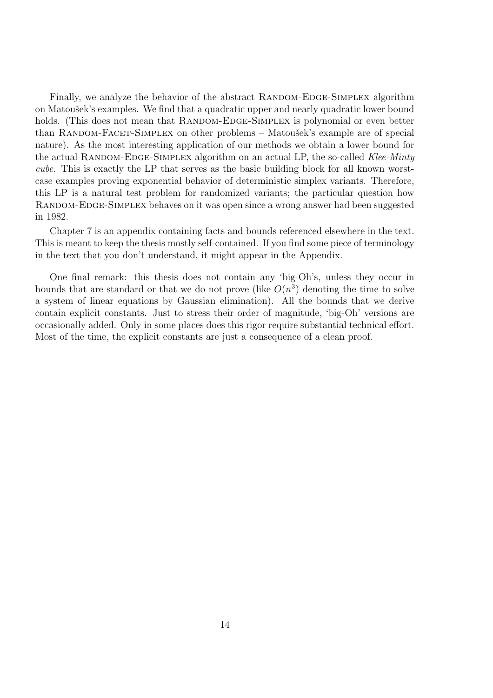Finally, we analyze the behavior of the abstract RANDOM-EDGE-SIMPLEX algorithm on Matoušek's examples. We find that a quadratic upper and nearly quadratic lower bound holds. (This does not mean that RANDOM-EDGE-SIMPLEX is polynomial or even better than RANDOM-FACET-SIMPLEX on other problems – Matoušek's example are of special nature). As the most interesting application of our methods we obtain a lower bound for the actual RANDOM-EDGE-SIMPLEX algorithm on an actual LP, the so-called Klee-Minty cube. This is exactly the LP that serves as the basic building block for all known worstcase examples proving exponential behavior of deterministic simplex variants. Therefore, this LP is a natural test problem for randomized variants; the particular question how RANDOM-EDGE-SIMPLEX behaves on it was open since a wrong answer had been suggested in 1982.

Chapter 7 is an appendix containing facts and bounds referenced elsewhere in the text. This is meant to keep the thesis mostly self-contained. If you find some piece of terminology in the text that you don't understand, it might appear in the Appendix.

One final remark: this thesis does not contain any 'big-Oh's, unless they occur in bounds that are standard or that we do not prove (like  $O(n^3)$ ) denoting the time to solve a system of linear equations by Gaussian elimination). All the bounds that we derive contain explicit constants. Just to stress their order of magnitude, 'big-Oh' versions are occasionally added. Only in some places does this rigor require substantial technical effort. Most of the time, the explicit constants are just a consequence of a clean proof.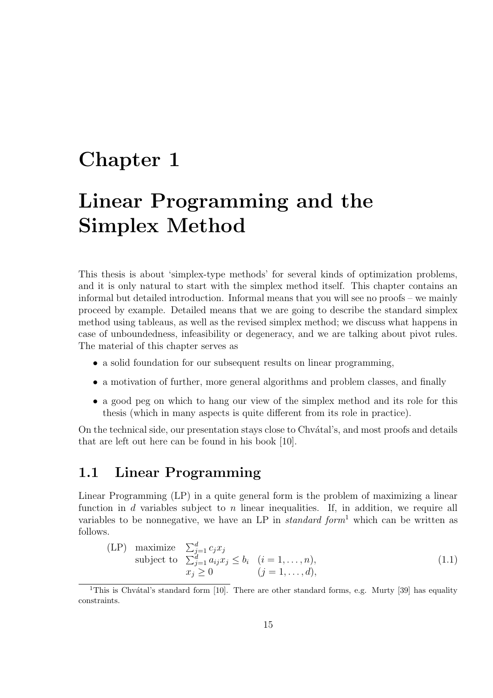## Chapter 1

## Linear Programming and the Simplex Method

This thesis is about 'simplex-type methods' for several kinds of optimization problems, and it is only natural to start with the simplex method itself. This chapter contains an informal but detailed introduction. Informal means that you will see no proofs – we mainly proceed by example. Detailed means that we are going to describe the standard simplex method using tableaus, as well as the revised simplex method; we discuss what happens in case of unboundedness, infeasibility or degeneracy, and we are talking about pivot rules. The material of this chapter serves as

- a solid foundation for our subsequent results on linear programming,
- a motivation of further, more general algorithms and problem classes, and finally
- a good peg on which to hang our view of the simplex method and its role for this thesis (which in many aspects is quite different from its role in practice).

On the technical side, our presentation stays close to Chv $\acute{a}$ tal's, and most proofs and details that are left out here can be found in his book [10].

### 1.1 Linear Programming

Linear Programming (LP) in a quite general form is the problem of maximizing a linear function in d variables subject to n linear inequalities. If, in addition, we require all variables to be nonnegative, we have an LP in *standard form*<sup>1</sup> which can be written as follows.

$$
\begin{array}{ll}\n\text{(LP)} \quad \text{maximize} \quad \sum_{j=1}^{d} c_j x_j \\
\text{subject to} \quad \sum_{j=1}^{d} a_{ij} x_j \le b_i \quad (i = 1, \dots, n), \\
x_j \ge 0 \qquad (j = 1, \dots, d),\n\end{array} \tag{1.1}
$$

<sup>&</sup>lt;sup>1</sup>This is Chvátal's standard form [10]. There are other standard forms, e.g. Murty [39] has equality constraints.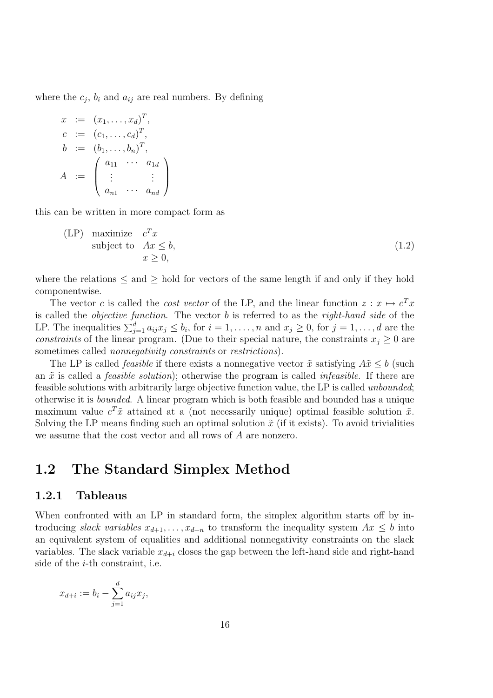where the  $c_j$ ,  $b_i$  and  $a_{ij}$  are real numbers. By defining

$$
x := (x_1, \dots, x_d)^T,
$$
  
\n
$$
c := (c_1, \dots, c_d)^T,
$$
  
\n
$$
b := (b_1, \dots, b_n)^T,
$$
  
\n
$$
A := \begin{pmatrix} a_{11} & \cdots & a_{1d} \\ \vdots & & \vdots \\ a_{n1} & \cdots & a_{nd} \end{pmatrix}
$$

this can be written in more compact form as

$$
\begin{array}{ll}\n\text{(LP)} & \text{maximize} \quad c^T x \\
\text{subject to} \quad Ax \leq b, \\
& x \geq 0,\n\end{array} \tag{1.2}
$$

where the relations  $\leq$  and  $\geq$  hold for vectors of the same length if and only if they hold componentwise.

The vector c is called the *cost vector* of the LP, and the linear function  $z : x \mapsto c^T x$ is called the objective function. The vector b is referred to as the right-hand side of the LP. The inequalities  $\sum_{j=1}^d a_{ij}x_j \le b_i$ , for  $i=1,\ldots,n$  and  $x_j \ge 0$ , for  $j=1,\ldots,d$  are the constraints of the linear program. (Due to their special nature, the constraints  $x_i \geq 0$  are sometimes called *nonnegativity constraints* or *restrictions*).

The LP is called *feasible* if there exists a nonnegative vector  $\tilde{x}$  satisfying  $A\tilde{x} \leq b$  (such an  $\tilde{x}$  is called a *feasible solution*); otherwise the program is called *infeasible*. If there are feasible solutions with arbitrarily large objective function value, the LP is called unbounded; otherwise it is bounded. A linear program which is both feasible and bounded has a unique maximum value  $c^T \tilde{x}$  attained at a (not necessarily unique) optimal feasible solution  $\tilde{x}$ . Solving the LP means finding such an optimal solution  $\tilde{x}$  (if it exists). To avoid trivialities we assume that the cost vector and all rows of A are nonzero.

### 1.2 The Standard Simplex Method

#### 1.2.1 Tableaus

When confronted with an LP in standard form, the simplex algorithm starts off by introducing slack variables  $x_{d+1}, \ldots, x_{d+n}$  to transform the inequality system  $Ax \leq b$  into an equivalent system of equalities and additional nonnegativity constraints on the slack variables. The slack variable  $x_{d+i}$  closes the gap between the left-hand side and right-hand side of the i-th constraint, i.e.

$$
x_{d+i} := b_i - \sum_{j=1}^d a_{ij} x_j,
$$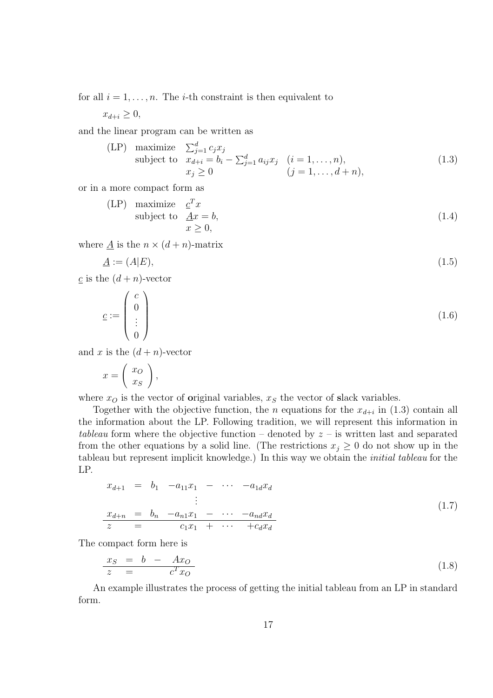for all  $i = 1, \ldots, n$ . The *i*-th constraint is then equivalent to

 $x_{d+i} \geq 0$ ,

and the linear program can be written as

(LP) maximize 
$$
\sum_{j=1}^{d} c_j x_j
$$
  
subject to  $x_{d+i} = b_i - \sum_{j=1}^{d} a_{ij} x_j$   $(i = 1, ..., n),$   
 $x_j \ge 0$   $(j = 1, ..., d + n),$  (1.3)

or in a more compact form as

$$
\begin{array}{ll}\n\text{(LP)} & \text{maximize} \quad \underline{c}^T x \\
\text{subject to} & \underline{A}x = b, \\
& x \ge 0,\n\end{array} \tag{1.4}
$$

where  $\underline{A}$  is the  $n \times (d + n)$ -matrix

$$
\underline{A} := (A|E),\tag{1.5}
$$

c is the  $(d+n)$ -vector

$$
\underline{c} := \begin{pmatrix} c \\ 0 \\ \vdots \\ 0 \end{pmatrix} \tag{1.6}
$$

and x is the  $(d + n)$ -vector

$$
x = \left(\begin{array}{c} x_O \\ x_S \end{array}\right),
$$

where  $x<sub>O</sub>$  is the vector of original variables,  $x<sub>S</sub>$  the vector of slack variables.

Together with the objective function, the *n* equations for the  $x_{d+i}$  in (1.3) contain all the information about the LP. Following tradition, we will represent this information in tableau form where the objective function – denoted by  $z$  – is written last and separated from the other equations by a solid line. (The restrictions  $x_j \geq 0$  do not show up in the tableau but represent implicit knowledge.) In this way we obtain the initial tableau for the LP.

$$
x_{d+1} = b_1 - a_{11}x_1 - \cdots - a_{1d}x_d
$$
  
\n
$$
\vdots
$$
  
\n
$$
x_{d+n} = b_n - a_{n1}x_1 - \cdots - a_{nd}x_d
$$
  
\n
$$
z = c_1x_1 + \cdots + c_dx_d
$$
\n(1.7)

The compact form here is

$$
\begin{array}{rcl}\nx_S &=& b - Ax_O \\
z &=& c^T x_O\n\end{array} \tag{1.8}
$$

An example illustrates the process of getting the initial tableau from an LP in standard form.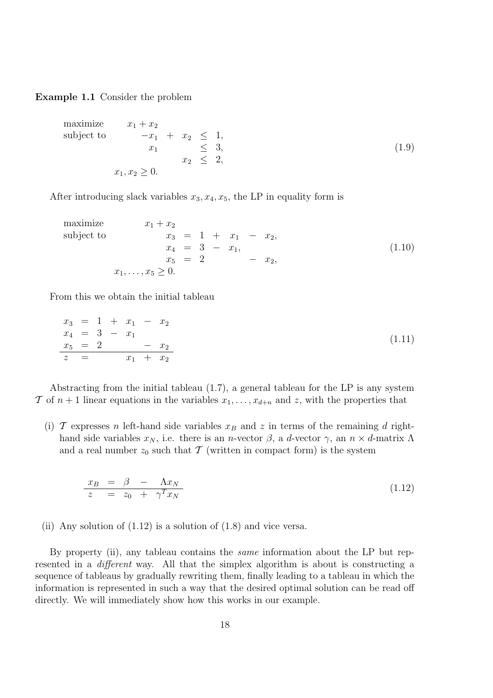Example 1.1 Consider the problem

maximize 
$$
x_1 + x_2
$$
  
\nsubject to  $-x_1 + x_2 \le 1$ ,  
\n $x_1 \le 3$ ,  
\n $x_2 \le 2$ ,  
\n $x_1, x_2 \ge 0$ . (1.9)

After introducing slack variables  $x_3, x_4, x_5$ , the LP in equality form is

maximize 
$$
x_1 + x_2
$$
  
\nsubject to  $x_3 = 1 + x_1 - x_2$ ,  
\n $x_4 = 3 - x_1$ ,  
\n $x_5 = 2 - x_2$ ,  
\n $x_1, ..., x_5 \ge 0$ . (1.10)

From this we obtain the initial tableau

$$
\begin{array}{rcl}\nx_3 & = & 1 + x_1 - x_2 \\
x_4 & = & 3 - x_1 \\
x_5 & = & 2 - x_2 \\
z & = & x_1 + x_2\n\end{array} \tag{1.11}
$$

Abstracting from the initial tableau (1.7), a general tableau for the LP is any system T of  $n+1$  linear equations in the variables  $x_1, \ldots, x_{d+n}$  and z, with the properties that

(i)  $\mathcal T$  expresses n left-hand side variables  $x_B$  and z in terms of the remaining d righthand side variables  $x_N$ , i.e. there is an *n*-vector  $\beta$ , a *d*-vector  $\gamma$ , an  $n \times d$ -matrix  $\Lambda$ and a real number  $z_0$  such that T (written in compact form) is the system

$$
\begin{array}{rcl}\nx_B & = & \beta & - & \Lambda x_N \\
z & = & z_0 & + & \gamma^T x_N\n\end{array} \n\tag{1.12}
$$

(ii) Any solution of  $(1.12)$  is a solution of  $(1.8)$  and vice versa.

By property (ii), any tableau contains the same information about the LP but represented in a different way. All that the simplex algorithm is about is constructing a sequence of tableaus by gradually rewriting them, finally leading to a tableau in which the information is represented in such a way that the desired optimal solution can be read off directly. We will immediately show how this works in our example.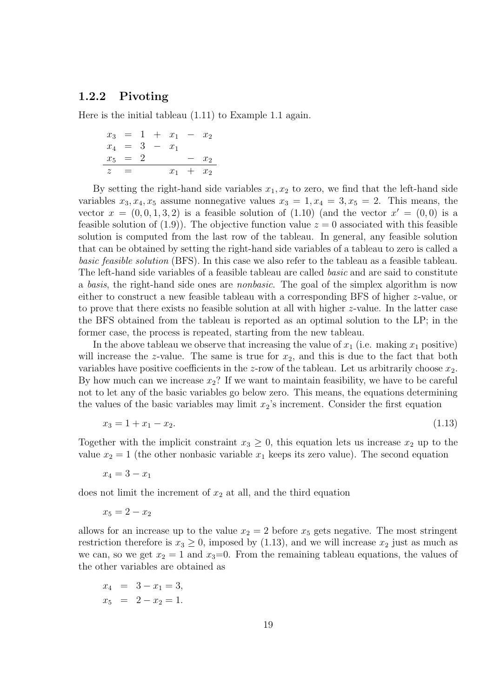#### 1.2.2 Pivoting

Here is the initial tableau (1.11) to Example 1.1 again.

$$
\begin{array}{rcl}\nx_3 & = & 1 + x_1 - x_2 \\
x_4 & = & 3 - x_1 \\
x_5 & = & 2 - x_2 \\
\hline\nz & = & x_1 + x_2\n\end{array}
$$

By setting the right-hand side variables  $x_1, x_2$  to zero, we find that the left-hand side variables  $x_3, x_4, x_5$  assume nonnegative values  $x_3 = 1, x_4 = 3, x_5 = 2$ . This means, the vector  $x = (0, 0, 1, 3, 2)$  is a feasible solution of  $(1.10)$  (and the vector  $x' = (0, 0)$  is a feasible solution of  $(1.9)$ . The objective function value  $z = 0$  associated with this feasible solution is computed from the last row of the tableau. In general, any feasible solution that can be obtained by setting the right-hand side variables of a tableau to zero is called a basic feasible solution (BFS). In this case we also refer to the tableau as a feasible tableau. The left-hand side variables of a feasible tableau are called *basic* and are said to constitute a *basis*, the right-hand side ones are *nonbasic*. The goal of the simplex algorithm is now either to construct a new feasible tableau with a corresponding BFS of higher z-value, or to prove that there exists no feasible solution at all with higher z-value. In the latter case the BFS obtained from the tableau is reported as an optimal solution to the LP; in the former case, the process is repeated, starting from the new tableau.

In the above tableau we observe that increasing the value of  $x_1$  (i.e. making  $x_1$  positive) will increase the z-value. The same is true for  $x_2$ , and this is due to the fact that both variables have positive coefficients in the z-row of the tableau. Let us arbitrarily choose  $x_2$ . By how much can we increase  $x_2$ ? If we want to maintain feasibility, we have to be careful not to let any of the basic variables go below zero. This means, the equations determining the values of the basic variables may limit  $x_2$ 's increment. Consider the first equation

$$
x_3 = 1 + x_1 - x_2. \tag{1.13}
$$

Together with the implicit constraint  $x_3 \geq 0$ , this equation lets us increase  $x_2$  up to the value  $x_2 = 1$  (the other nonbasic variable  $x_1$  keeps its zero value). The second equation

$$
x_4 = 3 - x_1
$$

does not limit the increment of  $x_2$  at all, and the third equation

 $x_5 = 2 - x_2$ 

allows for an increase up to the value  $x_2 = 2$  before  $x_5$  gets negative. The most stringent restriction therefore is  $x_3 \geq 0$ , imposed by (1.13), and we will increase  $x_2$  just as much as we can, so we get  $x_2 = 1$  and  $x_3=0$ . From the remaining tableau equations, the values of the other variables are obtained as

$$
x_4 = 3 - x_1 = 3,
$$
  

$$
x_5 = 2 - x_2 = 1.
$$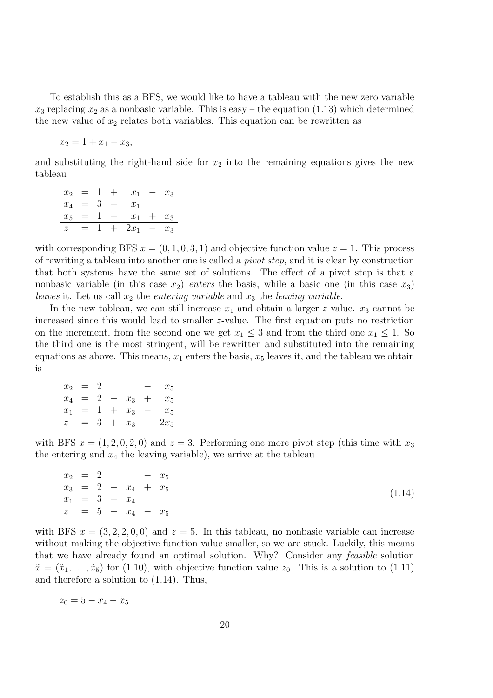To establish this as a BFS, we would like to have a tableau with the new zero variable  $x_3$  replacing  $x_2$  as a nonbasic variable. This is easy – the equation (1.13) which determined the new value of  $x_2$  relates both variables. This equation can be rewritten as

$$
x_2 = 1 + x_1 - x_3,
$$

and substituting the right-hand side for  $x_2$  into the remaining equations gives the new tableau

$$
\begin{array}{rcl}\nx_2 & = & 1 + x_1 - x_3 \\
x_4 & = & 3 - x_1 \\
x_5 & = & 1 - x_1 + x_3 \\
z & = & 1 + 2x_1 - x_3\n\end{array}
$$

with corresponding BFS  $x = (0, 1, 0, 3, 1)$  and objective function value  $z = 1$ . This process of rewriting a tableau into another one is called a pivot step, and it is clear by construction that both systems have the same set of solutions. The effect of a pivot step is that a nonbasic variable (in this case  $x_2$ ) enters the basis, while a basic one (in this case  $x_3$ ) leaves it. Let us call  $x_2$  the entering variable and  $x_3$  the leaving variable.

In the new tableau, we can still increase  $x_1$  and obtain a larger z-value.  $x_3$  cannot be increased since this would lead to smaller z-value. The first equation puts no restriction on the increment, from the second one we get  $x_1 \leq 3$  and from the third one  $x_1 \leq 1$ . So the third one is the most stringent, will be rewritten and substituted into the remaining equations as above. This means,  $x_1$  enters the basis,  $x_5$  leaves it, and the tableau we obtain is

| $x_2$          | $=$             |   |               |     | $x_5$  |
|----------------|-----------------|---|---------------|-----|--------|
| $x_4$          | $\!\!\!=\!\!\!$ | 2 | $- x_3$       | $+$ | $x_5$  |
| $x_1$          |                 |   | $= 1 + x_3 -$ |     | $x_5$  |
| $\overline{z}$ | $=$             |   | $3 + x_3 -$   |     | $2x_5$ |

with BFS  $x = (1, 2, 0, 2, 0)$  and  $z = 3$ . Performing one more pivot step (this time with  $x_3$ ) the entering and  $x_4$  the leaving variable), we arrive at the tableau

$$
\begin{array}{rcl}\nx_2 & = & 2 & -x_5 \\
x_3 & = & 2 & -x_4 + x_5 \\
x_1 & = & 3 & -x_4 \\
z & = & 5 & -x_4 - x_5\n\end{array} \tag{1.14}
$$

with BFS  $x = (3, 2, 2, 0, 0)$  and  $z = 5$ . In this tableau, no nonbasic variable can increase without making the objective function value smaller, so we are stuck. Luckily, this means that we have already found an optimal solution. Why? Consider any feasible solution  $\tilde{x} = (\tilde{x}_1, \ldots, \tilde{x}_5)$  for (1.10), with objective function value  $z_0$ . This is a solution to (1.11) and therefore a solution to (1.14). Thus,

$$
z_0 = 5 - \tilde{x}_4 - \tilde{x}_5
$$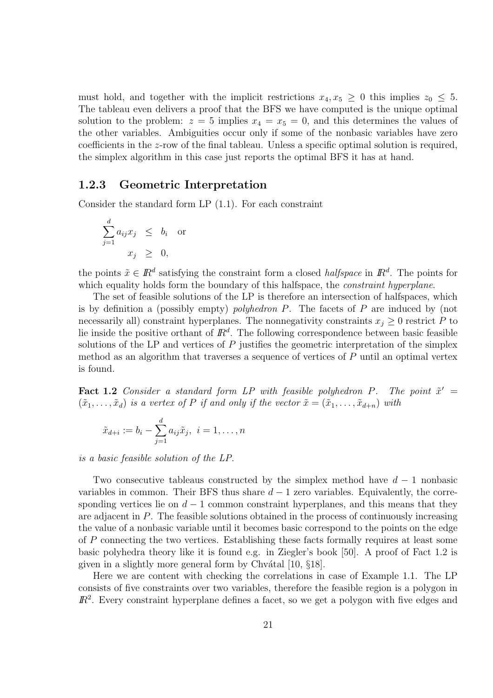must hold, and together with the implicit restrictions  $x_4, x_5 \geq 0$  this implies  $z_0 \leq 5$ . The tableau even delivers a proof that the BFS we have computed is the unique optimal solution to the problem:  $z = 5$  implies  $x_4 = x_5 = 0$ , and this determines the values of the other variables. Ambiguities occur only if some of the nonbasic variables have zero coefficients in the z-row of the final tableau. Unless a specific optimal solution is required, the simplex algorithm in this case just reports the optimal BFS it has at hand.

#### 1.2.3 Geometric Interpretation

Consider the standard form LP (1.1). For each constraint

$$
\sum_{j=1}^{d} a_{ij} x_j \leq b_i \text{ or}
$$

$$
x_j \geq 0,
$$

the points  $\tilde{x} \in \mathbb{R}^d$  satisfying the constraint form a closed *halfspace* in  $\mathbb{R}^d$ . The points for which equality holds form the boundary of this halfspace, the *constraint hyperplane*.

The set of feasible solutions of the LP is therefore an intersection of halfspaces, which is by definition a (possibly empty) polyhedron P. The facets of P are induced by (not necessarily all) constraint hyperplanes. The nonnegativity constraints  $x_j \geq 0$  restrict P to lie inside the positive orthant of  $\mathbb{R}^d$ . The following correspondence between basic feasible solutions of the LP and vertices of  $P$  justifies the geometric interpretation of the simplex method as an algorithm that traverses a sequence of vertices of P until an optimal vertex is found.

**Fact 1.2** Consider a standard form LP with feasible polyhedron P. The point  $\tilde{x}' =$  $(\tilde{x}_1, \ldots, \tilde{x}_d)$  is a vertex of P if and only if the vector  $\tilde{x} = (\tilde{x}_1, \ldots, \tilde{x}_{d+n})$  with

$$
\tilde{x}_{d+i} := b_i - \sum_{j=1}^d a_{ij}\tilde{x}_j, \ i = 1, \ldots, n
$$

is a basic feasible solution of the LP.

Two consecutive tableaus constructed by the simplex method have  $d-1$  nonbasic variables in common. Their BFS thus share  $d-1$  zero variables. Equivalently, the corresponding vertices lie on  $d-1$  common constraint hyperplanes, and this means that they are adjacent in  $P$ . The feasible solutions obtained in the process of continuously increasing the value of a nonbasic variable until it becomes basic correspond to the points on the edge of P connecting the two vertices. Establishing these facts formally requires at least some basic polyhedra theory like it is found e.g. in Ziegler's book [50]. A proof of Fact 1.2 is given in a slightly more general form by Chvátal  $[10, §18]$ .

Here we are content with checking the correlations in case of Example 1.1. The LP consists of five constraints over two variables, therefore the feasible region is a polygon in  $\mathbb{R}^2$ . Every constraint hyperplane defines a facet, so we get a polygon with five edges and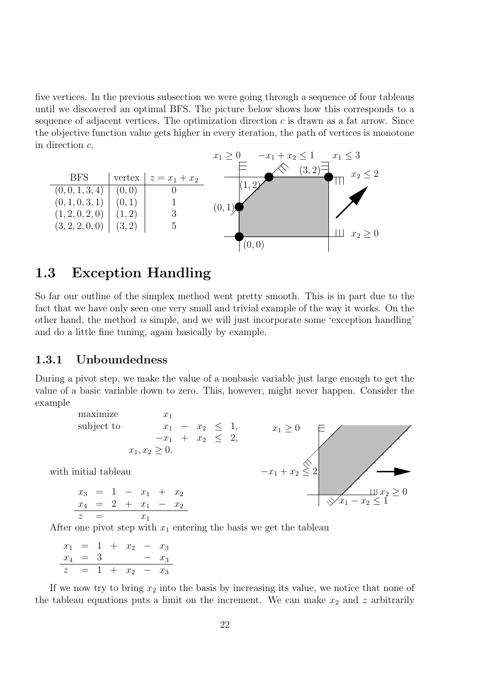five vertices. In the previous subsection we were going through a sequence of four tableaus until we discovered an optimal BFS. The picture below shows how this corresponds to a sequence of adjacent vertices. The optimization direction  $c$  is drawn as a fat arrow. Since the objective function value gets higher in every iteration, the path of vertices is monotone PSfrag replacements in direction c.



## 1.3 Exception Handling

So far our outline of the simplex method went pretty smooth. This is in part due to the fact that we have only seen one very small and trivial example of the way it works. On the other hand, the method is simple, and we will just incorporate some 'exception handling' and do a little fine tuning, again basically by example.

#### 1.3.1 Unboundedness

During a pivot step, we make the value of a nonbasic variable just large enough to get the value of a basic variable down to zero. This, however, might never happen. Consider the example



After one pivot step with  $x_1$  entering the basis we get the tableau

$$
\begin{array}{rcl}\nx_1 &=& 1 + x_2 - x_3 \\
x_4 &=& 3 - x_3 \\
z &=& 1 + x_2 - x_3\n\end{array}
$$

If we now try to bring  $x_2$  into the basis by increasing its value, we notice that none of the tableau equations puts a limit on the increment. We can make  $x_2$  and z arbitrarily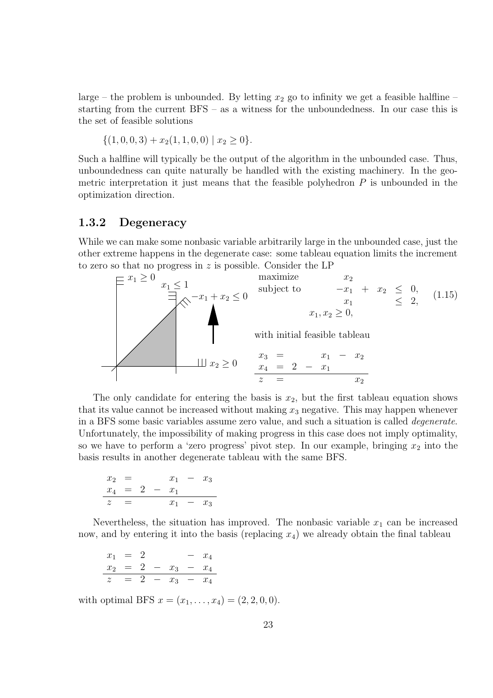large – the problem is unbounded. By letting  $x_2$  go to infinity we get a feasible halfline – starting from the current BFS – as a witness for the unboundedness. In our case this is the set of feasible solutions

$$
\{(1,0,0,3)+x_2(1,1,0,0)\mid x_2\geq 0\}.
$$

Such a halfline will typically be the output of the algorithm in the unbounded case. Thus, unboundedness can quite naturally be handled with the existing machinery. In the geometric interpretation it just means that the feasible polyhedron  $P$  is unbounded in the optimization direction.

#### 1.3.2 Degeneracy

While we can make some nonbasic variable arbitrarily large in the unbounded case, just the other extreme happens in the degenerate case: some tableau equation limits the increment to zero so that no progress in  $z$  is possible. Consider the LP



The only candidate for entering the basis is  $x_2$ , but the first tableau equation shows that its value cannot be increased without making  $x_3$  negative. This may happen whenever in a BFS some basic variables assume zero value, and such a situation is called degenerate. Unfortunately, the impossibility of making progress in this case does not imply optimality, so we have to perform a 'zero progress' pivot step. In our example, bringing  $x_2$  into the basis results in another degenerate tableau with the same BFS.

$$
\begin{array}{rcl}\nx_2 & = & x_1 - x_3 \\
x_4 & = & 2 - x_1 \\
z & = & x_1 - x_3\n\end{array}
$$

Nevertheless, the situation has improved. The nonbasic variable  $x_1$  can be increased now, and by entering it into the basis (replacing  $x_4$ ) we already obtain the final tableau

$$
\begin{array}{rcl}\nx_1 &=& 2 - x_4 \\
x_2 &=& 2 - x_3 - x_4 \\
z &=& 2 - x_3 - x_4\n\end{array}
$$

with optimal BFS  $x = (x_1, \ldots, x_4) = (2, 2, 0, 0).$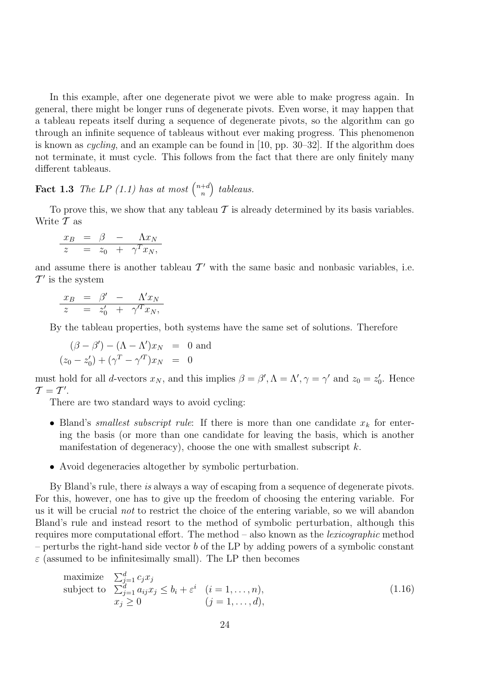In this example, after one degenerate pivot we were able to make progress again. In general, there might be longer runs of degenerate pivots. Even worse, it may happen that a tableau repeats itself during a sequence of degenerate pivots, so the algorithm can go through an infinite sequence of tableaus without ever making progress. This phenomenon is known as cycling, and an example can be found in [10, pp. 30–32]. If the algorithm does not terminate, it must cycle. This follows from the fact that there are only finitely many different tableaus.

**Fact 1.3** The LP (1.1) has at most  $\binom{n+d}{n}$ n ) tableaus.

To prove this, we show that any tableau  $\mathcal T$  is already determined by its basis variables. Write  $\mathcal T$  as

$$
\begin{array}{rcl}\nx_B & = & \beta & - & \Lambda x_N \\
z & = & z_0 + \gamma^T x_N,\n\end{array}
$$

and assume there is another tableau  $\mathcal{T}'$  with the same basic and nonbasic variables, i.e.  $\mathcal{T}'$  is the system

$$
\begin{array}{rcl}\nx_B & = & \beta' & - & \Lambda' x_N \\
z & = & z'_0 & + & \gamma'^T x_N,\n\end{array}
$$

By the tableau properties, both systems have the same set of solutions. Therefore

$$
(\beta - \beta') - (\Lambda - \Lambda')x_N = 0
$$
 and  

$$
(z_0 - z'_0) + (\gamma^T - \gamma'^T)x_N = 0
$$

must hold for all *d*-vectors  $x_N$ , and this implies  $\beta = \beta', \Lambda = \Lambda', \gamma = \gamma'$  and  $z_0 = z'_0$ . Hence  $\mathcal{T} = \mathcal{T}^{\prime}.$ 

There are two standard ways to avoid cycling:

- Bland's *smallest subscript rule*: If there is more than one candidate  $x_k$  for entering the basis (or more than one candidate for leaving the basis, which is another manifestation of degeneracy), choose the one with smallest subscript  $k$ .
- Avoid degeneracies altogether by symbolic perturbation.

By Bland's rule, there is always a way of escaping from a sequence of degenerate pivots. For this, however, one has to give up the freedom of choosing the entering variable. For us it will be crucial not to restrict the choice of the entering variable, so we will abandon Bland's rule and instead resort to the method of symbolic perturbation, although this requires more computational effort. The method – also known as the lexicographic method – perturbs the right-hand side vector  $b$  of the LP by adding powers of a symbolic constant  $\varepsilon$  (assumed to be infinitesimally small). The LP then becomes

maximize 
$$
\sum_{j=1}^{d} c_j x_j
$$
subject to 
$$
\sum_{j=1}^{d} a_{ij} x_j \le b_i + \varepsilon^i \quad (i = 1, ..., n),
$$

$$
x_j \ge 0 \qquad (j = 1, ..., d),
$$
 (1.16)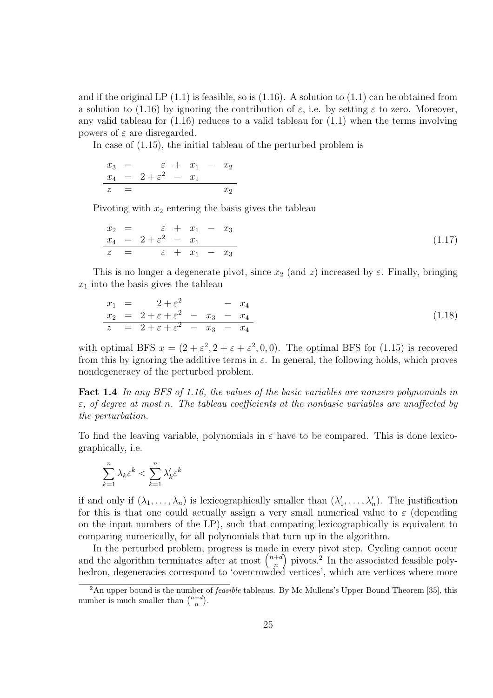and if the original LP  $(1.1)$  is feasible, so is  $(1.16)$ . A solution to  $(1.1)$  can be obtained from a solution to (1.16) by ignoring the contribution of  $\varepsilon$ , i.e. by setting  $\varepsilon$  to zero. Moreover, any valid tableau for  $(1.16)$  reduces to a valid tableau for  $(1.1)$  when the terms involving powers of  $\varepsilon$  are disregarded.

In case of (1.15), the initial tableau of the perturbed problem is

$$
x_3 = \varepsilon + x_1 - x_2
$$
  
\n
$$
x_4 = 2 + \varepsilon^2 - x_1
$$
  
\n
$$
z = x_2
$$

Pivoting with  $x_2$  entering the basis gives the tableau

$$
\begin{array}{rcl}\nx_2 & = & \varepsilon + x_1 - x_3 \\
x_4 & = & 2 + \varepsilon^2 - x_1 \\
z & = & \varepsilon + x_1 - x_3\n\end{array} \n\tag{1.17}
$$

This is no longer a degenerate pivot, since  $x_2$  (and z) increased by  $\varepsilon$ . Finally, bringing  $x_1$  into the basis gives the tableau

$$
\begin{array}{rcl}\nx_1 &=& 2 + \varepsilon^2 &-& x_4 \\
x_2 &=& 2 + \varepsilon + \varepsilon^2 &-& x_3 &-& x_4 \\
z &=& 2 + \varepsilon + \varepsilon^2 &-& x_3 &-& x_4\n\end{array} \n\tag{1.18}
$$

with optimal BFS  $x = (2 + \varepsilon^2, 2 + \varepsilon + \varepsilon^2, 0, 0)$ . The optimal BFS for (1.15) is recovered from this by ignoring the additive terms in  $\varepsilon$ . In general, the following holds, which proves nondegeneracy of the perturbed problem.

Fact 1.4 In any BFS of 1.16, the values of the basic variables are nonzero polynomials in  $\varepsilon$ , of degree at most n. The tableau coefficients at the nonbasic variables are unaffected by the perturbation.

To find the leaving variable, polynomials in  $\varepsilon$  have to be compared. This is done lexicographically, i.e.

$$
\sum_{k=1}^{n} \lambda_k \varepsilon^k < \sum_{k=1}^{n} \lambda_k' \varepsilon^k
$$

if and only if  $(\lambda_1, \ldots, \lambda_n)$  is lexicographically smaller than  $(\lambda'_1, \ldots, \lambda'_n)$ . The justification for this is that one could actually assign a very small numerical value to  $\varepsilon$  (depending on the input numbers of the LP), such that comparing lexicographically is equivalent to comparing numerically, for all polynomials that turn up in the algorithm.

In the perturbed problem, progress is made in every pivot step. Cycling cannot occur and the algorithm terminates after at most  $\binom{n+d}{n}$ n ) pivots.<sup>2</sup> In the associated feasible polyhedron, degeneracies correspond to 'overcrowded vertices', which are vertices where more

<sup>&</sup>lt;sup>2</sup>An upper bound is the number of *feasible* tableaus. By Mc Mullens's Upper Bound Theorem [35], this number is much smaller than  $\binom{n+d}{n}$ .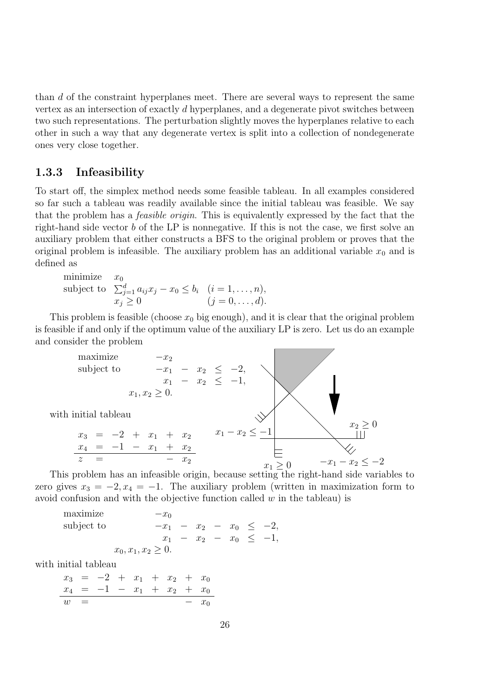than d of the constraint hyperplanes meet. There are several ways to represent the same vertex as an intersection of exactly d hyperplanes, and a degenerate pivot switches between two such representations. The perturbation slightly moves the hyperplanes relative to each other in such a way that any degenerate vertex is split into a collection of nondegenerate ones very close together.

#### 1.3.3 Infeasibility

To start off, the simplex method needs some feasible tableau. In all examples considered so far such a tableau was readily available since the initial tableau was feasible. We say that the problem has a feasible origin. This is equivalently expressed by the fact that the right-hand side vector b of the LP is nonnegative. If this is not the case, we first solve an auxiliary problem that either constructs a BFS to the original problem or proves that the original problem is infeasible. The auxiliary problem has an additional variable  $x_0$  and is defined as

minimize 
$$
x_0
$$
  
subject to  $\sum_{j=1}^d a_{ij}x_j - x_0 \le b_i$   $(i = 1, ..., n),$   
 $x_j \ge 0$   $(j = 0, ..., d).$ 

This problem is feasible (choose  $x_0$  big enough), and it is clear that the original problem is feasible if and only if the optimum value of the auxiliary LP is zero. Let us do an example and consider the problem

maximize 
$$
-x_2
$$
  
\nsubject to  $-x_1 - x_2 \le -2$ ,  
\n $x_1 - x_2 \le -1$ ,  
\n $x_1, x_2 \ge 0$ .  
\nwith initial tableau  
\n $x_3 = -2 + x_1 + x_2$   
\n $x_4 = -1 - x_1 + x_2$   
\n $z = -x_2$   
\nThis problem has an infeasible origin, because setting the right-hand side variables to

zero gives  $x_3 = -2, x_4 = -1$ . The auxiliary problem (written in maximization form to avoid confusion and with the objective function called  $w$  in the tableau) is

maximize 
$$
-x_0
$$
  
\nsubject to  $-x_1 - x_2 - x_0 \le -2$ ,  
\n $x_1 - x_2 - x_0 \le -1$ ,  
\n $x_0, x_1, x_2 \ge 0$ .

with initial tableau

$$
\begin{array}{rcl}\nx_3 & = & -2 + x_1 + x_2 + x_0 \\
x_4 & = & -1 - x_1 + x_2 + x_0 \\
w & = & -x_0\n\end{array}
$$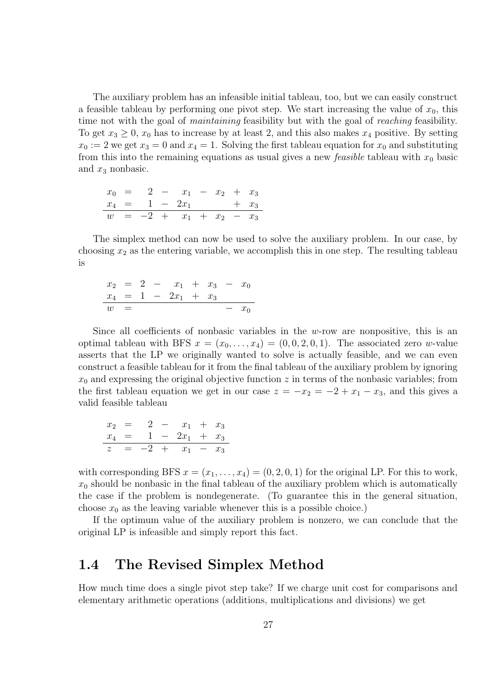The auxiliary problem has an infeasible initial tableau, too, but we can easily construct a feasible tableau by performing one pivot step. We start increasing the value of  $x_0$ , this time not with the goal of *maintaining* feasibility but with the goal of *reaching* feasibility. To get  $x_3 \geq 0$ ,  $x_0$  has to increase by at least 2, and this also makes  $x_4$  positive. By setting  $x_0 := 2$  we get  $x_3 = 0$  and  $x_4 = 1$ . Solving the first tableau equation for  $x_0$  and substituting from this into the remaining equations as usual gives a new *feasible* tableau with  $x_0$  basic and  $x_3$  nonbasic.

$$
\begin{array}{rcl}\nx_0 & = & 2 & -x_1 & -x_2 & +x_3 \\
x_4 & = & 1 & -2x_1 & +x_3 \\
w & = & -2 & +x_1 & +x_2 & -x_3\n\end{array}
$$

The simplex method can now be used to solve the auxiliary problem. In our case, by choosing  $x_2$  as the entering variable, we accomplish this in one step. The resulting tableau is

$$
\begin{array}{rcl}\nx_2 & = & 2 & -x_1 + x_3 - x_0 \\
x_4 & = & 1 - 2x_1 + x_3 \\
w & = & -x_0\n\end{array}
$$

Since all coefficients of nonbasic variables in the  $w$ -row are nonpositive, this is an optimal tableau with BFS  $x = (x_0, \ldots, x_4) = (0, 0, 2, 0, 1)$ . The associated zero w-value asserts that the LP we originally wanted to solve is actually feasible, and we can even construct a feasible tableau for it from the final tableau of the auxiliary problem by ignoring  $x_0$  and expressing the original objective function z in terms of the nonbasic variables; from the first tableau equation we get in our case  $z = -x_2 = -2 + x_1 - x_3$ , and this gives a valid feasible tableau

$$
\begin{array}{rcl}\nx_2 & = & 2 & -x_1 + x_3 \\
x_4 & = & 1 - 2x_1 + x_3 \\
z & = & -2 + x_1 - x_3\n\end{array}
$$

with corresponding BFS  $x = (x_1, \ldots, x_4) = (0, 2, 0, 1)$  for the original LP. For this to work,  $x_0$  should be nonbasic in the final tableau of the auxiliary problem which is automatically the case if the problem is nondegenerate. (To guarantee this in the general situation, choose  $x_0$  as the leaving variable whenever this is a possible choice.)

If the optimum value of the auxiliary problem is nonzero, we can conclude that the original LP is infeasible and simply report this fact.

### 1.4 The Revised Simplex Method

How much time does a single pivot step take? If we charge unit cost for comparisons and elementary arithmetic operations (additions, multiplications and divisions) we get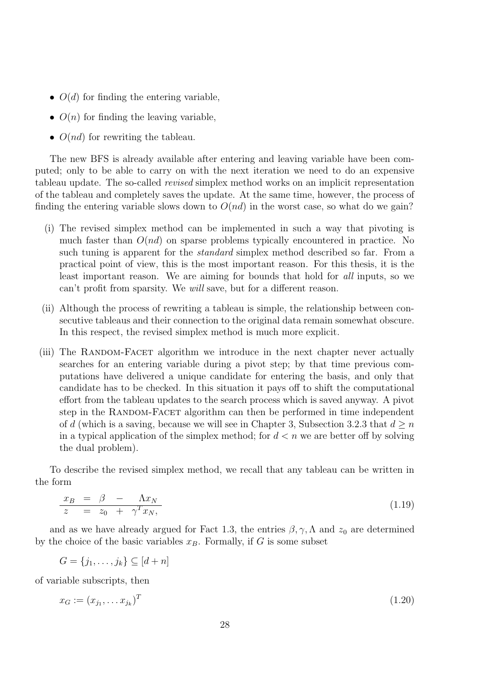- $O(d)$  for finding the entering variable.
- $O(n)$  for finding the leaving variable,
- $O(nd)$  for rewriting the tableau.

The new BFS is already available after entering and leaving variable have been computed; only to be able to carry on with the next iteration we need to do an expensive tableau update. The so-called revised simplex method works on an implicit representation of the tableau and completely saves the update. At the same time, however, the process of finding the entering variable slows down to  $O(nd)$  in the worst case, so what do we gain?

- (i) The revised simplex method can be implemented in such a way that pivoting is much faster than  $O(nd)$  on sparse problems typically encountered in practice. No such tuning is apparent for the *standard* simplex method described so far. From a practical point of view, this is the most important reason. For this thesis, it is the least important reason. We are aiming for bounds that hold for all inputs, so we can't profit from sparsity. We will save, but for a different reason.
- (ii) Although the process of rewriting a tableau is simple, the relationship between consecutive tableaus and their connection to the original data remain somewhat obscure. In this respect, the revised simplex method is much more explicit.
- (iii) The RANDOM-FACET algorithm we introduce in the next chapter never actually searches for an entering variable during a pivot step; by that time previous computations have delivered a unique candidate for entering the basis, and only that candidate has to be checked. In this situation it pays off to shift the computational effort from the tableau updates to the search process which is saved anyway. A pivot step in the RANDOM-FACET algorithm can then be performed in time independent of d (which is a saving, because we will see in Chapter 3, Subsection 3.2.3 that  $d \geq n$ in a typical application of the simplex method; for  $d < n$  we are better off by solving the dual problem).

To describe the revised simplex method, we recall that any tableau can be written in the form

$$
\begin{array}{rcl}\nx_B & = & \beta & - & \Lambda x_N \\
z & = & z_0 & + & \gamma^T x_N,\n\end{array} \n\tag{1.19}
$$

and as we have already argued for Fact 1.3, the entries  $\beta$ ,  $\gamma$ ,  $\Lambda$  and  $z_0$  are determined by the choice of the basic variables  $x_B$ . Formally, if G is some subset

$$
G = \{j_1, \ldots, j_k\} \subseteq [d+n]
$$

of variable subscripts, then

$$
x_G := (x_{j_1}, \dots x_{j_k})^T
$$
\n(1.20)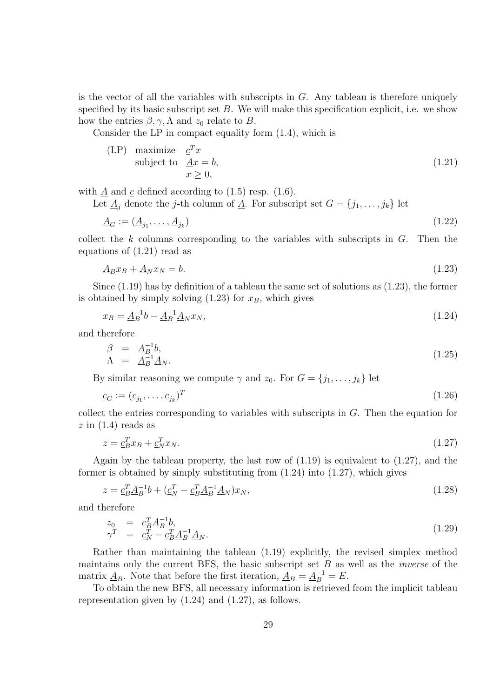is the vector of all the variables with subscripts in  $G$ . Any tableau is therefore uniquely specified by its basic subscript set  $B$ . We will make this specification explicit, i.e. we show how the entries  $\beta, \gamma, \Lambda$  and  $z_0$  relate to B.

Consider the LP in compact equality form (1.4), which is

$$
\begin{array}{ll}\n\text{(LP)} & \text{maximize} \quad \underline{c}^T x \\
\text{subject to} & \underline{A}x = b, \\
& x \ge 0,\n\end{array} \tag{1.21}
$$

with  $\underline{A}$  and  $\underline{c}$  defined according to (1.5) resp. (1.6).

Let  $\underline{A}_j$  denote the j-th column of  $\underline{A}$ . For subscript set  $G = \{j_1, \ldots, j_k\}$  let

$$
\underline{A}_G := (\underline{A}_{j_1}, \dots, \underline{A}_{j_k}) \tag{1.22}
$$

collect the k columns corresponding to the variables with subscripts in  $G$ . Then the equations of (1.21) read as

$$
\underline{A}_B x_B + \underline{A}_N x_N = b. \tag{1.23}
$$

Since (1.19) has by definition of a tableau the same set of solutions as (1.23), the former is obtained by simply solving  $(1.23)$  for  $x_B$ , which gives

$$
x_B = \underline{A}_B^{-1}b - \underline{A}_B^{-1}\underline{A}_N x_N,\tag{1.24}
$$

and therefore

$$
\begin{array}{rcl}\n\beta & = & \underline{A}_B^{-1}b, \\
\Lambda & = & \underline{A}_B^{-1}\underline{A}_N.\n\end{array} \tag{1.25}
$$

By similar reasoning we compute  $\gamma$  and  $z_0$ . For  $G = \{j_1, \ldots, j_k\}$  let

$$
\underline{c}_G := (\underline{c}_{j_1}, \dots, \underline{c}_{j_k})^T \tag{1.26}
$$

collect the entries corresponding to variables with subscripts in  $G$ . Then the equation for  $z \text{ in } (1.4)$  reads as

$$
z = \underline{c}_B^T x_B + \underline{c}_N^T x_N. \tag{1.27}
$$

Again by the tableau property, the last row of  $(1.19)$  is equivalent to  $(1.27)$ , and the former is obtained by simply substituting from  $(1.24)$  into  $(1.27)$ , which gives

$$
z = \underline{c}_B^T \underline{A}_B^{-1} b + (\underline{c}_N^T - \underline{c}_B^T \underline{A}_B^{-1} \underline{A}_N) x_N,
$$
\n(1.28)

and therefore

$$
z_0 = c_B^T \underline{A}_B^{-1} b, \n\gamma^T = c_N^T - c_B^T \underline{A}_B^{-1} \underline{A}_N.
$$
\n(1.29)

Rather than maintaining the tableau (1.19) explicitly, the revised simplex method maintains only the current BFS, the basic subscript set  $B$  as well as the *inverse* of the matrix  $\underline{A}_B$ . Note that before the first iteration,  $\underline{A}_B = \underline{A}_B^{-1} = E$ .

To obtain the new BFS, all necessary information is retrieved from the implicit tableau representation given by (1.24) and (1.27), as follows.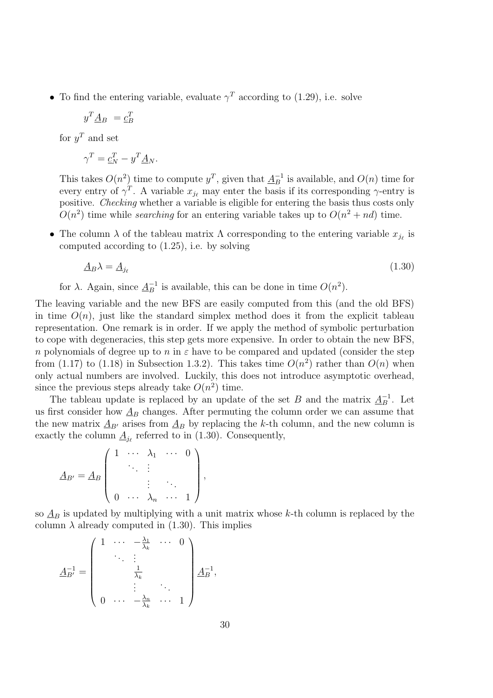• To find the entering variable, evaluate  $\gamma^T$  according to (1.29), i.e. solve

$$
y^T \underline{A}_B = \underline{c}_B^T
$$

for  $y^T$  and set

$$
\gamma^T = \underline{c}_N^T - y^T \underline{A}_N.
$$

This takes  $O(n^2)$  time to compute  $y^T$ , given that  $\underline{A}_{B}^{-1}$  is available, and  $O(n)$  time for every entry of  $\gamma^T$ . A variable  $x_{j_\ell}$  may enter the basis if its corresponding  $\gamma$ -entry is positive. Checking whether a variable is eligible for entering the basis thus costs only  $O(n^2)$  time while *searching* for an entering variable takes up to  $O(n^2 + nd)$  time.

• The column  $\lambda$  of the tableau matrix  $\Lambda$  corresponding to the entering variable  $x_{j_\ell}$  is computed according to (1.25), i.e. by solving

$$
\underline{A}_B \lambda = \underline{A}_{j_\ell} \tag{1.30}
$$

for  $\lambda$ . Again, since  $\underline{A}_{B}^{-1}$  is available, this can be done in time  $O(n^2)$ .

The leaving variable and the new BFS are easily computed from this (and the old BFS) in time  $O(n)$ , just like the standard simplex method does it from the explicit tableau representation. One remark is in order. If we apply the method of symbolic perturbation to cope with degeneracies, this step gets more expensive. In order to obtain the new BFS, n polynomials of degree up to n in  $\varepsilon$  have to be compared and updated (consider the step from (1.17) to (1.18) in Subsection 1.3.2). This takes time  $O(n^2)$  rather than  $O(n)$  when only actual numbers are involved. Luckily, this does not introduce asymptotic overhead, since the previous steps already take  $O(n^2)$  time.

The tableau update is replaced by an update of the set B and the matrix  $\underline{A}_{B}^{-1}$ . Let us first consider how  $\underline{A}_B$  changes. After permuting the column order we can assume that the new matrix  $\underline{A}_{B'}$  arises from  $\underline{A}_B$  by replacing the k-th column, and the new column is exactly the column  $\underline{A}_{j_\ell}$  referred to in (1.30). Consequently,

$$
\underline{A}_{B'} = \underline{A}_B \begin{pmatrix} 1 & \cdots & \lambda_1 & \cdots & 0 \\ & & \vdots & & \\ & & \vdots & & \vdots \\ 0 & \cdots & \lambda_n & \cdots & 1 \end{pmatrix},
$$

so  $A_B$  is updated by multiplying with a unit matrix whose k-th column is replaced by the column  $\lambda$  already computed in (1.30). This implies

$$
\underline{A}_{B'}^{-1} = \begin{pmatrix} 1 & \cdots & -\frac{\lambda_1}{\lambda_k} & \cdots & 0 \\ & \ddots & \vdots & & \\ & & \frac{1}{\lambda_k} & & \\ & & \vdots & \ddots & \\ 0 & \cdots & -\frac{\lambda_n}{\lambda_k} & \cdots & 1 \end{pmatrix} \underline{A}_{B}^{-1},
$$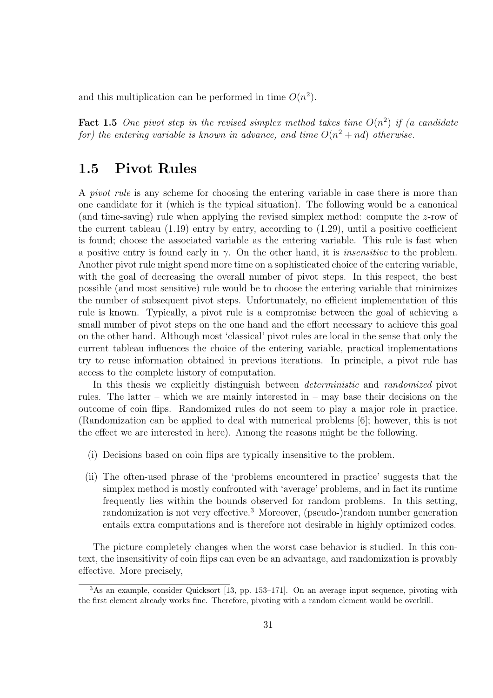and this multiplication can be performed in time  $O(n^2)$ .

**Fact 1.5** One pivot step in the revised simplex method takes time  $O(n^2)$  if (a candidate for) the entering variable is known in advance, and time  $O(n^2 + nd)$  otherwise.

## 1.5 Pivot Rules

A pivot rule is any scheme for choosing the entering variable in case there is more than one candidate for it (which is the typical situation). The following would be a canonical (and time-saving) rule when applying the revised simplex method: compute the  $z$ -row of the current tableau  $(1.19)$  entry by entry, according to  $(1.29)$ , until a positive coefficient is found; choose the associated variable as the entering variable. This rule is fast when a positive entry is found early in  $\gamma$ . On the other hand, it is *insensitive* to the problem. Another pivot rule might spend more time on a sophisticated choice of the entering variable, with the goal of decreasing the overall number of pivot steps. In this respect, the best possible (and most sensitive) rule would be to choose the entering variable that minimizes the number of subsequent pivot steps. Unfortunately, no efficient implementation of this rule is known. Typically, a pivot rule is a compromise between the goal of achieving a small number of pivot steps on the one hand and the effort necessary to achieve this goal on the other hand. Although most 'classical' pivot rules are local in the sense that only the current tableau influences the choice of the entering variable, practical implementations try to reuse information obtained in previous iterations. In principle, a pivot rule has access to the complete history of computation.

In this thesis we explicitly distinguish between deterministic and randomized pivot rules. The latter – which we are mainly interested in – may base their decisions on the outcome of coin flips. Randomized rules do not seem to play a major role in practice. (Randomization can be applied to deal with numerical problems [6]; however, this is not the effect we are interested in here). Among the reasons might be the following.

- (i) Decisions based on coin flips are typically insensitive to the problem.
- (ii) The often-used phrase of the 'problems encountered in practice' suggests that the simplex method is mostly confronted with 'average' problems, and in fact its runtime frequently lies within the bounds observed for random problems. In this setting, randomization is not very effective.<sup>3</sup> Moreover, (pseudo-)random number generation entails extra computations and is therefore not desirable in highly optimized codes.

The picture completely changes when the worst case behavior is studied. In this context, the insensitivity of coin flips can even be an advantage, and randomization is provably effective. More precisely,

<sup>3</sup>As an example, consider Quicksort [13, pp. 153–171]. On an average input sequence, pivoting with the first element already works fine. Therefore, pivoting with a random element would be overkill.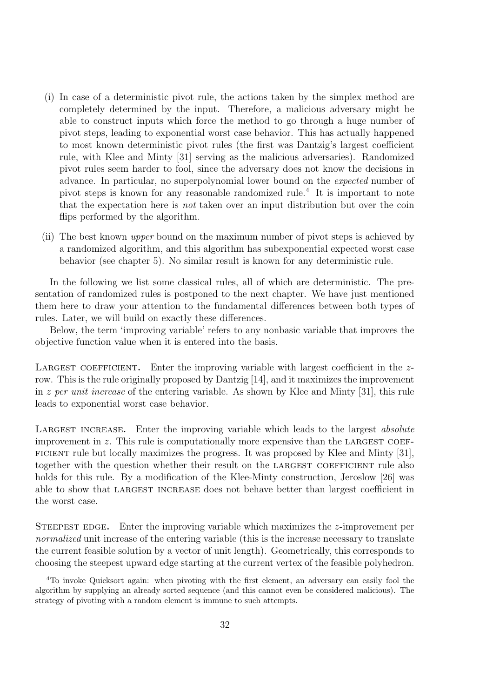- (i) In case of a deterministic pivot rule, the actions taken by the simplex method are completely determined by the input. Therefore, a malicious adversary might be able to construct inputs which force the method to go through a huge number of pivot steps, leading to exponential worst case behavior. This has actually happened to most known deterministic pivot rules (the first was Dantzig's largest coefficient rule, with Klee and Minty [31] serving as the malicious adversaries). Randomized pivot rules seem harder to fool, since the adversary does not know the decisions in advance. In particular, no superpolynomial lower bound on the expected number of pivot steps is known for any reasonable randomized rule.<sup>4</sup> It is important to note that the expectation here is not taken over an input distribution but over the coin flips performed by the algorithm.
- (ii) The best known upper bound on the maximum number of pivot steps is achieved by a randomized algorithm, and this algorithm has subexponential expected worst case behavior (see chapter 5). No similar result is known for any deterministic rule.

In the following we list some classical rules, all of which are deterministic. The presentation of randomized rules is postponed to the next chapter. We have just mentioned them here to draw your attention to the fundamental differences between both types of rules. Later, we will build on exactly these differences.

Below, the term 'improving variable' refers to any nonbasic variable that improves the objective function value when it is entered into the basis.

LARGEST COEFFICIENT. Enter the improving variable with largest coefficient in the  $z$ row. This is the rule originally proposed by Dantzig [14], and it maximizes the improvement in z per unit increase of the entering variable. As shown by Klee and Minty [31], this rule leads to exponential worst case behavior.

LARGEST INCREASE. Enter the improving variable which leads to the largest *absolute* improvement in  $z$ . This rule is computationally more expensive than the LARGEST COEFficient rule but locally maximizes the progress. It was proposed by Klee and Minty [31], together with the question whether their result on the LARGEST COEFFICIENT rule also holds for this rule. By a modification of the Klee-Minty construction, Jeroslow [26] was able to show that largest increase does not behave better than largest coefficient in the worst case.

STEEPEST EDGE. Enter the improving variable which maximizes the  $z$ -improvement per normalized unit increase of the entering variable (this is the increase necessary to translate the current feasible solution by a vector of unit length). Geometrically, this corresponds to choosing the steepest upward edge starting at the current vertex of the feasible polyhedron.

<sup>4</sup>To invoke Quicksort again: when pivoting with the first element, an adversary can easily fool the algorithm by supplying an already sorted sequence (and this cannot even be considered malicious). The strategy of pivoting with a random element is immune to such attempts.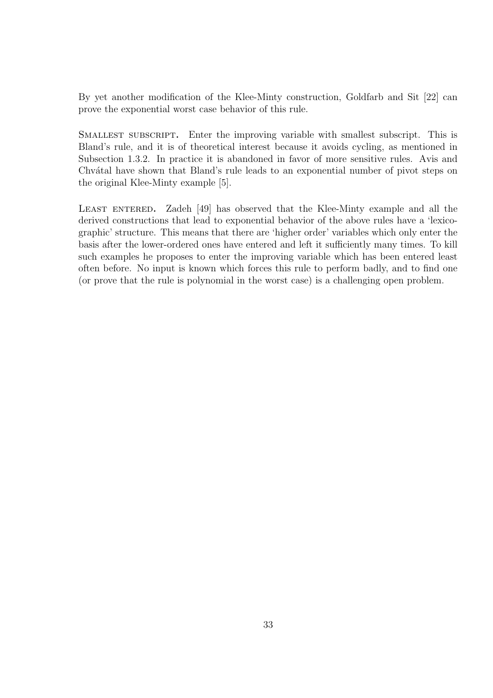By yet another modification of the Klee-Minty construction, Goldfarb and Sit [22] can prove the exponential worst case behavior of this rule.

Smallest subscript. Enter the improving variable with smallest subscript. This is Bland's rule, and it is of theoretical interest because it avoids cycling, as mentioned in Subsection 1.3.2. In practice it is abandoned in favor of more sensitive rules. Avis and Chvátal have shown that Bland's rule leads to an exponential number of pivot steps on the original Klee-Minty example [5].

LEAST ENTERED. Zadeh [49] has observed that the Klee-Minty example and all the derived constructions that lead to exponential behavior of the above rules have a 'lexicographic' structure. This means that there are 'higher order' variables which only enter the basis after the lower-ordered ones have entered and left it sufficiently many times. To kill such examples he proposes to enter the improving variable which has been entered least often before. No input is known which forces this rule to perform badly, and to find one (or prove that the rule is polynomial in the worst case) is a challenging open problem.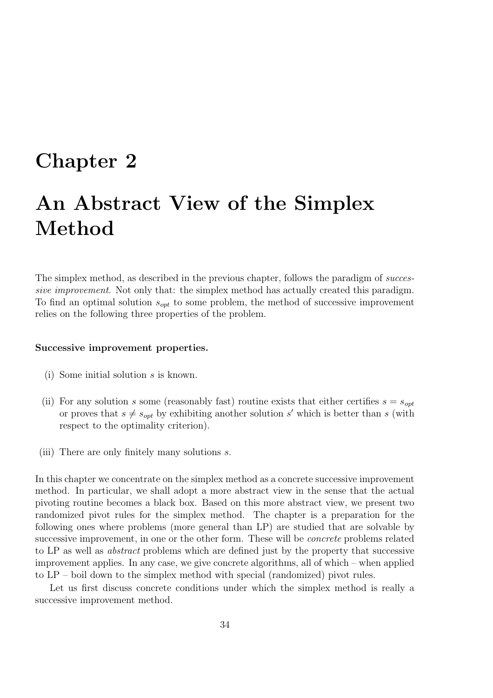## Chapter 2

## An Abstract View of the Simplex Method

The simplex method, as described in the previous chapter, follows the paradigm of successive improvement. Not only that: the simplex method has actually created this paradigm. To find an optimal solution  $s_{opt}$  to some problem, the method of successive improvement relies on the following three properties of the problem.

#### Successive improvement properties.

- (i) Some initial solution s is known.
- (ii) For any solution s some (reasonably fast) routine exists that either certifies  $s = s_{opt}$ or proves that  $s \neq s_{opt}$  by exhibiting another solution s' which is better than s (with respect to the optimality criterion).
- (iii) There are only finitely many solutions s.

In this chapter we concentrate on the simplex method as a concrete successive improvement method. In particular, we shall adopt a more abstract view in the sense that the actual pivoting routine becomes a black box. Based on this more abstract view, we present two randomized pivot rules for the simplex method. The chapter is a preparation for the following ones where problems (more general than LP) are studied that are solvable by successive improvement, in one or the other form. These will be *concrete* problems related to LP as well as abstract problems which are defined just by the property that successive improvement applies. In any case, we give concrete algorithms, all of which – when applied to LP – boil down to the simplex method with special (randomized) pivot rules.

Let us first discuss concrete conditions under which the simplex method is really a successive improvement method.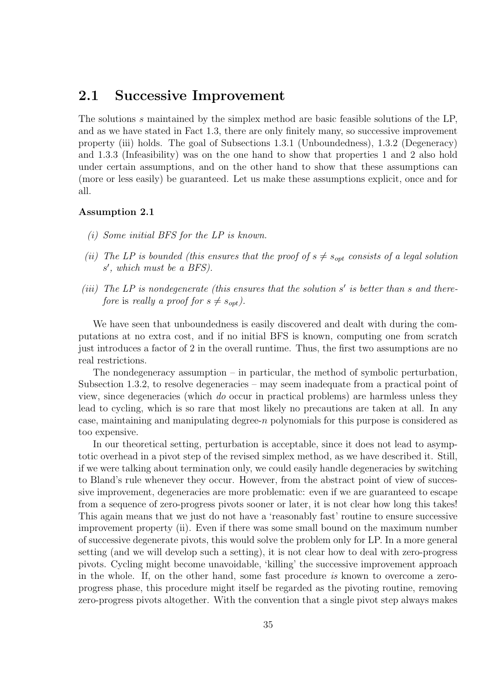#### 2.1 Successive Improvement

The solutions s maintained by the simplex method are basic feasible solutions of the LP, and as we have stated in Fact 1.3, there are only finitely many, so successive improvement property (iii) holds. The goal of Subsections 1.3.1 (Unboundedness), 1.3.2 (Degeneracy) and 1.3.3 (Infeasibility) was on the one hand to show that properties 1 and 2 also hold under certain assumptions, and on the other hand to show that these assumptions can (more or less easily) be guaranteed. Let us make these assumptions explicit, once and for all.

#### Assumption 2.1

- (i) Some initial BFS for the LP is known.
- (ii) The LP is bounded (this ensures that the proof of  $s \neq s_{opt}$  consists of a legal solution s', which must be a BFS).
- (iii) The LP is nondegenerate (this ensures that the solution  $s'$  is better than s and therefore is really a proof for  $s \neq s_{opt}$ ).

We have seen that unboundedness is easily discovered and dealt with during the computations at no extra cost, and if no initial BFS is known, computing one from scratch just introduces a factor of 2 in the overall runtime. Thus, the first two assumptions are no real restrictions.

The nondegeneracy assumption  $-$  in particular, the method of symbolic perturbation, Subsection 1.3.2, to resolve degeneracies – may seem inadequate from a practical point of view, since degeneracies (which do occur in practical problems) are harmless unless they lead to cycling, which is so rare that most likely no precautions are taken at all. In any case, maintaining and manipulating degree-n polynomials for this purpose is considered as too expensive.

In our theoretical setting, perturbation is acceptable, since it does not lead to asymptotic overhead in a pivot step of the revised simplex method, as we have described it. Still, if we were talking about termination only, we could easily handle degeneracies by switching to Bland's rule whenever they occur. However, from the abstract point of view of successive improvement, degeneracies are more problematic: even if we are guaranteed to escape from a sequence of zero-progress pivots sooner or later, it is not clear how long this takes! This again means that we just do not have a 'reasonably fast' routine to ensure successive improvement property (ii). Even if there was some small bound on the maximum number of successive degenerate pivots, this would solve the problem only for LP. In a more general setting (and we will develop such a setting), it is not clear how to deal with zero-progress pivots. Cycling might become unavoidable, 'killing' the successive improvement approach in the whole. If, on the other hand, some fast procedure is known to overcome a zeroprogress phase, this procedure might itself be regarded as the pivoting routine, removing zero-progress pivots altogether. With the convention that a single pivot step always makes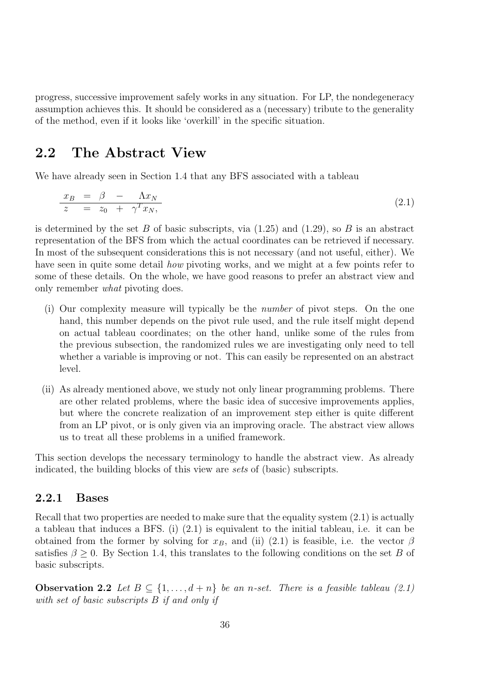progress, successive improvement safely works in any situation. For LP, the nondegeneracy assumption achieves this. It should be considered as a (necessary) tribute to the generality of the method, even if it looks like 'overkill' in the specific situation.

## 2.2 The Abstract View

We have already seen in Section 1.4 that any BFS associated with a tableau

$$
\frac{x_B}{z} = \frac{\beta}{z_0} - \frac{\Lambda x_N}{\gamma^T x_N},\tag{2.1}
$$

is determined by the set B of basic subscripts, via  $(1.25)$  and  $(1.29)$ , so B is an abstract representation of the BFS from which the actual coordinates can be retrieved if necessary. In most of the subsequent considerations this is not necessary (and not useful, either). We have seen in quite some detail *how* pivoting works, and we might at a few points refer to some of these details. On the whole, we have good reasons to prefer an abstract view and only remember what pivoting does.

- (i) Our complexity measure will typically be the number of pivot steps. On the one hand, this number depends on the pivot rule used, and the rule itself might depend on actual tableau coordinates; on the other hand, unlike some of the rules from the previous subsection, the randomized rules we are investigating only need to tell whether a variable is improving or not. This can easily be represented on an abstract level.
- (ii) As already mentioned above, we study not only linear programming problems. There are other related problems, where the basic idea of succesive improvements applies, but where the concrete realization of an improvement step either is quite different from an LP pivot, or is only given via an improving oracle. The abstract view allows us to treat all these problems in a unified framework.

This section develops the necessary terminology to handle the abstract view. As already indicated, the building blocks of this view are sets of (basic) subscripts.

#### 2.2.1 Bases

Recall that two properties are needed to make sure that the equality system  $(2.1)$  is actually a tableau that induces a BFS. (i) (2.1) is equivalent to the initial tableau, i.e. it can be obtained from the former by solving for  $x_B$ , and (ii) (2.1) is feasible, i.e. the vector  $\beta$ satisfies  $\beta \geq 0$ . By Section 1.4, this translates to the following conditions on the set B of basic subscripts.

**Observation 2.2** Let  $B \subseteq \{1, ..., d+n\}$  be an n-set. There is a feasible tableau (2.1) with set of basic subscripts B if and only if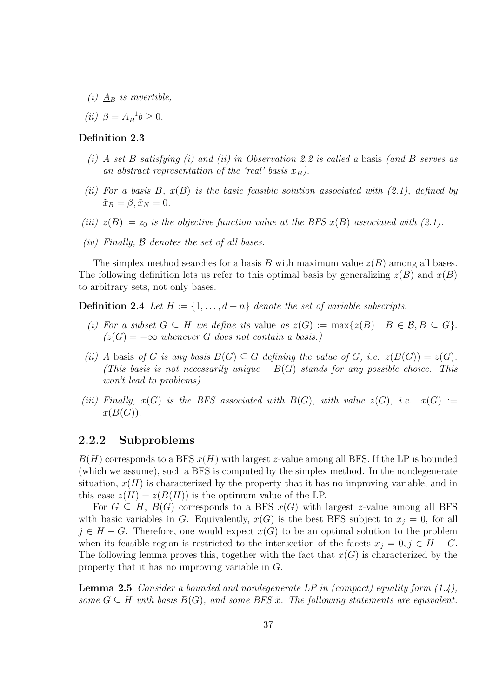- (i)  $\underline{A}_B$  is invertible,
- (*ii*)  $\beta = \underline{A}_{B}^{-1}b \geq 0.$

#### Definition 2.3

- (i) A set B satisfying (i) and (ii) in Observation 2.2 is called a basis (and B serves as an abstract representation of the 'real' basis  $x_B$ ).
- (ii) For a basis B,  $x(B)$  is the basic feasible solution associated with (2.1), defined by  $\tilde{x}_B = \beta, \tilde{x}_N = 0.$
- (iii)  $z(B) := z_0$  is the objective function value at the BFS  $x(B)$  associated with (2.1).
- (iv) Finally,  $\beta$  denotes the set of all bases.

The simplex method searches for a basis B with maximum value  $z(B)$  among all bases. The following definition lets us refer to this optimal basis by generalizing  $z(B)$  and  $x(B)$ to arbitrary sets, not only bases.

**Definition 2.4** Let  $H := \{1, \ldots, d + n\}$  denote the set of variable subscripts.

- (i) For a subset  $G \subseteq H$  we define its value as  $z(G) := \max\{z(B) \mid B \in \mathcal{B}, B \subseteq G\}.$  $(z(G) = -\infty$  whenever G does not contain a basis.)
- (ii) A basis of G is any basis  $B(G) \subseteq G$  defining the value of G, i.e.  $z(B(G)) = z(G)$ . (This basis is not necessarily unique  $-B(G)$  stands for any possible choice. This won't lead to problems).
- (iii) Finally,  $x(G)$  is the BFS associated with  $B(G)$ , with value  $z(G)$ , i.e.  $x(G) :=$  $x(B(G)).$

#### 2.2.2 Subproblems

 $B(H)$  corresponds to a BFS  $x(H)$  with largest z-value among all BFS. If the LP is bounded (which we assume), such a BFS is computed by the simplex method. In the nondegenerate situation,  $x(H)$  is characterized by the property that it has no improving variable, and in this case  $z(H) = z(B(H))$  is the optimum value of the LP.

For  $G \subseteq H$ ,  $B(G)$  corresponds to a BFS  $x(G)$  with largest z-value among all BFS with basic variables in G. Equivalently,  $x(G)$  is the best BFS subject to  $x_j = 0$ , for all  $j \in H - G$ . Therefore, one would expect  $x(G)$  to be an optimal solution to the problem when its feasible region is restricted to the intersection of the facets  $x_j = 0, j \in H - G$ . The following lemma proves this, together with the fact that  $x(G)$  is characterized by the property that it has no improving variable in G.

**Lemma 2.5** Consider a bounded and nondegenerate LP in (compact) equality form  $(1.4)$ , some  $G \subseteq H$  with basis  $B(G)$ , and some BFS  $\tilde{x}$ . The following statements are equivalent.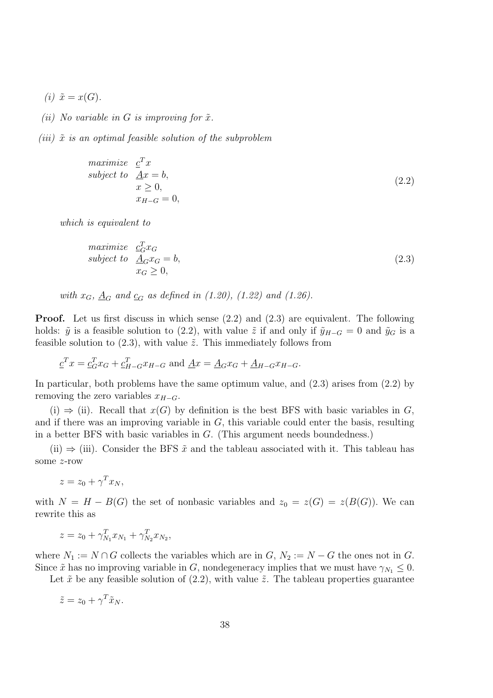(i)  $\tilde{x} = x(G)$ .

- (ii) No variable in G is improving for  $\tilde{x}$ .
- (iii)  $\tilde{x}$  is an optimal feasible solution of the subproblem

$$
\begin{array}{ll}\n\text{maximize} & \underline{c}^T x\\ \n\text{subject to} & \underline{A}x = b, \\ \n& x \ge 0, \\ \n& x_{H-G} = 0, \n\end{array} \tag{2.2}
$$

which is equivalent to

$$
\begin{array}{ll}\n\text{maximize} & \underline{c}_G^T x_G\\ \n\text{subject to} & \underline{A}_G x_G = b, \\ \n& x_G \ge 0, \n\end{array} \tag{2.3}
$$

with  $x_G$ ,  $\underline{A}_G$  and  $\underline{c}_G$  as defined in (1.20), (1.22) and (1.26).

Proof. Let us first discuss in which sense (2.2) and (2.3) are equivalent. The following holds:  $\tilde{y}$  is a feasible solution to (2.2), with value  $\tilde{z}$  if and only if  $\tilde{y}_{H-G} = 0$  and  $\tilde{y}_G$  is a feasible solution to  $(2.3)$ , with value  $\tilde{z}$ . This immediately follows from

$$
\underline{c}^T x = \underline{c}_G^T x_G + \underline{c}_{H-G}^T x_{H-G} \text{ and } \underline{A}x = \underline{A}_G x_G + \underline{A}_{H-G} x_{H-G}.
$$

In particular, both problems have the same optimum value, and (2.3) arises from (2.2) by removing the zero variables  $x_{H-G}$ .

(i)  $\Rightarrow$  (ii). Recall that  $x(G)$  by definition is the best BFS with basic variables in G, and if there was an improving variable in  $G$ , this variable could enter the basis, resulting in a better BFS with basic variables in G. (This argument needs boundedness.)

(ii)  $\Rightarrow$  (iii). Consider the BFS  $\tilde{x}$  and the tableau associated with it. This tableau has some z-row

 $z = z_0 + \gamma^T x_N,$ 

with  $N = H - B(G)$  the set of nonbasic variables and  $z_0 = z(G) = z(B(G))$ . We can rewrite this as

$$
z = z_0 + \gamma_{N_1}^T x_{N_1} + \gamma_{N_2}^T x_{N_2},
$$

where  $N_1 := N \cap G$  collects the variables which are in  $G, N_2 := N - G$  the ones not in  $G$ . Since  $\tilde{x}$  has no improving variable in G, nondegeneracy implies that we must have  $\gamma_{N_1} \leq 0$ .

Let  $\tilde{x}$  be any feasible solution of (2.2), with value  $\tilde{z}$ . The tableau properties guarantee

$$
\tilde{z} = z_0 + \gamma^T \tilde{x}_N.
$$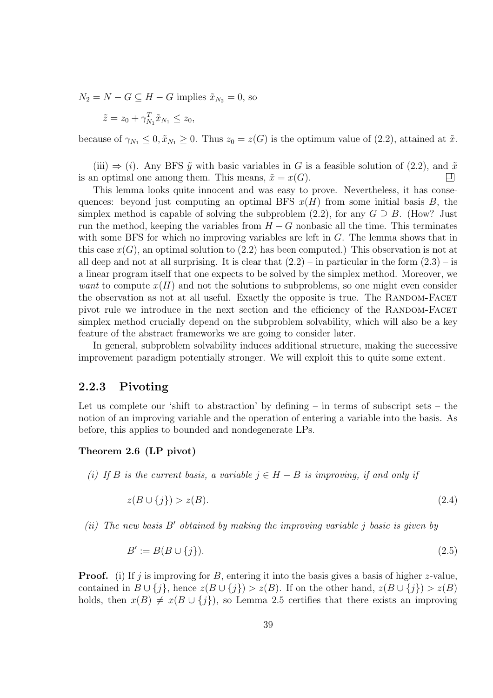$N_2 = N - G \subseteq H - G$  implies  $\tilde{x}_{N_2} = 0$ , so

$$
\tilde{z} = z_0 + \gamma_{N_1}^T \tilde{x}_{N_1} \le z_0,
$$

because of  $\gamma_{N_1} \leq 0$ ,  $\tilde{x}_{N_1} \geq 0$ . Thus  $z_0 = z(G)$  is the optimum value of (2.2), attained at  $\tilde{x}$ .

(iii)  $\Rightarrow$  (i). Any BFS  $\tilde{y}$  with basic variables in G is a feasible solution of (2.2), and  $\tilde{x}$  n optimal one among them. This means,  $\tilde{x} = x(G)$ . is an optimal one among them. This means,  $\tilde{x} = x(G)$ .

This lemma looks quite innocent and was easy to prove. Nevertheless, it has consequences: beyond just computing an optimal BFS  $x(H)$  from some initial basis B, the simplex method is capable of solving the subproblem  $(2.2)$ , for any  $G \supseteq B$ . (How? Just run the method, keeping the variables from  $H - G$  nonbasic all the time. This terminates with some BFS for which no improving variables are left in G. The lemma shows that in this case  $x(G)$ , an optimal solution to  $(2.2)$  has been computed.) This observation is not at all deep and not at all surprising. It is clear that  $(2.2)$  – in particular in the form  $(2.3)$  – is a linear program itself that one expects to be solved by the simplex method. Moreover, we want to compute  $x(H)$  and not the solutions to subproblems, so one might even consider the observation as not at all useful. Exactly the opposite is true. The RANDOM-FACET pivot rule we introduce in the next section and the efficiency of the RANDOM-FACET simplex method crucially depend on the subproblem solvability, which will also be a key feature of the abstract frameworks we are going to consider later.

In general, subproblem solvability induces additional structure, making the successive improvement paradigm potentially stronger. We will exploit this to quite some extent.

#### 2.2.3 Pivoting

Let us complete our 'shift to abstraction' by defining  $-$  in terms of subscript sets  $-$  the notion of an improving variable and the operation of entering a variable into the basis. As before, this applies to bounded and nondegenerate LPs.

#### Theorem 2.6 (LP pivot)

(i) If B is the current basis, a variable  $j \in H - B$  is improving, if and only if

$$
z(B \cup \{j\}) > z(B). \tag{2.4}
$$

(ii) The new basis  $B'$  obtained by making the improving variable j basic is given by

$$
B' := B(B \cup \{j\}).\tag{2.5}
$$

**Proof.** (i) If j is improving for B, entering it into the basis gives a basis of higher z-value, contained in  $B \cup \{i\}$ , hence  $z(B \cup \{i\}) > z(B)$ . If on the other hand,  $z(B \cup \{i\}) > z(B)$ holds, then  $x(B) \neq x(B \cup \{j\})$ , so Lemma 2.5 certifies that there exists an improving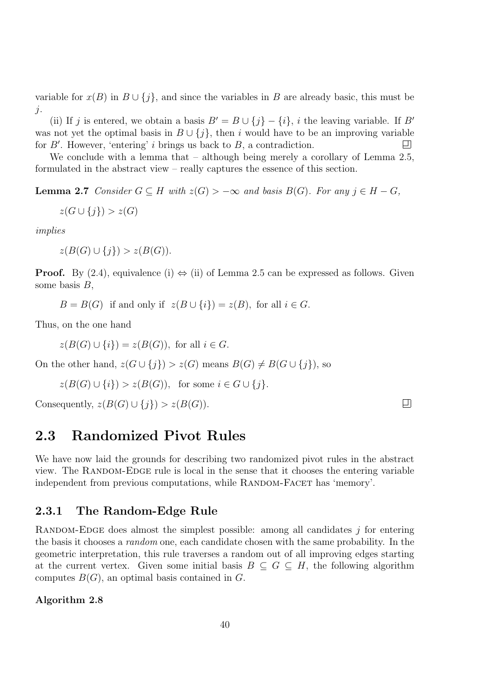variable for  $x(B)$  in  $B \cup \{j\}$ , and since the variables in B are already basic, this must be  $j$ .

(ii) If j is entered, we obtain a basis  $B' = B \cup \{j\} - \{i\}$ , i the leaving variable. If B' was not yet the optimal basis in  $B \cup \{j\}$ , then i would have to be an improving variable for B'. However, 'entering' i brings us back to B, a contradiction. for  $B'$ . However, 'entering' *i* brings us back to  $B$ , a contradiction.

We conclude with a lemma that – although being merely a corollary of Lemma 2.5, formulated in the abstract view – really captures the essence of this section.

**Lemma 2.7** Consider  $G \subseteq H$  with  $z(G) > -\infty$  and basis  $B(G)$ . For any  $j \in H - G$ ,

$$
z(G \cup \{j\}) > z(G)
$$

implies

 $z(B(G) \cup \{i\}) > z(B(G)).$ 

**Proof.** By (2.4), equivalence (i)  $\Leftrightarrow$  (ii) of Lemma 2.5 can be expressed as follows. Given some basis  $B$ ,

 $B = B(G)$  if and only if  $z(B \cup \{i\}) = z(B)$ , for all  $i \in G$ .

Thus, on the one hand

 $z(B(G) \cup \{i\}) = z(B(G))$ , for all  $i \in G$ .

On the other hand,  $z(G \cup \{j\}) > z(G)$  means  $B(G) \neq B(G \cup \{j\})$ , so

 $z(B(G) \cup \{i\}) > z(B(G)),$  for some  $i \in G \cup \{j\}.$ 

Consequently,  $z(B(G) \cup \{i\}) > z(B(G)).$ 

# 2.3 Randomized Pivot Rules

We have now laid the grounds for describing two randomized pivot rules in the abstract view. The RANDOM-EDGE rule is local in the sense that it chooses the entering variable independent from previous computations, while RANDOM-FACET has 'memory'.

#### 2.3.1 The Random-Edge Rule

RANDOM-EDGE does almost the simplest possible: among all candidates  $j$  for entering the basis it chooses a random one, each candidate chosen with the same probability. In the geometric interpretation, this rule traverses a random out of all improving edges starting at the current vertex. Given some initial basis  $B \subseteq G \subseteq H$ , the following algorithm computes  $B(G)$ , an optimal basis contained in G.

#### Algorithm 2.8

 $\boxed{1}$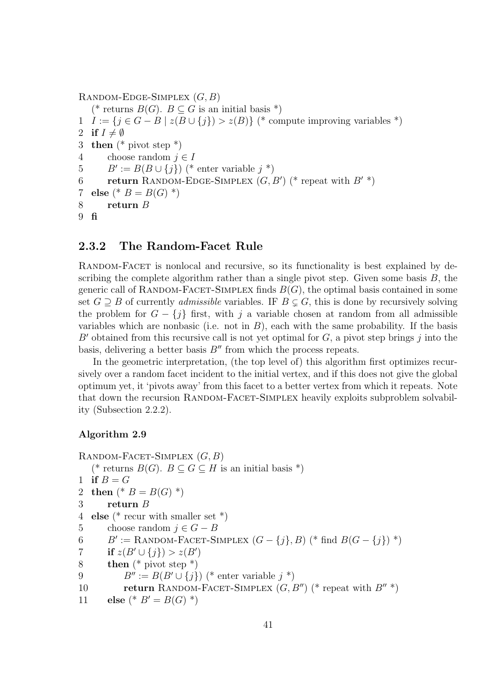```
RANDOM-EDGE-SIMPLEX (G, B)(* returns B(G). B \subseteq G is an initial basis *)
1 I := \{j \in G - B \mid z(B \cup \{j\}) > z(B)\}\ (* compute improving variables *)
2 if I \neq \emptyset<br>3 then (*)then (* pivot step *)4 choose random j \in I<br>5 B' := B(B \cup \{i\}) (*
5 B' := B(B \cup \{j\}) (* enter variable j^*)
6 return RANDOM-EDGE-SIMPLEX (G, B') (* repeat with B' *)
7 else (* B = B(G) *)
8 return B
9 fi
```
#### 2.3.2 The Random-Facet Rule

RANDOM-FACET is nonlocal and recursive, so its functionality is best explained by describing the complete algorithm rather than a single pivot step. Given some basis  $B$ , the generic call of RANDOM-FACET-SIMPLEX finds  $B(G)$ , the optimal basis contained in some set  $G \supseteq B$  of currently *admissible* variables. IF  $B \subsetneq G$ , this is done by recursively solving the problem for  $G - \{i\}$  first, with j a variable chosen at random from all admissible variables which are nonbasic (i.e. not in  $B$ ), each with the same probability. If the basis  $B'$  obtained from this recursive call is not yet optimal for  $G$ , a pivot step brings j into the basis, delivering a better basis  $B''$  from which the process repeats.

In the geometric interpretation, (the top level of) this algorithm first optimizes recursively over a random facet incident to the initial vertex, and if this does not give the global optimum yet, it 'pivots away' from this facet to a better vertex from which it repeats. Note that down the recursion RANDOM-FACET-SIMPLEX heavily exploits subproblem solvability (Subsection 2.2.2).

#### Algorithm 2.9

```
RANDOM-FACET-SIMPLEX (G, B)(* returns B(G). B \subseteq G \subseteq H is an initial basis *)
1 if B = G2 then ({}^* B = B(G) {}^*)3 return B
4 else (* recur with smaller set *)
5 choose random j \in G - B<br>6 B' := \text{RANDOM-FACET-SI}6 B' := \text{RANDOM-FACET-SIMPLEX } (G - \{j\}, B) (* find B(G - \{j\}) *)
7 if z(B' \cup \{j\}) > z(B')8 then (* pivot step *)9 B'' := B(B' \cup \{j\}) (* enter variable j *)<br>10 return RANDOM-FACET-SIMPLEX (G, l
           return RANDOM-FACET-SIMPLEX (G, B'') (* repeat with B'' *)
11 else (* B' = B(G) *)
```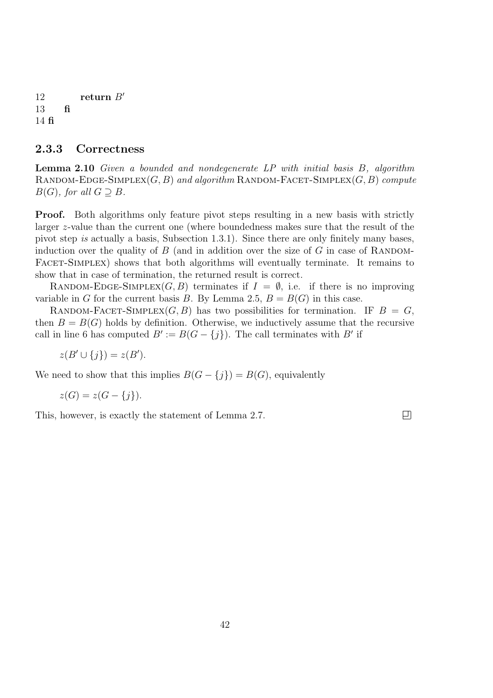12 return  $B'$ 13 fi 14 fi

#### 2.3.3 Correctness

Lemma 2.10 Given a bounded and nondegenerate LP with initial basis B, algorithm RANDOM-EDGE-SIMPLEX $(G, B)$  and algorithm RANDOM-FACET-SIMPLEX $(G, B)$  compute  $B(G)$ , for all  $G \supseteq B$ .

**Proof.** Both algorithms only feature pivot steps resulting in a new basis with strictly larger z-value than the current one (where boundedness makes sure that the result of the pivot step is actually a basis, Subsection 1.3.1). Since there are only finitely many bases, induction over the quality of  $B$  (and in addition over the size of  $G$  in case of RANDOM-FACET-SIMPLEX) shows that both algorithms will eventually terminate. It remains to show that in case of termination, the returned result is correct.

RANDOM-EDGE-SIMPLEX(G, B) terminates if  $I = \emptyset$ , i.e. if there is no improving variable in G for the current basis B. By Lemma 2.5,  $B = B(G)$  in this case.

RANDOM-FACET-SIMPLEX(G, B) has two possibilities for termination. IF  $B = G$ , then  $B = B(G)$  holds by definition. Otherwise, we inductively assume that the recursive call in line 6 has computed  $B' := B(G - \{j\})$ . The call terminates with  $B'$  if

$$
z(B' \cup \{j\}) = z(B').
$$

We need to show that this implies  $B(G - \{j\}) = B(G)$ , equivalently

$$
z(G) = z(G - \{j\}).
$$

This, however, is exactly the statement of Lemma 2.7.

 $\Box$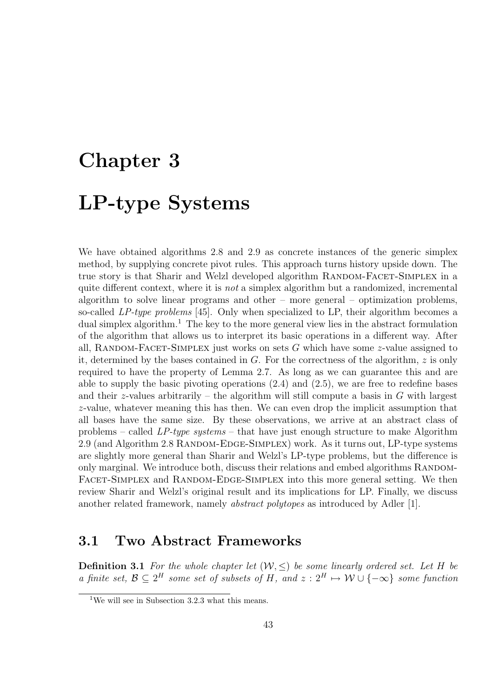# Chapter 3 LP-type Systems

We have obtained algorithms 2.8 and 2.9 as concrete instances of the generic simplex method, by supplying concrete pivot rules. This approach turns history upside down. The true story is that Sharir and Welzl developed algorithm RANDOM-FACET-SIMPLEX in a quite different context, where it is *not* a simplex algorithm but a randomized, incremental algorithm to solve linear programs and other – more general – optimization problems, so-called LP-type problems [45]. Only when specialized to LP, their algorithm becomes a dual simplex algorithm.<sup>1</sup> The key to the more general view lies in the abstract formulation of the algorithm that allows us to interpret its basic operations in a different way. After all, RANDOM-FACET-SIMPLEX just works on sets  $G$  which have some  $z$ -value assigned to it, determined by the bases contained in G. For the correctness of the algorithm,  $z$  is only required to have the property of Lemma 2.7. As long as we can guarantee this and are able to supply the basic pivoting operations (2.4) and (2.5), we are free to redefine bases and their z-values arbitrarily – the algorithm will still compute a basis in  $G$  with largest z-value, whatever meaning this has then. We can even drop the implicit assumption that all bases have the same size. By these observations, we arrive at an abstract class of problems – called  $LP-type\ systems$  – that have just enough structure to make Algorithm 2.9 (and Algorithm 2.8 RANDOM-EDGE-SIMPLEX) work. As it turns out, LP-type systems are slightly more general than Sharir and Welzl's LP-type problems, but the difference is only marginal. We introduce both, discuss their relations and embed algorithms RANDOM-FACET-SIMPLEX and RANDOM-EDGE-SIMPLEX into this more general setting. We then review Sharir and Welzl's original result and its implications for LP. Finally, we discuss another related framework, namely *abstract polytopes* as introduced by Adler [1].

# 3.1 Two Abstract Frameworks

**Definition 3.1** For the whole chapter let  $(W, \leq)$  be some linearly ordered set. Let H be a finite set,  $\mathcal{B} \subseteq 2^H$  some set of subsets of H, and  $z: 2^H \mapsto \mathcal{W} \cup \{-\infty\}$  some function

<sup>&</sup>lt;sup>1</sup>We will see in Subsection 3.2.3 what this means.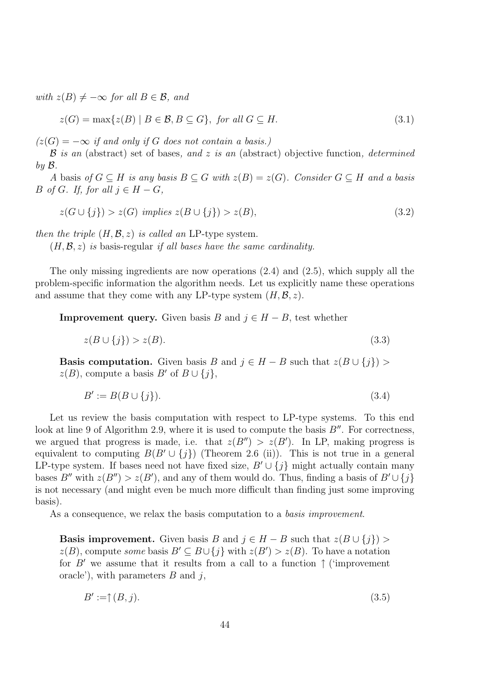with  $z(B) \neq -\infty$  for all  $B \in \mathcal{B}$ , and

$$
z(G) = \max\{z(B) \mid B \in \mathcal{B}, B \subseteq G\}, \text{ for all } G \subseteq H. \tag{3.1}
$$

 $(z(G) = -\infty$  if and only if G does not contain a basis.)

 $\beta$  is an (abstract) set of bases, and z is an (abstract) objective function, determined by B.

A basis of  $G \subseteq H$  is any basis  $B \subseteq G$  with  $z(B) = z(G)$ . Consider  $G \subseteq H$  and a basis B of G. If, for all  $j \in H - G$ ,

$$
z(G \cup \{j\}) > z(G) \implies z(B \cup \{j\}) > z(B), \tag{3.2}
$$

then the triple  $(H, \mathcal{B}, z)$  is called an LP-type system.

 $(H, \mathcal{B}, z)$  is basis-regular if all bases have the same cardinality.

The only missing ingredients are now operations (2.4) and (2.5), which supply all the problem-specific information the algorithm needs. Let us explicitly name these operations and assume that they come with any LP-type system  $(H, \mathcal{B}, z)$ .

**Improvement query.** Given basis B and  $j \in H - B$ , test whether

$$
z(B \cup \{j\}) > z(B). \tag{3.3}
$$

**Basis computation.** Given basis B and  $j \in H - B$  such that  $z(B \cup \{j\}) >$  $z(B)$ , compute a basis B' of  $B \cup \{j\}$ ,

$$
B' := B(B \cup \{j\}).\tag{3.4}
$$

Let us review the basis computation with respect to LP-type systems. To this end look at line 9 of Algorithm 2.9, where it is used to compute the basis  $B''$ . For correctness, we argued that progress is made, i.e. that  $z(B'') > z(B')$ . In LP, making progress is equivalent to computing  $B(B' \cup \{j\})$  (Theorem 2.6 (ii)). This is not true in a general LP-type system. If bases need not have fixed size,  $B' \cup \{j\}$  might actually contain many bases B'' with  $z(B'') > z(B')$ , and any of them would do. Thus, finding a basis of  $B' \cup \{j\}$ is not necessary (and might even be much more difficult than finding just some improving basis).

As a consequence, we relax the basis computation to a *basis improvement*.

**Basis improvement.** Given basis B and  $j \in H - B$  such that  $z(B \cup \{j\}) >$  $z(B)$ , compute some basis  $B' \subseteq B \cup \{j\}$  with  $z(B') > z(B)$ . To have a notation for B' we assume that it results from a call to a function  $\uparrow$  ('improvement oracle'), with parameters  $B$  and  $j$ ,

$$
B' := \uparrow (B, j). \tag{3.5}
$$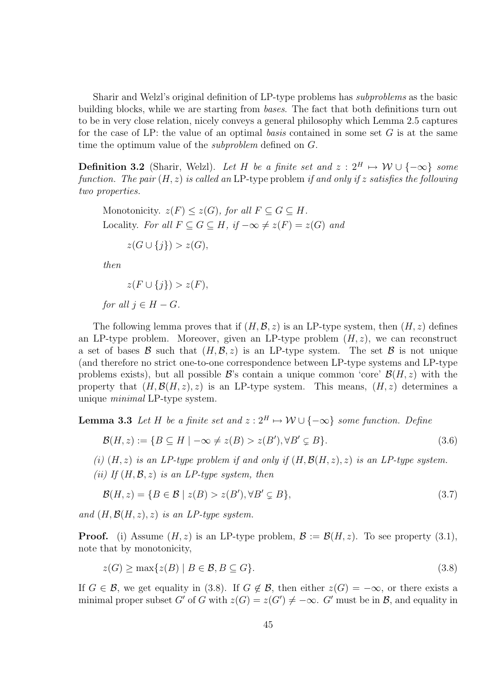Sharir and Welzl's original definition of LP-type problems has subproblems as the basic building blocks, while we are starting from bases. The fact that both definitions turn out to be in very close relation, nicely conveys a general philosophy which Lemma 2.5 captures for the case of LP: the value of an optimal basis contained in some set  $G$  is at the same time the optimum value of the subproblem defined on G.

**Definition 3.2** (Sharir, Welzl). Let H be a finite set and  $z : 2^H \mapsto W \cup \{-\infty\}$  some function. The pair  $(H, z)$  is called an LP-type problem if and only if z satisfies the following two properties.

Monotonicity.  $z(F) \leq z(G)$ , for all  $F \subset G \subset H$ . Locality. For all  $F \subseteq G \subseteq H$ , if  $-\infty \neq z(F) = z(G)$  and  $z(G \cup \{j\}) > z(G),$ 

then

$$
z(F \cup \{j\}) > z(F),
$$

for all  $i \in H - G$ .

The following lemma proves that if  $(H, \mathcal{B}, z)$  is an LP-type system, then  $(H, z)$  defines an LP-type problem. Moreover, given an LP-type problem  $(H, z)$ , we can reconstruct a set of bases  $\mathcal B$  such that  $(H, \mathcal B, z)$  is an LP-type system. The set  $\mathcal B$  is not unique (and therefore no strict one-to-one correspondence between LP-type systems and LP-type problems exists), but all possible  $\mathcal{B}'$ s contain a unique common 'core'  $\mathcal{B}(H, z)$  with the property that  $(H, \mathcal{B}(H, z), z)$  is an LP-type system. This means,  $(H, z)$  determines a unique minimal LP-type system.

**Lemma 3.3** Let H be a finite set and  $z: 2^H \mapsto W \cup \{-\infty\}$  some function. Define

$$
\mathcal{B}(H, z) := \{ B \subseteq H \mid -\infty \neq z(B) > z(B'), \forall B' \subsetneq B \}.
$$
\n
$$
(3.6)
$$

(i)  $(H, z)$  is an LP-type problem if and only if  $(H, \mathcal{B}(H, z), z)$  is an LP-type system. (ii) If  $(H, \mathcal{B}, z)$  is an LP-type system, then

$$
\mathcal{B}(H, z) = \{ B \in \mathcal{B} \mid z(B) > z(B'), \forall B' \subsetneq B \},\tag{3.7}
$$

and  $(H, \mathcal{B}(H, z), z)$  is an LP-type system.

**Proof.** (i) Assume  $(H, z)$  is an LP-type problem,  $\mathcal{B} := \mathcal{B}(H, z)$ . To see property (3.1), note that by monotonicity,

$$
z(G) \ge \max\{z(B) \mid B \in \mathcal{B}, B \subseteq G\}.\tag{3.8}
$$

If  $G \in \mathcal{B}$ , we get equality in (3.8). If  $G \notin \mathcal{B}$ , then either  $z(G) = -\infty$ , or there exists a minimal proper subset G' of G with  $z(G) = z(G') \neq -\infty$ . G' must be in B, and equality in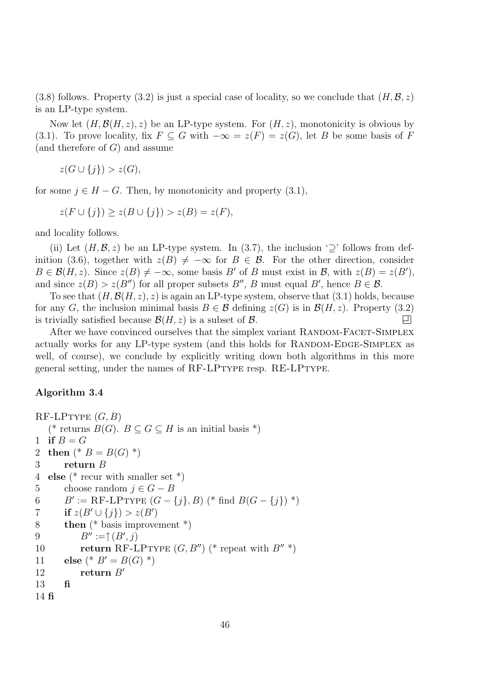(3.8) follows. Property (3.2) is just a special case of locality, so we conclude that  $(H, \mathcal{B}, z)$ is an LP-type system.

Now let  $(H, \mathcal{B}(H, z), z)$  be an LP-type system. For  $(H, z)$ , monotonicity is obvious by (3.1). To prove locality, fix  $F \subseteq G$  with  $-\infty = z(F) = z(G)$ , let B be some basis of F (and therefore of  $G$ ) and assume

 $z(G \cup \{i\}) > z(G)$ ,

for some  $j \in H - G$ . Then, by monotonicity and property (3.1),

 $z(F \cup \{j\}) \geq z(B \cup \{j\}) > z(B) = z(F),$ 

and locality follows.

(ii) Let  $(H, \mathcal{B}, z)$  be an LP-type system. In (3.7), the inclusion ' $\supset$ ' follows from definition (3.6), together with  $z(B) \neq -\infty$  for  $B \in \mathcal{B}$ . For the other direction, consider  $B \in \mathcal{B}(H, z)$ . Since  $z(B) \neq -\infty$ , some basis B' of B must exist in B, with  $z(B) = z(B')$ , and since  $z(B) > z(B'')$  for all proper subsets  $B''$ , B must equal B', hence  $B \in \mathcal{B}$ .

To see that  $(H, \mathcal{B}(H, z), z)$  is again an LP-type system, observe that (3.1) holds, because for any G, the inclusion minimal basis  $B \in \mathcal{B}$  defining  $z(G)$  is in  $\mathcal{B}(H, z)$ . Property (3.2) is trivially satisfied because  $\mathcal{B}(H, z)$  is a subset of  $\mathcal{B}$ . is trivially satisfied because  $\mathcal{B}(H, z)$  is a subset of  $\mathcal{B}$ .

After we have convinced ourselves that the simplex variant RANDOM-FACET-SIMPLEX actually works for any LP-type system (and this holds for RANDOM-EDGE-SIMPLEX as well, of course), we conclude by explicitly writing down both algorithms in this more general setting, under the names of RF-LPTYPE resp. RE-LPTYPE.

#### Algorithm 3.4

```
RF-LPTYPE(G, B)(* returns B(G). B \subseteq G \subseteq H is an initial basis *)
1 if B = G2 then ({}^* B = B(G) {}^*)3 return B
4 else (* recur with smaller set *)
5 choose random j \in G - B<br>6 B' := \text{RF-LPTYPE }(G -6 B' := \text{RF-LPTYPE } (G - \{j\}, B) (* find B(G - \{j\}) *)
7 if z(B' \cup \{j\}) > z(B')8 then (* basis improvement *)
9 B'' := \uparrow (B', j)10 return RF-LPTYPE (G, B'') (* repeat with B'' *)
11 else (* B' = B(G) *)
12 return B'13 fi
14 fi
```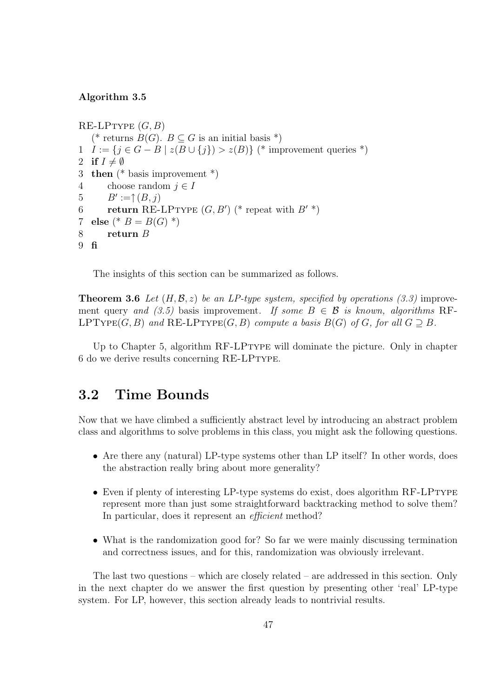#### Algorithm 3.5

 $RE-LPTYPE(G, B)$ (\* returns  $B(G)$ .  $B \subset G$  is an initial basis \*) 1  $I := \{j \in G - B \mid z(B \cup \{j\}) > z(B)\}\$  (\* improvement queries \*) 2 if  $I \neq \emptyset$ <br>3 then  $(*)$ **then** (\* basis improvement \*) 4 choose random  $j \in I$ <br>5  $B' := \uparrow (B, i)$ 5  $B' := \uparrow (B, j)$ 6 return RE-LPTYPE  $(G, B')$  (\* repeat with  $B'$  \*) 7 else (\*  $B = B(G)$  \*) 8 return B 9 fi

The insights of this section can be summarized as follows.

**Theorem 3.6** Let  $(H, \mathcal{B}, z)$  be an LP-type system, specified by operations (3.3) improvement query and (3.5) basis improvement. If some  $B \in \mathcal{B}$  is known, algorithms RF-LPTYPE(G, B) and RE-LPTYPE(G, B) compute a basis  $B(G)$  of G, for all  $G \supseteq B$ .

Up to Chapter 5, algorithm RF-LPtype will dominate the picture. Only in chapter 6 do we derive results concerning RE-LPTYPE.

# 3.2 Time Bounds

Now that we have climbed a sufficiently abstract level by introducing an abstract problem class and algorithms to solve problems in this class, you might ask the following questions.

- Are there any (natural) LP-type systems other than LP itself? In other words, does the abstraction really bring about more generality?
- Even if plenty of interesting LP-type systems do exist, does algorithm RF-LPTYPE represent more than just some straightforward backtracking method to solve them? In particular, does it represent an efficient method?
- What is the randomization good for? So far we were mainly discussing termination and correctness issues, and for this, randomization was obviously irrelevant.

The last two questions – which are closely related – are addressed in this section. Only in the next chapter do we answer the first question by presenting other 'real' LP-type system. For LP, however, this section already leads to nontrivial results.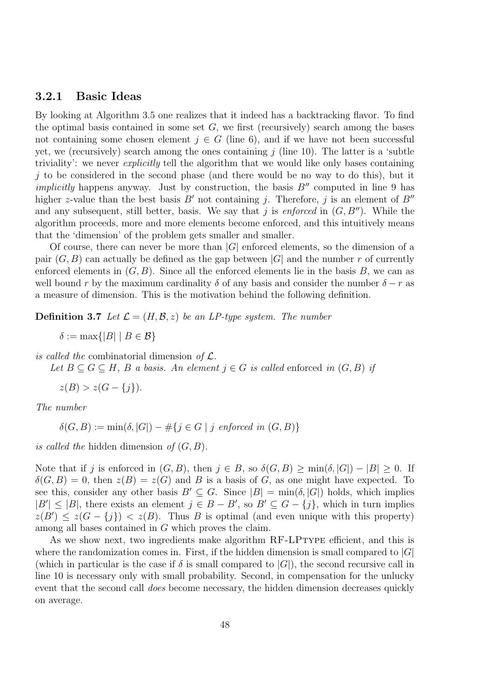#### 3.2.1 Basic Ideas

By looking at Algorithm 3.5 one realizes that it indeed has a backtracking flavor. To find the optimal basis contained in some set  $G$ , we first (recursively) search among the bases not containing some chosen element  $j \in G$  (line 6), and if we have not been successful yet, we (recursively) search among the ones containing  $j$  (line 10). The latter is a 'subtle triviality': we never explicitly tell the algorithm that we would like only bases containing  $j$  to be considered in the second phase (and there would be no way to do this), but it *implicitly* happens anyway. Just by construction, the basis  $B''$  computed in line 9 has higher z-value than the best basis  $B'$  not containing j. Therefore, j is an element of  $B''$ and any subsequent, still better, basis. We say that j is enforced in  $(G, B'')$ . While the algorithm proceeds, more and more elements become enforced, and this intuitively means that the 'dimension' of the problem gets smaller and smaller.

Of course, there can never be more than  $|G|$  enforced elements, so the dimension of a pair  $(G, B)$  can actually be defined as the gap between  $|G|$  and the number r of currently enforced elements in  $(G, B)$ . Since all the enforced elements lie in the basis B, we can as well bound r by the maximum cardinality  $\delta$  of any basis and consider the number  $\delta - r$  as a measure of dimension. This is the motivation behind the following definition.

**Definition 3.7** Let  $\mathcal{L} = (H, \mathcal{B}, z)$  be an LP-type system. The number

 $\delta := \max\{|B| \mid B \in \mathcal{B}\}\$ 

is called the combinatorial dimension of  $\mathcal{L}$ .

Let  $B \subset G \subset H$ , B a basis. An element  $j \in G$  is called enforced in  $(G, B)$  if

 $z(B) > z(G - \{i\}).$ 

The number

 $\delta(G, B) := \min(\delta, |G|) - \#\{j \in G \mid j \text{ enforced in } (G, B)\}\$ 

is called the hidden dimension of  $(G, B)$ .

Note that if j is enforced in  $(G, B)$ , then  $j \in B$ , so  $\delta(G, B) \ge \min(\delta, |G|) - |B| \ge 0$ . If  $\delta(G, B) = 0$ , then  $z(B) = z(G)$  and B is a basis of G, as one might have expected. To see this, consider any other basis  $B' \subseteq G$ . Since  $|B| = \min(\delta, |G|)$  holds, which implies  $|B'| \leq |B|$ , there exists an element  $j \in B - B'$ , so  $B' \subseteq G - \{j\}$ , which in turn implies  $z(B') \leq z(G - \{j\}) < z(B)$ . Thus B is optimal (and even unique with this property) among all bases contained in G which proves the claim.

As we show next, two ingredients make algorithm RF-LPTYPE efficient, and this is where the randomization comes in. First, if the hidden dimension is small compared to  $|G|$ (which in particular is the case if  $\delta$  is small compared to  $|G|$ ), the second recursive call in line 10 is necessary only with small probability. Second, in compensation for the unlucky event that the second call does become necessary, the hidden dimension decreases quickly on average.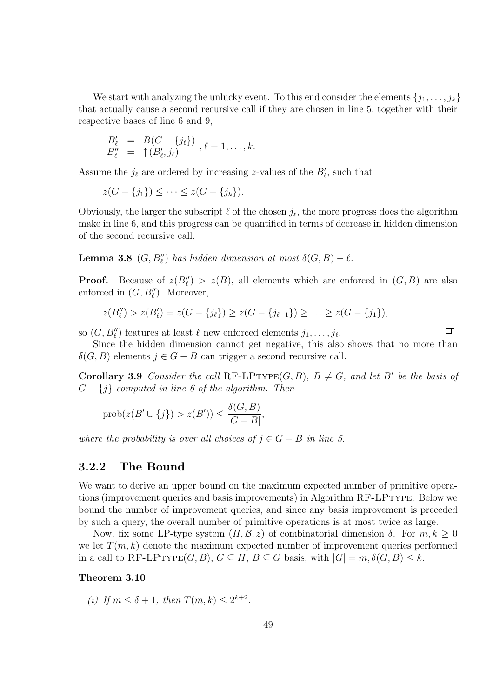We start with analyzing the unlucky event. To this end consider the elements  $\{j_1, \ldots, j_k\}$ that actually cause a second recursive call if they are chosen in line 5, together with their respective bases of line 6 and 9,

$$
\begin{array}{rcl}\nB'_{\ell} & = & B(G - \{j_{\ell}\}) \\
B''_{\ell} & = & \uparrow (B'_{\ell}, j_{\ell})\n\end{array}, \ell = 1, \ldots, k.
$$

Assume the  $j_{\ell}$  are ordered by increasing z-values of the  $B'_{\ell}$ , such that

$$
z(G - \{j_1\}) \leq \cdots \leq z(G - \{j_k\}).
$$

Obviously, the larger the subscript  $\ell$  of the chosen  $j_{\ell}$ , the more progress does the algorithm make in line 6, and this progress can be quantified in terms of decrease in hidden dimension of the second recursive call.

**Lemma 3.8**  $(G, B''_{\ell})$  has hidden dimension at most  $\delta(G, B) - \ell$ .

**Proof.** Because of  $z(B''_l) > z(B)$ , all elements which are enforced in  $(G, B)$  are also enforced in  $(G, B_{\ell}^{\prime\prime})$ . Moreover,

$$
z(B''_l) > z(B'_l) = z(G - \{j_\ell\}) \ge z(G - \{j_{\ell-1}\}) \ge \ldots \ge z(G - \{j_1\}),
$$

so  $(G, B''_{\ell})$  features at least  $\ell$  new enforced elements  $j_1, \ldots, j_{\ell}$ .

Since the hidden dimension cannot get negative, this also shows that no more than  $\delta(G, B)$  elements  $j \in G - B$  can trigger a second recursive call.

口

**Corollary 3.9** Consider the call RF-LPTYPE(G, B),  $B \neq G$ , and let B' be the basis of  $G - \{j\}$  computed in line 6 of the algorithm. Then

$$
\text{prob}(z(B' \cup \{j\}) > z(B')) \le \frac{\delta(G, B)}{|G - B|},
$$

where the probability is over all choices of  $j \in G - B$  in line 5.

#### 3.2.2 The Bound

We want to derive an upper bound on the maximum expected number of primitive operations (improvement queries and basis improvements) in Algorithm RF-LPtype. Below we bound the number of improvement queries, and since any basis improvement is preceded by such a query, the overall number of primitive operations is at most twice as large.

Now, fix some LP-type system  $(H, \mathcal{B}, z)$  of combinatorial dimension  $\delta$ . For  $m, k \geq 0$ we let  $T(m, k)$  denote the maximum expected number of improvement queries performed in a call to RF-LPTYPE $(G, B)$ ,  $G \subseteq H$ ,  $B \subseteq G$  basis, with  $|G| = m$ ,  $\delta(G, B) \leq k$ .

#### Theorem 3.10

(i) If  $m \le \delta + 1$ , then  $T(m, k) \le 2^{k+2}$ .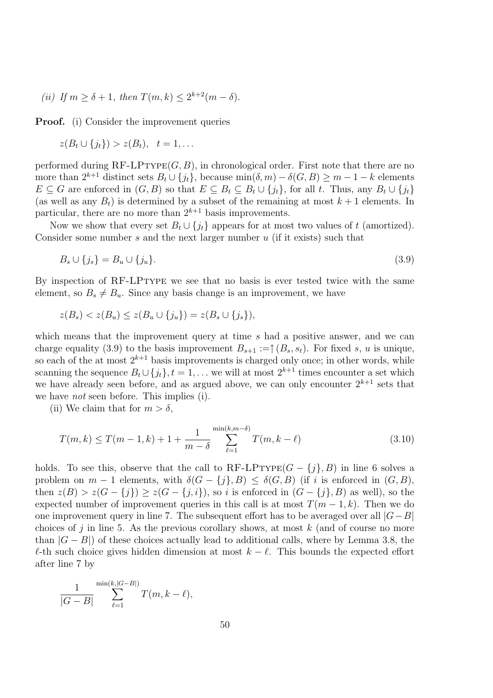(ii) If  $m \ge \delta + 1$ , then  $T(m, k) \le 2^{k+2}(m - \delta)$ .

Proof. (i) Consider the improvement queries

$$
z(B_t \cup \{j_t\}) > z(B_t), \quad t = 1, \ldots
$$

performed during  $RF-LPTYPE(G, B)$ , in chronological order. First note that there are no more than  $2^{k+1}$  distinct sets  $B_t \cup \{j_t\}$ , because  $\min(\delta, m) - \delta(G, B) \ge m - 1 - k$  elements  $E \subseteq G$  are enforced in  $(G, B)$  so that  $E \subseteq B_t \subseteq B_t \cup \{j_t\}$ , for all t. Thus, any  $B_t \cup \{j_t\}$ (as well as any  $B_t$ ) is determined by a subset of the remaining at most  $k+1$  elements. In particular, there are no more than  $2^{k+1}$  basis improvements.

Now we show that every set  $B_t \cup \{i_t\}$  appears for at most two values of t (amortized). Consider some number  $s$  and the next larger number  $u$  (if it exists) such that

$$
B_s \cup \{j_s\} = B_u \cup \{j_u\}.\tag{3.9}
$$

By inspection of RF-LPTYPE we see that no basis is ever tested twice with the same element, so  $B_s \neq B_u$ . Since any basis change is an improvement, we have

$$
z(B_s) < z(B_u) \leq z(B_u \cup \{j_u\}) = z(B_s \cup \{j_s\}),
$$

which means that the improvement query at time s had a positive answer, and we can charge equality (3.9) to the basis improvement  $B_{s+1} := \uparrow (B_s, s_t)$ . For fixed s, u is unique, so each of the at most  $2^{k+1}$  basis improvements is charged only once; in other words, while scanning the sequence  $B_t \cup \{j_t\}$ ,  $t = 1, \ldots$  we will at most  $2^{k+1}$  times encounter a set which we have already seen before, and as argued above, we can only encounter  $2^{k+1}$  sets that we have *not* seen before. This implies (i).

(ii) We claim that for  $m > \delta$ ,

$$
T(m,k) \le T(m-1,k) + 1 + \frac{1}{m-\delta} \sum_{\ell=1}^{\min(k,m-\delta)} T(m,k-\ell)
$$
\n(3.10)

holds. To see this, observe that the call to  $RF-LPTYPE(G - \{i\}, B)$  in line 6 solves a problem on  $m-1$  elements, with  $\delta(G - \{j\}, B) \leq \delta(G, B)$  (if i is enforced in  $(G, B)$ , then  $z(B) > z(G - \{j\}) \geq z(G - \{j, i\})$ , so i is enforced in  $(G - \{j\}, B)$  as well), so the expected number of improvement queries in this call is at most  $T(m-1, k)$ . Then we do one improvement query in line 7. The subsequent effort has to be averaged over all  $|G-B|$ choices of j in line 5. As the previous corollary shows, at most  $k$  (and of course no more than  $|G - B|$ ) of these choices actually lead to additional calls, where by Lemma 3.8, the  $\ell$ -th such choice gives hidden dimension at most  $k - \ell$ . This bounds the expected effort after line 7 by

$$
\frac{1}{|G-B|} \sum_{\ell=1}^{\min(k,|G-B|)} T(m,k-\ell),
$$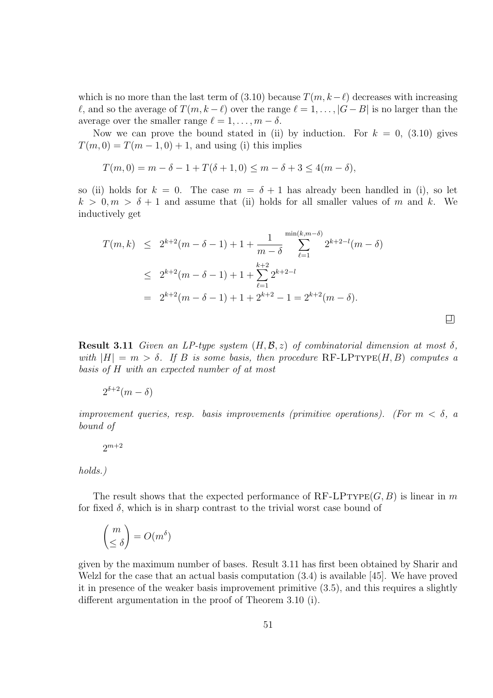which is no more than the last term of (3.10) because  $T(m, k-\ell)$  decreases with increasing  $\ell$ , and so the average of  $T(m, k - \ell)$  over the range  $\ell = 1, \ldots, |G - B|$  is no larger than the average over the smaller range  $\ell = 1, \ldots, m - \delta$ .

Now we can prove the bound stated in (ii) by induction. For  $k = 0$ , (3.10) gives  $T(m, 0) = T(m - 1, 0) + 1$ , and using (i) this implies

$$
T(m, 0) = m - \delta - 1 + T(\delta + 1, 0) \le m - \delta + 3 \le 4(m - \delta),
$$

so (ii) holds for  $k = 0$ . The case  $m = \delta + 1$  has already been handled in (i), so let  $k > 0, m > \delta + 1$  and assume that (ii) holds for all smaller values of m and k. We inductively get

$$
T(m,k) \le 2^{k+2}(m-\delta-1) + 1 + \frac{1}{m-\delta} \sum_{\ell=1}^{\min(k,m-\delta)} 2^{k+2-\ell}(m-\delta)
$$
  

$$
\le 2^{k+2}(m-\delta-1) + 1 + \sum_{\ell=1}^{k+2} 2^{k+2-\ell}
$$
  

$$
= 2^{k+2}(m-\delta-1) + 1 + 2^{k+2} - 1 = 2^{k+2}(m-\delta).
$$

**Result 3.11** Given an LP-type system  $(H, \mathcal{B}, z)$  of combinatorial dimension at most  $\delta$ , with  $|H| = m > \delta$ . If B is some basis, then procedure RF-LPTYPE(H, B) computes a basis of H with an expected number of at most

回

$$
2^{\delta+2}(m-\delta)
$$

improvement queries, resp. basis improvements (primitive operations). (For  $m < \delta$ , a bound of

$$
2^{m+2}
$$

#### holds.)

The result shows that the expected performance of  $RF-LPTYPE(G, B)$  is linear in m for fixed  $\delta$ , which is in sharp contrast to the trivial worst case bound of

$$
\binom{m}{\leq \delta} = O(m^{\delta})
$$

given by the maximum number of bases. Result 3.11 has first been obtained by Sharir and Welzl for the case that an actual basis computation (3.4) is available [45]. We have proved it in presence of the weaker basis improvement primitive (3.5), and this requires a slightly different argumentation in the proof of Theorem 3.10 (i).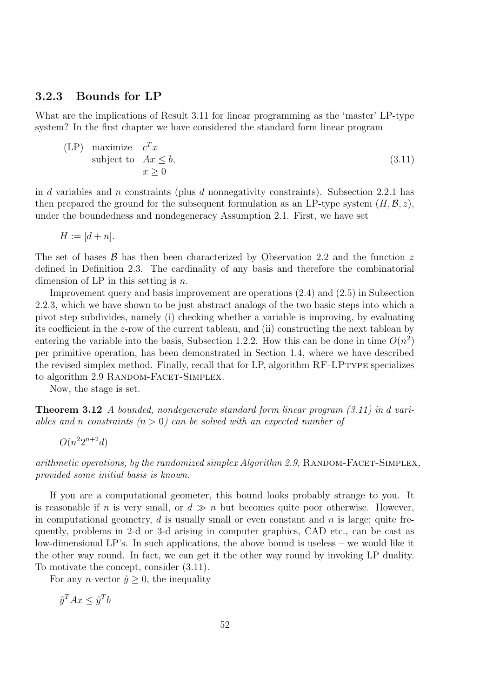#### 3.2.3 Bounds for LP

What are the implications of Result 3.11 for linear programming as the 'master' LP-type system? In the first chapter we have considered the standard form linear program

$$
\begin{array}{ll}\n\text{(LP)} & \text{maximize} \quad c^T x \\
\text{subject to} \quad Ax \leq b, \\
& x \geq 0\n\end{array} \tag{3.11}
$$

in d variables and n constraints (plus d nonnegativity constraints). Subsection 2.2.1 has then prepared the ground for the subsequent formulation as an LP-type system  $(H, \mathcal{B}, z)$ , under the boundedness and nondegeneracy Assumption 2.1. First, we have set

$$
H := [d + n].
$$

The set of bases  $\beta$  has then been characterized by Observation 2.2 and the function z defined in Definition 2.3. The cardinality of any basis and therefore the combinatorial dimension of LP in this setting is  $n$ .

Improvement query and basis improvement are operations (2.4) and (2.5) in Subsection 2.2.3, which we have shown to be just abstract analogs of the two basic steps into which a pivot step subdivides, namely (i) checking whether a variable is improving, by evaluating its coefficient in the z-row of the current tableau, and (ii) constructing the next tableau by entering the variable into the basis, Subsection 1.2.2. How this can be done in time  $O(n^2)$ per primitive operation, has been demonstrated in Section 1.4, where we have described the revised simplex method. Finally, recall that for LP, algorithm RF-LPtype specializes to algorithm 2.9 RANDOM-FACET-SIMPLEX.

Now, the stage is set.

Theorem 3.12 A bounded, nondegenerate standard form linear program (3.11) in d variables and n constraints  $(n > 0)$  can be solved with an expected number of

 $O(n^22^{n+2}d)$ 

arithmetic operations, by the randomized simplex Algorithm 2.9, RANDOM-FACET-SIMPLEX, provided some initial basis is known.

If you are a computational geometer, this bound looks probably strange to you. It is reasonable if n is very small, or  $d \gg n$  but becomes quite poor otherwise. However, in computational geometry,  $d$  is usually small or even constant and  $n$  is large; quite frequently, problems in 2-d or 3-d arising in computer graphics, CAD etc., can be cast as low-dimensional LP's. In such applications, the above bound is useless – we would like it the other way round. In fact, we can get it the other way round by invoking LP duality. To motivate the concept, consider (3.11).

For any *n*-vector  $\tilde{y} \geq 0$ , the inequality

$$
\tilde{y}^T A x \le \tilde{y}^T b
$$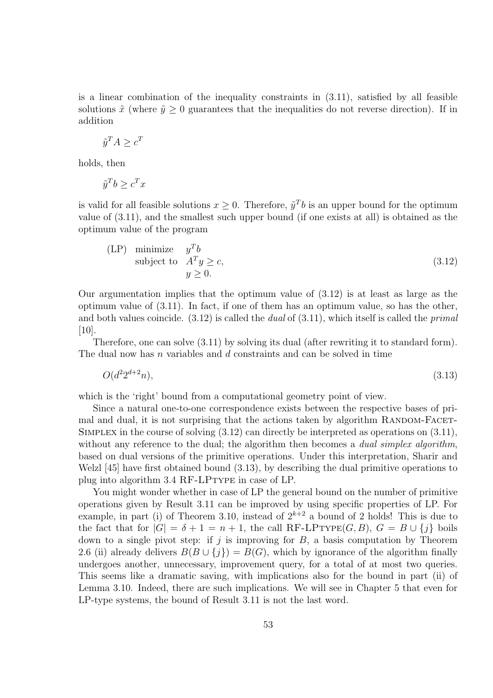is a linear combination of the inequality constraints in  $(3.11)$ , satisfied by all feasible solutions  $\tilde{x}$  (where  $\tilde{y} \ge 0$  guarantees that the inequalities do not reverse direction). If in addition

$$
\tilde{y}^T A \ge c^T
$$

holds, then

$$
\tilde{y}^T b \ge c^T x
$$

is valid for all feasible solutions  $x \geq 0$ . Therefore,  $\tilde{y}^T b$  is an upper bound for the optimum value of (3.11), and the smallest such upper bound (if one exists at all) is obtained as the optimum value of the program

$$
\begin{array}{ll}\n\text{(LP)} & \text{minimize} & y^T b \\
\text{subject to} & A^T y \ge c, \\
& y \ge 0.\n\end{array} \tag{3.12}
$$

Our argumentation implies that the optimum value of (3.12) is at least as large as the optimum value of (3.11). In fact, if one of them has an optimum value, so has the other, and both values coincide.  $(3.12)$  is called the *dual* of  $(3.11)$ , which itself is called the *primal* [10].

Therefore, one can solve (3.11) by solving its dual (after rewriting it to standard form). The dual now has n variables and  $d$  constraints and can be solved in time

$$
O(d^2 2^{d+2} n),\tag{3.13}
$$

which is the 'right' bound from a computational geometry point of view.

Since a natural one-to-one correspondence exists between the respective bases of primal and dual, it is not surprising that the actions taken by algorithm RANDOM-FACET-Simplex in the course of solving (3.12) can directly be interpreted as operations on (3.11), without any reference to the dual; the algorithm then becomes a *dual simplex algorithm*, based on dual versions of the primitive operations. Under this interpretation, Sharir and Welzl [45] have first obtained bound (3.13), by describing the dual primitive operations to plug into algorithm 3.4 RF-LPtype in case of LP.

You might wonder whether in case of LP the general bound on the number of primitive operations given by Result 3.11 can be improved by using specific properties of LP. For example, in part (i) of Theorem 3.10, instead of  $2^{k+2}$  a bound of 2 holds! This is due to the fact that for  $|G| = \delta + 1 = n + 1$ , the call RF-LPTYPE(G, B),  $G = B \cup \{j\}$  boils down to a single pivot step: if j is improving for  $B$ , a basis computation by Theorem 2.6 (ii) already delivers  $B(B \cup \{j\}) = B(G)$ , which by ignorance of the algorithm finally undergoes another, unnecessary, improvement query, for a total of at most two queries. This seems like a dramatic saving, with implications also for the bound in part (ii) of Lemma 3.10. Indeed, there are such implications. We will see in Chapter 5 that even for LP-type systems, the bound of Result 3.11 is not the last word.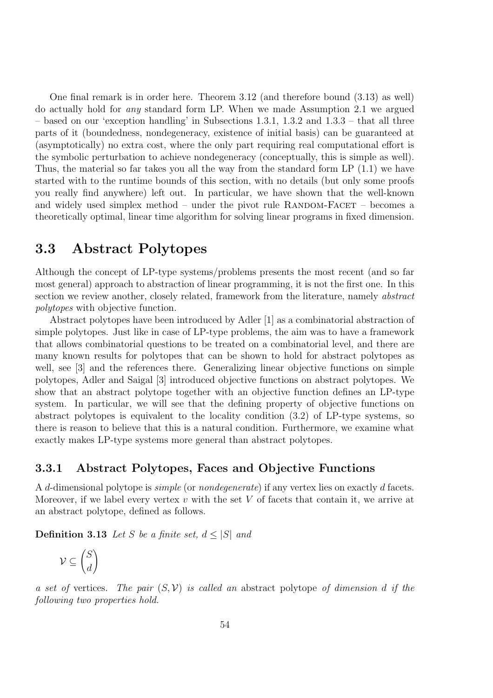One final remark is in order here. Theorem 3.12 (and therefore bound (3.13) as well) do actually hold for any standard form LP. When we made Assumption 2.1 we argued – based on our 'exception handling' in Subsections 1.3.1, 1.3.2 and 1.3.3 – that all three parts of it (boundedness, nondegeneracy, existence of initial basis) can be guaranteed at (asymptotically) no extra cost, where the only part requiring real computational effort is the symbolic perturbation to achieve nondegeneracy (conceptually, this is simple as well). Thus, the material so far takes you all the way from the standard form LP (1.1) we have started with to the runtime bounds of this section, with no details (but only some proofs you really find anywhere) left out. In particular, we have shown that the well-known and widely used simplex method – under the pivot rule  $\text{RANDOM-FACET}$  – becomes a theoretically optimal, linear time algorithm for solving linear programs in fixed dimension.

### 3.3 Abstract Polytopes

Although the concept of LP-type systems/problems presents the most recent (and so far most general) approach to abstraction of linear programming, it is not the first one. In this section we review another, closely related, framework from the literature, namely abstract polytopes with objective function.

Abstract polytopes have been introduced by Adler [1] as a combinatorial abstraction of simple polytopes. Just like in case of LP-type problems, the aim was to have a framework that allows combinatorial questions to be treated on a combinatorial level, and there are many known results for polytopes that can be shown to hold for abstract polytopes as well, see [3] and the references there. Generalizing linear objective functions on simple polytopes, Adler and Saigal [3] introduced objective functions on abstract polytopes. We show that an abstract polytope together with an objective function defines an LP-type system. In particular, we will see that the defining property of objective functions on abstract polytopes is equivalent to the locality condition (3.2) of LP-type systems, so there is reason to believe that this is a natural condition. Furthermore, we examine what exactly makes LP-type systems more general than abstract polytopes.

#### 3.3.1 Abstract Polytopes, Faces and Objective Functions

A d-dimensional polytope is simple (or nondegenerate) if any vertex lies on exactly d facets. Moreover, if we label every vertex  $v$  with the set  $V$  of facets that contain it, we arrive at an abstract polytope, defined as follows.

**Definition 3.13** Let S be a finite set,  $d \leq |S|$  and

$$
\mathcal{V} \subseteq \binom{S}{d}
$$

a set of vertices. The pair  $(S, V)$  is called an abstract polytope of dimension d if the following two properties hold.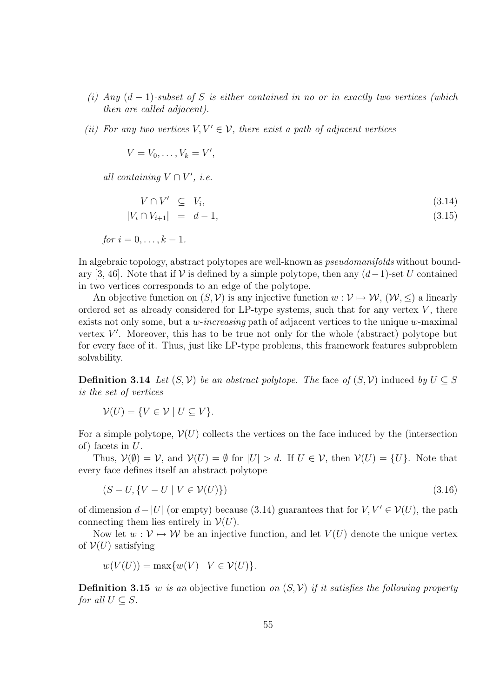- (i) Any  $(d-1)$ -subset of S is either contained in no or in exactly two vertices (which then are called adjacent).
- (ii) For any two vertices  $V, V' \in V$ , there exist a path of adjacent vertices

$$
V=V_0,\ldots,V_k=V',
$$

all containing  $V \cap V'$ , *i.e.* 

$$
V \cap V' \subseteq V_i,\tag{3.14}
$$

$$
|V_i \cap V_{i+1}| = d - 1,\tag{3.15}
$$

for 
$$
i = 0, \ldots, k-1
$$
.

In algebraic topology, abstract polytopes are well-known as *pseudomanifolds* without boundary [3, 46]. Note that if  $\mathcal V$  is defined by a simple polytope, then any  $(d-1)$ -set U contained in two vertices corresponds to an edge of the polytope.

An objective function on  $(S, V)$  is any injective function  $w: V \mapsto W$ ,  $(W, \leq)$  a linearly ordered set as already considered for LP-type systems, such that for any vertex  $V$ , there exists not only some, but a *w-increasing* path of adjacent vertices to the unique *w*-maximal vertex  $V'$ . Moreover, this has to be true not only for the whole (abstract) polytope but for every face of it. Thus, just like LP-type problems, this framework features subproblem solvability.

**Definition 3.14** Let  $(S, V)$  be an abstract polytope. The face of  $(S, V)$  induced by  $U \subseteq S$ is the set of vertices

$$
\mathcal{V}(U) = \{ V \in \mathcal{V} \mid U \subseteq V \}.
$$

For a simple polytope,  $\mathcal{V}(U)$  collects the vertices on the face induced by the (intersection of) facets in U.

Thus,  $\mathcal{V}(\emptyset) = \mathcal{V}$ , and  $\mathcal{V}(U) = \emptyset$  for  $|U| > d$ . If  $U \in \mathcal{V}$ , then  $\mathcal{V}(U) = \{U\}$ . Note that every face defines itself an abstract polytope

$$
(S-U, \{V-U \mid V \in \mathcal{V}(U)\})
$$
\n
$$
(3.16)
$$

of dimension  $d - |U|$  (or empty) because (3.14) guarantees that for  $V, V' \in V(U)$ , the path connecting them lies entirely in  $\mathcal{V}(U)$ .

Now let  $w: \mathcal{V} \mapsto \mathcal{W}$  be an injective function, and let  $V(U)$  denote the unique vertex of  $V(U)$  satisfying

$$
w(V(U)) = \max\{w(V) \mid V \in V(U)\}.
$$

**Definition 3.15** w is an objective function on  $(S, V)$  if it satisfies the following property for all  $U \subset S$ .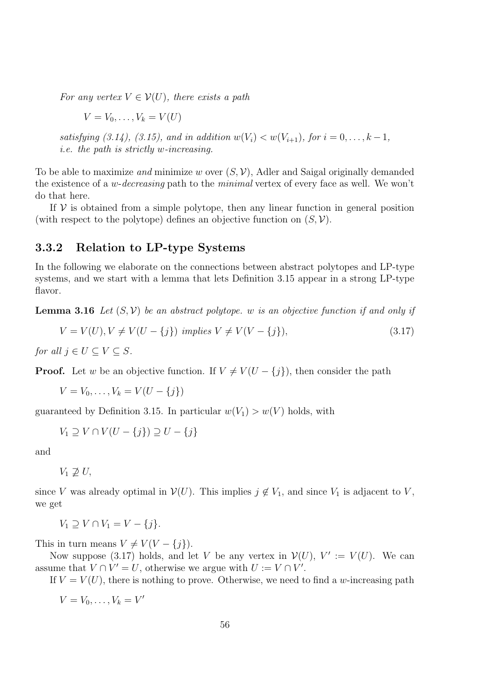For any vertex  $V \in \mathcal{V}(U)$ , there exists a path

$$
V = V_0, \ldots, V_k = V(U)
$$

satisfying (3.14), (3.15), and in addition  $w(V_i) < w(V_{i+1})$ , for  $i = 0, ..., k-1$ , i.e. the path is strictly w-increasing.

To be able to maximize and minimize w over  $(S, V)$ , Adler and Saigal originally demanded the existence of a *w-decreasing* path to the *minimal* vertex of every face as well. We won't do that here.

If  $V$  is obtained from a simple polytope, then any linear function in general position (with respect to the polytope) defines an objective function on  $(S, V)$ .

#### 3.3.2 Relation to LP-type Systems

In the following we elaborate on the connections between abstract polytopes and LP-type systems, and we start with a lemma that lets Definition 3.15 appear in a strong LP-type flavor.

**Lemma 3.16** Let  $(S, V)$  be an abstract polytope. w is an objective function if and only if

$$
V = V(U), V \neq V(U - \{j\}) \implies V \neq V(V - \{j\}), \tag{3.17}
$$

for all  $j \in U \subseteq V \subseteq S$ .

**Proof.** Let w be an objective function. If  $V \neq V(U - \{j\})$ , then consider the path

 $V = V_0, \ldots, V_k = V(U - \{j\})$ 

guaranteed by Definition 3.15. In particular  $w(V_1) > w(V)$  holds, with

$$
V_1 \supseteq V \cap V(U - \{j\}) \supseteq U - \{j\}
$$

and

 $V_1 \not\supset U$ ,

since V was already optimal in  $V(U)$ . This implies  $j \notin V_1$ , and since  $V_1$  is adjacent to V, we get

$$
V_1 \supseteq V \cap V_1 = V - \{j\}.
$$

This in turn means  $V \neq V(V - \{j\}).$ 

Now suppose (3.17) holds, and let V be any vertex in  $V(U)$ ,  $V' := V(U)$ . We can assume that  $V \cap V' = U$ , otherwise we argue with  $U := V \cap V'$ .

If  $V = V(U)$ , there is nothing to prove. Otherwise, we need to find a w-increasing path

 $V = V_0, \ldots, V_k = V'$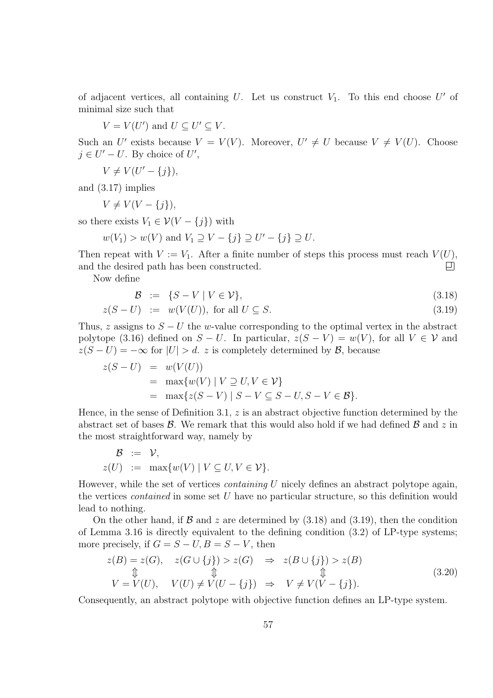of adjacent vertices, all containing U. Let us construct  $V_1$ . To this end choose U' of minimal size such that

$$
V = V(U') \text{ and } U \subseteq U' \subseteq V.
$$

Such an U' exists because  $V = V(V)$ . Moreover,  $U' \neq U$  because  $V \neq V(U)$ . Choose  $j \in U' - U$ . By choice of  $U'$ ,

$$
V \neq V(U'-\{j\}),
$$

and (3.17) implies

 $V \neq V(V - \{j\}),$ 

so there exists  $V_1 \in \mathcal{V}(V - \{j\})$  with

$$
w(V_1) > w(V)
$$
 and  $V_1 \supseteq V - \{j\} \supseteq U' - \{j\} \supseteq U$ .

Then repeat with  $V := V_1$ . After a finite number of steps this process must reach  $V(U)$ , and the desired path has been constructed.  $\Box$ 

Now define

$$
\mathcal{B} := \{ S - V \mid V \in \mathcal{V} \}, \tag{3.18}
$$

$$
z(S-U) := w(V(U)), \text{ for all } U \subseteq S. \tag{3.19}
$$

Thus, z assigns to  $S - U$  the w-value corresponding to the optimal vertex in the abstract polytope (3.16) defined on  $S - U$ . In particular,  $z(S - V) = w(V)$ , for all  $V \in V$  and  $z(S-U) = -\infty$  for  $|U| > d$ . z is completely determined by  $\mathcal{B}$ , because

$$
z(S-U) = w(V(U))
$$
  
= max{w(V) | V ⊇ U, V ∈ V}  
= max{z(S – V) | S – V ⊆ S – U, S – V ∈ B}.

Hence, in the sense of Definition 3.1,  $z$  is an abstract objective function determined by the abstract set of bases  $\mathcal{B}$ . We remark that this would also hold if we had defined  $\mathcal{B}$  and  $z$  in the most straightforward way, namely by

$$
\mathcal{B} := \mathcal{V},
$$
  

$$
z(U) := \max\{w(V) | V \subseteq U, V \in \mathcal{V}\}.
$$

However, while the set of vertices *containing*  $U$  nicely defines an abstract polytope again, the vertices *contained* in some set  $U$  have no particular structure, so this definition would lead to nothing.

On the other hand, if  $\beta$  and z are determined by (3.18) and (3.19), then the condition of Lemma 3.16 is directly equivalent to the defining condition  $(3.2)$  of LP-type systems; more precisely, if  $G = S - U, B = S - V$ , then

$$
z(B) = z(G), \quad z(G \cup \{j\}) > z(G) \Rightarrow z(B \cup \{j\}) > z(B)
$$
  
\n
$$
\updownarrow \qquad \qquad \updownarrow \qquad \qquad \updownarrow
$$
  
\n
$$
V = V(U), \quad V(U) \neq V(U - \{j\}) \Rightarrow V \neq V(V - \{j\}).
$$
\n(3.20)

Consequently, an abstract polytope with objective function defines an LP-type system.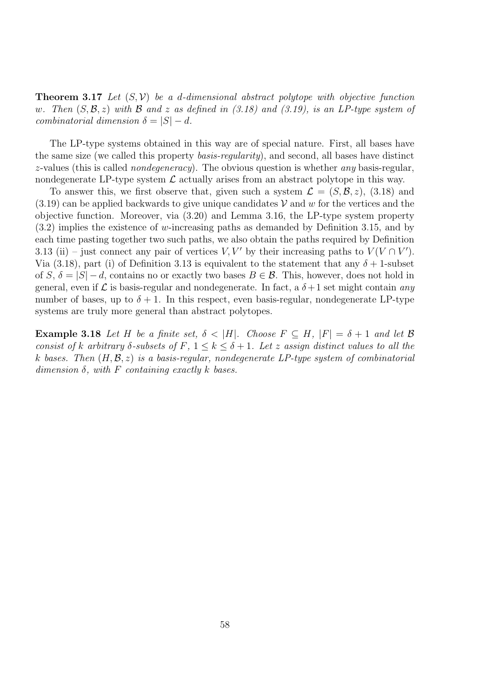**Theorem 3.17** Let  $(S, V)$  be a d-dimensional abstract polytope with objective function w. Then  $(S, \mathcal{B}, z)$  with  $\mathcal B$  and z as defined in (3.18) and (3.19), is an LP-type system of combinatorial dimension  $\delta = |S| - d$ .

The LP-type systems obtained in this way are of special nature. First, all bases have the same size (we called this property *basis-regularity*), and second, all bases have distinct z-values (this is called *nondegeneracy*). The obvious question is whether *any* basis-regular, nondegenerate LP-type system  $\mathcal L$  actually arises from an abstract polytope in this way.

To answer this, we first observe that, given such a system  $\mathcal{L} = (S, \mathcal{B}, z)$ , (3.18) and  $(3.19)$  can be applied backwards to give unique candidates V and w for the vertices and the objective function. Moreover, via (3.20) and Lemma 3.16, the LP-type system property (3.2) implies the existence of w-increasing paths as demanded by Definition 3.15, and by each time pasting together two such paths, we also obtain the paths required by Definition 3.13 (ii) – just connect any pair of vertices  $V, V'$  by their increasing paths to  $V(V \cap V')$ . Via (3.18), part (i) of Definition 3.13 is equivalent to the statement that any  $\delta + 1$ -subset of S,  $\delta = |S| - d$ , contains no or exactly two bases  $B \in \mathcal{B}$ . This, however, does not hold in general, even if  $\mathcal L$  is basis-regular and nondegenerate. In fact, a  $\delta+1$  set might contain any number of bases, up to  $\delta + 1$ . In this respect, even basis-regular, nondegenerate LP-type systems are truly more general than abstract polytopes.

**Example 3.18** Let H be a finite set,  $\delta < |H|$ . Choose  $F \subseteq H$ ,  $|F| = \delta + 1$  and let  $\beta$ consist of k arbitrary  $\delta$ -subsets of F,  $1 \leq k \leq \delta+1$ . Let z assign distinct values to all the k bases. Then  $(H, \mathcal{B}, z)$  is a basis-regular, nondegenerate LP-type system of combinatorial dimension  $\delta$ , with F containing exactly k bases.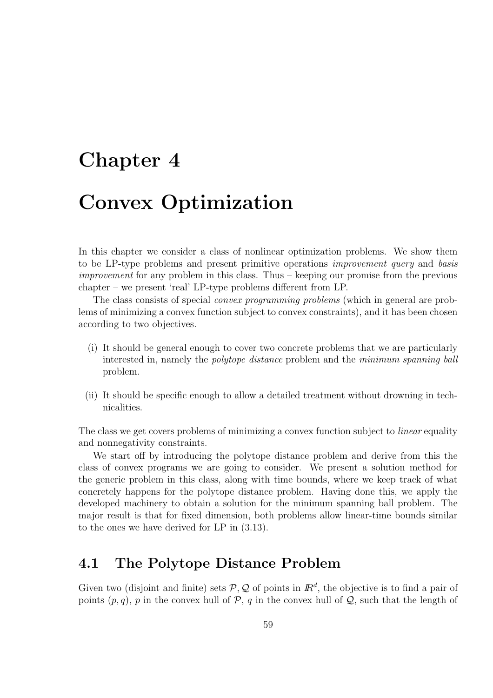# Chapter 4

# Convex Optimization

In this chapter we consider a class of nonlinear optimization problems. We show them to be LP-type problems and present primitive operations improvement query and basis improvement for any problem in this class. Thus – keeping our promise from the previous chapter – we present 'real' LP-type problems different from LP.

The class consists of special convex programming problems (which in general are problems of minimizing a convex function subject to convex constraints), and it has been chosen according to two objectives.

- (i) It should be general enough to cover two concrete problems that we are particularly interested in, namely the polytope distance problem and the minimum spanning ball problem.
- (ii) It should be specific enough to allow a detailed treatment without drowning in technicalities.

The class we get covers problems of minimizing a convex function subject to *linear* equality and nonnegativity constraints.

We start off by introducing the polytope distance problem and derive from this the class of convex programs we are going to consider. We present a solution method for the generic problem in this class, along with time bounds, where we keep track of what concretely happens for the polytope distance problem. Having done this, we apply the developed machinery to obtain a solution for the minimum spanning ball problem. The major result is that for fixed dimension, both problems allow linear-time bounds similar to the ones we have derived for LP in (3.13).

# 4.1 The Polytope Distance Problem

Given two (disjoint and finite) sets  $P$ ,  $Q$  of points in  $\mathbb{R}^d$ , the objective is to find a pair of points  $(p, q)$ , p in the convex hull of  $\mathcal{P}$ , q in the convex hull of  $\mathcal{Q}$ , such that the length of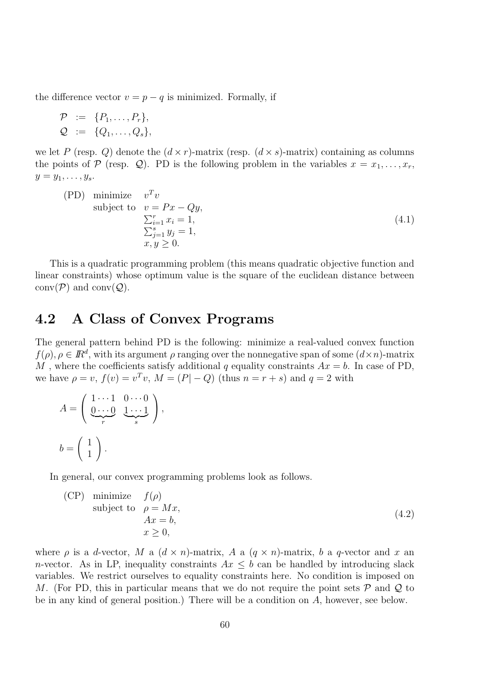the difference vector  $v = p - q$  is minimized. Formally, if

$$
\mathcal{P} := \{P_1, \ldots, P_r\},
$$
  

$$
\mathcal{Q} := \{Q_1, \ldots, Q_s\},
$$

we let P (resp. Q) denote the  $(d \times r)$ -matrix (resp.  $(d \times s)$ -matrix) containing as columns the points of  $P$  (resp.  $Q$ ). PD is the following problem in the variables  $x = x_1, \ldots, x_r$ ,  $y=y_1,\ldots,y_s.$ 

(PD) minimize 
$$
v^T v
$$
  
\nsubject to  $v = Px - Qy$ ,  
\n
$$
\sum_{i=1}^r x_i = 1,
$$
\n
$$
\sum_{j=1}^s y_j = 1,
$$
\n
$$
x, y \ge 0.
$$
\n(4.1)

This is a quadratic programming problem (this means quadratic objective function and linear constraints) whose optimum value is the square of the euclidean distance between  $conv(\mathcal{P})$  and  $conv(\mathcal{Q})$ .

### 4.2 A Class of Convex Programs

The general pattern behind PD is the following: minimize a real-valued convex function  $f(\rho), \rho \in \mathbb{R}^d$ , with its argument  $\rho$  ranging over the nonnegative span of some  $(d \times n)$ -matrix M, where the coefficients satisfy additional q equality constraints  $Ax = b$ . In case of PD, we have  $\rho = v$ ,  $f(v) = v^T v$ ,  $M = (P - Q)$  (thus  $n = r + s$ ) and  $q = 2$  with

$$
A = \left(\begin{array}{cc} 1 \cdots 1 & 0 \cdots 0 \\ \underbrace{0 \cdots 0}_{r} & \underbrace{1 \cdots 1}_{s} \end{array}\right),
$$

$$
b = \left(\begin{array}{c} 1 \\ 1 \end{array}\right).
$$

In general, our convex programming problems look as follows.

(CP) minimize 
$$
f(\rho)
$$
  
subject to  $\rho = Mx$ ,  
 $Ax = b$ ,  
 $x \ge 0$ , (4.2)

where  $\rho$  is a d-vector, M a  $(d \times n)$ -matrix, A a  $(q \times n)$ -matrix, b a q-vector and x an n-vector. As in LP, inequality constraints  $Ax \leq b$  can be handled by introducing slack variables. We restrict ourselves to equality constraints here. No condition is imposed on M. (For PD, this in particular means that we do not require the point sets  $\mathcal P$  and  $\mathcal Q$  to be in any kind of general position.) There will be a condition on A, however, see below.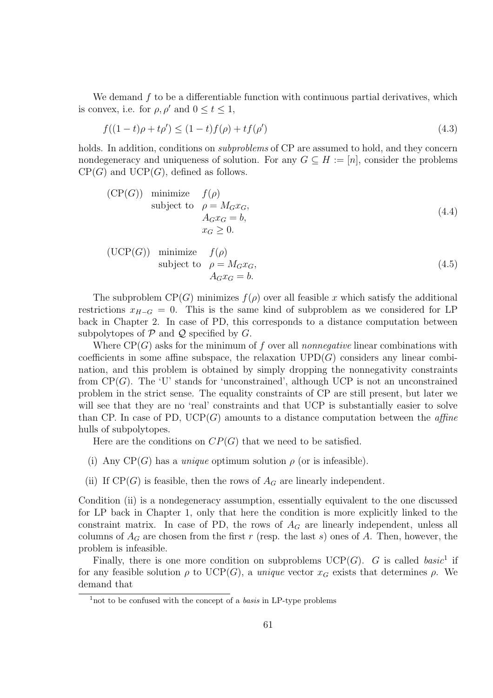We demand  $f$  to be a differentiable function with continuous partial derivatives, which is convex, i.e. for  $\rho, \rho'$  and  $0 \le t \le 1$ ,

$$
f((1-t)\rho + t\rho') \le (1-t)f(\rho) + tf(\rho')
$$
\n(4.3)

holds. In addition, conditions on *subproblems* of CP are assumed to hold, and they concern nondegeneracy and uniqueness of solution. For any  $G \subseteq H := [n]$ , consider the problems  $CP(G)$  and  $UCP(G)$ , defined as follows.

(CP(G)) minimize 
$$
f(\rho)
$$
  
subject to  $\rho = M_G x_G$ ,  
 $A_G x_G = b$ ,  
 $x_G \ge 0$ . (4.4)

(UCP(G)) minimize 
$$
f(\rho)
$$
  
subject to  $\rho = M_G x_G$ ,  
 $A_G x_G = b$ . (4.5)

The subproblem  $CP(G)$  minimizes  $f(\rho)$  over all feasible x which satisfy the additional restrictions  $x_{H-G} = 0$ . This is the same kind of subproblem as we considered for LP back in Chapter 2. In case of PD, this corresponds to a distance computation between subpolytopes of  $P$  and  $Q$  specified by  $G$ .

Where  $\text{CP}(G)$  asks for the minimum of f over all nonnegative linear combinations with coefficients in some affine subspace, the relaxation  $UPD(G)$  considers any linear combination, and this problem is obtained by simply dropping the nonnegativity constraints from  $CP(G)$ . The 'U' stands for 'unconstrained', although UCP is not an unconstrained problem in the strict sense. The equality constraints of CP are still present, but later we will see that they are no 'real' constraints and that UCP is substantially easier to solve than CP. In case of PD,  $UCP(G)$  amounts to a distance computation between the *affine* hulls of subpolytopes.

Here are the conditions on  $CP(G)$  that we need to be satisfied.

- (i) Any  $CP(G)$  has a *unique* optimum solution  $\rho$  (or is infeasible).
- (ii) If  $CP(G)$  is feasible, then the rows of  $A_G$  are linearly independent.

Condition (ii) is a nondegeneracy assumption, essentially equivalent to the one discussed for LP back in Chapter 1, only that here the condition is more explicitly linked to the constraint matrix. In case of PD, the rows of  $A_G$  are linearly independent, unless all columns of  $A_G$  are chosen from the first r (resp. the last s) ones of A. Then, however, the problem is infeasible.

Finally, there is one more condition on subproblems  $UCP(G)$ . G is called basic<sup>1</sup> if for any feasible solution  $\rho$  to UCP(G), a unique vector  $x_G$  exists that determines  $\rho$ . We demand that

<sup>&</sup>lt;sup>1</sup>not to be confused with the concept of a *basis* in LP-type problems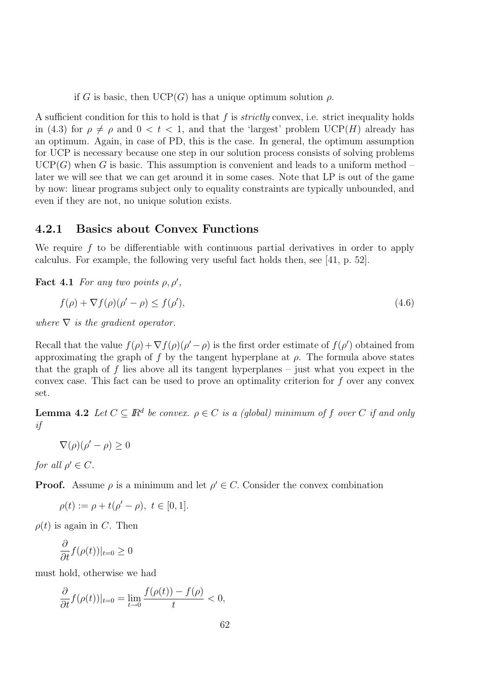if G is basic, then  $UCP(G)$  has a unique optimum solution  $\rho$ .

A sufficient condition for this to hold is that  $f$  is *strictly* convex, i.e. strict inequality holds in (4.3) for  $\rho \neq \rho$  and  $0 < t < 1$ , and that the 'largest' problem UCP(H) already has an optimum. Again, in case of PD, this is the case. In general, the optimum assumption for UCP is necessary because one step in our solution process consists of solving problems  $UCP(G)$  when G is basic. This assumption is convenient and leads to a uniform method – later we will see that we can get around it in some cases. Note that LP is out of the game by now: linear programs subject only to equality constraints are typically unbounded, and even if they are not, no unique solution exists.

#### 4.2.1 Basics about Convex Functions

We require f to be differentiable with continuous partial derivatives in order to apply calculus. For example, the following very useful fact holds then, see [41, p. 52].

**Fact 4.1** For any two points  $\rho, \rho',$ 

$$
f(\rho) + \nabla f(\rho)(\rho' - \rho) \le f(\rho'),\tag{4.6}
$$

where  $\nabla$  is the gradient operator.

Recall that the value  $f(\rho) + \nabla f(\rho)(\rho' - \rho)$  is the first order estimate of  $f(\rho')$  obtained from approximating the graph of f by the tangent hyperplane at  $\rho$ . The formula above states that the graph of f lies above all its tangent hyperplanes – just what you expect in the convex case. This fact can be used to prove an optimality criterion for f over any convex set.

**Lemma 4.2** Let  $C \subseteq \mathbb{R}^d$  be convex.  $\rho \in C$  is a (global) minimum of f over C if and only if

 $\nabla(\rho)(\rho' - \rho) \geq 0$ 

for all  $\rho' \in C$ .

**Proof.** Assume  $\rho$  is a minimum and let  $\rho' \in C$ . Consider the convex combination

$$
\rho(t) := \rho + t(\rho' - \rho), \ t \in [0, 1].
$$

 $\rho(t)$  is again in C. Then

$$
\frac{\partial}{\partial t}f(\rho(t))|_{t=0}\geq 0
$$

must hold, otherwise we had

$$
\frac{\partial}{\partial t}f(\rho(t))|_{t=0} = \lim_{t \to 0} \frac{f(\rho(t)) - f(\rho)}{t} < 0,
$$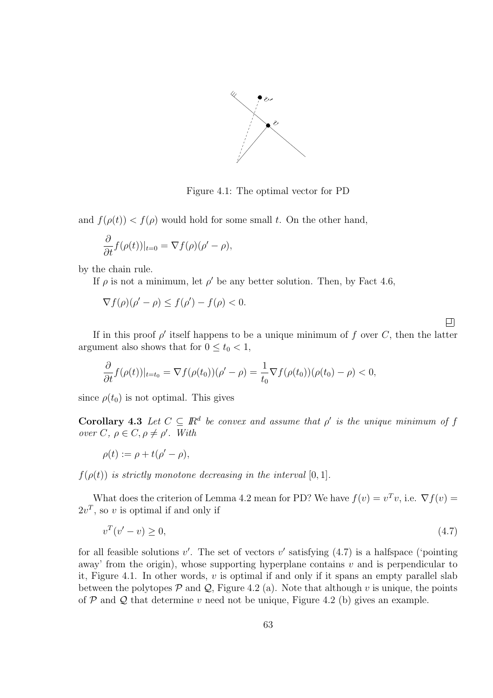

Figure 4.1: The optimal vector for PD

and  $f(\rho(t)) < f(\rho)$  would hold for some small t. On the other hand,

$$
\frac{\partial}{\partial t} f(\rho(t))|_{t=0} = \nabla f(\rho)(\rho' - \rho),
$$

by the chain rule.

If  $\rho$  is not a minimum, let  $\rho'$  be any better solution. Then, by Fact 4.6,

$$
\nabla f(\rho)(\rho' - \rho) \le f(\rho') - f(\rho) < 0.
$$

口

If in this proof  $\rho'$  itself happens to be a unique minimum of f over C, then the latter argument also shows that for  $0 \le t_0 < 1$ ,

$$
\frac{\partial}{\partial t}f(\rho(t))|_{t=t_0} = \nabla f(\rho(t_0))(\rho' - \rho) = \frac{1}{t_0} \nabla f(\rho(t_0))(\rho(t_0) - \rho) < 0,
$$

since  $\rho(t_0)$  is not optimal. This gives

**Corollary 4.3** Let  $C \subseteq \mathbb{R}^d$  be convex and assume that  $\rho'$  is the unique minimum of f  $over C, \rho \in C, \rho \neq \rho'.$  With

$$
\rho(t) := \rho + t(\rho' - \rho),
$$

 $f(\rho(t))$  is strictly monotone decreasing in the interval [0, 1].

What does the criterion of Lemma 4.2 mean for PD? We have  $f(v) = v^T v$ , i.e.  $\nabla f(v) =$  $2v^T$ , so v is optimal if and only if

$$
v^T(v'-v) \ge 0,\tag{4.7}
$$

for all feasible solutions  $v'$ . The set of vectors  $v'$  satisfying  $(4.7)$  is a halfspace ('pointing away' from the origin), whose supporting hyperplane contains  $v$  and is perpendicular to it, Figure 4.1. In other words,  $v$  is optimal if and only if it spans an empty parallel slab between the polytopes  $\mathcal P$  and  $\mathcal Q$ , Figure 4.2 (a). Note that although v is unique, the points of  $P$  and  $Q$  that determine v need not be unique, Figure 4.2 (b) gives an example.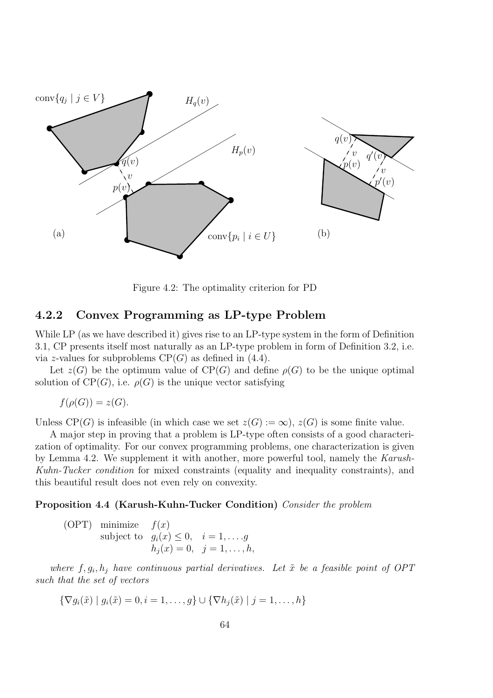

Figure 4.2: The optimality criterion for PD

#### 4.2.2 Convex Programming as LP-type Problem

While LP (as we have described it) gives rise to an LP-type system in the form of Definition 3.1, CP presents itself most naturally as an LP-type problem in form of Definition 3.2, i.e. via z-values for subproblems  $CP(G)$  as defined in (4.4).

Let  $z(G)$  be the optimum value of  $CP(G)$  and define  $\rho(G)$  to be the unique optimal solution of  $CP(G)$ , i.e.  $\rho(G)$  is the unique vector satisfying

$$
f(\rho(G)) = z(G).
$$

Unless  $\text{CP}(G)$  is infeasible (in which case we set  $z(G) := \infty$ ),  $z(G)$  is some finite value.

A major step in proving that a problem is LP-type often consists of a good characterization of optimality. For our convex programming problems, one characterization is given by Lemma 4.2. We supplement it with another, more powerful tool, namely the Karush-Kuhn-Tucker condition for mixed constraints (equality and inequality constraints), and this beautiful result does not even rely on convexity.

#### Proposition 4.4 (Karush-Kuhn-Tucker Condition) Consider the problem

(OPT) minimize  $f(x)$ subject to  $g_i(x) \leq 0$ ,  $i = 1, ..., g$  $h_j (x) = 0, \ \ j = 1, \ldots, h,$ 

where  $f, g_i, h_j$  have continuous partial derivatives. Let  $\tilde{x}$  be a feasible point of OPT such that the set of vectors

$$
\{\nabla g_i(\tilde{x}) \mid g_i(\tilde{x}) = 0, i = 1, \dots, g\} \cup \{\nabla h_j(\tilde{x}) \mid j = 1, \dots, h\}
$$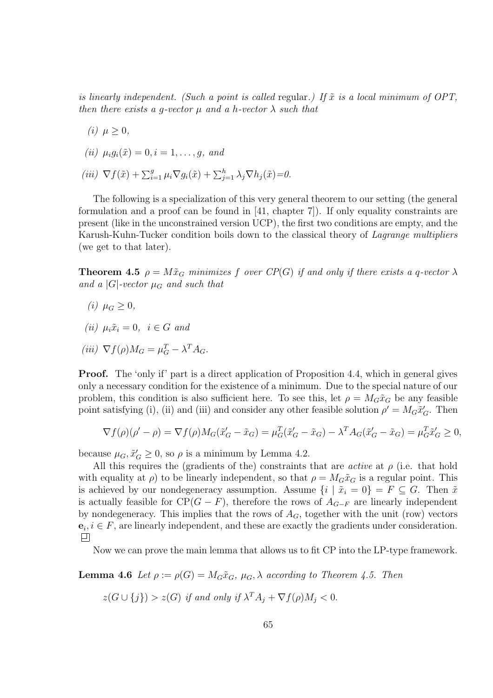is linearly independent. (Such a point is called regular.) If  $\tilde{x}$  is a local minimum of OPT, then there exists a g-vector  $\mu$  and a h-vector  $\lambda$  such that

$$
(i) \ \mu \geq 0,
$$

$$
(ii) \mu_i g_i(\tilde{x}) = 0, i = 1, \ldots, g, \text{ and}
$$

(iii)  $\nabla f(\tilde{x}) + \sum_{i=1}^{g} \mu_i \nabla g_i(\tilde{x}) + \sum_{j=1}^{h} \lambda_j \nabla h_j(\tilde{x}) = 0.$ 

The following is a specialization of this very general theorem to our setting (the general formulation and a proof can be found in [41, chapter 7]). If only equality constraints are present (like in the unconstrained version UCP), the first two conditions are empty, and the Karush-Kuhn-Tucker condition boils down to the classical theory of *Lagrange multipliers* (we get to that later).

**Theorem 4.5**  $\rho = M\tilde{x}_G$  minimizes f over  $CP(G)$  if and only if there exists a q-vector  $\lambda$ and a  $|G|$ -vector  $\mu_G$  and such that

- (*i*)  $\mu_G > 0$ ,
- (ii)  $\mu_i \tilde{x}_i = 0, \ i \in G$  and

$$
(iii) \ \nabla f(\rho) M_G = \mu_G^T - \lambda^T A_G.
$$

Proof. The 'only if' part is a direct application of Proposition 4.4, which in general gives only a necessary condition for the existence of a minimum. Due to the special nature of our problem, this condition is also sufficient here. To see this, let  $\rho = M_G\tilde{x}_G$  be any feasible point satisfying (i), (ii) and (iii) and consider any other feasible solution  $\rho' = M_G \tilde{x}'_G$ . Then

$$
\nabla f(\rho)(\rho' - \rho) = \nabla f(\rho)M_G(\tilde{x}'_G - \tilde{x}_G) = \mu_G^T(\tilde{x}'_G - \tilde{x}_G) - \lambda^T A_G(\tilde{x}'_G - \tilde{x}_G) = \mu_G^T \tilde{x}'_G \ge 0,
$$

because  $\mu_G$ ,  $\tilde{x}'_G \geq 0$ , so  $\rho$  is a minimum by Lemma 4.2.

All this requires the (gradients of the) constraints that are *active* at  $\rho$  (i.e. that hold with equality at  $\rho$ ) to be linearly independent, so that  $\rho = M_G \tilde{x}_G$  is a regular point. This is achieved by our nondegeneracy assumption. Assume  $\{i \mid \tilde{x}_i = 0\} = F \subseteq G$ . Then  $\tilde{x}$ is actually feasible for  $CP(G - F)$ , therefore the rows of  $A_{G-F}$  are linearly independent by nondegeneracy. This implies that the rows of  $A_G$ , together with the unit (row) vectors  $e_i, i \in F$ , are linearly independent, and these are exactly the gradients under consideration.

Now we can prove the main lemma that allows us to fit CP into the LP-type framework.

**Lemma 4.6** Let  $\rho := \rho(G) = M_G \tilde{x}_G$ ,  $\mu_G$ ,  $\lambda$  according to Theorem 4.5. Then

 $z(G \cup \{j\}) > z(G)$  if and only if  $\lambda^T A_j + \nabla f(\rho) M_j < 0$ .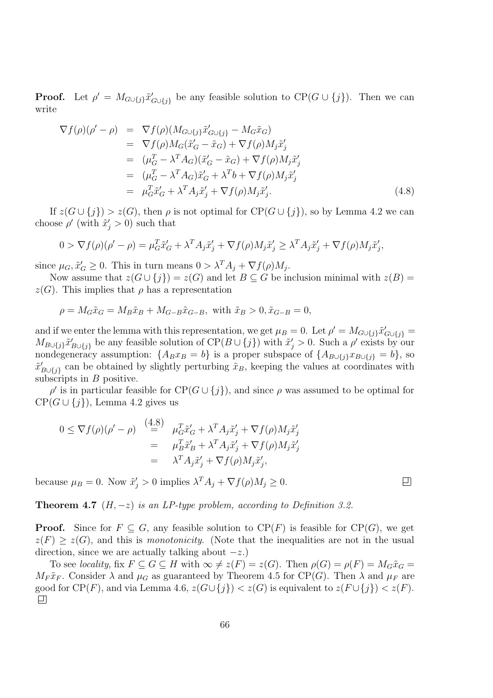**Proof.** Let  $\rho' = M_{G \cup \{j\}} \tilde{x}'_{G \cup \{j\}}$  be any feasible solution to  $CP(G \cup \{j\})$ . Then we can write

$$
\nabla f(\rho)(\rho' - \rho) = \nabla f(\rho)(M_{G \cup \{j\}}\tilde{x}'_{G \cup \{j\}} - M_G\tilde{x}_G)
$$
  
\n
$$
= \nabla f(\rho)M_G(\tilde{x}'_G - \tilde{x}_G) + \nabla f(\rho)M_j\tilde{x}'_j
$$
  
\n
$$
= (\mu_G^T - \lambda^T A_G)(\tilde{x}'_G - \tilde{x}_G) + \nabla f(\rho)M_j\tilde{x}'_j
$$
  
\n
$$
= (\mu_G^T - \lambda^T A_G)\tilde{x}'_G + \lambda^T b + \nabla f(\rho)M_j\tilde{x}'_j
$$
  
\n
$$
= \mu_G^T\tilde{x}'_G + \lambda^T A_j\tilde{x}'_j + \nabla f(\rho)M_j\tilde{x}'_j.
$$
\n(4.8)

If  $z(G \cup \{j\}) > z(G)$ , then  $\rho$  is not optimal for  $CP(G \cup \{j\})$ , so by Lemma 4.2 we can choose  $\rho'$  (with  $\tilde{x}'_j > 0$ ) such that

$$
0 > \nabla f(\rho)(\rho' - \rho) = \mu_G^T \tilde{x}'_G + \lambda^T A_j \tilde{x}'_j + \nabla f(\rho) M_j \tilde{x}'_j \ge \lambda^T A_j \tilde{x}'_j + \nabla f(\rho) M_j \tilde{x}'_j,
$$

since  $\mu_G$ ,  $\tilde{x}'_G \geq 0$ . This in turn means  $0 > \lambda^T A_j + \nabla f(\rho) M_j$ .

Now assume that  $z(G \cup \{j\}) = z(G)$  and let  $B \subseteq G$  be inclusion minimal with  $z(B) = z(G)$  $z(G)$ . This implies that  $\rho$  has a representation

$$
\rho = M_G \tilde{x}_G = M_B \tilde{x}_B + M_{G-B} \tilde{x}_{G-B}
$$
, with  $\tilde{x}_B > 0, \tilde{x}_{G-B} = 0$ ,

and if we enter the lemma with this representation, we get  $\mu_B = 0$ . Let  $\rho' = M_{G \cup \{j\}} \tilde{x}'_{G \cup \{j\}} =$  $M_{B\cup\{j\}}\tilde{x}'_{B\cup\{j\}}$  be any feasible solution of  $\text{CP}(B\cup\{j\})$  with  $\tilde{x}'_j > 0$ . Such a  $\rho'$  exists by our nondegeneracy assumption:  $\{A_Bx_B = b\}$  is a proper subspace of  $\{A_{B\cup\{j\}}x_{B\cup\{j\}} = b\}$ , so  $\tilde{x}'_{B\cup\{j\}}$  can be obtained by slightly perturbing  $\tilde{x}_B$ , keeping the values at coordinates with subscripts in  $B$  positive.

 $\rho'$  is in particular feasible for  $CP(G \cup \{j\})$ , and since  $\rho$  was assumed to be optimal for  $CP(G \cup \{j\})$ , Lemma 4.2 gives us

$$
0 \leq \nabla f(\rho)(\rho' - \rho) \stackrel{(4.8)}{=} \mu_G^T \tilde{x}'_G + \lambda^T A_j \tilde{x}'_j + \nabla f(\rho) M_j \tilde{x}'_j
$$
  

$$
= \mu_B^T \tilde{x}'_B + \lambda^T A_j \tilde{x}'_j + \nabla f(\rho) M_j \tilde{x}'_j
$$
  

$$
= \lambda^T A_j \tilde{x}'_j + \nabla f(\rho) M_j \tilde{x}'_j,
$$

because  $\mu_B = 0$ . Now  $\tilde{x}'_j > 0$  implies  $\lambda^T A_j + \nabla f(\rho) M_j \ge 0$ .

**Theorem 4.7**  $(H, -z)$  is an LP-type problem, according to Definition 3.2.

**Proof.** Since for  $F \subseteq G$ , any feasible solution to  $CP(F)$  is feasible for  $CP(G)$ , we get  $z(F) \geq z(G)$ , and this is monotonicity. (Note that the inequalities are not in the usual direction, since we are actually talking about  $-z$ .)

To see locality, fix  $F \subseteq G \subseteq H$  with  $\infty \neq z(F) = z(G)$ . Then  $\rho(G) = \rho(F) = M_G\tilde{x}_G =$  $M_F \tilde{x}_F$ . Consider  $\lambda$  and  $\mu_G$  as guaranteed by Theorem 4.5 for CP(G). Then  $\lambda$  and  $\mu_F$  are good for CP(F), and via Lemma 4.6,  $z(G \cup \{j\}) < z(G)$  is equivalent to  $z(F \cup \{j\}) < z(F)$ .

口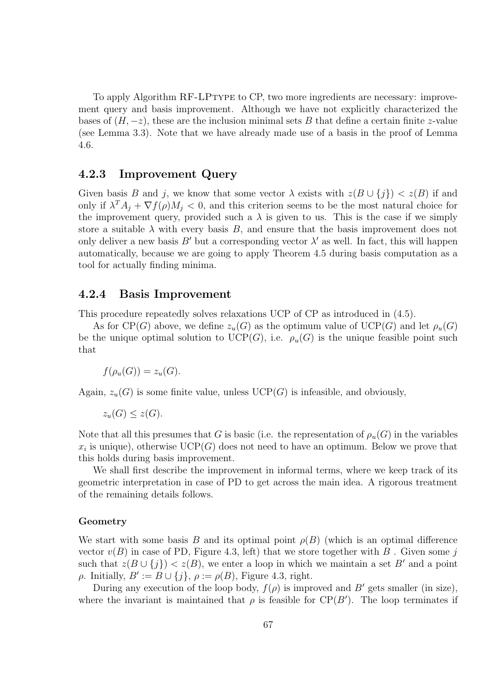To apply Algorithm RF-LPtype to CP, two more ingredients are necessary: improvement query and basis improvement. Although we have not explicitly characterized the bases of  $(H, -z)$ , these are the inclusion minimal sets B that define a certain finite z-value (see Lemma 3.3). Note that we have already made use of a basis in the proof of Lemma 4.6.

#### 4.2.3 Improvement Query

Given basis B and j, we know that some vector  $\lambda$  exists with  $z(B \cup \{j\}) < z(B)$  if and only if  $\lambda^T A_j + \nabla f(\rho) M_j < 0$ , and this criterion seems to be the most natural choice for the improvement query, provided such a  $\lambda$  is given to us. This is the case if we simply store a suitable  $\lambda$  with every basis B, and ensure that the basis improvement does not only deliver a new basis B' but a corresponding vector  $\lambda'$  as well. In fact, this will happen automatically, because we are going to apply Theorem 4.5 during basis computation as a tool for actually finding minima.

#### 4.2.4 Basis Improvement

This procedure repeatedly solves relaxations UCP of CP as introduced in (4.5).

As for CP(G) above, we define  $z_u(G)$  as the optimum value of UCP(G) and let  $\rho_u(G)$ be the unique optimal solution to  $UCP(G)$ , i.e.  $\rho_u(G)$  is the unique feasible point such that

$$
f(\rho_u(G)) = z_u(G).
$$

Again,  $z_u(G)$  is some finite value, unless  $UCP(G)$  is infeasible, and obviously,

$$
z_u(G) \le z(G).
$$

Note that all this presumes that G is basic (i.e. the representation of  $\rho_u(G)$  in the variables  $x_i$  is unique), otherwise UCP(G) does not need to have an optimum. Below we prove that this holds during basis improvement.

We shall first describe the improvement in informal terms, where we keep track of its geometric interpretation in case of PD to get across the main idea. A rigorous treatment of the remaining details follows.

#### Geometry

We start with some basis B and its optimal point  $\rho(B)$  (which is an optimal difference vector  $v(B)$  in case of PD, Figure 4.3, left) that we store together with B. Given some j such that  $z(B \cup \{j\}) < z(B)$ , we enter a loop in which we maintain a set B' and a point  $\rho$ . Initially,  $B' := B \cup \{j\}, \rho := \rho(B)$ , Figure 4.3, right.

During any execution of the loop body,  $f(\rho)$  is improved and B' gets smaller (in size), where the invariant is maintained that  $\rho$  is feasible for  $\text{CP}(B')$ . The loop terminates if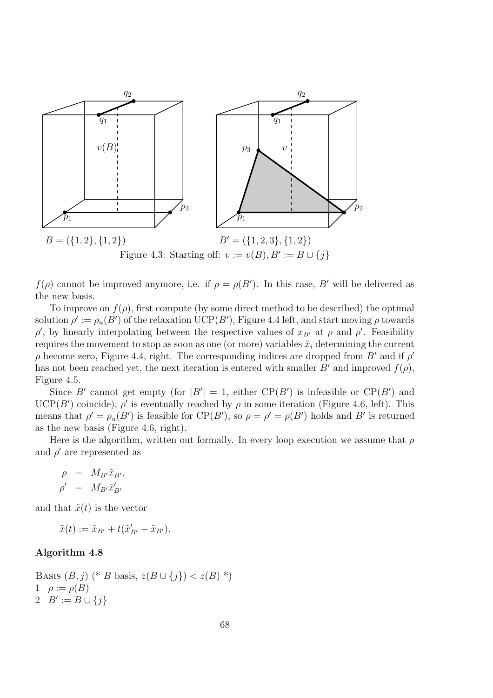

PSfrag replacements

 $f(\rho)$  cannot be improved anymore, i.e. if  $\rho = \rho(B')$ . In this case, B' will be delivered as the new basis.

To improve on  $f(\rho)$ , first compute (by some direct method to be described) the optimal solution  $\rho' := \rho_u(B')$  of the relaxation  $\mathrm{UCP}(B'),$  Figure 4.4 left, and start moving  $\rho$  towards  $\rho'$ , by linearly interpolating between the respective values of  $x_{B'}$  at  $\rho$  and  $\rho'$ . Feasibility requires the movement to stop as soon as one (or more) variables  $\tilde{x}_i$  determining the current  $\rho$  become zero, Figure 4.4, right. The corresponding indices are dropped from  $B'$  and if  $\rho'$ has not been reached yet, the next iteration is entered with smaller B' and improved  $f(\rho)$ , Figure 4.5.

Since B' cannot get empty (for  $|B'| = 1$ , either  $CP(B')$  is infeasible or  $CP(B')$  and  $UCP(B')$  coincide),  $\rho'$  is eventually reached by  $\rho$  in some iteration (Figure 4.6, left). This means that  $\rho' = \rho_u(B')$  is feasible for  $CP(B')$ , so  $\rho = \rho' = \rho(B')$  holds and B' is returned as the new basis (Figure 4.6, right).

Here is the algorithm, written out formally. In every loop execution we assume that  $\rho$ and  $\rho'$  are represented as

$$
\begin{array}{rcl} \rho & = & M_{B'} \tilde{x}_{B'}, \\ \rho' & = & M_{B'} \tilde{x}'_{B'} \end{array}
$$

and that  $\tilde{x}(t)$  is the vector

 $\tilde{x}(t) := \tilde{x}_{B'} + t(\tilde{x}'_{B'} - \tilde{x}_{B'}).$ 

#### Algorithm 4.8

BASIS  $(B, j)$  (\* B basis,  $z(B \cup \{j\}) < z(B)$  \*) 1  $\rho := \rho(B)$ 2  $B' := B \cup \{j\}$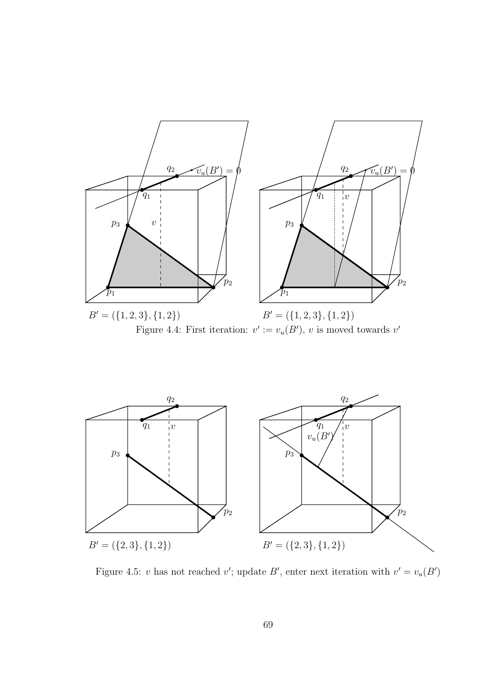



PSfr*ag'* replacements PSfrag replaceme Figure 4.5: v has not reached v'; up $\phi_{\mathcal{B}}$  resite the stration with  $v' = v_u(B')$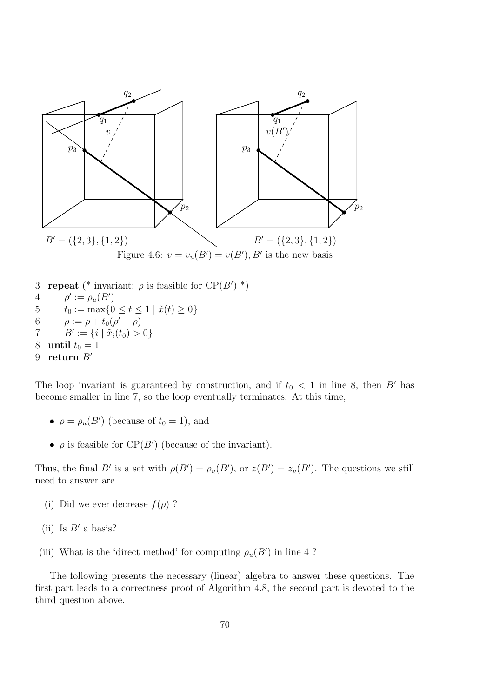

The loop invariant is guaranteed by construction, and if  $t_0 < 1$  in line 8, then B' has become smaller in line 7, so the loop eventually terminates. At this time,

- $\rho = \rho_u(B')$  (because of  $t_0 = 1$ ), and
- $\rho$  is feasible for  $\text{CP}(B')$  (because of the invariant).

Thus, the final B' is a set with  $\rho(B') = \rho_u(B')$ , or  $z(B') = z_u(B')$ . The questions we still need to answer are

- (i) Did we ever decrease  $f(\rho)$ ?
- (ii) Is  $B'$  a basis?
- (iii) What is the 'direct method' for computing  $\rho_u(B')$  in line 4?

The following presents the necessary (linear) algebra to answer these questions. The first part leads to a correctness proof of Algorithm 4.8, the second part is devoted to the third question above.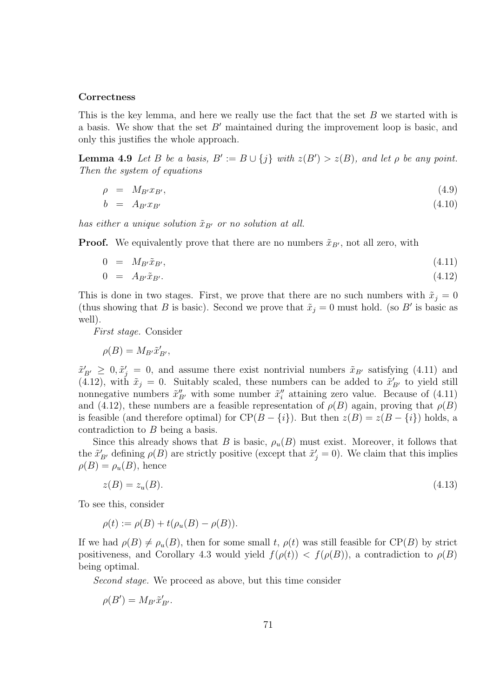#### **Correctness**

This is the key lemma, and here we really use the fact that the set B we started with is a basis. We show that the set  $B'$  maintained during the improvement loop is basic, and only this justifies the whole approach.

**Lemma 4.9** Let B be a basis,  $B' := B \cup \{j\}$  with  $z(B') > z(B)$ , and let  $\rho$  be any point. Then the system of equations

$$
\rho = M_{B} x_{B'}, \tag{4.9}
$$

$$
b = A_{B'} x_{B'} \tag{4.10}
$$

has either a unique solution  $\tilde{x}_{B'}$  or no solution at all.

**Proof.** We equivalently prove that there are no numbers  $\tilde{x}_{B}$ , not all zero, with

$$
0 = M_{B'}\tilde{x}_{B'}, \tag{4.11}
$$

$$
0 = A_{B'} \tilde{x}_{B'}.
$$
\n
$$
(4.12)
$$

This is done in two stages. First, we prove that there are no such numbers with  $\tilde{x}_i = 0$ (thus showing that B is basic). Second we prove that  $\tilde{x}_j = 0$  must hold. (so B' is basic as well).

First stage. Consider

$$
\rho(B) = M_{B'} \tilde{x}'_{B'},
$$

 $\tilde{x}'_{B'} \geq 0, \tilde{x}'_j = 0$ , and assume there exist nontrivial numbers  $\tilde{x}_{B'}$  satisfying (4.11) and (4.12), with  $\tilde{x}_j = 0$ . Suitably scaled, these numbers can be added to  $\tilde{x}'_{B'}$  to yield still nonnegative numbers  $\tilde{x}''_B$  with some number  $\tilde{x}''_i$  attaining zero value. Because of (4.11) and (4.12), these numbers are a feasible representation of  $\rho(B)$  again, proving that  $\rho(B)$ is feasible (and therefore optimal) for  $CP(B - \{i\})$ . But then  $z(B) = z(B - \{i\})$  holds, a contradiction to B being a basis.

Since this already shows that B is basic,  $\rho_u(B)$  must exist. Moreover, it follows that the  $\tilde{x}'_{B'}$  defining  $\rho(B)$  are strictly positive (except that  $\tilde{x}'_j = 0$ ). We claim that this implies  $\rho(B) = \rho_u(B)$ , hence

$$
z(B) = z_u(B). \tag{4.13}
$$

To see this, consider

$$
\rho(t) := \rho(B) + t(\rho_u(B) - \rho(B)).
$$

If we had  $\rho(B) \neq \rho_u(B)$ , then for some small t,  $\rho(t)$  was still feasible for CP(B) by strict positiveness, and Corollary 4.3 would yield  $f(\rho(t)) < f(\rho(B))$ , a contradiction to  $\rho(B)$ being optimal.

Second stage. We proceed as above, but this time consider

$$
\rho(B') = M_{B'} \tilde{x}'_{B'}.
$$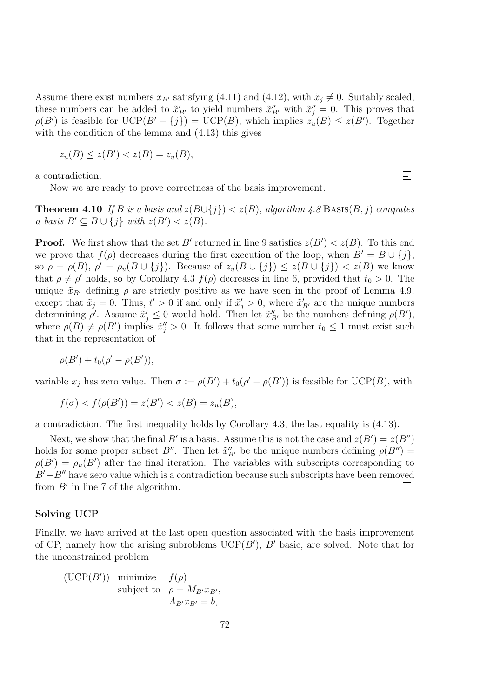Assume there exist numbers  $\tilde{x}_{B'}$  satisfying (4.11) and (4.12), with  $\tilde{x}_j \neq 0$ . Suitably scaled, these numbers can be added to  $\tilde{x}'_{B'}$  to yield numbers  $\tilde{x}''_{B'}$  with  $\tilde{x}''_j = 0$ . This proves that  $\rho(B')$  is feasible for  $UCP(B'-{j}) = UCP(B)$ , which implies  $z_u(B) \leq z(B')$ . Together with the condition of the lemma and (4.13) this gives

$$
z_u(B) \le z(B') < z(B) = z_u(B),
$$

a contradiction.

Now we are ready to prove correctness of the basis improvement.

**Theorem 4.10** If B is a basis and  $z(B\cup\{j\}) < z(B)$ , algorithm 4.8 BASIS(B, j) computes a basis  $B' \subseteq B \cup \{j\}$  with  $z(B') < z(B)$ .

**Proof.** We first show that the set B' returned in line 9 satisfies  $z(B') < z(B)$ . To this end we prove that  $f(\rho)$  decreases during the first execution of the loop, when  $B' = B \cup \{j\}$ , so  $\rho = \rho(B)$ ,  $\rho' = \rho_u(B \cup \{j\})$ . Because of  $z_u(B \cup \{j\}) \leq z(B \cup \{j\}) < z(B)$  we know that  $\rho \neq \rho'$  holds, so by Corollary 4.3  $f(\rho)$  decreases in line 6, provided that  $t_0 > 0$ . The unique  $\tilde{x}_{B'}$  defining  $\rho$  are strictly positive as we have seen in the proof of Lemma 4.9, except that  $\tilde{x}_j = 0$ . Thus,  $t' > 0$  if and only if  $\tilde{x}'_j > 0$ , where  $\tilde{x}'_{B'}$  are the unique numbers determining  $\rho'$ . Assume  $\tilde{x}'_j \leq 0$  would hold. Then let  $\tilde{x}''_{B'}$  be the numbers defining  $\rho(B')$ , where  $\rho(B) \neq \rho(B')$  implies  $\tilde{x}''_j > 0$ . It follows that some number  $t_0 \leq 1$  must exist such that in the representation of

$$
\rho(B') + t_0(\rho' - \rho(B')),
$$

variable  $x_j$  has zero value. Then  $\sigma := \rho(B') + t_0(\rho' - \rho(B'))$  is feasible for  $\text{UCP}(B)$ , with

$$
f(\sigma) < f(\rho(B')) = z(B') < z(B) = z_u(B),
$$

a contradiction. The first inequality holds by Corollary 4.3, the last equality is (4.13).

Next, we show that the final B' is a basis. Assume this is not the case and  $z(B') = z(B'')$ holds for some proper subset  $B''$ . Then let  $\tilde{x}''_{B'}$  be the unique numbers defining  $\rho(B'') =$  $\rho(B') = \rho_u(B')$  after the final iteration. The variables with subscripts corresponding to  $B'-B''$  have zero value which is a contradiction because such subscripts have been removed from  $B'$  in line 7 of the algorithm. from  $B'$  in line 7 of the algorithm.

#### Solving UCP

Finally, we have arrived at the last open question associated with the basis improvement of CP, namely how the arising subroblems  $\mathrm{UCP}(B')$ , B' basic, are solved. Note that for the unconstrained problem

(UCP(B')) minimize 
$$
f(\rho)
$$
  
subject to  $\rho = M_{B'x_{B'}}$ ,  
 $A_{B'x_{B'}} = b$ ,

囙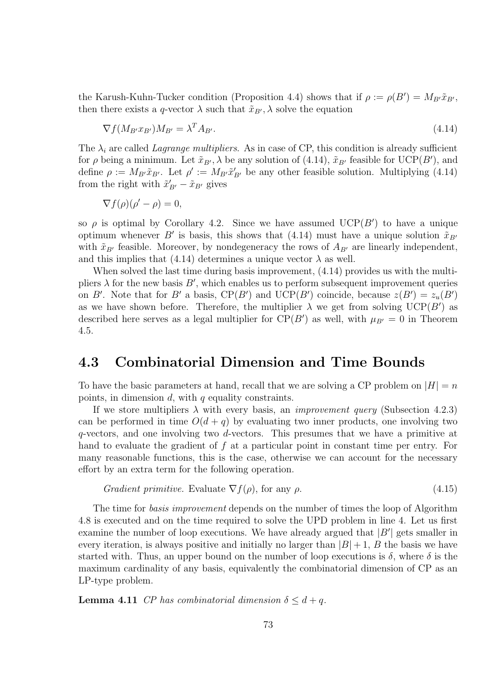the Karush-Kuhn-Tucker condition (Proposition 4.4) shows that if  $\rho := \rho(B') = M_{B'}\tilde{x}_{B'}$ , then there exists a q-vector  $\lambda$  such that  $\tilde{x}_{B}, \lambda$  solve the equation

$$
\nabla f(M_{B'}x_{B'})M_{B'} = \lambda^T A_{B'}.
$$
\n(4.14)

The  $\lambda_i$  are called *Lagrange multipliers*. As in case of CP, this condition is already sufficient for  $\rho$  being a minimum. Let  $\tilde{x}_{B'}$ ,  $\lambda$  be any solution of (4.14),  $\tilde{x}_{B'}$  feasible for UCP(B'), and define  $\rho := M_{B'}\tilde{x}_{B'}$ . Let  $\rho' := M_{B'}\tilde{x}_{B'}'$  be any other feasible solution. Multiplying (4.14) from the right with  $\tilde{x}'_{B'} - \tilde{x}_{B'}$  gives

$$
\nabla f(\rho)(\rho'-\rho)=0,
$$

so  $\rho$  is optimal by Corollary 4.2. Since we have assumed UCP(B') to have a unique optimum whenever B' is basis, this shows that (4.14) must have a unique solution  $\tilde{x}_{B'}$ with  $\tilde{x}_{B'}$  feasible. Moreover, by nondegeneracy the rows of  $A_{B'}$  are linearly independent, and this implies that (4.14) determines a unique vector  $\lambda$  as well.

When solved the last time during basis improvement,  $(4.14)$  provides us with the multipliers  $\lambda$  for the new basis  $B'$ , which enables us to perform subsequent improvement queries on B'. Note that for B' a basis,  $CP(B')$  and  $UCP(B')$  coincide, because  $z(B') = z_u(B')$ as we have shown before. Therefore, the multiplier  $\lambda$  we get from solving  $UCP(B')$  as described here serves as a legal multiplier for  $CP(B')$  as well, with  $\mu_{B'} = 0$  in Theorem 4.5.

## 4.3 Combinatorial Dimension and Time Bounds

To have the basic parameters at hand, recall that we are solving a CP problem on  $|H| = n$ points, in dimension  $d$ , with  $q$  equality constraints.

If we store multipliers  $\lambda$  with every basis, an *improvement query* (Subsection 4.2.3) can be performed in time  $O(d + q)$  by evaluating two inner products, one involving two  $q$ -vectors, and one involving two  $d$ -vectors. This presumes that we have a primitive at hand to evaluate the gradient of f at a particular point in constant time per entry. For many reasonable functions, this is the case, otherwise we can account for the necessary effort by an extra term for the following operation.

Gradient primitive. Evaluate 
$$
\nabla f(\rho)
$$
, for any  $\rho$ . (4.15)

The time for basis improvement depends on the number of times the loop of Algorithm 4.8 is executed and on the time required to solve the UPD problem in line 4. Let us first examine the number of loop executions. We have already argued that  $|B'|$  gets smaller in every iteration, is always positive and initially no larger than  $|B|+1$ , B the basis we have started with. Thus, an upper bound on the number of loop executions is  $\delta$ , where  $\delta$  is the maximum cardinality of any basis, equivalently the combinatorial dimension of CP as an LP-type problem.

**Lemma 4.11** CP has combinatorial dimension  $\delta \leq d + q$ .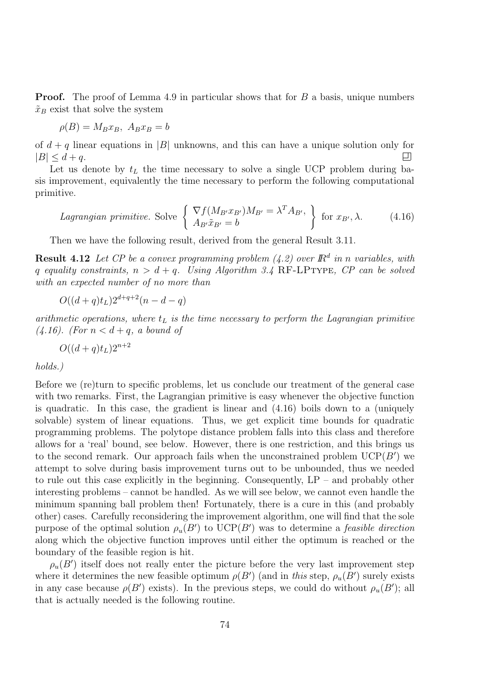Proof. The proof of Lemma 4.9 in particular shows that for B a basis, unique numbers  $\tilde{x}_B$  exist that solve the system

$$
\rho(B) = M_B x_B, \ A_B x_B = b
$$

of  $d + q$  linear equations in |B| unknowns, and this can have a unique solution only for  $|B| < d + q$ .  $|B| \leq d+q$ .

Let us denote by  $t<sub>L</sub>$  the time necessary to solve a single UCP problem during basis improvement, equivalently the time necessary to perform the following computational primitive.

*Lagrangian primitive.* Solve 
$$
\begin{cases} \nabla f(M_{B'}x_{B'})M_{B'} = \lambda^T A_{B'},\\ A_{B'}\tilde{x}_{B'} = b \end{cases}
$$
 for  $x_{B'}, \lambda$ . (4.16)

Then we have the following result, derived from the general Result 3.11.

**Result 4.12** Let CP be a convex programming problem (4.2) over  $\mathbb{R}^d$  in n variables, with q equality constraints,  $n > d + q$ . Using Algorithm 3.4 RF-LPTYPE, CP can be solved with an expected number of no more than

 $O((d+q)t_L)2^{d+q+2}(n-d-q)$ 

arithmetic operations, where  $t_L$  is the time necessary to perform the Lagrangian primitive  $(4.16)$ . (For  $n < d + q$ , a bound of

$$
O((d+q)t_L)2^{n+2}
$$

holds.)

Before we (re)turn to specific problems, let us conclude our treatment of the general case with two remarks. First, the Lagrangian primitive is easy whenever the objective function is quadratic. In this case, the gradient is linear and (4.16) boils down to a (uniquely solvable) system of linear equations. Thus, we get explicit time bounds for quadratic programming problems. The polytope distance problem falls into this class and therefore allows for a 'real' bound, see below. However, there is one restriction, and this brings us to the second remark. Our approach fails when the unconstrained problem  $\mathrm{UCP}(B')$  we attempt to solve during basis improvement turns out to be unbounded, thus we needed to rule out this case explicitly in the beginning. Consequently,  $LP -$  and probably other interesting problems – cannot be handled. As we will see below, we cannot even handle the minimum spanning ball problem then! Fortunately, there is a cure in this (and probably other) cases. Carefully reconsidering the improvement algorithm, one will find that the sole purpose of the optimal solution  $\rho_u(B')$  to UCP(B') was to determine a *feasible direction* along which the objective function improves until either the optimum is reached or the boundary of the feasible region is hit.

 $\rho_u(B')$  itself does not really enter the picture before the very last improvement step where it determines the new feasible optimum  $\rho(B')$  (and in this step,  $\rho_u(B')$  surely exists in any case because  $\rho(B')$  exists). In the previous steps, we could do without  $\rho_u(B')$ ; all that is actually needed is the following routine.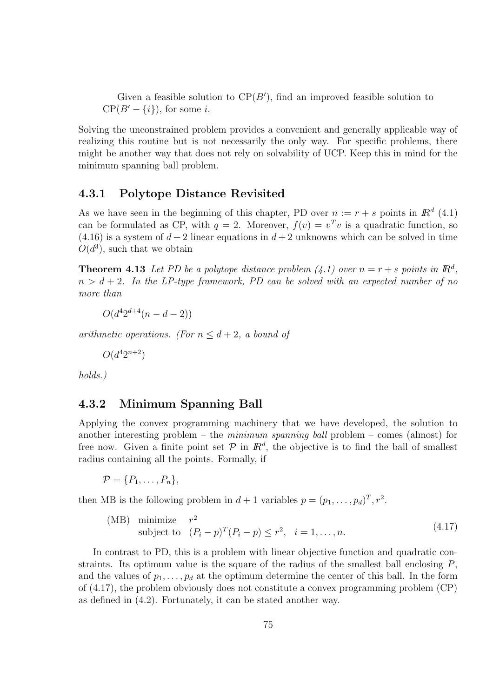Given a feasible solution to  $CP(B')$ , find an improved feasible solution to  $CP(B'-\{i\})$ , for some *i*.

Solving the unconstrained problem provides a convenient and generally applicable way of realizing this routine but is not necessarily the only way. For specific problems, there might be another way that does not rely on solvability of UCP. Keep this in mind for the minimum spanning ball problem.

## 4.3.1 Polytope Distance Revisited

As we have seen in the beginning of this chapter, PD over  $n := r + s$  points in  $\mathbb{R}^d$  (4.1) can be formulated as CP, with  $q = 2$ . Moreover,  $f(v) = v<sup>T</sup>v$  is a quadratic function, so  $(4.16)$  is a system of  $d+2$  linear equations in  $d+2$  unknowns which can be solved in time  $O(d^3)$ , such that we obtain

**Theorem 4.13** Let PD be a polytope distance problem  $(4.1)$  over  $n = r + s$  points in  $\mathbb{R}^d$ ,  $n > d + 2$ . In the LP-type framework, PD can be solved with an expected number of no more than

 $O(d^4 2^{d+4}(n-d-2))$ 

arithmetic operations. (For  $n \leq d+2$ , a bound of

$$
O(d^4 2^{n+2})
$$

holds.)

### 4.3.2 Minimum Spanning Ball

Applying the convex programming machinery that we have developed, the solution to another interesting problem – the *minimum spanning ball* problem – comes (almost) for free now. Given a finite point set  $P$  in  $\mathbb{R}^d$ , the objective is to find the ball of smallest radius containing all the points. Formally, if

$$
\mathcal{P} = \{P_1, \ldots, P_n\},\
$$

then MB is the following problem in  $d+1$  variables  $p = (p_1, \ldots, p_d)^T, r^2$ .

(MB) minimize 
$$
r^2
$$
  
subject to  $(P_i - p)^T (P_i - p) \le r^2$ ,  $i = 1,...,n$ . (4.17)

In contrast to PD, this is a problem with linear objective function and quadratic constraints. Its optimum value is the square of the radius of the smallest ball enclosing  $P$ , and the values of  $p_1, \ldots, p_d$  at the optimum determine the center of this ball. In the form of (4.17), the problem obviously does not constitute a convex programming problem (CP) as defined in (4.2). Fortunately, it can be stated another way.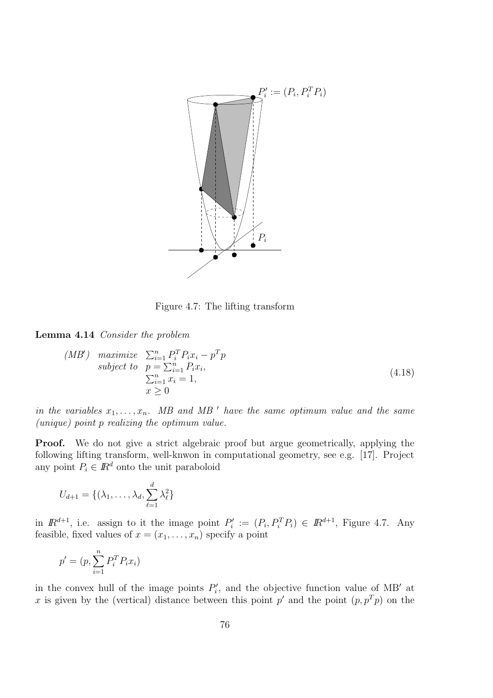

Figure 4.7: The lifting transform

Lemma 4.14 Consider the problem

$$
(MB') \quad \begin{array}{ll}\n\text{maximize} & \sum_{i=1}^{n} P_i^T P_i x_i - p^T p \\
\text{subject to} & p = \sum_{i=1}^{n} P_i x_i, \\
& \sum_{i=1}^{n} x_i = 1, \\
& x \ge 0\n\end{array}\n\tag{4.18}
$$

in the variables  $x_1, \ldots, x_n$ . MB and MB' have the same optimum value and the same (unique) point p realizing the optimum value.

Proof. We do not give a strict algebraic proof but argue geometrically, applying the following lifting transform, well-knwon in computational geometry, see e.g. [17]. Project any point  $P_i \in \mathbb{R}^d$  onto the unit paraboloid

$$
U_{d+1} = \{(\lambda_1, \ldots, \lambda_d, \sum_{\ell=1}^d \lambda_\ell^2\}
$$

in  $\mathbb{R}^{d+1}$ , i.e. assign to it the image point  $P'_i := (P_i, P_i^T P_i) \in \mathbb{R}^{d+1}$ , Figure 4.7. Any feasible, fixed values of  $x = (x_1, \ldots, x_n)$  specify a point

$$
p' = (p, \sum_{i=1}^{n} P_i^T P_i x_i)
$$

in the convex hull of the image points  $P'_i$ , and the objective function value of MB' at x is given by the (vertical) distance between this point  $p'$  and the point  $(p, p^T p)$  on the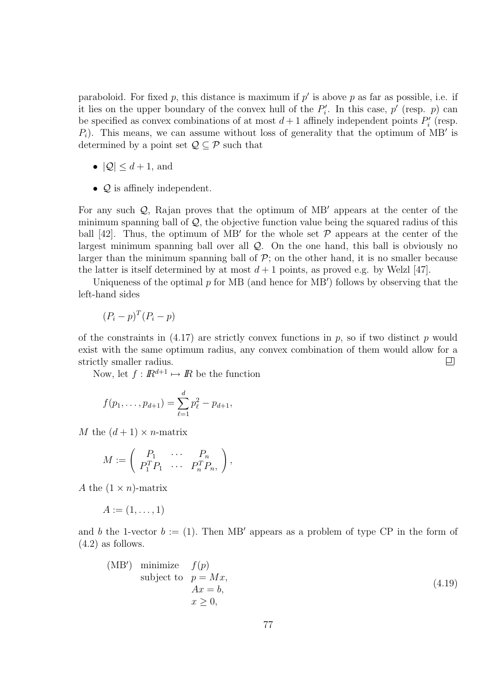paraboloid. For fixed p, this distance is maximum if  $p'$  is above p as far as possible, i.e. if it lies on the upper boundary of the convex hull of the  $P_i'$ . In this case,  $p'$  (resp.  $p$ ) can be specified as convex combinations of at most  $d+1$  affinely independent points  $P'_i$  (resp.  $P_i$ ). This means, we can assume without loss of generality that the optimum of MB' is determined by a point set  $\mathcal{Q} \subseteq \mathcal{P}$  such that

- $|Q| \leq d+1$ , and
- $Q$  is affinely independent.

For any such  $Q$ , Rajan proves that the optimum of MB<sup>'</sup> appears at the center of the minimum spanning ball of  $Q$ , the objective function value being the squared radius of this ball [42]. Thus, the optimum of MB' for the whole set  $P$  appears at the center of the largest minimum spanning ball over all Q. On the one hand, this ball is obviously no larger than the minimum spanning ball of  $P$ ; on the other hand, it is no smaller because the latter is itself determined by at most  $d+1$  points, as proved e.g. by Welzl [47].

Uniqueness of the optimal  $p$  for MB (and hence for MB') follows by observing that the left-hand sides

$$
(P_i - p)^T (P_i - p)
$$

of the constraints in  $(4.17)$  are strictly convex functions in p, so if two distinct p would exist with the same optimum radius, any convex combination of them would allow for a strictly smaller radius. 回

Now, let  $f : \mathbb{R}^{d+1} \mapsto \mathbb{R}$  be the function

$$
f(p_1,\ldots,p_{d+1})=\sum_{\ell=1}^d p_\ell^2-p_{d+1},
$$

M the  $(d+1) \times n$ -matrix

$$
M := \left( \begin{array}{ccc} P_1 & \cdots & P_n \\ P_1^T P_1 & \cdots & P_n^T P_n \end{array} \right),
$$

A the  $(1 \times n)$ -matrix

$$
A := (1, \ldots, 1)
$$

and b the 1-vector  $b := (1)$ . Then MB' appears as a problem of type CP in the form of  $(4.2)$  as follows.

(MB') minimize 
$$
f(p)
$$
  
subject to  $p = Mx$ ,  
 $Ax = b$ ,  
 $x \ge 0$ , (4.19)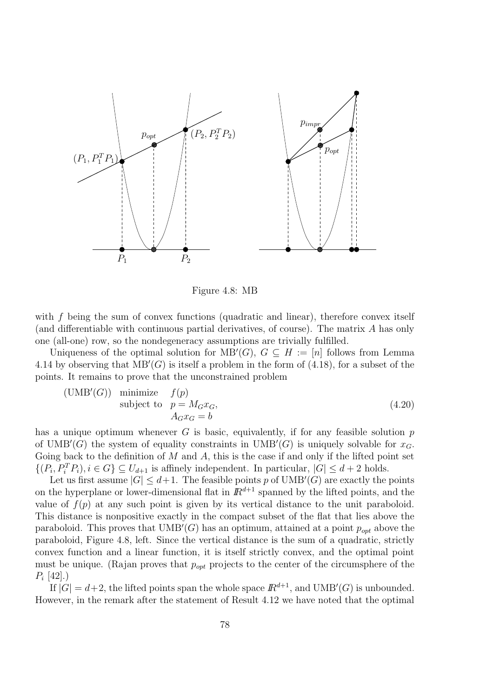

Figure 4.8: MB

with f being the sum of convex functions (quadratic and linear), therefore convex itself (and differentiable with continuous partial derivatives, of course). The matrix A has only one (all-one) row, so the nondegeneracy assumptions are trivially fulfilled.

Uniqueness of the optimal solution for  $MB'(G)$ ,  $G \subseteq H := [n]$  follows from Lemma 4.14 by observing that  $MB'(G)$  is itself a problem in the form of (4.18), for a subset of the points. It remains to prove that the unconstrained problem

$$
\begin{array}{ll}\n\text{(UMB}'(G)) & \text{minimize} & f(p) \\
\text{subject to} & p = M_G x_G, \\
& A_G x_G = b\n\end{array} \tag{4.20}
$$

has a unique optimum whenever  $G$  is basic, equivalently, if for any feasible solution  $p$ of UMB'(G) the system of equality constraints in  $UMB'(G)$  is uniquely solvable for  $x_G$ . Going back to the definition of  $M$  and  $A$ , this is the case if and only if the lifted point set  $\{(P_i, P_i^T P_i), i \in G\} \subseteq U_{d+1}$  is affinely independent. In particular,  $|G| \leq d+2$  holds.

Let us first assume  $|G| \leq d+1$ . The feasible points p of UMB'(G) are exactly the points on the hyperplane or lower-dimensional flat in  $\mathbb{R}^{d+1}$  spanned by the lifted points, and the value of  $f(p)$  at any such point is given by its vertical distance to the unit paraboloid. This distance is nonpositive exactly in the compact subset of the flat that lies above the paraboloid. This proves that  $UMB'(G)$  has an optimum, attained at a point  $p_{opt}$  above the paraboloid, Figure 4.8, left. Since the vertical distance is the sum of a quadratic, strictly convex function and a linear function, it is itself strictly convex, and the optimal point must be unique. (Rajan proves that  $p_{opt}$  projects to the center of the circumsphere of the  $P_i$  [42].)

If  $|G| = d+2$ , the lifted points span the whole space  $\mathbb{R}^{d+1}$ , and  $\text{UMB}'(G)$  is unbounded. However, in the remark after the statement of Result 4.12 we have noted that the optimal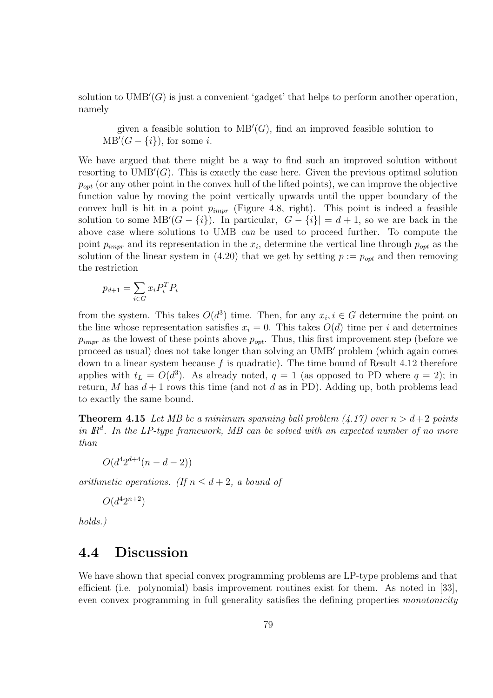solution to  $UMB'(G)$  is just a convenient 'gadget' that helps to perform another operation, namely

given a feasible solution to  $MB'(G)$ , find an improved feasible solution to  $MB'(G - \{i\})$ , for some *i*.

We have argued that there might be a way to find such an improved solution without resorting to  $UMB'(G)$ . This is exactly the case here. Given the previous optimal solution  $p_{opt}$  (or any other point in the convex hull of the lifted points), we can improve the objective function value by moving the point vertically upwards until the upper boundary of the convex hull is hit in a point  $p_{impr}$  (Figure 4.8, right). This point is indeed a feasible solution to some  $MB'(G - \{i\})$ . In particular,  $|G - \{i\}| = d + 1$ , so we are back in the above case where solutions to UMB can be used to proceed further. To compute the point  $p_{impr}$  and its representation in the  $x_i$ , determine the vertical line through  $p_{opt}$  as the solution of the linear system in (4.20) that we get by setting  $p := p_{opt}$  and then removing the restriction

$$
p_{d+1} = \sum_{i \in G} x_i P_i^T P_i
$$

from the system. This takes  $O(d^3)$  time. Then, for any  $x_i, i \in G$  determine the point on the line whose representation satisfies  $x_i = 0$ . This takes  $O(d)$  time per i and determines  $p_{impr}$  as the lowest of these points above  $p_{opt}$ . Thus, this first improvement step (before we proceed as usual) does not take longer than solving an UMB' problem (which again comes down to a linear system because  $f$  is quadratic). The time bound of Result 4.12 therefore applies with  $t_L = O(d^3)$ . As already noted,  $q = 1$  (as opposed to PD where  $q = 2$ ); in return, M has  $d+1$  rows this time (and not d as in PD). Adding up, both problems lead to exactly the same bound.

**Theorem 4.15** Let MB be a minimum spanning ball problem  $(4.17)$  over  $n > d+2$  points in  $\mathbb{R}^d$ . In the LP-type framework, MB can be solved with an expected number of no more than

$$
O(d^4 2^{d+4}(n-d-2))
$$

arithmetic operations. (If  $n \leq d+2$ , a bound of

$$
O(d^4 2^{n+2})
$$

holds.)

## 4.4 Discussion

We have shown that special convex programming problems are LP-type problems and that efficient (i.e. polynomial) basis improvement routines exist for them. As noted in [33], even convex programming in full generality satisfies the defining properties *monotonicity*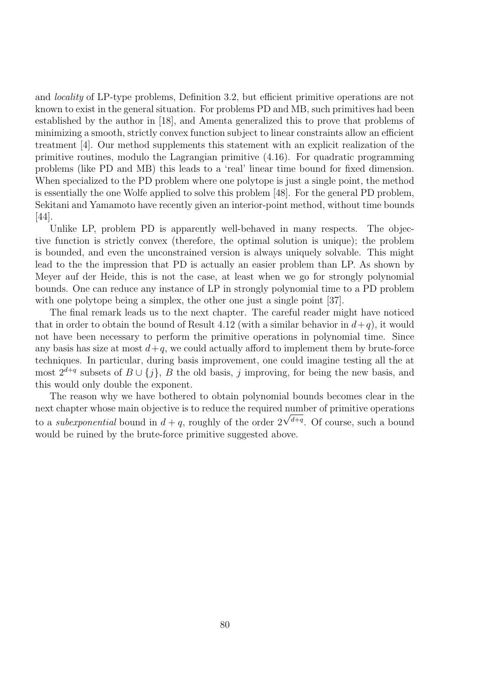and locality of LP-type problems, Definition 3.2, but efficient primitive operations are not known to exist in the general situation. For problems PD and MB, such primitives had been established by the author in [18], and Amenta generalized this to prove that problems of minimizing a smooth, strictly convex function subject to linear constraints allow an efficient treatment [4]. Our method supplements this statement with an explicit realization of the primitive routines, modulo the Lagrangian primitive (4.16). For quadratic programming problems (like PD and MB) this leads to a 'real' linear time bound for fixed dimension. When specialized to the PD problem where one polytope is just a single point, the method is essentially the one Wolfe applied to solve this problem [48]. For the general PD problem, Sekitani and Yamamoto have recently given an interior-point method, without time bounds [44].

Unlike LP, problem PD is apparently well-behaved in many respects. The objective function is strictly convex (therefore, the optimal solution is unique); the problem is bounded, and even the unconstrained version is always uniquely solvable. This might lead to the the impression that PD is actually an easier problem than LP. As shown by Meyer auf der Heide, this is not the case, at least when we go for strongly polynomial bounds. One can reduce any instance of LP in strongly polynomial time to a PD problem with one polytope being a simplex, the other one just a single point [37].

The final remark leads us to the next chapter. The careful reader might have noticed that in order to obtain the bound of Result 4.12 (with a similar behavior in  $d+q$ ), it would not have been necessary to perform the primitive operations in polynomial time. Since any basis has size at most  $d+q$ , we could actually afford to implement them by brute-force techniques. In particular, during basis improvement, one could imagine testing all the at most  $2^{d+q}$  subsets of  $B \cup \{j\}$ , B the old basis, j improving, for being the new basis, and this would only double the exponent.

The reason why we have bothered to obtain polynomial bounds becomes clear in the next chapter whose main objective is to reduce the required number of primitive operations to a *suberponential* bound in  $d + q$ , roughly of the order 2  $\sqrt{d+q}$ . Of course, such a bound would be ruined by the brute-force primitive suggested above.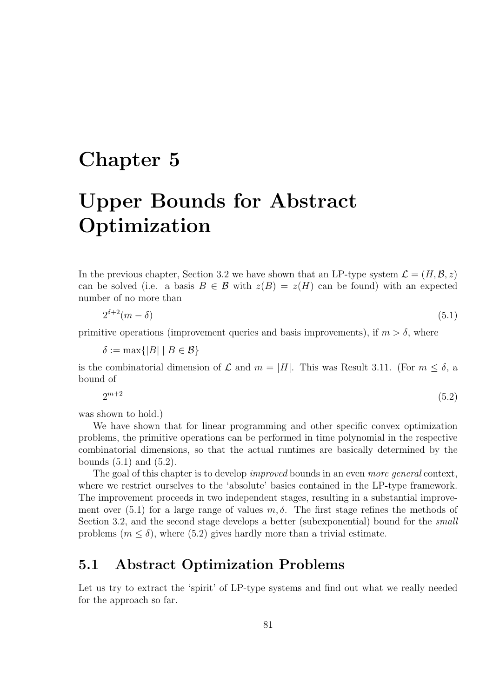## Chapter 5

# Upper Bounds for Abstract Optimization

In the previous chapter, Section 3.2 we have shown that an LP-type system  $\mathcal{L} = (H, \mathcal{B}, z)$ can be solved (i.e. a basis  $B \in \mathcal{B}$  with  $z(B) = z(H)$  can be found) with an expected number of no more than

$$
2^{\delta+2}(m-\delta) \tag{5.1}
$$

primitive operations (improvement queries and basis improvements), if  $m > \delta$ , where

 $\delta := \max\{|B| \mid B \in \mathcal{B}\}\$ 

is the combinatorial dimension of  $\mathcal L$  and  $m = |H|$ . This was Result 3.11. (For  $m \leq \delta$ , a bound of

$$
2^{m+2} \tag{5.2}
$$

was shown to hold.)

We have shown that for linear programming and other specific convex optimization problems, the primitive operations can be performed in time polynomial in the respective combinatorial dimensions, so that the actual runtimes are basically determined by the bounds  $(5.1)$  and  $(5.2)$ .

The goal of this chapter is to develop *improved* bounds in an even more general context, where we restrict ourselves to the 'absolute' basics contained in the LP-type framework. The improvement proceeds in two independent stages, resulting in a substantial improvement over (5.1) for a large range of values  $m, \delta$ . The first stage refines the methods of Section 3.2, and the second stage develops a better (subexponential) bound for the *small* problems  $(m \leq \delta)$ , where (5.2) gives hardly more than a trivial estimate.

## 5.1 Abstract Optimization Problems

Let us try to extract the 'spirit' of LP-type systems and find out what we really needed for the approach so far.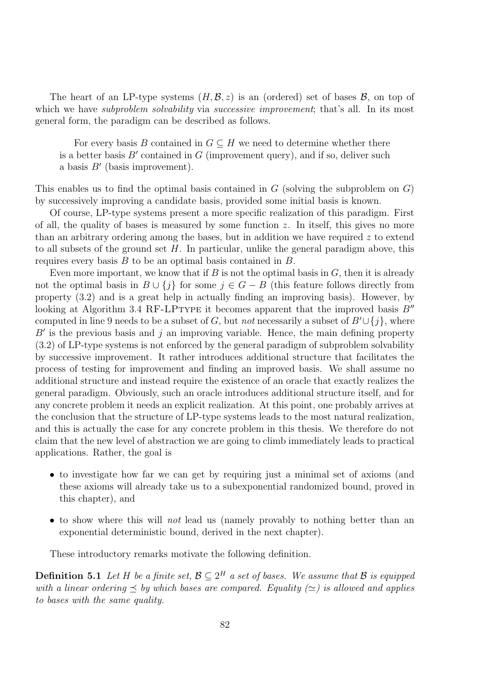The heart of an LP-type systems  $(H, \mathcal{B}, z)$  is an (ordered) set of bases  $\mathcal{B}$ , on top of which we have *subproblem solvability* via *successive improvement*; that's all. In its most general form, the paradigm can be described as follows.

For every basis B contained in  $G \subseteq H$  we need to determine whether there is a better basis  $B'$  contained in G (improvement query), and if so, deliver such a basis  $B'$  (basis improvement).

This enables us to find the optimal basis contained in  $G$  (solving the subproblem on  $G$ ) by successively improving a candidate basis, provided some initial basis is known.

Of course, LP-type systems present a more specific realization of this paradigm. First of all, the quality of bases is measured by some function  $z$ . In itself, this gives no more than an arbitrary ordering among the bases, but in addition we have required z to extend to all subsets of the ground set  $H$ . In particular, unlike the general paradigm above, this requires every basis  $B$  to be an optimal basis contained in  $B$ .

Even more important, we know that if  $B$  is not the optimal basis in  $G$ , then it is already not the optimal basis in  $B \cup \{i\}$  for some  $j \in G - B$  (this feature follows directly from property (3.2) and is a great help in actually finding an improving basis). However, by looking at Algorithm 3.4 RF-LPTYPE it becomes apparent that the improved basis  $B''$ computed in line 9 needs to be a subset of G, but *not* necessarily a subset of  $B' \cup \{j\}$ , where  $B'$  is the previous basis and j an improving variable. Hence, the main defining property (3.2) of LP-type systems is not enforced by the general paradigm of subproblem solvability by successive improvement. It rather introduces additional structure that facilitates the process of testing for improvement and finding an improved basis. We shall assume no additional structure and instead require the existence of an oracle that exactly realizes the general paradigm. Obviously, such an oracle introduces additional structure itself, and for any concrete problem it needs an explicit realization. At this point, one probably arrives at the conclusion that the structure of LP-type systems leads to the most natural realization, and this is actually the case for any concrete problem in this thesis. We therefore do not claim that the new level of abstraction we are going to climb immediately leads to practical applications. Rather, the goal is

- to investigate how far we can get by requiring just a minimal set of axioms (and these axioms will already take us to a subexponential randomized bound, proved in this chapter), and
- to show where this will *not* lead us (namely provably to nothing better than an exponential deterministic bound, derived in the next chapter).

These introductory remarks motivate the following definition.

**Definition 5.1** Let H be a finite set,  $\mathcal{B} \subseteq 2^H$  a set of bases. We assume that  $\mathcal{B}$  is equipped with a linear ordering  $\prec$  by which bases are compared. Equality ( $\simeq$ ) is allowed and applies to bases with the same quality.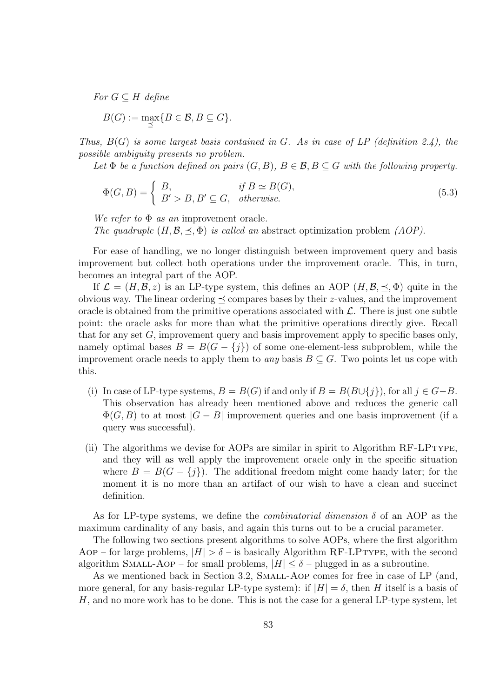For  $G \subseteq H$  define

$$
B(G) := \max_{\preceq} \{ B \in \mathcal{B}, B \subseteq G \}.
$$

Thus,  $B(G)$  is some largest basis contained in G. As in case of LP (definition 2.4), the possible ambiguity presents no problem.

Let  $\Phi$  be a function defined on pairs  $(G, B)$ ,  $B \in \mathcal{B}, B \subseteq G$  with the following property.

$$
\Phi(G, B) = \begin{cases} B, & \text{if } B \simeq B(G), \\ B' > B, B' \subseteq G, & \text{otherwise.} \end{cases} \tag{5.3}
$$

We refer to  $\Phi$  as an improvement oracle. The quadruple  $(H, \mathcal{B}, \preceq, \Phi)$  is called an abstract optimization problem  $(AOP)$ .

For ease of handling, we no longer distinguish between improvement query and basis improvement but collect both operations under the improvement oracle. This, in turn, becomes an integral part of the AOP.

If  $\mathcal{L} = (H, \mathcal{B}, z)$  is an LP-type system, this defines an AOP  $(H, \mathcal{B}, \prec, \Phi)$  quite in the obvious way. The linear ordering  $\prec$  compares bases by their z-values, and the improvement oracle is obtained from the primitive operations associated with  $\mathcal{L}$ . There is just one subtle point: the oracle asks for more than what the primitive operations directly give. Recall that for any set  $G$ , improvement query and basis improvement apply to specific bases only, namely optimal bases  $B = B(G - \{j\})$  of some one-element-less subproblem, while the improvement oracle needs to apply them to *any* basis  $B \subseteq G$ . Two points let us cope with this.

- (i) In case of LP-type systems,  $B = B(G)$  if and only if  $B = B(B \cup \{i\})$ , for all  $i \in G-B$ . This observation has already been mentioned above and reduces the generic call  $\Phi(G, B)$  to at most  $|G - B|$  improvement queries and one basis improvement (if a query was successful).
- (ii) The algorithms we devise for AOPs are similar in spirit to Algorithm RF-LPtype, and they will as well apply the improvement oracle only in the specific situation where  $B = B(G - \{j\})$ . The additional freedom might come handy later; for the moment it is no more than an artifact of our wish to have a clean and succinct definition.

As for LP-type systems, we define the *combinatorial dimension*  $\delta$  of an AOP as the maximum cardinality of any basis, and again this turns out to be a crucial parameter.

The following two sections present algorithms to solve AOPs, where the first algorithm Aop – for large problems,  $|H| > \delta$  – is basically Algorithm RF-LPTYPE, with the second algorithm SMALL-AOP – for small problems,  $|H| \leq \delta$  – plugged in as a subroutine.

As we mentioned back in Section 3.2, Small-Aop comes for free in case of LP (and, more general, for any basis-regular LP-type system): if  $|H| = \delta$ , then H itself is a basis of  $H$ , and no more work has to be done. This is not the case for a general LP-type system, let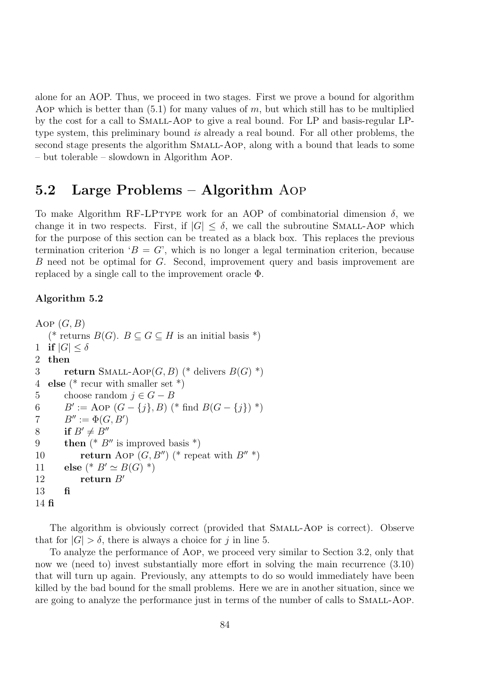alone for an AOP. Thus, we proceed in two stages. First we prove a bound for algorithm AOP which is better than  $(5.1)$  for many values of m, but which still has to be multiplied by the cost for a call to Small-Aop to give a real bound. For LP and basis-regular LPtype system, this preliminary bound is already a real bound. For all other problems, the second stage presents the algorithm SMALL-AOP, along with a bound that leads to some – but tolerable – slowdown in Algorithm Aop.

## 5.2 Large Problems – Algorithm Aop

To make Algorithm RF-LPTYPE work for an AOP of combinatorial dimension  $\delta$ , we change it in two respects. First, if  $|G| \leq \delta$ , we call the subroutine SMALL-AOP which for the purpose of this section can be treated as a black box. This replaces the previous termination criterion ' $B = G'$ , which is no longer a legal termination criterion, because B need not be optimal for G. Second, improvement query and basis improvement are replaced by a single call to the improvement oracle Φ.

### Algorithm 5.2

```
Aop (G, B)(* returns B(G). B \subseteq G \subseteq H is an initial basis *)
1 if |G| \le \delta<br>2 then
   then
3 return SMALL-AOP(G, B) (* delivers B(G) *)
4 else (* recur with smaller set *)
5 choose random j \in G - B<br>6 B' := \text{AOP}(G - \{j\}, B)6 B' := \text{Aop}(G - \{j\}, B) (* find B(G - \{j\}) *)
7 B'' := \Phi(G, B')8 if B' \neq B''<br>9 then (^*B)then (* B'' is improved basis *)
10 return Aop (G, B'') (* repeat with B'' *)
11 else (* B' \simeq B(G) *)
12 return B'13 fi
14 fi
```
The algorithm is obviously correct (provided that SMALL-AOP is correct). Observe that for  $|G| > \delta$ , there is always a choice for j in line 5.

To analyze the performance of Aop, we proceed very similar to Section 3.2, only that now we (need to) invest substantially more effort in solving the main recurrence  $(3.10)$ that will turn up again. Previously, any attempts to do so would immediately have been killed by the bad bound for the small problems. Here we are in another situation, since we are going to analyze the performance just in terms of the number of calls to SMALL-AOP.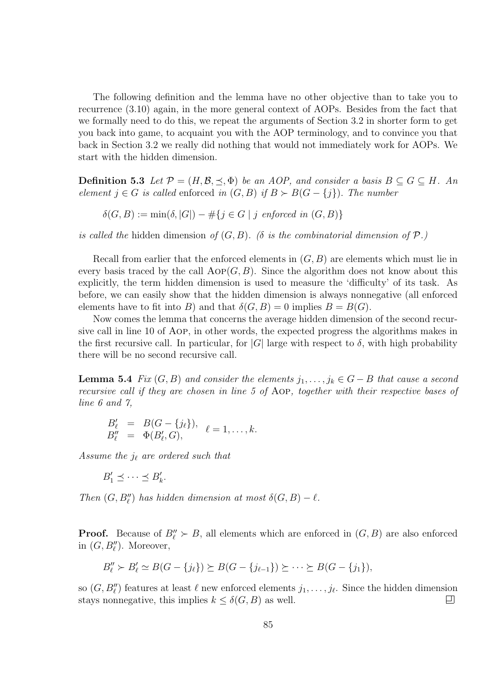The following definition and the lemma have no other objective than to take you to recurrence (3.10) again, in the more general context of AOPs. Besides from the fact that we formally need to do this, we repeat the arguments of Section 3.2 in shorter form to get you back into game, to acquaint you with the AOP terminology, and to convince you that back in Section 3.2 we really did nothing that would not immediately work for AOPs. We start with the hidden dimension.

**Definition 5.3** Let  $\mathcal{P} = (H, \mathcal{B}, \preceq, \Phi)$  be an AOP, and consider a basis  $B \subseteq G \subseteq H$ . An element  $j \in G$  is called enforced in  $(G, B)$  if  $B \succ B(G - \{j\})$ . The number

 $\delta(G, B) := \min(\delta, |G|) - \#\{j \in G \mid j \text{ enforced in } (G, B)\}\$ 

is called the hidden dimension of  $(G, B)$ . ( $\delta$  is the combinatorial dimension of  $\mathcal{P}$ .)

Recall from earlier that the enforced elements in  $(G, B)$  are elements which must lie in every basis traced by the call  $\text{AOP}(G, B)$ . Since the algorithm does not know about this explicitly, the term hidden dimension is used to measure the 'difficulty' of its task. As before, we can easily show that the hidden dimension is always nonnegative (all enforced elements have to fit into B) and that  $\delta(G, B) = 0$  implies  $B = B(G)$ .

Now comes the lemma that concerns the average hidden dimension of the second recursive call in line 10 of Aop, in other words, the expected progress the algorithms makes in the first recursive call. In particular, for  $|G|$  large with respect to  $\delta$ , with high probability there will be no second recursive call.

**Lemma 5.4** Fix  $(G, B)$  and consider the elements  $j_1, \ldots, j_k \in G-B$  that cause a second recursive call if they are chosen in line 5 of Aop, together with their respective bases of line 6 and 7,

$$
B'_{\ell} = B(G - \{j_{\ell}\}), \quad \ell = 1, \ldots, k.
$$
  

$$
B''_{\ell} = \Phi(B'_{\ell}, G), \qquad \ell = 1, \ldots, k.
$$

Assume the  $j_{\ell}$  are ordered such that

$$
B'_1 \preceq \cdots \preceq B'_k.
$$

Then  $(G, B''_{\ell})$  has hidden dimension at most  $\delta(G, B) - \ell$ .

**Proof.** Because of  $B_{\ell}^{"} \succ B$ , all elements which are enforced in  $(G, B)$  are also enforced in  $(G, B_{\ell}^{\prime\prime})$ . Moreover,

$$
B''_{\ell} > B'_{\ell} \simeq B(G - \{j_{\ell}\}) \succeq B(G - \{j_{\ell-1}\}) \succeq \cdots \succeq B(G - \{j_{1}\}),
$$

so  $(G, B_{\ell}^{\prime\prime})$  features at least  $\ell$  new enforced elements  $j_1, \ldots, j_{\ell}$ . Since the hidden dimension stays nonnegative, this implies  $k \leq \delta(G, B)$  as well. 口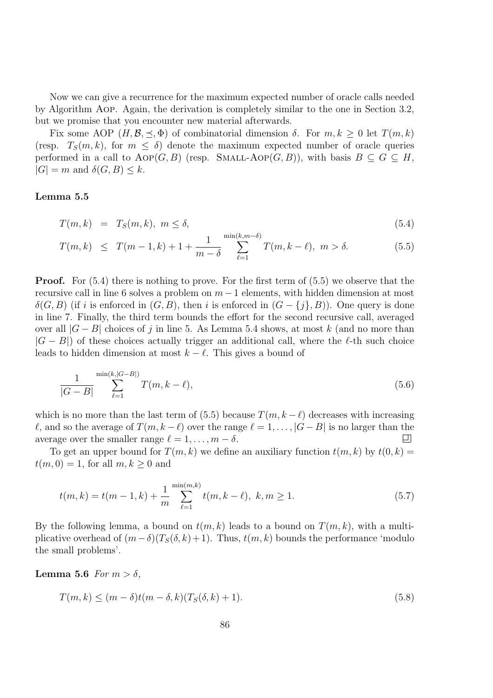Now we can give a recurrence for the maximum expected number of oracle calls needed by Algorithm Aop. Again, the derivation is completely similar to the one in Section 3.2, but we promise that you encounter new material afterwards.

Fix some AOP  $(H, \mathcal{B}, \preceq, \Phi)$  of combinatorial dimension  $\delta$ . For  $m, k \geq 0$  let  $T(m, k)$ (resp.  $T_S(m, k)$ , for  $m \leq \delta$ ) denote the maximum expected number of oracle queries performed in a call to  $AOP(G, B)$  (resp. SMALL-AOP $(G, B)$ ), with basis  $B \subseteq G \subseteq H$ ,  $|G| = m$  and  $\delta(G, B) \leq k$ .

#### Lemma 5.5

$$
T(m,k) = T_S(m,k), \ m \le \delta,
$$
\n
$$
(5.4)
$$

$$
T(m,k) \leq T(m-1,k) + 1 + \frac{1}{m-\delta} \sum_{\ell=1}^{\min(k,m-\delta)} T(m,k-\ell), \ m > \delta.
$$
 (5.5)

**Proof.** For  $(5.4)$  there is nothing to prove. For the first term of  $(5.5)$  we observe that the recursive call in line 6 solves a problem on  $m-1$  elements, with hidden dimension at most  $\delta(G, B)$  (if i is enforced in  $(G, B)$ , then i is enforced in  $(G - \{i\}, B)$ ). One query is done in line 7. Finally, the third term bounds the effort for the second recursive call, averaged over all  $|G - B|$  choices of j in line 5. As Lemma 5.4 shows, at most k (and no more than  $|G - B|$ ) of these choices actually trigger an additional call, where the  $\ell$ -th such choice leads to hidden dimension at most  $k - \ell$ . This gives a bound of

$$
\frac{1}{|G-B|} \sum_{\ell=1}^{\min(k,|G-B|)} T(m,k-\ell),\tag{5.6}
$$

which is no more than the last term of (5.5) because  $T(m, k - \ell)$  decreases with increasing  $\ell$ , and so the average of  $T(m, k - \ell)$  over the range  $\ell = 1, ..., |G - B|$  is no larger than the average over the smaller range  $\ell = 1, ..., m - \delta$ . average over the smaller range  $\ell = 1, \ldots, m - \delta$ .

To get an upper bound for  $T(m, k)$  we define an auxiliary function  $t(m, k)$  by  $t(0, k) =$  $t(m, 0) = 1$ , for all  $m, k \geq 0$  and

$$
t(m,k) = t(m-1,k) + \frac{1}{m} \sum_{\ell=1}^{\min(m,k)} t(m,k-\ell), \ k, m \ge 1.
$$
 (5.7)

By the following lemma, a bound on  $t(m, k)$  leads to a bound on  $T(m, k)$ , with a multiplicative overhead of  $(m-\delta)(T_{S}(\delta, k)+1)$ . Thus,  $t(m, k)$  bounds the performance 'modulo the small problems'.

**Lemma 5.6** For  $m > \delta$ ,

$$
T(m,k) \le (m-\delta)t(m-\delta,k)(T_S(\delta,k)+1). \tag{5.8}
$$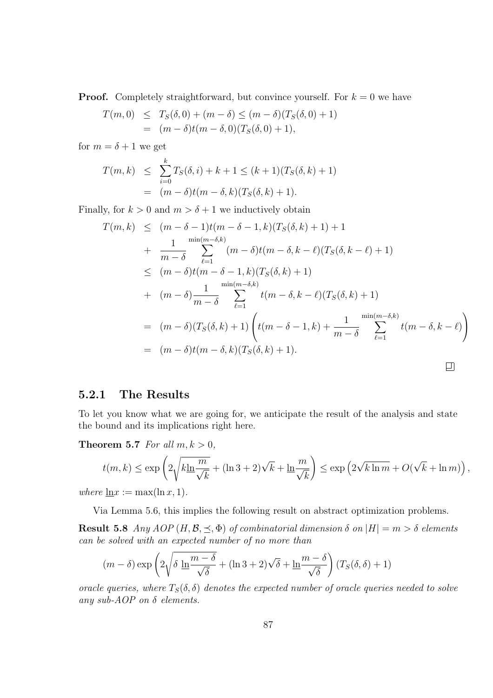**Proof.** Completely straightforward, but convince yourself. For  $k = 0$  we have

$$
T(m,0) \leq T_S(\delta,0) + (m-\delta) \leq (m-\delta)(T_S(\delta,0) + 1)
$$
  
=  $(m-\delta)t(m-\delta,0)(T_S(\delta,0) + 1),$ 

for  $m = \delta + 1$  we get

$$
T(m,k) \leq \sum_{i=0}^{k} T_S(\delta, i) + k + 1 \leq (k+1)(T_S(\delta, k) + 1)
$$
  
=  $(m - \delta)t(m - \delta, k)(T_S(\delta, k) + 1).$ 

Finally, for  $k > 0$  and  $m > \delta + 1$  we inductively obtain

$$
T(m,k) \leq (m-\delta-1)t(m-\delta-1,k)(T_S(\delta,k)+1)+1
$$
  
+ 
$$
\frac{1}{m-\delta} \sum_{\ell=1}^{\min(m-\delta,k)} (m-\delta)t(m-\delta,k-\ell)(T_S(\delta,k-\ell)+1)
$$
  

$$
\leq (m-\delta)t(m-\delta-1,k)(T_S(\delta,k)+1)
$$
  
+ 
$$
(m-\delta)\frac{1}{m-\delta} \sum_{\ell=1}^{\min(m-\delta,k)} t(m-\delta,k-\ell)(T_S(\delta,k)+1)
$$
  
= 
$$
(m-\delta)(T_S(\delta,k)+1) \left(t(m-\delta-1,k)+\frac{1}{m-\delta} \sum_{\ell=1}^{\min(m-\delta,k)} t(m-\delta,k-\ell)\right)
$$
  
= 
$$
(m-\delta)t(m-\delta,k)(T_S(\delta,k)+1).
$$

## 5.2.1 The Results

To let you know what we are going for, we anticipate the result of the analysis and state the bound and its implications right here.

Theorem 5.7 For all  $m, k > 0$ ,

$$
t(m,k) \le \exp\left(2\sqrt{k\ln\frac{m}{\sqrt{k}}} + (\ln 3 + 2)\sqrt{k} + \frac{\ln m}{\sqrt{k}}\right) \le \exp\left(2\sqrt{k\ln m} + O(\sqrt{k} + \ln m)\right),
$$

where  $\underline{\ln}x := \max(\ln x, 1)$ .

Via Lemma 5.6, this implies the following result on abstract optimization problems.

**Result 5.8** Any AOP  $(H, \mathcal{B}, \preceq, \Phi)$  of combinatorial dimension  $\delta$  on  $|H| = m > \delta$  elements can be solved with an expected number of no more than

$$
(m - \delta) \exp\left(2\sqrt{\delta \ln \frac{m - \delta}{\sqrt{\delta}}} + (\ln 3 + 2)\sqrt{\delta} + \ln \frac{m - \delta}{\sqrt{\delta}}\right) (T_S(\delta, \delta) + 1)
$$

oracle queries, where  $T_S(\delta, \delta)$  denotes the expected number of oracle queries needed to solve any sub-AOP on δ elements.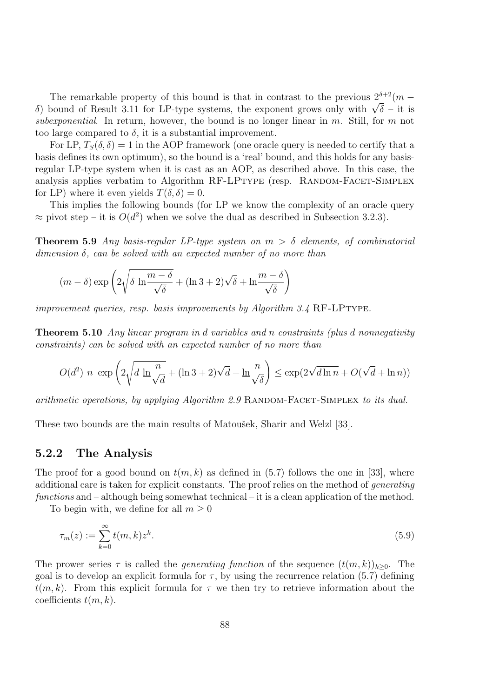The remarkable property of this bound is that in contrast to the previous  $2^{\delta+2}(m$ δ) bound of Result 3.11 for LP-type systems, the exponent grows only with  $\sqrt{\delta}$  – it is subexponential. In return, however, the bound is no longer linear in  $m$ . Still, for  $m$  not too large compared to  $\delta$ , it is a substantial improvement.

For LP,  $T_S(\delta, \delta) = 1$  in the AOP framework (one oracle query is needed to certify that a basis defines its own optimum), so the bound is a 'real' bound, and this holds for any basisregular LP-type system when it is cast as an AOP, as described above. In this case, the analysis applies verbatim to Algorithm RF-LPTYPE (resp. RANDOM-FACET-SIMPLEX for LP) where it even yields  $T(\delta, \delta) = 0$ .

This implies the following bounds (for LP we know the complexity of an oracle query  $\approx$  pivot step – it is  $O(d^2)$  when we solve the dual as described in Subsection 3.2.3).

**Theorem 5.9** Any basis-regular LP-type system on  $m > \delta$  elements, of combinatorial  $dimension \delta$ , can be solved with an expected number of no more than

$$
(m - \delta) \exp\left(2\sqrt{\delta \ln \frac{m - \delta}{\sqrt{\delta}}} + (\ln 3 + 2)\sqrt{\delta} + \ln \frac{m - \delta}{\sqrt{\delta}}\right)
$$

improvement queries, resp. basis improvements by Algorithm  $3.4$  RF-LPTYPE.

Theorem 5.10 Any linear program in d variables and n constraints (plus d nonnegativity constraints) can be solved with an expected number of no more than

$$
O(d^2) n \exp\left(2\sqrt{d\ln\frac{n}{\sqrt{d}}} + (\ln 3 + 2)\sqrt{d} + \ln\frac{n}{\sqrt{\delta}}\right) \le \exp(2\sqrt{d\ln n} + O(\sqrt{d} + \ln n))
$$

arithmetic operations, by applying Algorithm  $2.9$  RANDOM-FACET-SIMPLEX to its dual.

These two bounds are the main results of Matoušek, Sharir and Welzl [33].

#### 5.2.2 The Analysis

The proof for a good bound on  $t(m, k)$  as defined in (5.7) follows the one in [33], where additional care is taken for explicit constants. The proof relies on the method of generating functions and  $-$  although being somewhat technical  $-$  it is a clean application of the method.

To begin with, we define for all  $m \geq 0$ 

$$
\tau_m(z) := \sum_{k=0}^{\infty} t(m,k) z^k.
$$
\n(5.9)

The prower series  $\tau$  is called the *generating function* of the sequence  $(t(m, k))_{k>0}$ . The goal is to develop an explicit formula for  $\tau$ , by using the recurrence relation (5.7) defining  $t(m, k)$ . From this explicit formula for  $\tau$  we then try to retrieve information about the coefficients  $t(m, k)$ .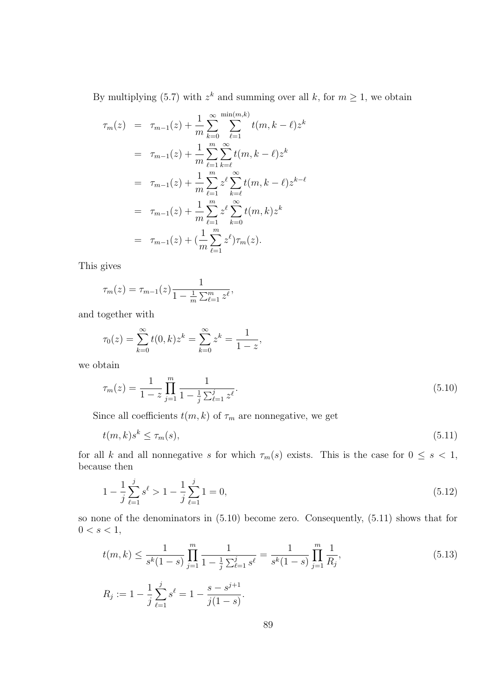By multiplying (5.7) with  $z^k$  and summing over all k, for  $m \ge 1$ , we obtain

$$
\tau_m(z) = \tau_{m-1}(z) + \frac{1}{m} \sum_{k=0}^{\infty} \sum_{\ell=1}^{\min(m,k)} t(m, k - \ell) z^k
$$
  
\n
$$
= \tau_{m-1}(z) + \frac{1}{m} \sum_{\ell=1}^m \sum_{k=\ell}^{\infty} t(m, k - \ell) z^k
$$
  
\n
$$
= \tau_{m-1}(z) + \frac{1}{m} \sum_{\ell=1}^m z^{\ell} \sum_{k=\ell}^{\infty} t(m, k - \ell) z^{k-\ell}
$$
  
\n
$$
= \tau_{m-1}(z) + \frac{1}{m} \sum_{\ell=1}^m z^{\ell} \sum_{k=0}^{\infty} t(m, k) z^k
$$
  
\n
$$
= \tau_{m-1}(z) + (\frac{1}{m} \sum_{\ell=1}^m z^{\ell}) \tau_m(z).
$$

This gives

$$
\tau_m(z) = \tau_{m-1}(z) \frac{1}{1 - \frac{1}{m} \sum_{\ell=1}^m z^{\ell}},
$$

and together with

$$
\tau_0(z) = \sum_{k=0}^{\infty} t(0, k) z^k = \sum_{k=0}^{\infty} z^k = \frac{1}{1-z},
$$

we obtain

$$
\tau_m(z) = \frac{1}{1-z} \prod_{j=1}^m \frac{1}{1 - \frac{1}{j} \sum_{\ell=1}^j z^{\ell}}.
$$
\n(5.10)

Since all coefficients  $t(m, k)$  of  $\tau_m$  are nonnegative, we get

$$
t(m,k)s^k \le \tau_m(s),\tag{5.11}
$$

for all k and all nonnegative s for which  $\tau_m(s)$  exists. This is the case for  $0 \leq s < 1$ , because then

$$
1 - \frac{1}{j} \sum_{\ell=1}^{j} s^{\ell} > 1 - \frac{1}{j} \sum_{\ell=1}^{j} 1 = 0,
$$
\n(5.12)

so none of the denominators in (5.10) become zero. Consequently, (5.11) shows that for  $0 < s < 1,$ 

$$
t(m,k) \le \frac{1}{s^k(1-s)} \prod_{j=1}^m \frac{1}{1 - \frac{1}{j} \sum_{\ell=1}^j s^\ell} = \frac{1}{s^k(1-s)} \prod_{j=1}^m \frac{1}{R_j},
$$
\n
$$
R_j := 1 - \frac{1}{j} \sum_{\ell=1}^j s^\ell = 1 - \frac{s - s^{j+1}}{j(1-s)}.
$$
\n(5.13)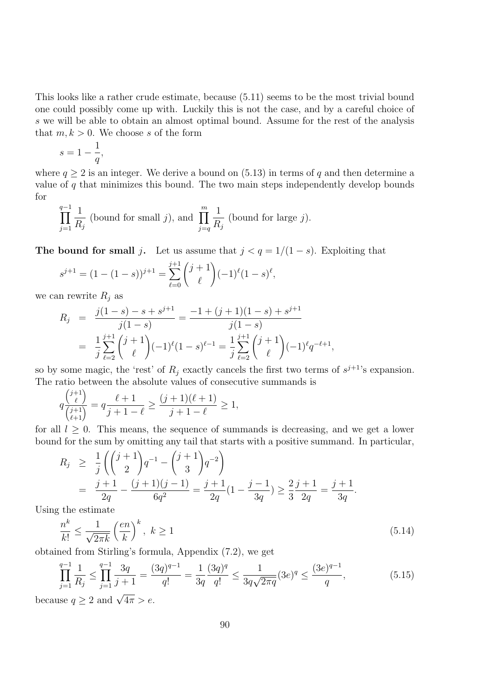This looks like a rather crude estimate, because (5.11) seems to be the most trivial bound one could possibly come up with. Luckily this is not the case, and by a careful choice of s we will be able to obtain an almost optimal bound. Assume for the rest of the analysis that  $m, k > 0$ . We choose s of the form

$$
s = 1 - \frac{1}{q},
$$

where  $q \ge 2$  is an integer. We derive a bound on (5.13) in terms of q and then determine a value of  $q$  that minimizes this bound. The two main steps independently develop bounds for

$$
\prod_{j=1}^{q-1} \frac{1}{R_j}
$$
 (bound for small j), and 
$$
\prod_{j=q}^{m} \frac{1}{R_j}
$$
 (bound for large j).

The bound for small j. Let us assume that  $j < q = 1/(1-s)$ . Exploiting that

$$
s^{j+1} = (1 - (1 - s))^{j+1} = \sum_{\ell=0}^{j+1} {j+1 \choose \ell} (-1)^{\ell} (1 - s)^{\ell},
$$

we can rewrite  $R_i$  as

$$
R_j = \frac{j(1-s) - s + s^{j+1}}{j(1-s)} = \frac{-1 + (j+1)(1-s) + s^{j+1}}{j(1-s)}
$$
  
= 
$$
\frac{1}{j} \sum_{\ell=2}^{j+1} {j+1 \choose \ell} (-1)^{\ell} (1-s)^{\ell-1} = \frac{1}{j} \sum_{\ell=2}^{j+1} {j+1 \choose \ell} (-1)^{\ell} q^{-\ell+1},
$$

so by some magic, the 'rest' of  $R_j$  exactly cancels the first two terms of  $s^{j+1}$ 's expansion. The ratio between the absolute values of consecutive summands is

$$
q\frac{\binom{j+1}{\ell}}{\binom{j+1}{\ell+1}}=q\frac{\ell+1}{j+1-\ell}\geq \frac{(j+1)(\ell+1)}{j+1-\ell}\geq 1,
$$

for all  $l \geq 0$ . This means, the sequence of summands is decreasing, and we get a lower bound for the sum by omitting any tail that starts with a positive summand. In particular,

$$
R_j \geq \frac{1}{j} \left( \binom{j+1}{2} q^{-1} - \binom{j+1}{3} q^{-2} \right)
$$
  
= 
$$
\frac{j+1}{2q} - \frac{(j+1)(j-1)}{6q^2} = \frac{j+1}{2q} (1 - \frac{j-1}{3q}) \geq \frac{2}{3} \frac{j+1}{2q} = \frac{j+1}{3q}.
$$

Using the estimate

$$
\frac{n^k}{k!} \le \frac{1}{\sqrt{2\pi k}} \left(\frac{en}{k}\right)^k, \ k \ge 1
$$
\n
$$
(5.14)
$$

obtained from Stirling's formula, Appendix (7.2), we get

$$
\prod_{j=1}^{q-1} \frac{1}{R_j} \le \prod_{j=1}^{q-1} \frac{3q}{j+1} = \frac{(3q)^{q-1}}{q!} = \frac{1}{3q} \frac{(3q)^q}{q!} \le \frac{1}{3q\sqrt{2\pi q}} (3e)^q \le \frac{(3e)^{q-1}}{q},\tag{5.15}
$$

because  $q \ge 2$  and  $\sqrt{4\pi} > e$ .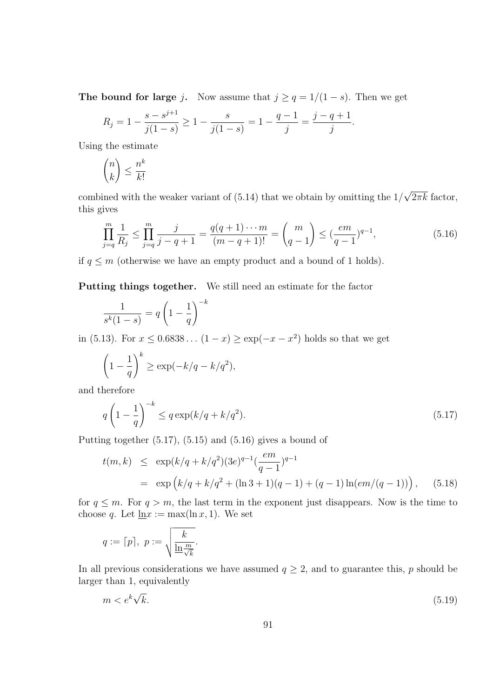The bound for large j. Now assume that  $j \ge q = 1/(1-s)$ . Then we get

$$
R_j = 1 - \frac{s - s^{j+1}}{j(1-s)} \ge 1 - \frac{s}{j(1-s)} = 1 - \frac{q-1}{j} = \frac{j-q+1}{j}.
$$

Using the estimate

$$
\binom{n}{k} \le \frac{n^k}{k!}
$$

combined with the weaker variant of (5.14) that we obtain by omitting the  $1/\sqrt{2\pi k}$  factor, this gives

$$
\prod_{j=q}^{m} \frac{1}{R_j} \le \prod_{j=q}^{m} \frac{j}{j-q+1} = \frac{q(q+1)\cdots m}{(m-q+1)!} = \binom{m}{q-1} \le \left(\frac{em}{q-1}\right)^{q-1},\tag{5.16}
$$

if  $q \leq m$  (otherwise we have an empty product and a bound of 1 holds).

Putting things together. We still need an estimate for the factor

$$
\frac{1}{s^k(1-s)} = q\left(1 - \frac{1}{q}\right)^{-k}
$$

in (5.13). For  $x \le 0.6838...$   $(1-x) \ge \exp(-x-x^2)$  holds so that we get

$$
\left(1 - \frac{1}{q}\right)^k \ge \exp(-k/q - k/q^2),
$$

and therefore

$$
q\left(1-\frac{1}{q}\right)^{-k} \le q\exp\left(\frac{k}{q}+\frac{k}{q^2}\right). \tag{5.17}
$$

Putting together  $(5.17)$ ,  $(5.15)$  and  $(5.16)$  gives a bound of

$$
t(m,k) \le \exp\left(\frac{k}{q} + \frac{k}{q^2}\right)(3e)^{q-1}\left(\frac{em}{q-1}\right)^{q-1}
$$
  
=  $\exp\left(\frac{k}{q} + \frac{k}{q^2} + (\ln 3 + 1)(q-1) + (q-1)\ln(em/(q-1))\right),$  (5.18)

for  $q \leq m$ . For  $q > m$ , the last term in the exponent just disappears. Now is the time to choose q. Let  $\ln x := \max(\ln x, 1)$ . We set

$$
q := \lceil p \rceil, \ p := \sqrt{\frac{k}{\ln \frac{m}{\sqrt{k}}}}.
$$

In all previous considerations we have assumed  $q \geq 2$ , and to guarantee this, p should be larger than 1, equivalently

$$
m < e^k \sqrt{k}.\tag{5.19}
$$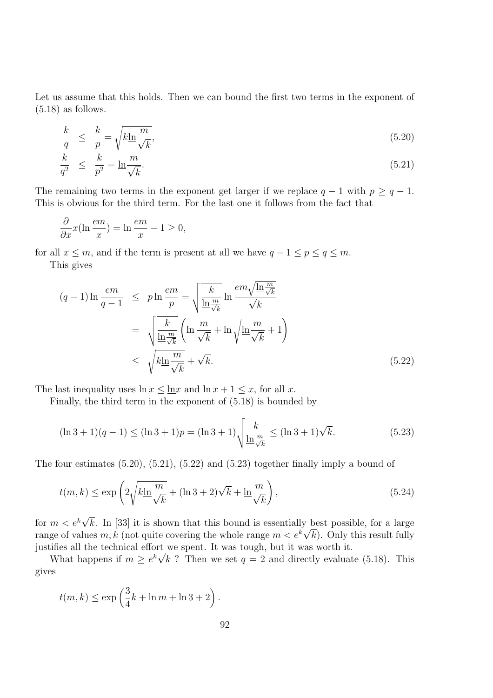Let us assume that this holds. Then we can bound the first two terms in the exponent of  $(5.18)$  as follows.

$$
\frac{k}{q} \leq \frac{k}{p} = \sqrt{k \ln \frac{m}{\sqrt{k}}},\tag{5.20}
$$

$$
\frac{k}{q^2} \le \frac{k}{p^2} = \ln \frac{m}{\sqrt{k}}.\tag{5.21}
$$

The remaining two terms in the exponent get larger if we replace  $q - 1$  with  $p \geq q - 1$ . This is obvious for the third term. For the last one it follows from the fact that

$$
\frac{\partial}{\partial x}x(\ln\frac{em}{x}) = \ln\frac{em}{x} - 1 \ge 0,
$$

for all  $x \leq m$ , and if the term is present at all we have  $q - 1 \leq p \leq q \leq m$ . This gives

$$
(q-1)\ln\frac{em}{q-1} \leq p\ln\frac{em}{p} = \sqrt{\frac{k}{\ln\frac{m}{\sqrt{k}}}}\ln\frac{em\sqrt{\ln\frac{m}{\sqrt{k}}}}{\sqrt{k}}
$$

$$
= \sqrt{\frac{k}{\ln\frac{m}{\sqrt{k}}}}\left(\ln\frac{m}{\sqrt{k}} + \ln\sqrt{\ln\frac{m}{\sqrt{k}}} + 1\right)
$$

$$
\leq \sqrt{k\ln\frac{m}{\sqrt{k}}} + \sqrt{k}.
$$
(5.22)

The last inequality uses  $\ln x \leq \ln x$  and  $\ln x + 1 \leq x$ , for all x.

Finally, the third term in the exponent of (5.18) is bounded by

$$
(\ln 3 + 1)(q - 1) \le (\ln 3 + 1)p = (\ln 3 + 1)\sqrt{\frac{k}{\ln \frac{m}{\sqrt{k}}}} \le (\ln 3 + 1)\sqrt{k}.
$$
 (5.23)

The four estimates (5.20), (5.21), (5.22) and (5.23) together finally imply a bound of

$$
t(m,k) \le \exp\left(2\sqrt{k\ln\frac{m}{\sqrt{k}}} + (\ln 3 + 2)\sqrt{k} + \ln\frac{m}{\sqrt{k}}\right),\tag{5.24}
$$

for  $m < e^{k}\sqrt{k}$ . In [33] it is shown that this bound is essentially best possible, for a large range of values  $m, k$  (not quite covering the whole range  $m < e^{k}\sqrt{k}$ ). Only this result fully justifies all the technical effort we spent. It was tough, but it was worth it.

What happens if  $m \geq e^{k} \sqrt{k}$ ? Then we set  $q = 2$  and directly evaluate (5.18). This gives

$$
t(m,k) \le \exp\left(\frac{3}{4}k + \ln m + \ln 3 + 2\right).
$$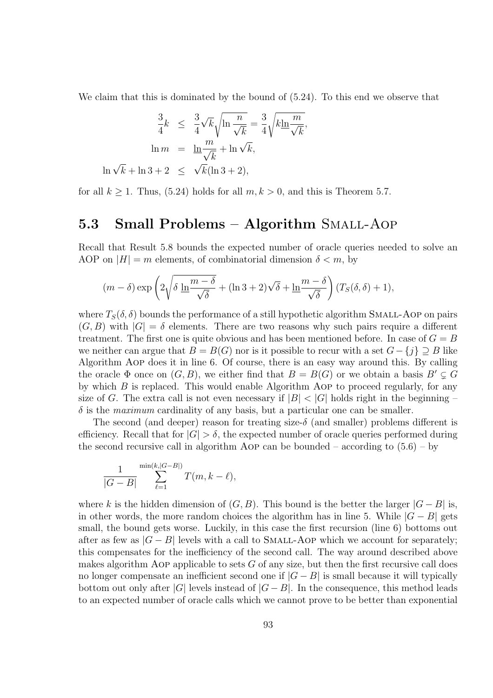We claim that this is dominated by the bound of (5.24). To this end we observe that

$$
\frac{3}{4}k \leq \frac{3}{4}\sqrt{k}\sqrt{\ln\frac{n}{\sqrt{k}}} = \frac{3}{4}\sqrt{k\ln\frac{m}{\sqrt{k}}},
$$

$$
\ln m = \frac{\ln\frac{m}{\sqrt{k}} + \ln\sqrt{k}}{\ln\sqrt{k}}.
$$

$$
\ln\sqrt{k} + \ln 3 + 2 \leq \sqrt{k}(\ln 3 + 2),
$$

for all  $k \ge 1$ . Thus, (5.24) holds for all  $m, k > 0$ , and this is Theorem 5.7.

## 5.3 Small Problems – Algorithm Small-Aop

Recall that Result 5.8 bounds the expected number of oracle queries needed to solve an AOP on  $|H| = m$  elements, of combinatorial dimension  $\delta < m$ , by

$$
(m - \delta) \exp\left(2\sqrt{\delta \ln \frac{m - \delta}{\sqrt{\delta}}} + (\ln 3 + 2)\sqrt{\delta} + \ln \frac{m - \delta}{\sqrt{\delta}}\right) (T_S(\delta, \delta) + 1),
$$

where  $T_S(\delta, \delta)$  bounds the performance of a still hypothetic algorithm SMALL-AOP on pairs  $(G, B)$  with  $|G| = \delta$  elements. There are two reasons why such pairs require a different treatment. The first one is quite obvious and has been mentioned before. In case of  $G = B$ we neither can argue that  $B = B(G)$  nor is it possible to recur with a set  $G - \{i\} \supseteq B$  like Algorithm Aop does it in line 6. Of course, there is an easy way around this. By calling the oracle  $\Phi$  once on  $(G, B)$ , we either find that  $B = B(G)$  or we obtain a basis  $B' \subsetneq G$ by which  $B$  is replaced. This would enable Algorithm AOP to proceed regularly, for any size of G. The extra call is not even necessary if  $|B| < |G|$  holds right in the beginning –  $\delta$  is the *maximum* cardinality of any basis, but a particular one can be smaller.

The second (and deeper) reason for treating size- $\delta$  (and smaller) problems different is efficiency. Recall that for  $|G| > \delta$ , the expected number of oracle queries performed during the second recursive call in algorithm Aop can be bounded – according to  $(5.6)$  – by

$$
\frac{1}{|G-B|}\sum_{\ell=1}^{\min(k,|G-B|)}T(m,k-\ell),
$$

where k is the hidden dimension of  $(G, B)$ . This bound is the better the larger  $|G - B|$  is, in other words, the more random choices the algorithm has in line 5. While  $|G - B|$  gets small, the bound gets worse. Luckily, in this case the first recursion (line 6) bottoms out after as few as  $|G - B|$  levels with a call to SMALL-AOP which we account for separately; this compensates for the inefficiency of the second call. The way around described above makes algorithm AOP applicable to sets  $G$  of any size, but then the first recursive call does no longer compensate an inefficient second one if  $|G - B|$  is small because it will typically bottom out only after  $|G|$  levels instead of  $|G - B|$ . In the consequence, this method leads to an expected number of oracle calls which we cannot prove to be better than exponential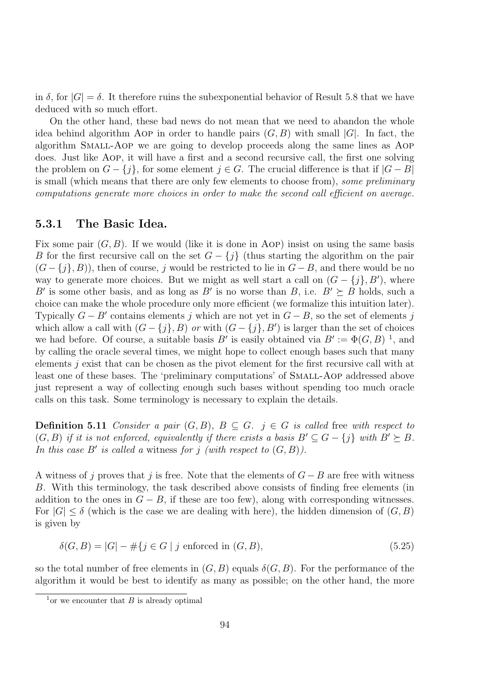in  $\delta$ , for  $|G| = \delta$ . It therefore ruins the subexponential behavior of Result 5.8 that we have deduced with so much effort.

On the other hand, these bad news do not mean that we need to abandon the whole idea behind algorithm Aop in order to handle pairs  $(G, B)$  with small  $|G|$ . In fact, the algorithm Small-Aop we are going to develop proceeds along the same lines as Aop does. Just like Aop, it will have a first and a second recursive call, the first one solving the problem on  $G - \{j\}$ , for some element  $j \in G$ . The crucial difference is that if  $|G - B|$ is small (which means that there are only few elements to choose from), some preliminary computations generate more choices in order to make the second call efficient on average.

### 5.3.1 The Basic Idea.

Fix some pair  $(G, B)$ . If we would (like it is done in Aop) insist on using the same basis B for the first recursive call on the set  $G - \{j\}$  (thus starting the algorithm on the pair  $(G - \{j\}, B)$ , then of course, j would be restricted to lie in  $G - B$ , and there would be no way to generate more choices. But we might as well start a call on  $(G - \{j\}, B')$ , where B' is some other basis, and as long as B' is no worse than B, i.e.  $B' \succeq B$  holds, such a choice can make the whole procedure only more efficient (we formalize this intuition later). Typically  $G - B'$  contains elements j which are not yet in  $G - B$ , so the set of elements j which allow a call with  $(G - \{j\}, B)$  or with  $(G - \{j\}, B')$  is larger than the set of choices we had before. Of course, a suitable basis B' is easily obtained via  $B' := \Phi(G, B)^{-1}$ , and by calling the oracle several times, we might hope to collect enough bases such that many elements j exist that can be chosen as the pivot element for the first recursive call with at least one of these bases. The 'preliminary computations' of SMALL-AOP addressed above just represent a way of collecting enough such bases without spending too much oracle calls on this task. Some terminology is necessary to explain the details.

**Definition 5.11** Consider a pair  $(G, B)$ ,  $B \subseteq G$ .  $j \in G$  is called free with respect to  $(G, B)$  if it is not enforced, equivalently if there exists a basis  $B' \subseteq G - \{j\}$  with  $B' \succeq B$ . In this case B' is called a witness for j (with respect to  $(G, B)$ ).

A witness of j proves that j is free. Note that the elements of  $G - B$  are free with witness B. With this terminology, the task described above consists of finding free elements (in addition to the ones in  $G - B$ , if these are too few), along with corresponding witnesses. For  $|G| \leq \delta$  (which is the case we are dealing with here), the hidden dimension of  $(G, B)$ is given by

$$
\delta(G, B) = |G| - #\{j \in G \mid j \text{ enforced in } (G, B),\tag{5.25}
$$

so the total number of free elements in  $(G, B)$  equals  $\delta(G, B)$ . For the performance of the algorithm it would be best to identify as many as possible; on the other hand, the more

 $\frac{1}{1}$ or we encounter that B is already optimal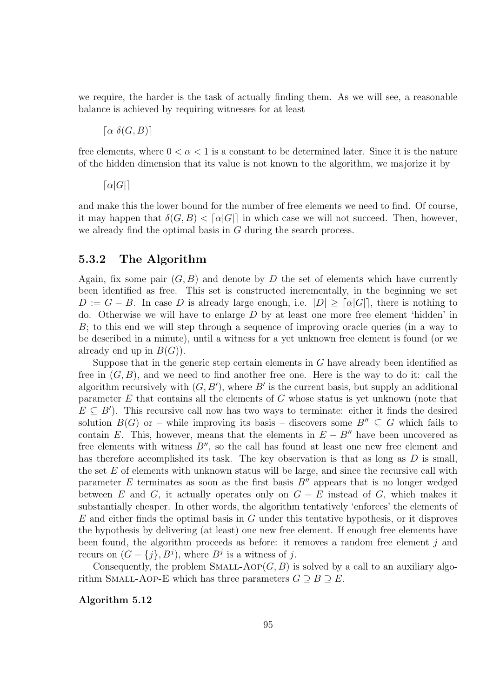we require, the harder is the task of actually finding them. As we will see, a reasonable balance is achieved by requiring witnesses for at least

$$
\lceil \alpha \; \delta(G,B) \rceil
$$

free elements, where  $0 < \alpha < 1$  is a constant to be determined later. Since it is the nature of the hidden dimension that its value is not known to the algorithm, we majorize it by

 $\lceil \alpha |G| \rceil$ 

and make this the lower bound for the number of free elements we need to find. Of course, it may happen that  $\delta(G, B) < \lceil \alpha |G| \rceil$  in which case we will not succeed. Then, however, we already find the optimal basis in  $G$  during the search process.

## 5.3.2 The Algorithm

Again, fix some pair  $(G, B)$  and denote by D the set of elements which have currently been identified as free. This set is constructed incrementally, in the beginning we set  $D := G - B$ . In case D is already large enough, i.e.  $|D| \geq \lceil \alpha |G| \rceil$ , there is nothing to do. Otherwise we will have to enlarge D by at least one more free element 'hidden' in B; to this end we will step through a sequence of improving oracle queries (in a way to be described in a minute), until a witness for a yet unknown free element is found (or we already end up in  $B(G)$ ).

Suppose that in the generic step certain elements in  $G$  have already been identified as free in  $(G, B)$ , and we need to find another free one. Here is the way to do it: call the algorithm recursively with  $(G, B')$ , where B' is the current basis, but supply an additional parameter  $E$  that contains all the elements of  $G$  whose status is yet unknown (note that  $E \subseteq B'$ ). This recursive call now has two ways to terminate: either it finds the desired solution  $B(G)$  or – while improving its basis – discovers some  $B'' \subset G$  which fails to contain E. This, however, means that the elements in  $E - B''$  have been uncovered as free elements with witness  $B''$ , so the call has found at least one new free element and has therefore accomplished its task. The key observation is that as long as  $D$  is small, the set  $E$  of elements with unknown status will be large, and since the recursive call with parameter  $E$  terminates as soon as the first basis  $B''$  appears that is no longer wedged between E and G, it actually operates only on  $G - E$  instead of G, which makes it substantially cheaper. In other words, the algorithm tentatively 'enforces' the elements of  $E$  and either finds the optimal basis in  $G$  under this tentative hypothesis, or it disproves the hypothesis by delivering (at least) one new free element. If enough free elements have been found, the algorithm proceeds as before: it removes a random free element j and recurs on  $(G - \{j\}, B^j)$ , where  $B^j$  is a witness of j.

Consequently, the problem SMALL-AOP $(G, B)$  is solved by a call to an auxiliary algorithm SMALL-AOP-E which has three parameters  $G \supseteq B \supseteq E$ .

Algorithm 5.12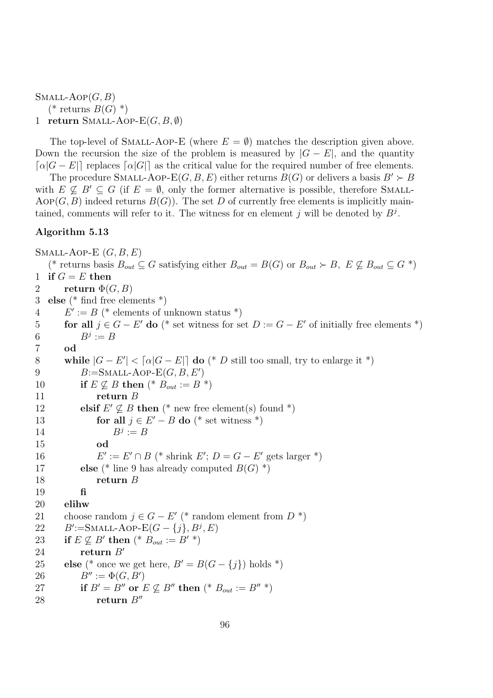$SMALL-AOP(G, B)$ (\* returns  $B(G)$ \*) 1 return SMALL-AOP- $E(G, B, \emptyset)$ 

The top-level of SMALL-AOP-E (where  $E = \emptyset$ ) matches the description given above. Down the recursion the size of the problem is measured by  $|G - E|$ , and the quantity  $\lceil \alpha |G - E| \rceil$  replaces  $\lceil \alpha |G| \rceil$  as the critical value for the required number of free elements.

The procedure SMALL-AOP-E(G, B, E) either returns  $B(G)$  or delivers a basis  $B' \succ B$ with  $E \nsubseteq B' \subseteq G$  (if  $E = \emptyset$ , only the former alternative is possible, therefore SMALL-AOP(G, B) indeed returns  $B(G)$ ). The set D of currently free elements is implicitly maintained, comments will refer to it. The witness for en element j will be denoted by  $B^j$ .

### Algorithm 5.13

SMALL-AOP-E  $(G, B, E)$ (\* returns basis  $B_{out} \subseteq G$  satisfying either  $B_{out} = B(G)$  or  $B_{out} \succ B$ ,  $E \not\subseteq B_{out} \subseteq G$  \*) 1 if  $G = E$  then 2 return  $\Phi(G, B)$ 3 else (\* find free elements \*)  $4\qquad E' := B$  (\* elements of unknown status \*) 5 **for all**  $j \in G - E'$  do (\* set witness for set  $D := G - E'$  of initially free elements \*) 6  $B^j := B$ 7 od 8 while  $|G - E'| < \lceil \alpha |G - E| \rceil$  do (\* D still too small, try to enlarge it \*) 9  $B:=\text{SMALL-AOP-E}(G, B, E')$ 10 if  $E \not\subseteq B$  then  $(* B_{out} := B *)$ <br>11 return B return  $B$ 12 elsif  $E' \nsubseteq B$  then (\* new free element(s) found \*) 13 **for all**  $j \in E' - B$  **do** (\* set witness \*) 14  $B^j := B$ 15 od **16**  $U' := E' \cap B$  (\* shrink  $E'$ ;  $D = G - E'$  gets larger \*) 17 else (\* line 9 has already computed  $B(G)$  \*) 18 return B 19 fi 20 elihw 21 choose random  $j \in G - E'$  (\* random element from  $D^*$ ) 22  $B' := \text{SMALL-AOP-E}(G - \{j\}, B^j, E)$ 23 if  $E \not\subseteq B'$  then  $(* B_{out} := B' * )$ 24 return  $B'$ 25 else (\* once we get here,  $B' = B(G - \{j\})$  holds \*)<br>26  $B'' := \Phi(G, B')$ 26  $B'' := \Phi(G, B')$ 27 if  $B' = B''$  or  $E \not\subseteq B''$  then  $(* B_{out} := B''*)$ <br>28 return  $B''$ return  $B''$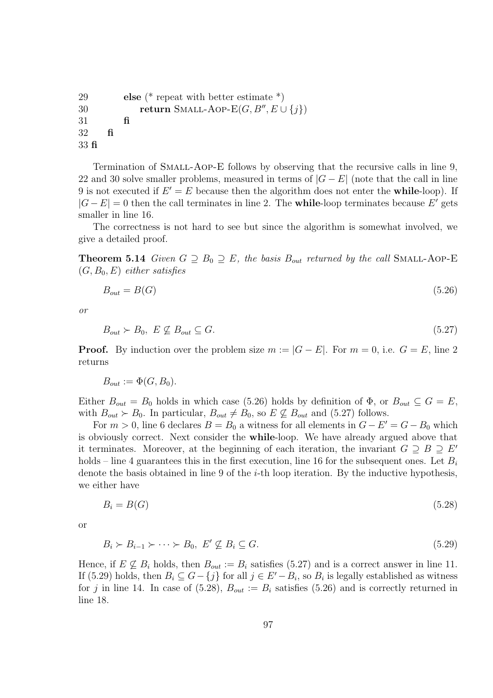```
29 else (* repeat with better estimate *)
30 return SMALL-AOP-E(G, B'', E \cup \{j\})31 fi
32 fi
33 fi
```
Termination of Small-Aop-E follows by observing that the recursive calls in line 9, 22 and 30 solve smaller problems, measured in terms of  $|G - E|$  (note that the call in line 9 is not executed if  $E' = E$  because then the algorithm does not enter the **while**-loop). If  $|G - E| = 0$  then the call terminates in line 2. The **while**-loop terminates because E' gets smaller in line 16.

The correctness is not hard to see but since the algorithm is somewhat involved, we give a detailed proof.

**Theorem 5.14** Given  $G \supseteq B_0 \supseteq E$ , the basis  $B_{out}$  returned by the call SMALL-AOP-E  $(G, B_0, E)$  either satisfies

$$
B_{out} = B(G) \tag{5.26}
$$

or

$$
B_{out} \succ B_0, \ E \not\subseteq B_{out} \subseteq G. \tag{5.27}
$$

**Proof.** By induction over the problem size  $m := |G - E|$ . For  $m = 0$ , i.e.  $G = E$ , line 2 returns

 $B_{out} := \Phi(G, B_0).$ 

Either  $B_{out} = B_0$  holds in which case (5.26) holds by definition of  $\Phi$ , or  $B_{out} \subseteq G = E$ , with  $B_{out} \succ B_0$ . In particular,  $B_{out} \neq B_0$ , so  $E \not\subseteq B_{out}$  and (5.27) follows.

For  $m > 0$ , line 6 declares  $B = B_0$  a witness for all elements in  $G - E' = G - B_0$  which is obviously correct. Next consider the while-loop. We have already argued above that it terminates. Moreover, at the beginning of each iteration, the invariant  $G \supseteq B \supseteq E'$ holds – line 4 guarantees this in the first execution, line 16 for the subsequent ones. Let  $B_i$ denote the basis obtained in line 9 of the  $i$ -th loop iteration. By the inductive hypothesis, we either have

$$
B_i = B(G) \tag{5.28}
$$

or

$$
B_i \succ B_{i-1} \succ \cdots \succ B_0, \ E' \not\subseteq B_i \subseteq G. \tag{5.29}
$$

Hence, if  $E \not\subseteq B_i$  holds, then  $B_{out} := B_i$  satisfies (5.27) and is a correct answer in line 11. If (5.29) holds, then  $B_i \subseteq G - \{j\}$  for all  $j \in E' - B_i$ , so  $B_i$  is legally established as witness for j in line 14. In case of (5.28),  $B_{out} := B_i$  satisfies (5.26) and is correctly returned in line 18.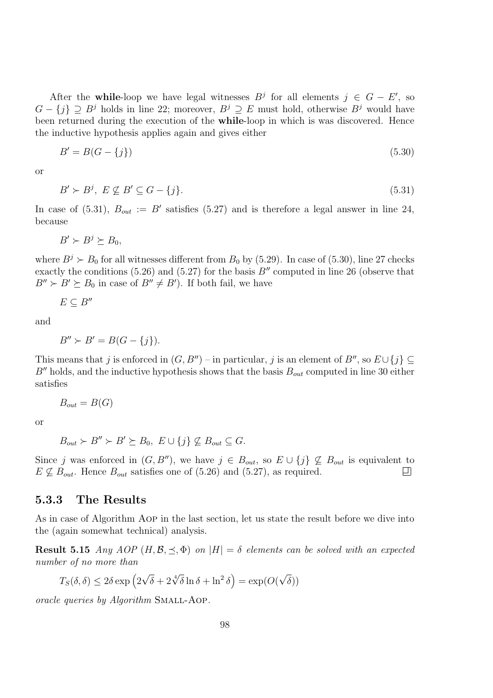After the while-loop we have legal witnesses  $B^j$  for all elements  $j \in G - E'$ , so  $G - \{j\} \supseteq B^j$  holds in line 22; moreover,  $B^j \supseteq E$  must hold, otherwise  $B^j$  would have been returned during the execution of the while-loop in which is was discovered. Hence the inductive hypothesis applies again and gives either

$$
B' = B(G - \{j\})\tag{5.30}
$$

or

$$
B' \succ B^j, \ E \not\subseteq B' \subseteq G - \{j\}.\tag{5.31}
$$

In case of (5.31),  $B_{out} := B'$  satisfies (5.27) and is therefore a legal answer in line 24, because

 $B' \succ B^j \succeq B_0,$ 

where  $B^j \succ B_0$  for all witnesses different from  $B_0$  by (5.29). In case of (5.30), line 27 checks exactly the conditions (5.26) and (5.27) for the basis  $B''$  computed in line 26 (observe that  $B'' \succ B' \succeq B_0$  in case of  $B'' \neq B'$ ). If both fail, we have

$$
E\subseteq B''
$$

and

$$
B'' \succ B' = B(G - \{j\}).
$$

This means that j is enforced in  $(G, B'')$  – in particular, j is an element of  $B''$ , so  $E \cup \{j\} \subseteq$  $B''$  holds, and the inductive hypothesis shows that the basis  $B_{out}$  computed in line 30 either satisfies

$$
B_{out} = B(G)
$$

or

$$
B_{out} \succ B'' \succ B' \succeq B_0, \ E \cup \{j\} \not\subseteq B_{out} \subseteq G.
$$

Since j was enforced in  $(G, B'')$ , we have  $j \in B_{out}$ , so  $E \cup \{j\} \nsubseteq B_{out}$  is equivalent to  $E \nsubseteq B_{out}$ . Hence  $B_{out}$  satisfies one of  $(5.26)$  and  $(5.27)$ , as required.  $E \nsubseteq B_{out}$ . Hence  $B_{out}$  satisfies one of (5.26) and (5.27), as required.

#### 5.3.3 The Results

As in case of Algorithm Aop in the last section, let us state the result before we dive into the (again somewhat technical) analysis.

**Result 5.15** Any AOP  $(H, \mathcal{B}, \preceq, \Phi)$  on  $|H| = \delta$  elements can be solved with an expected number of no more than

$$
T_S(\delta, \delta) \le 2\delta \exp\left(2\sqrt{\delta} + 2\sqrt[4]{\delta}\ln \delta + \ln^2 \delta\right) = \exp(O(\sqrt{\delta}))
$$

oracle queries by Algorithm Small-Aop.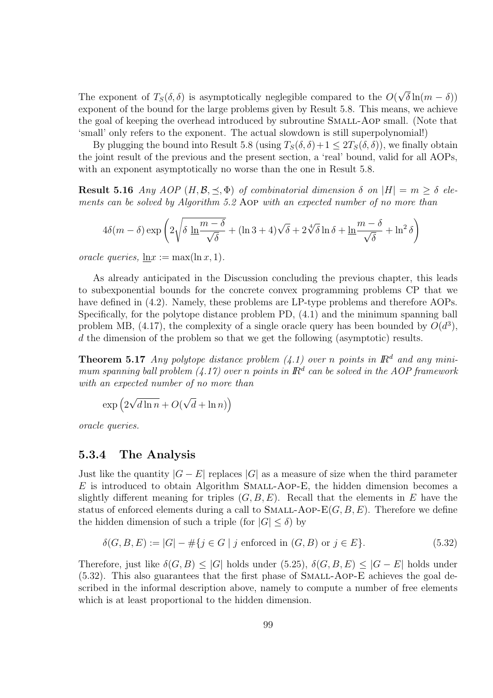The exponent of  $T_S(\delta, \delta)$  is asymptotically neglegible compared to the  $O(\sqrt{\delta}\ln(m-\delta))$ exponent of the bound for the large problems given by Result 5.8. This means, we achieve the goal of keeping the overhead introduced by subroutine Small-Aop small. (Note that 'small' only refers to the exponent. The actual slowdown is still superpolynomial!)

By plugging the bound into Result 5.8 (using  $T_S(\delta, \delta) + 1 \leq 2T_S(\delta, \delta)$ ), we finally obtain the joint result of the previous and the present section, a 'real' bound, valid for all AOPs, with an exponent asymptotically no worse than the one in Result 5.8.

**Result 5.16** Any AOP  $(H, \mathcal{B}, \preceq, \Phi)$  of combinatorial dimension  $\delta$  on  $|H| = m \geq \delta$  elements can be solved by Algorithm 5.2 Aop with an expected number of no more than

$$
4\delta(m-\delta)\exp\left(2\sqrt{\delta\,\ln\!\frac{m-\delta}{\sqrt{\delta}}} + (\ln 3 + 4)\sqrt{\delta} + 2\sqrt[4]{\delta}\ln\delta + \ln\!\frac{m-\delta}{\sqrt{\delta}} + \ln^2\delta\right)
$$

oracle queries,  $ln x := max(ln x, 1)$ .

As already anticipated in the Discussion concluding the previous chapter, this leads to subexponential bounds for the concrete convex programming problems CP that we have defined in (4.2). Namely, these problems are LP-type problems and therefore AOPs. Specifically, for the polytope distance problem PD, (4.1) and the minimum spanning ball problem MB, (4.17), the complexity of a single oracle query has been bounded by  $O(d^3)$ , d the dimension of the problem so that we get the following (asymptotic) results.

**Theorem 5.17** Any polytope distance problem (4.1) over n points in  $\mathbb{R}^d$  and any minimum spanning ball problem  $(4.17)$  over n points in  $\mathbb{R}^d$  can be solved in the AOP framework with an expected number of no more than

$$
\exp\left(2\sqrt{d\ln n} + O(\sqrt{d} + \ln n)\right)
$$

oracle queries.

#### 5.3.4 The Analysis

Just like the quantity  $|G - E|$  replaces  $|G|$  as a measure of size when the third parameter  $E$  is introduced to obtain Algorithm SMALL-AOP-E, the hidden dimension becomes a slightly different meaning for triples  $(G, B, E)$ . Recall that the elements in E have the status of enforced elements during a call to SMALL-AOP- $E(G, B, E)$ . Therefore we define the hidden dimension of such a triple (for  $|G| \le \delta$ ) by

$$
\delta(G, B, E) := |G| - #\{j \in G \mid j \text{ enforced in } (G, B) \text{ or } j \in E\}. \tag{5.32}
$$

Therefore, just like  $\delta(G, B) \leq |G|$  holds under (5.25),  $\delta(G, B, E) \leq |G - E|$  holds under (5.32). This also guarantees that the first phase of Small-Aop-E achieves the goal described in the informal description above, namely to compute a number of free elements which is at least proportional to the hidden dimension.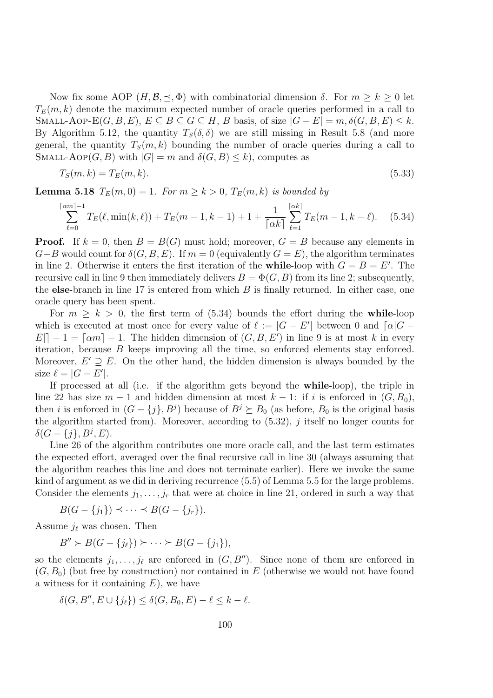Now fix some AOP  $(H, \mathcal{B}, \preceq, \Phi)$  with combinatorial dimension  $\delta$ . For  $m \geq k \geq 0$  let  $T_E(m, k)$  denote the maximum expected number of oracle queries performed in a call to SMALL-AOP-E $(G, B, E)$ ,  $E \subseteq B \subseteq G \subseteq H$ , B basis, of size  $|G - E| = m$ ,  $\delta(G, B, E) \leq k$ . By Algorithm 5.12, the quantity  $T_S(\delta, \delta)$  we are still missing in Result 5.8 (and more general, the quantity  $T_S(m, k)$  bounding the number of oracle queries during a call to SMALL-AOP $(G, B)$  with  $|G| = m$  and  $\delta(G, B) \le k$ , computes as

$$
T_S(m,k) = T_E(m,k). \tag{5.33}
$$

**Lemma 5.18**  $T_E(m, 0) = 1$ . For  $m \ge k > 0$ ,  $T_E(m, k)$  is bounded by

$$
\sum_{\ell=0}^{\lceil \alpha m \rceil - 1} T_E(\ell, \min(k, \ell)) + T_E(m - 1, k - 1) + 1 + \frac{1}{\lceil \alpha k \rceil} \sum_{\ell=1}^{\lceil \alpha k \rceil} T_E(m - 1, k - \ell). \tag{5.34}
$$

**Proof.** If  $k = 0$ , then  $B = B(G)$  must hold; moreover,  $G = B$  because any elements in  $G-B$  would count for  $\delta(G, B, E)$ . If  $m = 0$  (equivalently  $G = E$ ), the algorithm terminates in line 2. Otherwise it enters the first iteration of the **while**-loop with  $G = B = E'$ . The recursive call in line 9 then immediately delivers  $B = \Phi(G, B)$  from its line 2; subsequently, the else-branch in line  $17$  is entered from which  $B$  is finally returned. In either case, one oracle query has been spent.

For  $m \geq k > 0$ , the first term of (5.34) bounds the effort during the while-loop which is executed at most once for every value of  $\ell := |G - E'|$  between 0 and  $\lceil \alpha | G - E' \rceil$  $E|_{\mathcal{E}} - 1 = \lceil \alpha m \rceil - 1$ . The hidden dimension of  $(G, B, E')$  in line 9 is at most k in every iteration, because B keeps improving all the time, so enforced elements stay enforced. Moreover,  $E' \supseteq E$ . On the other hand, the hidden dimension is always bounded by the size  $\ell = |G - E'|$ .

If processed at all (i.e. if the algorithm gets beyond the while-loop), the triple in line 22 has size  $m-1$  and hidden dimension at most  $k-1$ : if i is enforced in  $(G, B_0)$ , then *i* is enforced in  $(G - \{j\}, B^j)$  because of  $B^j \succeq B_0$  (as before,  $B_0$  is the original basis the algorithm started from). Moreover, according to  $(5.32)$ , j itself no longer counts for  $\delta(G - \{j\}, B^j, E).$ 

Line 26 of the algorithm contributes one more oracle call, and the last term estimates the expected effort, averaged over the final recursive call in line 30 (always assuming that the algorithm reaches this line and does not terminate earlier). Here we invoke the same kind of argument as we did in deriving recurrence (5.5) of Lemma 5.5 for the large problems. Consider the elements  $j_1, \ldots, j_r$  that were at choice in line 21, ordered in such a way that

$$
B(G - \{j_1\}) \preceq \cdots \preceq B(G - \{j_r\}).
$$

Assume  $j_\ell$  was chosen. Then

 $B'' \succ B(G - \{j_\ell\}) \succeq \cdots \succeq B(G - \{j_1\}),$ 

so the elements  $j_1, \ldots, j_\ell$  are enforced in  $(G, B'')$ . Since none of them are enforced in  $(G, B_0)$  (but free by construction) nor contained in E (otherwise we would not have found a witness for it containing  $E$ ), we have

$$
\delta(G, B'', E \cup \{j_\ell\}) \le \delta(G, B_0, E) - \ell \le k - \ell.
$$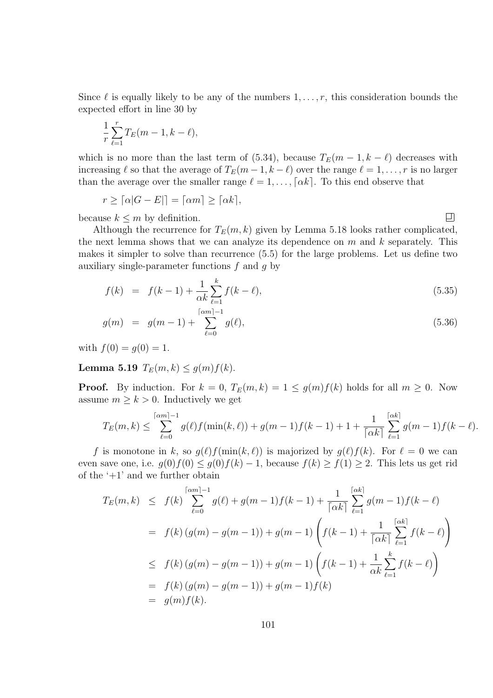Since  $\ell$  is equally likely to be any of the numbers  $1, \ldots, r$ , this consideration bounds the expected effort in line 30 by

$$
\frac{1}{r}\sum_{\ell=1}^r T_E(m-1, k-\ell),
$$

which is no more than the last term of (5.34), because  $T_E(m-1, k-\ell)$  decreases with increasing  $\ell$  so that the average of  $T_E(m - 1, k - \ell)$  over the range  $\ell = 1, \ldots, r$  is no larger than the average over the smaller range  $\ell = 1, \ldots, \lceil \alpha k \rceil$ . To this end observe that

$$
r \geq \lceil \alpha |G - E| \rceil = \lceil \alpha m \rceil \geq \lceil \alpha k \rceil,
$$

because  $k \leq m$  by definition.

 $\Box$ 

Although the recurrence for  $T_E(m, k)$  given by Lemma 5.18 looks rather complicated, the next lemma shows that we can analyze its dependence on  $m$  and  $k$  separately. This makes it simpler to solve than recurrence (5.5) for the large problems. Let us define two auxiliary single-parameter functions  $f$  and  $g$  by

$$
f(k) = f(k-1) + \frac{1}{\alpha k} \sum_{\ell=1}^{k} f(k-\ell),
$$
\n(5.35)

$$
g(m) = g(m-1) + \sum_{\ell=0}^{\lceil \alpha m \rceil - 1} g(\ell), \tag{5.36}
$$

with  $f(0) = g(0) = 1$ .

Lemma 5.19  $T_E(m, k) \le g(m) f(k)$ .

**Proof.** By induction. For  $k = 0$ ,  $T_E(m, k) = 1 \le g(m)f(k)$  holds for all  $m \ge 0$ . Now assume  $m \geq k > 0$ . Inductively we get

$$
T_E(m,k) \leq \sum_{\ell=0}^{\lceil \alpha m \rceil -1} g(\ell) f(\min(k,\ell)) + g(m-1) f(k-1) + 1 + \frac{1}{\lceil \alpha k \rceil} \sum_{\ell=1}^{\lceil \alpha k \rceil} g(m-1) f(k-\ell).
$$

f is monotone in k, so  $g(\ell)f(\min(k, \ell))$  is majorized by  $g(\ell)f(k)$ . For  $\ell = 0$  we can even save one, i.e.  $g(0)f(0) \leq g(0)f(k) - 1$ , because  $f(k) \geq f(1) \geq 2$ . This lets us get rid of the  $+1$ ' and we further obtain

$$
T_E(m,k) \leq f(k) \sum_{\ell=0}^{\lceil \alpha m \rceil - 1} g(\ell) + g(m-1)f(k-1) + \frac{1}{\lceil \alpha k \rceil} \sum_{\ell=1}^{\lceil \alpha k \rceil} g(m-1)f(k-\ell)
$$
  
=  $f(k) (g(m) - g(m-1)) + g(m-1) \left( f(k-1) + \frac{1}{\lceil \alpha k \rceil} \sum_{\ell=1}^{\lceil \alpha k \rceil} f(k-\ell) \right)$   
 $\leq f(k) (g(m) - g(m-1)) + g(m-1) \left( f(k-1) + \frac{1}{\alpha k} \sum_{\ell=1}^k f(k-\ell) \right)$   
=  $f(k) (g(m) - g(m-1)) + g(m-1)f(k)$   
=  $g(m)f(k).$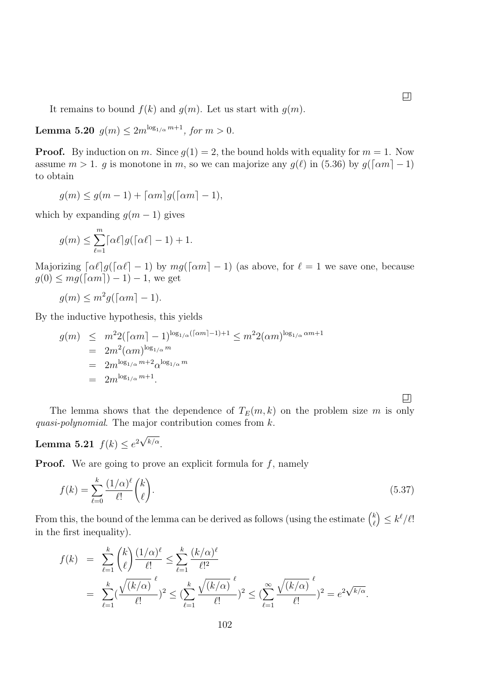It remains to bound  $f(k)$  and  $g(m)$ . Let us start with  $g(m)$ .

**Lemma 5.20**  $g(m) \leq 2m^{\log_{1/\alpha} m + 1}$ , for  $m > 0$ .

**Proof.** By induction on m. Since  $q(1) = 2$ , the bound holds with equality for  $m = 1$ . Now assume  $m > 1$ . g is monotone in m, so we can majorize any  $g(\ell)$  in (5.36) by  $g(\lceil \alpha m \rceil - 1)$ to obtain

$$
g(m) \le g(m-1) + \lceil \alpha m \rceil g(\lceil \alpha m \rceil - 1),
$$

which by expanding  $g(m-1)$  gives

$$
g(m) \le \sum_{\ell=1}^m \lceil \alpha \ell \rceil g(\lceil \alpha \ell \rceil - 1) + 1.
$$

Majorizing  $\lceil \alpha \ell \rceil g(\lceil \alpha \ell \rceil - 1)$  by  $mg(\lceil \alpha m \rceil - 1)$  (as above, for  $\ell = 1$  we save one, because  $g(0) \leq mg(\lceil \alpha m \rceil) - 1 - 1$ , we get

$$
g(m) \le m^2 g(\lceil \alpha m \rceil - 1).
$$

By the inductive hypothesis, this yields

$$
g(m) \leq m^2 2(\lceil \alpha m \rceil - 1)^{\log_{1/\alpha}(\lceil \alpha m \rceil - 1) + 1} \leq m^2 2(\alpha m)^{\log_{1/\alpha} \alpha m + 1}
$$
  
=  $2m^2(\alpha m)^{\log_{1/\alpha} m}$   
=  $2m^{\log_{1/\alpha} m + 2} \alpha^{\log_{1/\alpha} m}$   
=  $2m^{\log_{1/\alpha} m + 1}$ .

The lemma shows that the dependence of  $T_E(m, k)$  on the problem size m is only quasi-polynomial. The major contribution comes from  $k$ .

## Lemma 5.21  $f(k) \leq e^{2\sqrt{k/\alpha}}$ .

**Proof.** We are going to prove an explicit formula for  $f$ , namely

$$
f(k) = \sum_{\ell=0}^{k} \frac{(1/\alpha)^{\ell}}{\ell!} {k \choose \ell}.
$$
\n(5.37)

From this, the bound of the lemma can be derived as follows (using the estimate  $\binom{k}{k}$  $\ell$  $\Big) \leq k^\ell/\ell!$ in the first inequality).

$$
f(k) = \sum_{\ell=1}^{k} {k \choose \ell} \frac{(1/\alpha)^{\ell}}{\ell!} \le \sum_{\ell=1}^{k} \frac{(k/\alpha)^{\ell}}{\ell!^2}
$$
  
= 
$$
\sum_{\ell=1}^{k} (\frac{\sqrt{(k/\alpha)}}{\ell!})^2 \le (\sum_{\ell=1}^{k} \frac{\sqrt{(k/\alpha)}}{\ell!})^2 \le (\sum_{\ell=1}^{\infty} \frac{\sqrt{(k/\alpha)}}{\ell!})^2 = e^{2\sqrt{k/\alpha}}.
$$

 $\boxed{1}$ 

 $\Box$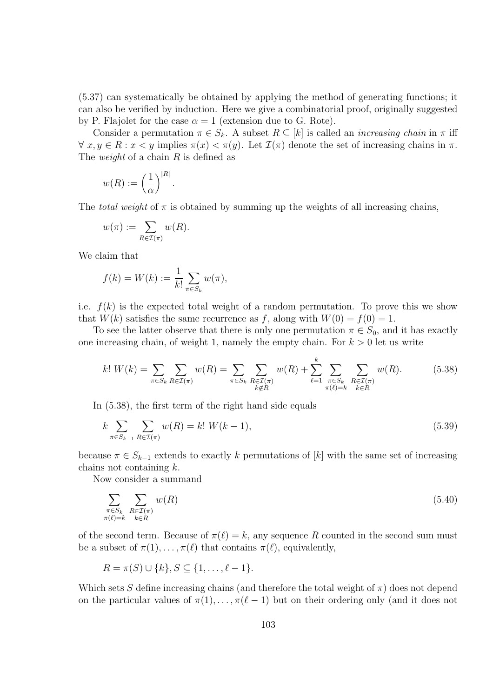(5.37) can systematically be obtained by applying the method of generating functions; it can also be verified by induction. Here we give a combinatorial proof, originally suggested by P. Flajolet for the case  $\alpha = 1$  (extension due to G. Rote).

Consider a permutation  $\pi \in S_k$ . A subset  $R \subseteq [k]$  is called an *increasing chain* in  $\pi$  iff  $\forall x, y \in R : x < y$  implies  $\pi(x) < \pi(y)$ . Let  $\mathcal{I}(\pi)$  denote the set of increasing chains in  $\pi$ . The *weight* of a chain  $R$  is defined as

$$
w(R) := \left(\frac{1}{\alpha}\right)^{|R|}
$$

The *total weight* of  $\pi$  is obtained by summing up the weights of all increasing chains,

$$
w(\pi) := \sum_{R \in \mathcal{I}(\pi)} w(R).
$$

We claim that

$$
f(k) = W(k) := \frac{1}{k!} \sum_{\pi \in S_k} w(\pi),
$$

.

i.e.  $f(k)$  is the expected total weight of a random permutation. To prove this we show that  $W(k)$  satisfies the same recurrence as f, along with  $W(0) = f(0) = 1$ .

To see the latter observe that there is only one permutation  $\pi \in S_0$ , and it has exactly one increasing chain, of weight 1, namely the empty chain. For  $k > 0$  let us write

$$
k! \ W(k) = \sum_{\pi \in S_k} \sum_{R \in \mathcal{I}(\pi)} w(R) = \sum_{\pi \in S_k} \sum_{\substack{R \in \mathcal{I}(\pi) \\ k \notin R}} w(R) + \sum_{\ell=1}^k \sum_{\substack{\pi \in S_k \\ \pi(\ell) = k}} \sum_{\substack{R \in \mathcal{I}(\pi) \\ k \in R}} w(R). \tag{5.38}
$$

In (5.38), the first term of the right hand side equals

$$
k \sum_{\pi \in S_{k-1}} \sum_{R \in \mathcal{I}(\pi)} w(R) = k! \ W(k-1), \tag{5.39}
$$

because  $\pi \in S_{k-1}$  extends to exactly k permutations of [k] with the same set of increasing chains not containing  $k$ .

Now consider a summand

$$
\sum_{\substack{\pi \in S_k \\ \pi(\ell) = k}} \sum_{\substack{R \in \mathcal{I}(\pi) \\ k \in R}} w(R) \tag{5.40}
$$

of the second term. Because of  $\pi(\ell) = k$ , any sequence R counted in the second sum must be a subset of  $\pi(1), \ldots, \pi(\ell)$  that contains  $\pi(\ell)$ , equivalently,

$$
R = \pi(S) \cup \{k\}, S \subseteq \{1, \ldots, \ell - 1\}.
$$

Which sets S define increasing chains (and therefore the total weight of  $\pi$ ) does not depend on the particular values of  $\pi(1), \ldots, \pi(\ell - 1)$  but on their ordering only (and it does not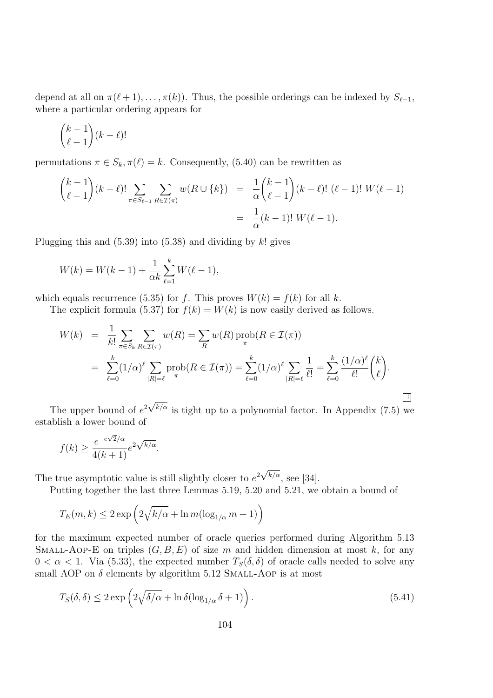depend at all on  $\pi(\ell + 1), \ldots, \pi(k)$ . Thus, the possible orderings can be indexed by  $S_{\ell-1}$ , where a particular ordering appears for

$$
\binom{k-1}{\ell-1}(k-\ell)!
$$

permutations  $\pi \in S_k$ ,  $\pi(\ell) = k$ . Consequently, (5.40) can be rewritten as

$$
\binom{k-1}{\ell-1}(k-\ell)!\sum_{\pi \in S_{\ell-1}} \sum_{R \in \mathcal{I}(\pi)} w(R \cup \{k\}) = \frac{1}{\alpha} \binom{k-1}{\ell-1}(k-\ell)!\ (\ell-1)! \ W(\ell-1)
$$

$$
= \frac{1}{\alpha}(k-1)! \ W(\ell-1).
$$

Plugging this and  $(5.39)$  into  $(5.38)$  and dividing by k! gives

$$
W(k) = W(k-1) + \frac{1}{\alpha k} \sum_{\ell=1}^{k} W(\ell-1),
$$

which equals recurrence (5.35) for f. This proves  $W(k) = f(k)$  for all k.

The explicit formula (5.37) for  $f(k) = W(k)$  is now easily derived as follows.

$$
W(k) = \frac{1}{k!} \sum_{\pi \in S_k} \sum_{R \in \mathcal{I}(\pi)} w(R) = \sum_{R} w(R) \operatorname{prob}(R \in \mathcal{I}(\pi))
$$
  
= 
$$
\sum_{\ell=0}^{k} (1/\alpha)^{\ell} \sum_{|R|=\ell} \operatorname{prob}(R \in \mathcal{I}(\pi)) = \sum_{\ell=0}^{k} (1/\alpha)^{\ell} \sum_{|R|=\ell} \frac{1}{\ell!} = \sum_{\ell=0}^{k} \frac{(1/\alpha)^{\ell}}{\ell!} {k \choose \ell}.
$$

The upper bound of  $e^{2\sqrt{k/\alpha}}$  is tight up to a polynomial factor. In Appendix (7.5) we establish a lower bound of

$$
f(k) \ge \frac{e^{-e\sqrt{2}/\alpha}}{4(k+1)} e^{2\sqrt{k/\alpha}}.
$$

The true asymptotic value is still slightly closer to  $e^{2\sqrt{k/\alpha}}$ , see [34].

Putting together the last three Lemmas 5.19, 5.20 and 5.21, we obtain a bound of

$$
T_E(m,k) \le 2 \exp\left(2\sqrt{k/\alpha} + \ln m(\log_{1/\alpha} m + 1)\right)
$$

for the maximum expected number of oracle queries performed during Algorithm 5.13 SMALL-AOP-E on triples  $(G, B, E)$  of size m and hidden dimension at most k, for any  $0 < \alpha < 1$ . Via (5.33), the expected number  $T_S(\delta, \delta)$  of oracle calls needed to solve any small AOP on  $\delta$  elements by algorithm 5.12 SMALL-AOP is at most

$$
T_S(\delta, \delta) \le 2 \exp\left(2\sqrt{\delta/\alpha} + \ln \delta(\log_{1/\alpha} \delta + 1)\right). \tag{5.41}
$$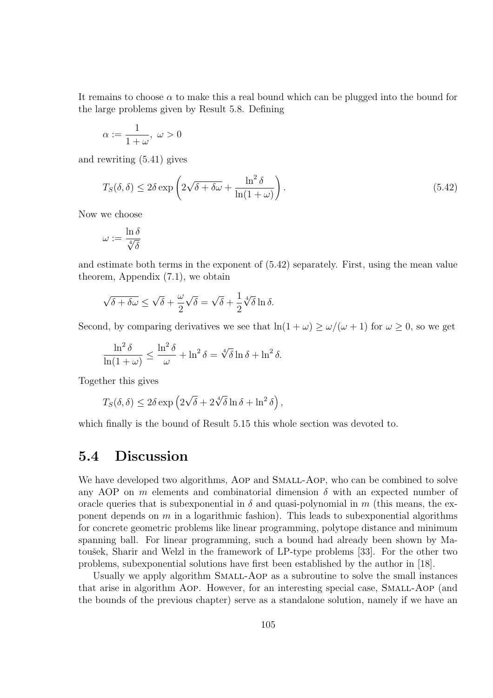It remains to choose  $\alpha$  to make this a real bound which can be plugged into the bound for the large problems given by Result 5.8. Defining

$$
\alpha:=\frac{1}{1+\omega},\ \omega>0
$$

and rewriting (5.41) gives

$$
T_S(\delta, \delta) \le 2\delta \exp\left(2\sqrt{\delta + \delta\omega} + \frac{\ln^2 \delta}{\ln(1 + \omega)}\right). \tag{5.42}
$$

Now we choose

$$
\omega := \frac{\ln \delta}{\sqrt[4]{\delta}}
$$

and estimate both terms in the exponent of (5.42) separately. First, using the mean value theorem, Appendix (7.1), we obtain

$$
\sqrt{\delta + \delta \omega} \le \sqrt{\delta} + \frac{\omega}{2} \sqrt{\delta} = \sqrt{\delta} + \frac{1}{2} \sqrt[4]{\delta} \ln \delta.
$$

Second, by comparing derivatives we see that  $\ln(1 + \omega) \ge \omega/(\omega + 1)$  for  $\omega \ge 0$ , so we get

$$
\frac{\ln^2 \delta}{\ln(1+\omega)} \le \frac{\ln^2 \delta}{\omega} + \ln^2 \delta = \sqrt[4]{\delta} \ln \delta + \ln^2 \delta.
$$

Together this gives

$$
T_S(\delta,\delta) \le 2\delta \exp\left(2\sqrt{\delta} + 2\sqrt[4]{\delta}\ln \delta + \ln^2 \delta\right),\,
$$

which finally is the bound of Result 5.15 this whole section was devoted to.

## 5.4 Discussion

We have developed two algorithms, AOP and SMALL-AOP, who can be combined to solve any AOP on m elements and combinatorial dimension  $\delta$  with an expected number of oracle queries that is subexponential in  $\delta$  and quasi-polynomial in m (this means, the exponent depends on  $m$  in a logarithmic fashion). This leads to subexponential algorithms for concrete geometric problems like linear programming, polytope distance and minimum spanning ball. For linear programming, such a bound had already been shown by Matoušek, Sharir and Welzl in the framework of LP-type problems [33]. For the other two problems, subexponential solutions have first been established by the author in [18].

Usually we apply algorithm Small-Aop as a subroutine to solve the small instances that arise in algorithm Aop. However, for an interesting special case, Small-Aop (and the bounds of the previous chapter) serve as a standalone solution, namely if we have an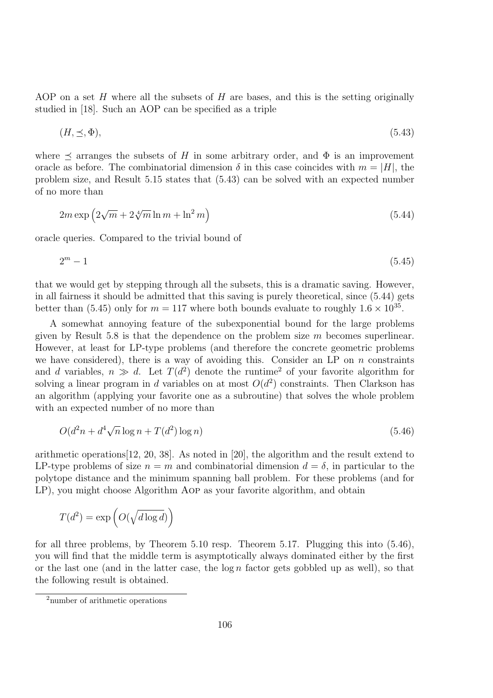AOP on a set H where all the subsets of H are bases, and this is the setting originally studied in [18]. Such an AOP can be specified as a triple

$$
(H, \preceq, \Phi), \tag{5.43}
$$

where  $\prec$  arranges the subsets of H in some arbitrary order, and  $\Phi$  is an improvement oracle as before. The combinatorial dimension  $\delta$  in this case coincides with  $m = |H|$ , the problem size, and Result 5.15 states that (5.43) can be solved with an expected number of no more than

$$
2m\exp\left(2\sqrt{m} + 2\sqrt[4]{m}\ln m + \ln^2 m\right) \tag{5.44}
$$

oracle queries. Compared to the trivial bound of

$$
2^m - 1 \tag{5.45}
$$

that we would get by stepping through all the subsets, this is a dramatic saving. However, in all fairness it should be admitted that this saving is purely theoretical, since (5.44) gets better than (5.45) only for  $m = 117$  where both bounds evaluate to roughly  $1.6 \times 10^{35}$ .

A somewhat annoying feature of the subexponential bound for the large problems given by Result 5.8 is that the dependence on the problem size m becomes superlinear. However, at least for LP-type problems (and therefore the concrete geometric problems we have considered), there is a way of avoiding this. Consider an LP on  $n$  constraints and d variables,  $n \gg d$ . Let  $T(d^2)$  denote the runtime<sup>2</sup> of your favorite algorithm for solving a linear program in d variables on at most  $O(d^2)$  constraints. Then Clarkson has an algorithm (applying your favorite one as a subroutine) that solves the whole problem with an expected number of no more than

$$
O(d^2n + d^4\sqrt{n}\log n + T(d^2)\log n)
$$
\n(5.46)

arithmetic operations[12, 20, 38]. As noted in [20], the algorithm and the result extend to LP-type problems of size  $n = m$  and combinatorial dimension  $d = \delta$ , in particular to the polytope distance and the minimum spanning ball problem. For these problems (and for LP), you might choose Algorithm Aop as your favorite algorithm, and obtain

$$
T(d^2) = \exp\left(O(\sqrt{d\log d})\right)
$$

for all three problems, by Theorem 5.10 resp. Theorem 5.17. Plugging this into (5.46), you will find that the middle term is asymptotically always dominated either by the first or the last one (and in the latter case, the  $\log n$  factor gets gobbled up as well), so that the following result is obtained.

<sup>2</sup>number of arithmetic operations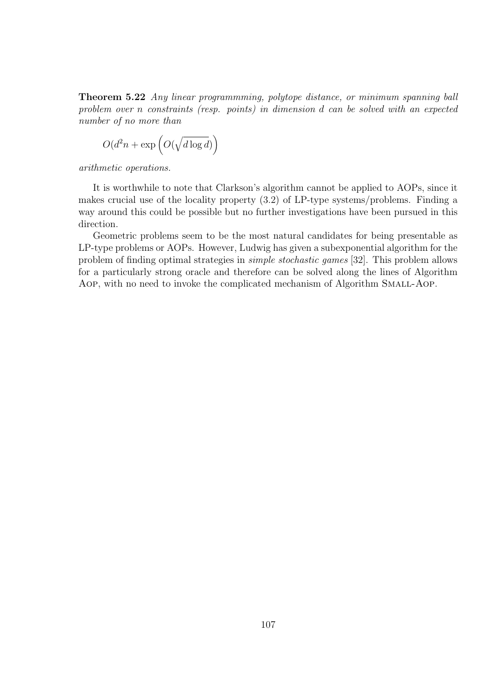Theorem 5.22 Any linear programmming, polytope distance, or minimum spanning ball problem over n constraints (resp. points) in dimension d can be solved with an expected number of no more than

$$
O(d^2n + \exp\left(O(\sqrt{d\log d})\right)
$$

arithmetic operations.

It is worthwhile to note that Clarkson's algorithm cannot be applied to AOPs, since it makes crucial use of the locality property (3.2) of LP-type systems/problems. Finding a way around this could be possible but no further investigations have been pursued in this direction.

Geometric problems seem to be the most natural candidates for being presentable as LP-type problems or AOPs. However, Ludwig has given a subexponential algorithm for the problem of finding optimal strategies in simple stochastic games [32]. This problem allows for a particularly strong oracle and therefore can be solved along the lines of Algorithm AOP, with no need to invoke the complicated mechanism of Algorithm SMALL-AOP.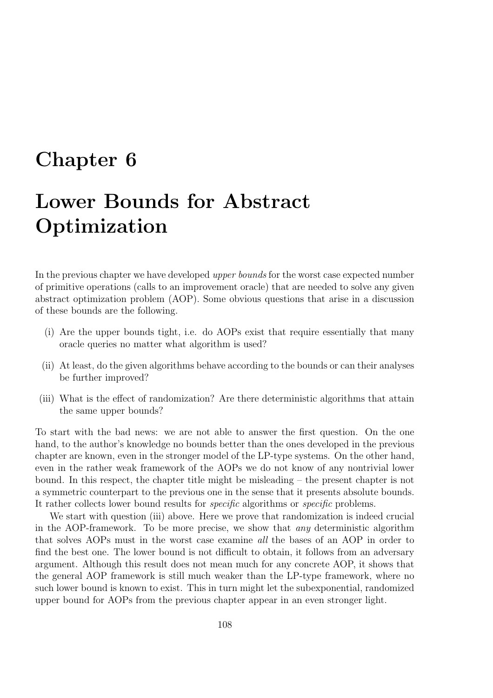## Chapter 6

# Lower Bounds for Abstract Optimization

In the previous chapter we have developed upper bounds for the worst case expected number of primitive operations (calls to an improvement oracle) that are needed to solve any given abstract optimization problem (AOP). Some obvious questions that arise in a discussion of these bounds are the following.

- (i) Are the upper bounds tight, i.e. do AOPs exist that require essentially that many oracle queries no matter what algorithm is used?
- (ii) At least, do the given algorithms behave according to the bounds or can their analyses be further improved?
- (iii) What is the effect of randomization? Are there deterministic algorithms that attain the same upper bounds?

To start with the bad news: we are not able to answer the first question. On the one hand, to the author's knowledge no bounds better than the ones developed in the previous chapter are known, even in the stronger model of the LP-type systems. On the other hand, even in the rather weak framework of the AOPs we do not know of any nontrivial lower bound. In this respect, the chapter title might be misleading – the present chapter is not a symmetric counterpart to the previous one in the sense that it presents absolute bounds. It rather collects lower bound results for specific algorithms or specific problems.

We start with question (iii) above. Here we prove that randomization is indeed crucial in the AOP-framework. To be more precise, we show that any deterministic algorithm that solves AOPs must in the worst case examine all the bases of an AOP in order to find the best one. The lower bound is not difficult to obtain, it follows from an adversary argument. Although this result does not mean much for any concrete AOP, it shows that the general AOP framework is still much weaker than the LP-type framework, where no such lower bound is known to exist. This in turn might let the subexponential, randomized upper bound for AOPs from the previous chapter appear in an even stronger light.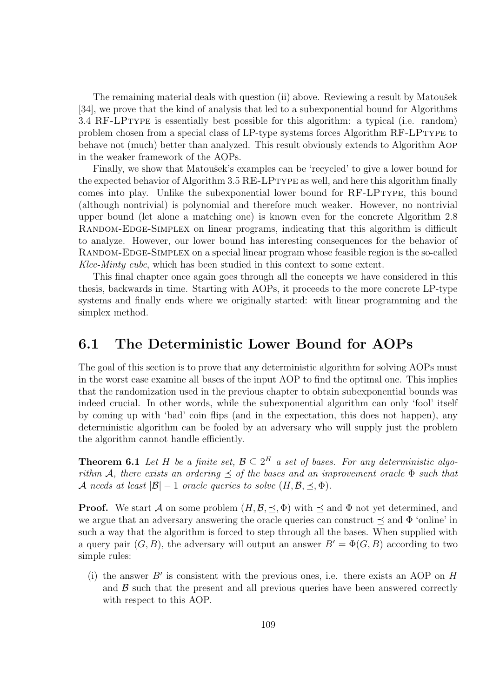The remaining material deals with question (ii) above. Reviewing a result by Matoušek [34], we prove that the kind of analysis that led to a subexponential bound for Algorithms 3.4 RF-LPtype is essentially best possible for this algorithm: a typical (i.e. random) problem chosen from a special class of LP-type systems forces Algorithm RF-LPtype to behave not (much) better than analyzed. This result obviously extends to Algorithm Aop in the weaker framework of the AOPs.

Finally, we show that Matoušek's examples can be 'recycled' to give a lower bound for the expected behavior of Algorithm 3.5 RE-LPtype as well, and here this algorithm finally comes into play. Unlike the subexponential lower bound for RF-LPtype, this bound (although nontrivial) is polynomial and therefore much weaker. However, no nontrivial upper bound (let alone a matching one) is known even for the concrete Algorithm 2.8 RANDOM-EDGE-SIMPLEX on linear programs, indicating that this algorithm is difficult to analyze. However, our lower bound has interesting consequences for the behavior of RANDOM-EDGE-SIMPLEX on a special linear program whose feasible region is the so-called Klee-Minty cube, which has been studied in this context to some extent.

This final chapter once again goes through all the concepts we have considered in this thesis, backwards in time. Starting with AOPs, it proceeds to the more concrete LP-type systems and finally ends where we originally started: with linear programming and the simplex method.

## 6.1 The Deterministic Lower Bound for AOPs

The goal of this section is to prove that any deterministic algorithm for solving AOPs must in the worst case examine all bases of the input AOP to find the optimal one. This implies that the randomization used in the previous chapter to obtain subexponential bounds was indeed crucial. In other words, while the subexponential algorithm can only 'fool' itself by coming up with 'bad' coin flips (and in the expectation, this does not happen), any deterministic algorithm can be fooled by an adversary who will supply just the problem the algorithm cannot handle efficiently.

**Theorem 6.1** Let H be a finite set,  $\mathcal{B} \subseteq 2^H$  a set of bases. For any deterministic algorithm A, there exists an ordering  $\leq$  of the bases and an improvement oracle  $\Phi$  such that A needs at least  $|\mathcal{B}| - 1$  oracle queries to solve  $(H, \mathcal{B}, \preceq, \Phi)$ .

**Proof.** We start A on some problem  $(H, \mathcal{B}, \preceq, \Phi)$  with  $\preceq$  and  $\Phi$  not yet determined, and we argue that an adversary answering the oracle queries can construct  $\prec$  and  $\Phi$  'online' in such a way that the algorithm is forced to step through all the bases. When supplied with a query pair  $(G, B)$ , the adversary will output an answer  $B' = \Phi(G, B)$  according to two simple rules:

(i) the answer  $B'$  is consistent with the previous ones, i.e. there exists an AOP on  $H$ and  $\beta$  such that the present and all previous queries have been answered correctly with respect to this AOP.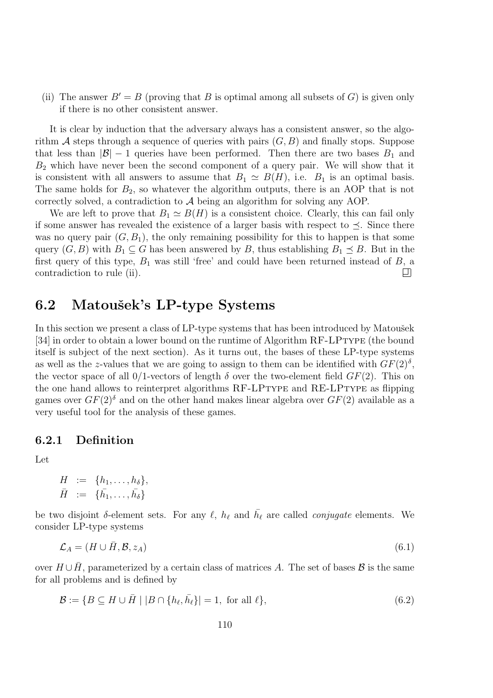(ii) The answer  $B' = B$  (proving that B is optimal among all subsets of G) is given only if there is no other consistent answer.

It is clear by induction that the adversary always has a consistent answer, so the algorithm A steps through a sequence of queries with pairs  $(G, B)$  and finally stops. Suppose that less than  $|\mathcal{B}| - 1$  queries have been performed. Then there are two bases  $B_1$  and  $B_2$  which have never been the second component of a query pair. We will show that it is consistent with all answers to assume that  $B_1 \simeq B(H)$ , i.e.  $B_1$  is an optimal basis. The same holds for  $B_2$ , so whatever the algorithm outputs, there is an AOP that is not correctly solved, a contradiction to A being an algorithm for solving any AOP.

We are left to prove that  $B_1 \simeq B(H)$  is a consistent choice. Clearly, this can fail only if some answer has revealed the existence of a larger basis with respect to  $\preceq$ . Since there was no query pair  $(G, B_1)$ , the only remaining possibility for this to happen is that some query  $(G, B)$  with  $B_1 \subseteq G$  has been answered by B, thus establishing  $B_1 \preceq B$ . But in the first query of this type,  $B_1$  was still 'free' and could have been returned instead of  $B$ , a contradiction to rule (ii). 口

## 6.2 Matoušek's LP-type Systems

In this section we present a class of LP-type systems that has been introduced by Matoušek [34] in order to obtain a lower bound on the runtime of Algorithm RF-LPTYPE (the bound itself is subject of the next section). As it turns out, the bases of these LP-type systems as well as the z-values that we are going to assign to them can be identified with  $GF(2)$ <sup>s</sup>, the vector space of all 0/1-vectors of length  $\delta$  over the two-element field  $GF(2)$ . This on the one hand allows to reinterpret algorithms RF-LPTYPE and RE-LPTYPE as flipping games over  $GF(2)$ <sup>δ</sup> and on the other hand makes linear algebra over  $GF(2)$  available as a very useful tool for the analysis of these games.

#### 6.2.1 Definition

Let

$$
H := \{h_1, \ldots, h_\delta\},
$$
  

$$
\bar{H} := \{\bar{h_1}, \ldots, \bar{h_\delta}\}
$$

be two disjoint  $\delta$ -element sets. For any  $\ell$ ,  $h_{\ell}$  and  $\bar{h_{\ell}}$  are called *conjugate* elements. We consider LP-type systems

$$
\mathcal{L}_A = (H \cup \bar{H}, \mathcal{B}, z_A) \tag{6.1}
$$

over  $H \cup \bar{H}$ , parameterized by a certain class of matrices A. The set of bases  $\mathcal{B}$  is the same for all problems and is defined by

$$
\mathcal{B} := \{ B \subseteq H \cup \overline{H} \mid |B \cap \{h_{\ell}, \overline{h}_{\ell}\}| = 1, \text{ for all } \ell \},\tag{6.2}
$$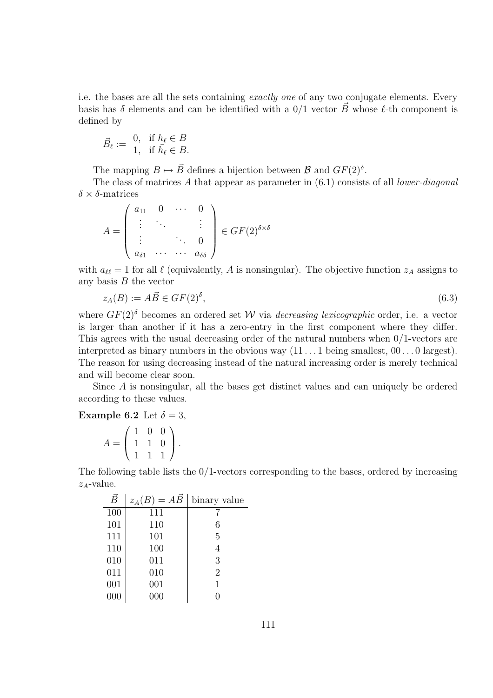i.e. the bases are all the sets containing exactly one of any two conjugate elements. Every basis has  $\delta$  elements and can be identified with a 0/1 vector  $\vec{B}$  whose  $\ell$ -th component is defined by

$$
\vec{B}_{\ell} := \begin{array}{ll} 0, & \text{if } h_{\ell} \in B \\ 1, & \text{if } \bar{h}_{\ell} \in B. \end{array}
$$

The mapping  $B \mapsto \vec{B}$  defines a bijection between  $\mathcal{B}$  and  $GF(2)^{\delta}$ .

The class of matrices  $A$  that appear as parameter in  $(6.1)$  consists of all *lower-diagonal*  $\delta \times \delta$ -matrices

$$
A = \begin{pmatrix} a_{11} & 0 & \cdots & 0 \\ \vdots & \ddots & & \vdots \\ \vdots & & \ddots & 0 \\ a_{\delta 1} & \cdots & \cdots & a_{\delta \delta} \end{pmatrix} \in GF(2)^{\delta \times \delta}
$$

with  $a_{\ell \ell} = 1$  for all  $\ell$  (equivalently, A is nonsingular). The objective function  $z_A$  assigns to any basis  $B$  the vector

$$
z_A(B) := A\vec{B} \in GF(2)^\delta,
$$
\n
$$
(6.3)
$$

where  $GF(2)$ <sup>δ</sup> becomes an ordered set W via *decreasing lexicographic* order, i.e. a vector is larger than another if it has a zero-entry in the first component where they differ. This agrees with the usual decreasing order of the natural numbers when 0/1-vectors are interpreted as binary numbers in the obvious way  $(11 \dots 1)$  being smallest,  $00 \dots 0$  largest). The reason for using decreasing instead of the natural increasing order is merely technical and will become clear soon.

Since A is nonsingular, all the bases get distinct values and can uniquely be ordered according to these values.

**Example 6.2** Let  $\delta = 3$ ,

$$
A = \left(\begin{array}{rrr} 1 & 0 & 0 \\ 1 & 1 & 0 \\ 1 & 1 & 1 \end{array}\right).
$$

The following table lists the  $0/1$ -vectors corresponding to the bases, ordered by increasing  $z_A$ -value.

| $\vec{B}$ | $= A\vec{B}$<br>$z_A(B)$ | binary value   |
|-----------|--------------------------|----------------|
| 100       | 111                      |                |
| 101       | 110                      | 6              |
| 111       | 101                      | 5              |
| 110       | 100                      |                |
| 010       | 011                      | 3              |
| 011       | 010                      | $\overline{2}$ |
| 001       | 001                      | 1              |
| 000       | 000                      |                |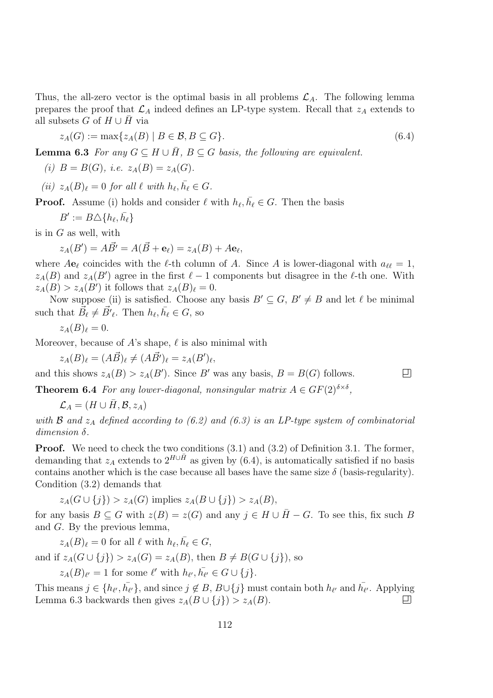Thus, the all-zero vector is the optimal basis in all problems  $\mathcal{L}_A$ . The following lemma prepares the proof that  $\mathcal{L}_A$  indeed defines an LP-type system. Recall that  $z_A$  extends to all subsets G of  $H \cup H$  via

$$
z_A(G) := \max\{z_A(B) \mid B \in \mathcal{B}, B \subseteq G\}.
$$
\n
$$
(6.4)
$$

**Lemma 6.3** For any  $G \subseteq H \cup \overline{H}$ ,  $B \subseteq G$  basis, the following are equivalent.

(i) 
$$
B = B(G)
$$
, *i.e.*  $z_A(B) = z_A(G)$ .

(ii)  $z_A(B)_\ell = 0$  for all  $\ell$  with  $h_\ell, \bar{h_\ell} \in G$ .

**Proof.** Assume (i) holds and consider  $\ell$  with  $h_{\ell}, \bar{h}_{\ell} \in G$ . Then the basis

 $B' := B \triangle \{h_\ell, \bar{h_\ell}\}\,$ 

is in G as well, with

$$
z_A(B') = A\vec{B'} = A(\vec{B} + \mathbf{e}_{\ell}) = z_A(B) + A\mathbf{e}_{\ell},
$$

where  $Ae_\ell$  coincides with the  $\ell$ -th column of A. Since A is lower-diagonal with  $a_{\ell\ell} = 1$ ,  $z_A(B)$  and  $z_A(B')$  agree in the first  $\ell - 1$  components but disagree in the  $\ell$ -th one. With  $z_A(B) > z_A(B')$  it follows that  $z_A(B)_\ell = 0$ .

Now suppose (ii) is satisfied. Choose any basis  $B' \subseteq G$ ,  $B' \neq B$  and let  $\ell$  be minimal such that  $\vec{B}_{\ell} \neq \vec{B'}_{\ell}$ . Then  $h_{\ell}, \bar{h}_{\ell} \in G$ , so

$$
z_A(B)_{\ell}=0.
$$

Moreover, because of A's shape,  $\ell$  is also minimal with

$$
z_A(B)_\ell = (A\vec{B})_\ell \neq (A\vec{B'})_\ell = z_A(B')_\ell,
$$

and this shows  $z_A(B) > z_A(B')$ . Since B' was any basis,  $B = B(G)$  follows.

**Theorem 6.4** For any lower-diagonal, nonsingular matrix  $A \in GF(2)^{\delta \times \delta}$ ,

 $\mathcal{L}_A = (H \cup \overline{H}, \mathcal{B}, z_A)$ 

with  $\mathcal B$  and  $z_A$  defined according to (6.2) and (6.3) is an LP-type system of combinatorial dimension δ.

口

Proof. We need to check the two conditions  $(3.1)$  and  $(3.2)$  of Definition 3.1. The former, demanding that  $z_A$  extends to  $2^{H\cup\bar{H}}$  as given by (6.4), is automatically satisfied if no basis contains another which is the case because all bases have the same size  $\delta$  (basis-regularity). Condition (3.2) demands that

 $z_A(G \cup \{i\}) > z_A(G)$  implies  $z_A(B \cup \{i\}) > z_A(B)$ ,

for any basis  $B \subseteq G$  with  $z(B) = z(G)$  and any  $j \in H \cup \overline{H} - G$ . To see this, fix such B and G. By the previous lemma,

 $z_A(B)_\ell = 0$  for all  $\ell$  with  $h_\ell, \bar{h_\ell} \in G$ ,

and if  $z_A(G \cup \{i\}) > z_A(G) = z_A(B)$ , then  $B \neq B(G \cup \{i\})$ , so

 $z_A(B)_{\ell'} = 1$  for some  $\ell'$  with  $h_{\ell'}, \overline{h_{\ell'}} \in G \cup \{j\}.$ 

This means  $j \in \{h_{\ell'}, \bar{h_{\ell'}}\}$ , and since  $j \notin B$ ,  $B \cup \{j\}$  must contain both  $h_{\ell'}$  and  $\bar{h_{\ell'}}$ . Applying Lemma 6.3 backwards then gives  $z_A(B \cup \{j\}) > z_A(B)$ . 口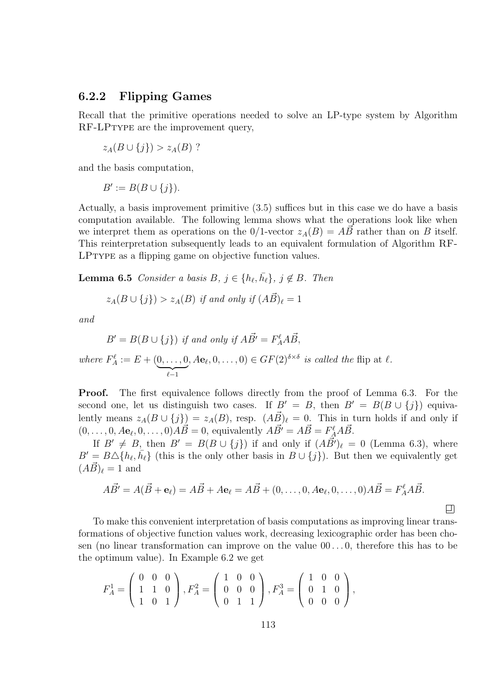#### 6.2.2 Flipping Games

Recall that the primitive operations needed to solve an LP-type system by Algorithm RF-LPTYPE are the improvement query,

$$
z_A(B\cup\{j\}) > z_A(B) ?
$$

and the basis computation,

 $B' := B(B \cup \{j\}).$ 

Actually, a basis improvement primitive (3.5) suffices but in this case we do have a basis computation available. The following lemma shows what the operations look like when we interpret them as operations on the  $0/1$ -vector  $z_A(B) = A\vec{B}$  rather than on B itself. This reinterpretation subsequently leads to an equivalent formulation of Algorithm RF-LPtype as a flipping game on objective function values.

**Lemma 6.5** Consider a basis  $B, j \in \{h_{\ell}, \bar{h_{\ell}}\}, j \notin B$ . Then

$$
z_A(B \cup \{j\}) > z_A(B) \text{ if and only if } (A\vec{B})_\ell = 1
$$

and

$$
B' = B(B \cup \{j\}) \text{ if and only if } A\vec{B'} = F_A^{\ell} A \vec{B},
$$

where 
$$
F_A^{\ell} := E + (\underbrace{0, \ldots, 0}_{\ell-1}, Ae_{\ell}, 0, \ldots, 0) \in GF(2)^{\delta \times \delta}
$$
 is called the flip at  $\ell$ .

**Proof.** The first equivalence follows directly from the proof of Lemma 6.3. For the second one, let us distinguish two cases. If  $B' = B$ , then  $B' = B(B \cup \{j\})$  equivalently means  $z_A(B \cup \{j\}) = z_A(B)$ , resp.  $(A\vec{B})_\ell = 0$ . This in turn holds if and only if  $(0, \ldots, 0, A\mathbf{e}_{\ell}, 0, \ldots, 0)A\vec{B} = 0$ , equivalently  $A\vec{B'} = A\vec{B} = F_A^{\ell}A\vec{B}$ .

If  $B' \neq B$ , then  $B' = B(B \cup \{j\})$  if and only if  $(A\vec{B'})_\ell = 0$  (Lemma 6.3), where  $B' = B \Delta\{h_{\ell}, \bar{h}_{\ell}\}\$ (this is the only other basis in  $B \cup \{j\}$ ). But then we equivalently get  $(AB)_{\ell} = 1$  and

$$
A\vec{B'} = A(\vec{B} + \mathbf{e}_{\ell}) = A\vec{B} + A\mathbf{e}_{\ell} = A\vec{B} + (0, \dots, 0, A\mathbf{e}_{\ell}, 0, \dots, 0)A\vec{B} = F_{A}^{\ell}A\vec{B}.
$$

口

To make this convenient interpretation of basis computations as improving linear transformations of objective function values work, decreasing lexicographic order has been chosen (no linear transformation can improve on the value  $00...0$ , therefore this has to be the optimum value). In Example 6.2 we get

$$
F_A^1 = \left(\begin{array}{ccc} 0 & 0 & 0 \\ 1 & 1 & 0 \\ 1 & 0 & 1 \end{array}\right), F_A^2 = \left(\begin{array}{ccc} 1 & 0 & 0 \\ 0 & 0 & 0 \\ 0 & 1 & 1 \end{array}\right), F_A^3 = \left(\begin{array}{ccc} 1 & 0 & 0 \\ 0 & 1 & 0 \\ 0 & 0 & 0 \end{array}\right),
$$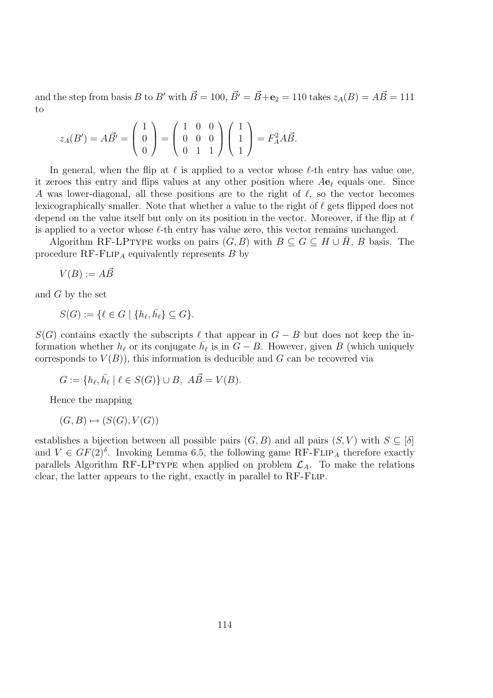and the step from basis B to B' with  $\vec{B} = 100$ ,  $\vec{B'} = \vec{B} + \mathbf{e}_2 = 110$  takes  $z_A(B) = A\vec{B} = 111$ to

$$
z_A(B') = A\vec{B'} = \begin{pmatrix} 1 \\ 0 \\ 0 \end{pmatrix} = \begin{pmatrix} 1 & 0 & 0 \\ 0 & 0 & 0 \\ 0 & 1 & 1 \end{pmatrix} \begin{pmatrix} 1 \\ 1 \\ 1 \end{pmatrix} = F_A^2 A\vec{B}.
$$

In general, when the flip at  $\ell$  is applied to a vector whose  $\ell$ -th entry has value one, it zeroes this entry and flips values at any other position where  $A\mathbf{e}_\ell$  equals one. Since A was lower-diagonal, all these positions are to the right of  $\ell$ , so the vector becomes lexicographically smaller. Note that whether a value to the right of  $\ell$  gets flipped does not depend on the value itself but only on its position in the vector. Moreover, if the flip at  $\ell$ is applied to a vector whose  $\ell$ -th entry has value zero, this vector remains unchanged.

Algorithm RF-LPTYPE works on pairs  $(G, B)$  with  $B \subseteq G \subseteq H \cup H$ , B basis. The procedure  $RF$ -FLIP<sub>A</sub> equivalently represents B by

$$
V(B) := A\vec{B}
$$

and G by the set

$$
S(G) := \{ \ell \in G \mid \{ h_{\ell}, \bar{h_{\ell}} \} \subseteq G \}.
$$

 $S(G)$  contains exactly the subscripts  $\ell$  that appear in  $G - B$  but does not keep the information whether  $h_\ell$  or its conjugate  $\bar{h}_\ell$  is in  $G - B$ . However, given B (which uniquely corresponds to  $V(B)$ , this information is deducible and G can be recovered via

$$
G := \{ h_{\ell}, \overline{h}_{\ell} \mid \ell \in S(G) \} \cup B, \ \overrightarrow{AB} = V(B).
$$

Hence the mapping

 $(G, B) \mapsto (S(G), V(G))$ 

establishes a bijection between all possible pairs  $(G, B)$  and all pairs  $(S, V)$  with  $S \subseteq [\delta]$ and  $V \in GF(2)^{\delta}$ . Invoking Lemma 6.5, the following game RF-FLIP<sub>A</sub> therefore exactly parallels Algorithm RF-LPTYPE when applied on problem  $\mathcal{L}_A$ . To make the relations clear, the latter appears to the right, exactly in parallel to RF-Flip.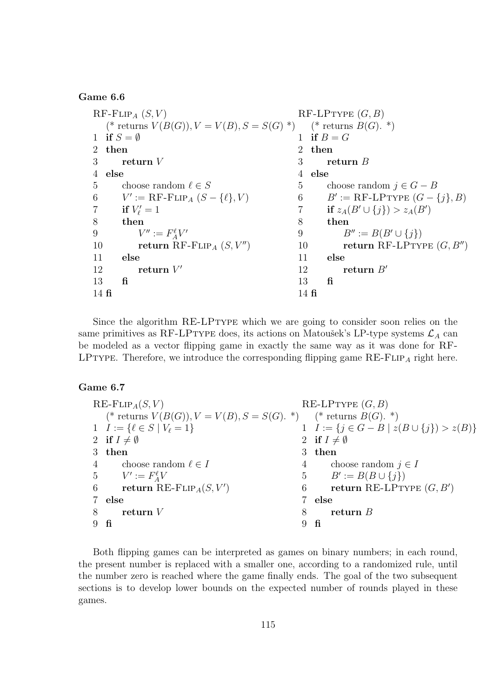#### Game 6.6

 $RF$ -FLIP<sub>A</sub>  $(S, V)$ (\* returns  $V(B(G)), V = V(B), S = S(G)^*$ ) 1 if  $S = \emptyset$ 2 then 3 return V 4 else 5 choose random  $\ell \in S$ <br>6  $V' := \text{RF-FLIP}_4$  (S 6  $V' := \text{RF-FLIP}_A (S - \{\ell\}, V)$ 7 if  $V'_{\ell} = 1$ 8 then 9  $V'':= F_A^{\ell}V'$ 10 return  $\operatorname{RF-FLIP}_A(S, V'')$ 11 else 12 return  $V'$ 13 fi 14 fi  $RF-LPTYPE(G, B)$ (\* returns  $B(G)$ . \*) 1 if  $B = G$ 2 then 3 return B 4 else 5 choose random  $j \in G - B$ <br>6  $B' := RF-LPTYPE$   $(G - B)$ 6  $B' := \text{RF-LPryPE } (G - \{j\}, B)$ 7 if  $z_A(B' \cup \{j\}) > z_A(B')$ 8 then 9  $B'' := B(B' \cup \{j\})$ <br>10 **return** RF-LPTY return RF-LPTYPE  $(G, B'')$ 11 else 12 return  $B'$ 13 fi 14 fi

Since the algorithm RE-LPTYPE which we are going to consider soon relies on the same primitives as RF-LPTYPE does, its actions on Matoušek's LP-type systems  $\mathcal{L}_A$  can be modeled as a vector flipping game in exactly the same way as it was done for RF-LPTYPE. Therefore, we introduce the corresponding flipping game  $RE\text{-}FLIP_A$  right here.

#### Game 6.7

|                | $RE$ -FLIP <sub>A</sub> $(S, V)$                                     |              | RE-LPTYPE $(G, B)$                                    |
|----------------|----------------------------------------------------------------------|--------------|-------------------------------------------------------|
|                | (* returns $V(B(G)), V = V(B), S = S(G)$ . *) (* returns $B(G)$ . *) |              |                                                       |
|                | 1 $I := \{ \ell \in S \mid V_{\ell} = 1 \}$                          |              | 1 $I := \{j \in G - B \mid z(B \cup \{j\}) > z(B)\}\$ |
|                | 2 if $I \neq \emptyset$                                              |              | 2 if $I \neq \emptyset$                               |
|                | 3 then                                                               |              | 3 then                                                |
|                | 4 choose random $\ell \in I$                                         |              | choose random $j \in I$<br>$4\degree$                 |
|                | 5 $V' := F_A^{\ell} V$                                               |              | 5 $B' := B(B \cup \{j\})$                             |
|                | 6 return RE-FLIP <sub>A</sub> $(S, V')$                              |              | return RE-LPTYPE $(G, B')$<br>$6\degree$              |
|                | 7 else                                                               | $\mathbf{7}$ | else                                                  |
| 8              | ${\bf return} \; V$                                                  | 8            | return $B$                                            |
| $9 \text{ fi}$ |                                                                      |              | fi                                                    |

Both flipping games can be interpreted as games on binary numbers; in each round, the present number is replaced with a smaller one, according to a randomized rule, until the number zero is reached where the game finally ends. The goal of the two subsequent sections is to develop lower bounds on the expected number of rounds played in these games.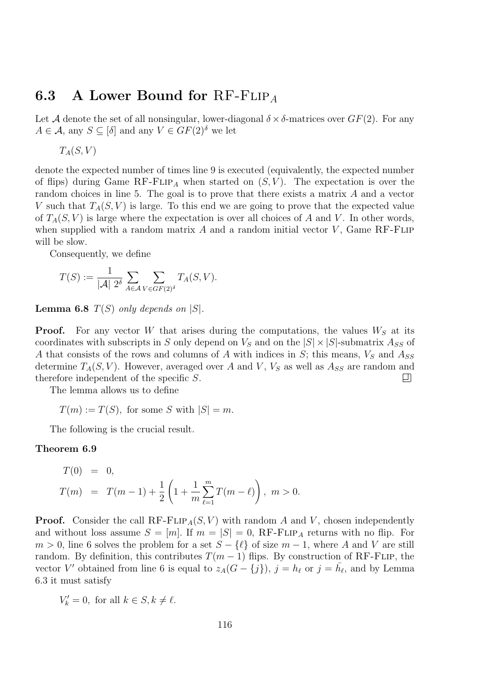## 6.3 A Lower Bound for  $RF$ -FLIP<sub>A</sub>

Let A denote the set of all nonsingular, lower-diagonal  $\delta \times \delta$ -matrices over  $GF(2)$ . For any  $A \in \mathcal{A}$ , any  $S \subseteq [\delta]$  and any  $V \in GF(2)^{\delta}$  we let

 $T_A(S, V)$ 

denote the expected number of times line 9 is executed (equivalently, the expected number of flips) during Game RF-FLIP<sub>A</sub> when started on  $(S, V)$ . The expectation is over the random choices in line 5. The goal is to prove that there exists a matrix A and a vector V such that  $T_A(S, V)$  is large. To this end we are going to prove that the expected value of  $T_A(S, V)$  is large where the expectation is over all choices of A and V. In other words, when supplied with a random matrix  $A$  and a random initial vector  $V$ , Game RF-FLIP will be slow.

Consequently, we define

$$
T(S) := \frac{1}{|\mathcal{A}| 2^{\delta}} \sum_{A \in \mathcal{A}} \sum_{V \in GF(2)^{\delta}} T_A(S, V).
$$

**Lemma 6.8**  $T(S)$  only depends on  $|S|$ .

**Proof.** For any vector W that arises during the computations, the values  $W<sub>S</sub>$  at its coordinates with subscripts in S only depend on  $V_S$  and on the  $|S| \times |S|$ -submatrix  $A_{SS}$  of A that consists of the rows and columns of A with indices in  $S$ ; this means,  $V_S$  and  $A_{SS}$ determine  $T_A(S, V)$ . However, averaged over A and V,  $V_S$  as well as  $A_{SS}$  are random and therefore independent of the specific S. ▣

The lemma allows us to define

 $T(m) := T(S)$ , for some S with  $|S| = m$ .

The following is the crucial result.

#### Theorem 6.9

$$
T(0) = 0,
$$
  
\n
$$
T(m) = T(m-1) + \frac{1}{2} \left( 1 + \frac{1}{m} \sum_{\ell=1}^{m} T(m-\ell) \right), \quad m > 0.
$$

**Proof.** Consider the call  $RF$ - $FLIP_A(S, V)$  with random A and V, chosen independently and without loss assume  $S = [m]$ . If  $m = |S| = 0$ , RF-FLIP<sub>A</sub> returns with no flip. For  $m > 0$ , line 6 solves the problem for a set  $S - \{l\}$  of size  $m - 1$ , where A and V are still random. By definition, this contributes  $T(m-1)$  flips. By construction of RF-FLIP, the vector V' obtained from line 6 is equal to  $z_A(G - \{j\}), j = h_\ell$  or  $j = \bar{h}_\ell$ , and by Lemma 6.3 it must satisfy

$$
V'_k = 0, \text{ for all } k \in S, k \neq \ell.
$$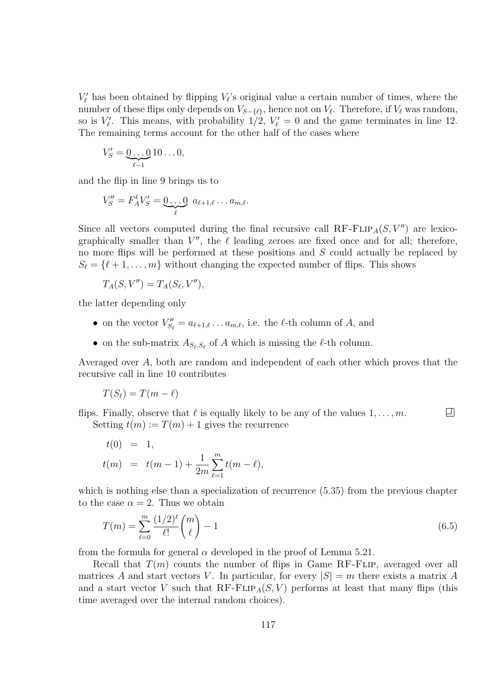$V'_\ell$  has been obtained by flipping  $V_\ell$ 's original value a certain number of times, where the number of these flips only depends on  $V_{S-\{\ell\}},$  hence not on  $V_{\ell}$ . Therefore, if  $V_{\ell}$  was random, so is  $V'_\ell$ . This means, with probability  $1/2$ ,  $V'_\ell = 0$  and the game terminates in line 12. The remaining terms account for the other half of the cases where

$$
V'_S = \underbrace{0 \dots 0}_{\ell-1} 10 \dots 0,
$$

and the flip in line 9 brings us to

$$
V''_S = F_A^{\ell} V'_S = \underbrace{0 \dots 0}_{\ell} a_{\ell+1,\ell} \dots a_{m,\ell}.
$$

Since all vectors computed during the final recursive call  $RF$ - $FLIP_A(S, V'')$  are lexicographically smaller than  $V''$ , the  $\ell$  leading zeroes are fixed once and for all; therefore, no more flips will be performed at these positions and S could actually be replaced by  $S_{\ell} = {\ell + 1, ..., m}$  without changing the expected number of flips. This shows

$$
T_A(S, V'') = T_A(S_\ell, V''),
$$

the latter depending only

- on the vector  $V''_{S_\ell} = a_{\ell+1,\ell} \dots a_{m,\ell}$ , i.e. the  $\ell$ -th column of A, and
- on the sub-matrix  $A_{S_{\ell},S_{\ell}}$  of A which is missing the  $\ell$ -th column.

Averaged over A, both are random and independent of each other which proves that the recursive call in line 10 contributes

$$
T(S_{\ell}) = T(m - \ell)
$$

▣ flips. Finally, observe that  $\ell$  is equally likely to be any of the values  $1, \ldots, m$ . Setting  $t(m) := T(m) + 1$  gives the recurrence

$$
t(0) = 1,
$$
  
\n
$$
t(m) = t(m-1) + \frac{1}{2m} \sum_{\ell=1}^{m} t(m-\ell),
$$

which is nothing else than a specialization of recurrence (5.35) from the previous chapter to the case  $\alpha = 2$ . Thus we obtain

$$
T(m) = \sum_{\ell=0}^{m} \frac{(1/2)^{\ell}}{\ell!} {m \choose \ell} - 1
$$
\n(6.5)

from the formula for general  $\alpha$  developed in the proof of Lemma 5.21.

Recall that  $T(m)$  counts the number of flips in Game RF-FLIP, averaged over all matrices A and start vectors V. In particular, for every  $|S| = m$  there exists a matrix A and a start vector V such that  $RF-FLIP_A(S, V)$  performs at least that many flips (this time averaged over the internal random choices).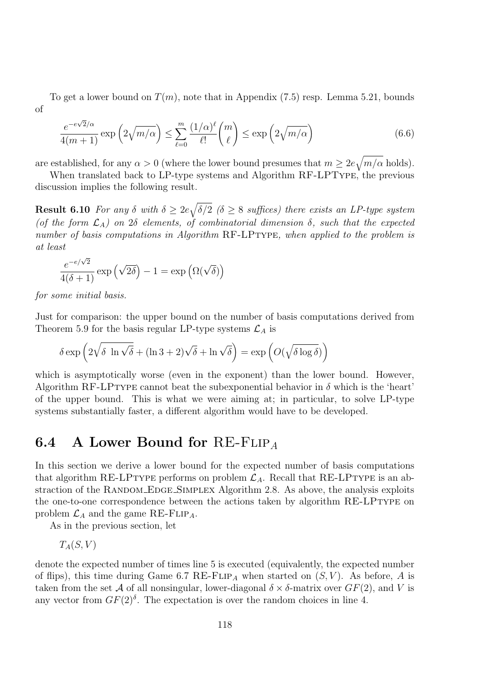To get a lower bound on  $T(m)$ , note that in Appendix (7.5) resp. Lemma 5.21, bounds of

$$
\frac{e^{-e\sqrt{2}/\alpha}}{4(m+1)} \exp\left(2\sqrt{m/\alpha}\right) \le \sum_{\ell=0}^{m} \frac{(1/\alpha)^{\ell}}{\ell!} {m \choose \ell} \le \exp\left(2\sqrt{m/\alpha}\right)
$$
(6.6)

are established, for any  $\alpha > 0$  (where the lower bound presumes that  $m \geq 2e\sqrt{m/\alpha}$  holds).

When translated back to LP-type systems and Algorithm RF-LPType, the previous discussion implies the following result.

**Result 6.10** For any  $\delta$  with  $\delta \geq 2e\sqrt{\delta/2}$  ( $\delta \geq 8$  suffices) there exists an LP-type system (of the form  $\mathcal{L}_A$ ) on 2δ elements, of combinatorial dimension  $\delta$ , such that the expected number of basis computations in Algorithm RF-LPTYPE, when applied to the problem is at least

$$
\frac{e^{-e/\sqrt{2}}}{4(\delta+1)}\exp\left(\sqrt{2\delta}\right)-1=\exp\left(\Omega(\sqrt{\delta})\right)
$$

for some initial basis.

Just for comparison: the upper bound on the number of basis computations derived from Theorem 5.9 for the basis regular LP-type systems  $\mathcal{L}_A$  is

$$
\delta \exp\left(2\sqrt{\delta \ln \sqrt{\delta}} + (\ln 3 + 2)\sqrt{\delta} + \ln \sqrt{\delta}\right) = \exp\left(O(\sqrt{\delta \log \delta})\right)
$$

which is asymptotically worse (even in the exponent) than the lower bound. However, Algorithm RF-LPTYPE cannot beat the subexponential behavior in  $\delta$  which is the 'heart' of the upper bound. This is what we were aiming at; in particular, to solve LP-type systems substantially faster, a different algorithm would have to be developed.

## 6.4 A Lower Bound for RE-FLIP<sub>A</sub>

In this section we derive a lower bound for the expected number of basis computations that algorithm RE-LPTYPE performs on problem  $\mathcal{L}_A$ . Recall that RE-LPTYPE is an abstraction of the RANDOM EDGE SIMPLEX Algorithm 2.8. As above, the analysis exploits the one-to-one correspondence between the actions taken by algorithm RE-LPTYPE on problem  $\mathcal{L}_A$  and the game RE-FLIP<sub>A</sub>.

As in the previous section, let

 $T_A(S, V)$ 

denote the expected number of times line 5 is executed (equivalently, the expected number of flips), this time during Game 6.7 RE-FLIP<sub>A</sub> when started on  $(S, V)$ . As before, A is taken from the set A of all nonsingular, lower-diagonal  $\delta \times \delta$ -matrix over  $GF(2)$ , and V is any vector from  $GF(2)$ <sup> $\delta$ </sup>. The expectation is over the random choices in line 4.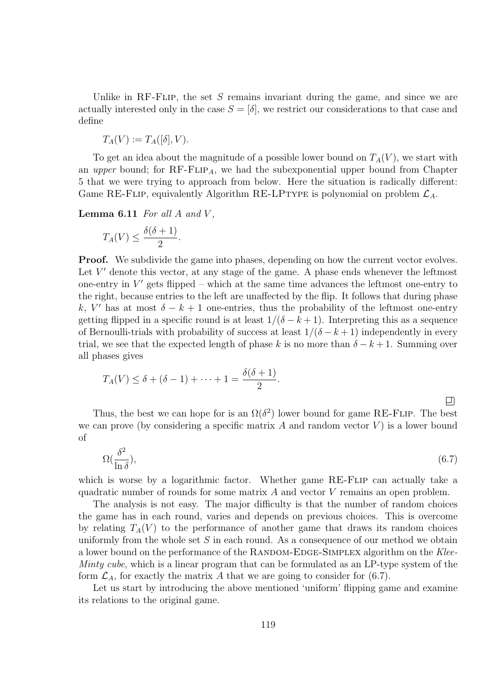Unlike in RF-FLIP, the set  $S$  remains invariant during the game, and since we are actually interested only in the case  $S = [\delta]$ , we restrict our considerations to that case and define

$$
T_A(V) := T_A([\delta], V).
$$

To get an idea about the magnitude of a possible lower bound on  $T_A(V)$ , we start with an upper bound; for  $RF$ - $FLIP_A$ , we had the subexponential upper bound from Chapter 5 that we were trying to approach from below. Here the situation is radically different: Game RE-FLIP, equivalently Algorithm RE-LPTYPE is polynomial on problem  $\mathcal{L}_A$ .

**Lemma 6.11** For all  $A$  and  $V$ .

$$
T_A(V) \le \frac{\delta(\delta+1)}{2}.
$$

**Proof.** We subdivide the game into phases, depending on how the current vector evolves. Let  $V'$  denote this vector, at any stage of the game. A phase ends whenever the leftmost one-entry in  $V'$  gets flipped – which at the same time advances the leftmost one-entry to the right, because entries to the left are unaffected by the flip. It follows that during phase k, V' has at most  $\delta - k + 1$  one-entries, thus the probability of the leftmost one-entry getting flipped in a specific round is at least  $1/(\delta - k + 1)$ . Interpreting this as a sequence of Bernoulli-trials with probability of success at least  $1/(\delta - k + 1)$  independently in every trial, we see that the expected length of phase k is no more than  $\delta - k + 1$ . Summing over all phases gives

$$
T_A(V) \leq \delta + (\delta - 1) + \cdots + 1 = \frac{\delta(\delta + 1)}{2}.
$$

口

Thus, the best we can hope for is an  $\Omega(\delta^2)$  lower bound for game RE-FLIP. The best we can prove (by considering a specific matrix  $A$  and random vector  $V$ ) is a lower bound of

$$
\Omega(\frac{\delta^2}{\ln \delta}),\tag{6.7}
$$

which is worse by a logarithmic factor. Whether game RE-FLIP can actually take a quadratic number of rounds for some matrix A and vector V remains an open problem.

The analysis is not easy. The major difficulty is that the number of random choices the game has in each round, varies and depends on previous choices. This is overcome by relating  $T_A(V)$  to the performance of another game that draws its random choices uniformly from the whole set  $S$  in each round. As a consequence of our method we obtain a lower bound on the performance of the RANDOM-EDGE-SIMPLEX algorithm on the Klee-*Minty cube*, which is a linear program that can be formulated as an LP-type system of the form  $\mathcal{L}_A$ , for exactly the matrix A that we are going to consider for (6.7).

Let us start by introducing the above mentioned 'uniform' flipping game and examine its relations to the original game.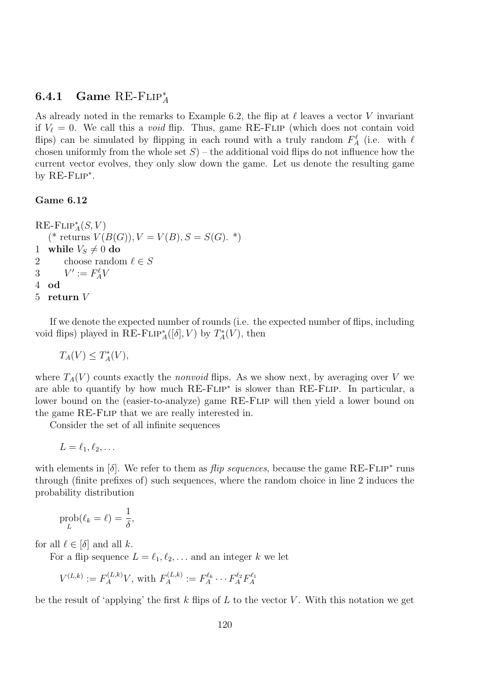## 6.4.1 Game RE-FLIP<sup>\*</sup>

As already noted in the remarks to Example 6.2, the flip at  $\ell$  leaves a vector V invariant if  $V_{\ell} = 0$ . We call this a *void* flip. Thus, game RE-FLIP (which does not contain void flips) can be simulated by flipping in each round with a truly random  $F_A^{\ell}$  (i.e. with  $\ell$ chosen uniformly from the whole set  $S$ ) – the additional void flips do not influence how the current vector evolves, they only slow down the game. Let us denote the resulting game by  $RE$ - $FLIP^*$ .

#### Game 6.12

 $\operatorname{RE-FLIP}^*_A(S, V)$ (\* returns  $V(B(G)), V = V(B), S = S(G).$ \*) 1 while  $V_S \neq 0$  do<br>2 choose randor 2 choose random  $\ell \in S$ <br>3  $V' := F_A^{\ell} V$ 3  $V' := F_A^{\ell} V$ 4 od 5 return V

If we denote the expected number of rounds (i.e. the expected number of flips, including void flips) played in RE-FLIP<sup>\*</sup><sub>A</sub>([ $\delta$ ], V) by  $T_A^*(V)$ , then

$$
T_A(V) \leq T_A^*(V),
$$

where  $T_A(V)$  counts exactly the *nonvoid* flips. As we show next, by averaging over V we are able to quantify by how much RE-FLIP<sup>\*</sup> is slower than RE-FLIP. In particular, a lower bound on the (easier-to-analyze) game RE-FLIP will then yield a lower bound on the game RE-Flip that we are really interested in.

Consider the set of all infinite sequences

 $L = \ell_1, \ell_2, \ldots$ 

with elements in  $[\delta]$ . We refer to them as *flip sequences*, because the game RE-FLIP<sup>\*</sup> runs through (finite prefixes of) such sequences, where the random choice in line 2 induces the probability distribution

$$
\operatorname{prob}_{L}(\ell_k = \ell) = \frac{1}{\delta},
$$

for all  $\ell \in [\delta]$  and all k.

For a flip sequence  $L = \ell_1, \ell_2, \ldots$  and an integer k we let

$$
V^{(L,k)} := F_A^{(L,k)}V
$$
, with  $F_A^{(L,k)} := F_A^{\ell_k} \cdots F_A^{\ell_2} F_A^{\ell_1}$ 

be the result of 'applying' the first k flips of L to the vector V. With this notation we get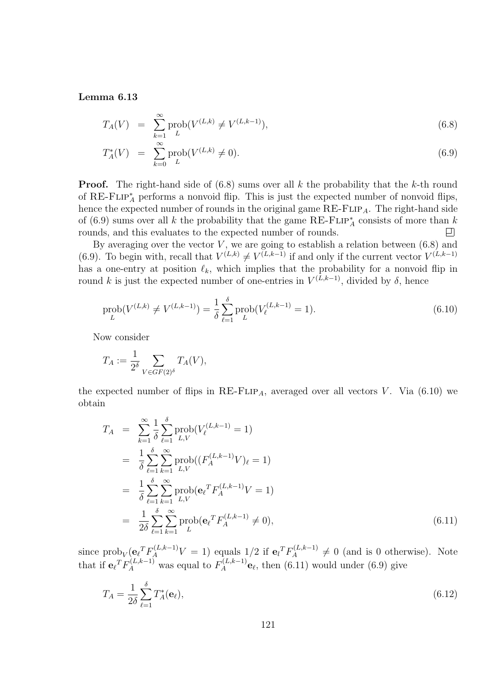Lemma 6.13

$$
T_A(V) = \sum_{k=1}^{\infty} \text{prob}(V^{(L,k)} \neq V^{(L,k-1)}), \tag{6.8}
$$

$$
T_A^*(V) = \sum_{k=0}^{\infty} \text{prob}(V^{(L,k)} \neq 0). \tag{6.9}
$$

**Proof.** The right-hand side of  $(6.8)$  sums over all k the probability that the k-th round of RE-FLIP<sup>\*</sup><sub>A</sub> performs a nonvoid flip. This is just the expected number of nonvoid flips, hence the expected number of rounds in the original game  $RE$ - $FLIP_A$ . The right-hand side of (6.9) sums over all k the probability that the game RE-FLIP<sup>\*</sup><sub>A</sub> consists of more than k rounds, and this evaluates to the expected number of rounds. 口

By averaging over the vector  $V$ , we are going to establish a relation between (6.8) and (6.9). To begin with, recall that  $V^{(L,k)} \neq V^{(L,k-1)}$  if and only if the current vector  $V^{(L,k-1)}$ has a one-entry at position  $\ell_k$ , which implies that the probability for a nonvoid flip in round k is just the expected number of one-entries in  $V^{(L,k-1)}$ , divided by  $\delta$ , hence

$$
\text{prob}(V^{(L,k)} \neq V^{(L,k-1)}) = \frac{1}{\delta} \sum_{\ell=1}^{\delta} \text{prob}(V_{\ell}^{(L,k-1)} = 1). \tag{6.10}
$$

Now consider

$$
T_A := \frac{1}{2^{\delta}} \sum_{V \in GF(2)^{\delta}} T_A(V),
$$

the expected number of flips in  $RE\text{-}FLIP_A$ , averaged over all vectors V. Via (6.10) we obtain

$$
T_A = \sum_{k=1}^{\infty} \frac{1}{\delta} \sum_{\ell=1}^{\delta} \text{prob}(V_{\ell}^{(L,k-1)} = 1)
$$
  
\n
$$
= \frac{1}{\delta} \sum_{\ell=1}^{\delta} \sum_{k=1}^{\infty} \text{prob}((F_{A}^{(L,k-1)}V)_{\ell} = 1)
$$
  
\n
$$
= \frac{1}{\delta} \sum_{\ell=1}^{\delta} \sum_{k=1}^{\infty} \text{prob}(e_{\ell}^{T} F_{A}^{(L,k-1)}V = 1)
$$
  
\n
$$
= \frac{1}{2\delta} \sum_{\ell=1}^{\delta} \sum_{k=1}^{\infty} \text{prob}(e_{\ell}^{T} F_{A}^{(L,k-1)} \neq 0), \qquad (6.11)
$$

since  $\text{prob}_V(\mathbf{e}_l^T F_A^{(L,k-1)} V = 1)$  equals  $1/2$  if  $\mathbf{e}_l^T F_A^{(L,k-1)} \neq 0$  (and is 0 otherwise). Note that if  $\mathbf{e}_{\ell}^T F_A^{(L,k-1)}$  was equal to  $F_A^{(L,k-1)}$   $\mathbf{e}_{\ell}$ , then (6.11) would under (6.9) give

$$
T_A = \frac{1}{2\delta} \sum_{\ell=1}^{\delta} T_A^*(\mathbf{e}_{\ell}),\tag{6.12}
$$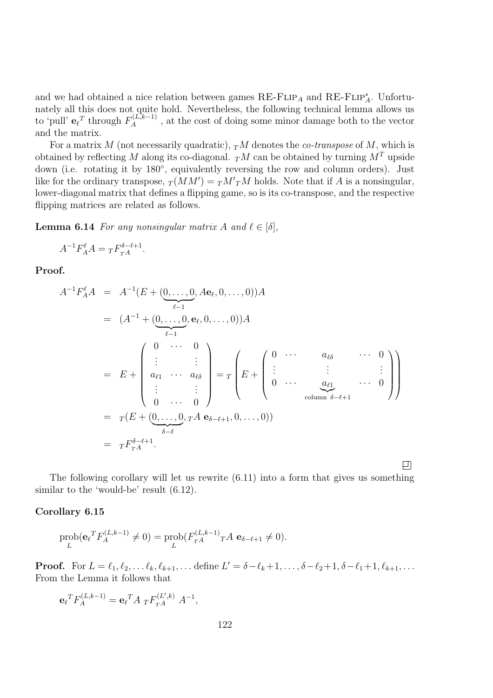and we had obtained a nice relation between games  $RE$ -FLIP<sub>A</sub> and  $RE$ -FLIP<sup>\*</sup><sub>A</sub>. Unfortunately all this does not quite hold. Nevertheless, the following technical lemma allows us to 'pull'  $\mathbf{e}_{\ell}^T$  through  $F_A^{(L,k-1)}$ , at the cost of doing some minor damage both to the vector and the matrix.

For a matrix  $M$  (not necessarily quadratic),  $T M$  denotes the *co-transpose* of  $M$ , which is obtained by reflecting M along its co-diagonal.  $T^M$  can be obtained by turning  $M^T$  upside down (i.e. rotating it by 180◦ , equivalently reversing the row and column orders). Just like for the ordinary transpose,  $T(MM') = T M' T M$  holds. Note that if A is a nonsingular, lower-diagonal matrix that defines a flipping game, so is its co-transpose, and the respective flipping matrices are related as follows.

**Lemma 6.14** For any nonsingular matrix A and  $\ell \in [\delta]$ ,

$$
A^{-1}F_A^{\ell}A = {}_TF_{T}^{\delta-\ell+1}.
$$

Proof.

$$
A^{-1}F_A^{\ell} A = A^{-1}(E + (0, ..., 0, Ae_{\ell}, 0, ..., 0))A
$$
  
=  $(A^{-1} + (0, ..., 0, e_{\ell}, 0, ..., 0))A$   
=  $E + \begin{pmatrix} 0 & \cdots & 0 \\ \vdots & & \vdots \\ a_{\ell 1} & \cdots & a_{\ell \delta} \\ \vdots & & \vdots \\ 0 & \cdots & 0 \end{pmatrix} = T \begin{pmatrix} 0 & \cdots & a_{\ell \delta} & \cdots & 0 \\ \vdots & & \vdots & & \vdots \\ 0 & \cdots & a_{\ell 1} & \cdots & 0 \\ \vdots & & \vdots & & \vdots \\ 0 & \cdots & 0 & \cdots & 0 \end{pmatrix}$   
=  $T(E + (0, ..., 0, TA e_{\delta - \ell + 1}, 0, ..., 0))$   
=  $T F_{T}^{\delta - \ell + 1}.$ 

The following corollary will let us rewrite (6.11) into a form that gives us something similar to the 'would-be' result (6.12).

凹

#### Corollary 6.15

$$
\text{prob}(\mathbf{e}_{\ell}^T F_A^{(L,k-1)} \neq 0) = \text{prob}(F_{TA}^{(L,k-1)} T A \mathbf{e}_{\delta-\ell+1} \neq 0).
$$

**Proof.** For  $L = \ell_1, \ell_2, \ldots \ell_k, \ell_{k+1}, \ldots$  define  $L' = \delta - \ell_k + 1, \ldots, \delta - \ell_2 + 1, \delta - \ell_1 + 1, \ell_{k+1}, \ldots$ From the Lemma it follows that

$$
\mathbf{e}_{\ell}^T F_A^{(L,k-1)} = \mathbf{e}_{\ell}^T A_T F_{T}^{(L',k)} A^{-1},
$$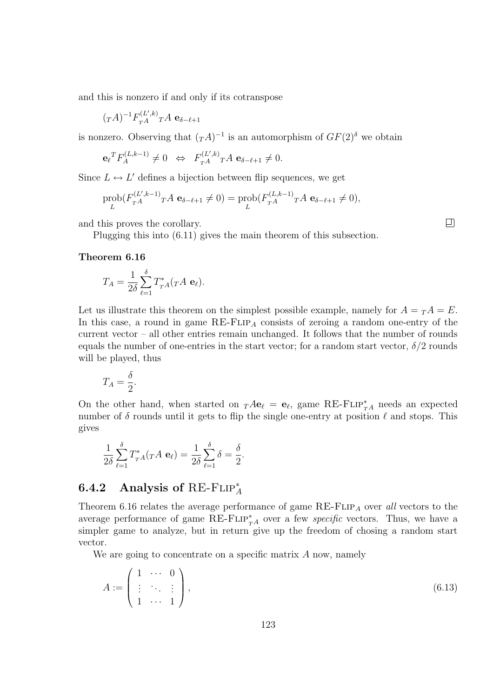and this is nonzero if and only if its cotranspose

$$
(\mathit{T} A)^{-1} F_{\mathit{T} A}^{(L',k)} \mathit{T} A \; \mathbf{e}_{\delta-\ell+1}
$$

is nonzero. Observing that  $(T^A)^{-1}$  is an automorphism of  $GF(2)$ <sup>s</sup> we obtain

$$
\mathbf{e}_{\ell}^T F_A^{(L,k-1)} \neq 0 \ \Leftrightarrow \ F_{T^A}^{(L',k)} T^A \mathbf{e}_{\delta-\ell+1} \neq 0.
$$

Since  $L \leftrightarrow L'$  defines a bijection between flip sequences, we get

$$
\text{prob}(F_{TA}^{(L',k-1)} \cap A \mathbf{e}_{\delta-\ell+1} \neq 0) = \text{prob}(F_{TA}^{(L,k-1)} \cap A \mathbf{e}_{\delta-\ell+1} \neq 0),
$$

and this proves the corollary.

Plugging this into (6.11) gives the main theorem of this subsection.

#### Theorem 6.16

$$
T_A = \frac{1}{2\delta} \sum_{\ell=1}^{\delta} T_{TA}^*(T A \mathbf{e}_{\ell}).
$$

Let us illustrate this theorem on the simplest possible example, namely for  $A = T A = E$ . In this case, a round in game  $RE$ - $FLIP_A$  consists of zeroing a random one-entry of the current vector – all other entries remain unchanged. It follows that the number of rounds equals the number of one-entries in the start vector; for a random start vector,  $\delta/2$  rounds will be played, thus

$$
T_A = \frac{\delta}{2}.
$$

On the other hand, when started on  $T A e_\ell = e_\ell$ , game RE-FLIP<sup>\*</sup><sub>TA</sub> needs an expected number of  $\delta$  rounds until it gets to flip the single one-entry at position  $\ell$  and stops. This gives

$$
\frac{1}{2\delta} \sum_{\ell=1}^{\delta} T_{T^A}^*(T^A \mathbf{e}_{\ell}) = \frac{1}{2\delta} \sum_{\ell=1}^{\delta} \delta = \frac{\delta}{2}.
$$

## 6.4.2 Analysis of RE-FLIP<sup>\*</sup>

Theorem 6.16 relates the average performance of game  $RE$ - $FLIP<sub>A</sub>$  over all vectors to the average performance of game  $RE$ - $FLIP^*_{T^A}$  over a few *specific* vectors. Thus, we have a simpler game to analyze, but in return give up the freedom of chosing a random start vector.

We are going to concentrate on a specific matrix A now, namely

$$
A := \left(\begin{array}{ccc} 1 & \cdots & 0 \\ \vdots & \ddots & \vdots \\ 1 & \cdots & 1 \end{array}\right),\tag{6.13}
$$

 $\Box$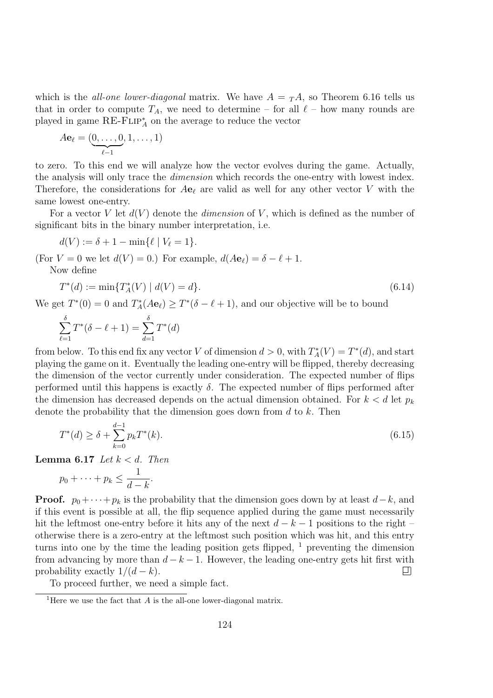which is the *all-one lower-diagonal* matrix. We have  $A = T A$ , so Theorem 6.16 tells us that in order to compute  $T_A$ , we need to determine – for all  $\ell$  – how many rounds are played in game  $RE$ - $FLIP_A^*$  on the average to reduce the vector

$$
A\mathbf{e}_{\ell} = (\underbrace{0,\ldots,0}_{\ell-1},1,\ldots,1)
$$

to zero. To this end we will analyze how the vector evolves during the game. Actually, the analysis will only trace the dimension which records the one-entry with lowest index. Therefore, the considerations for  $A\mathbf{e}_\ell$  are valid as well for any other vector V with the same lowest one-entry.

For a vector V let  $d(V)$  denote the *dimension* of V, which is defined as the number of significant bits in the binary number interpretation, i.e.

$$
d(V) := \delta + 1 - \min\{\ell \mid V_{\ell} = 1\}.
$$

(For  $V = 0$  we let  $d(V) = 0$ .) For example,  $d(Ae_\ell) = \delta - \ell + 1$ .

Now define

$$
T^*(d) := \min\{T_A^*(V) \mid d(V) = d\}.\tag{6.14}
$$

We get  $T^*(0) = 0$  and  $T_A^*(A\mathbf{e}_\ell) \ge T^*(\delta - \ell + 1)$ , and our objective will be to bound

$$
\sum_{\ell=1}^{\delta} T^*(\delta - \ell + 1) = \sum_{d=1}^{\delta} T^*(d)
$$

from below. To this end fix any vector V of dimension  $d > 0$ , with  $T_A^*(V) = T^*(d)$ , and start playing the game on it. Eventually the leading one-entry will be flipped, thereby decreasing the dimension of the vector currently under consideration. The expected number of flips performed until this happens is exactly  $\delta$ . The expected number of flips performed after the dimension has decreased depends on the actual dimension obtained. For  $k < d$  let  $p_k$ denote the probability that the dimension goes down from  $d$  to  $k$ . Then

$$
T^*(d) \ge \delta + \sum_{k=0}^{d-1} p_k T^*(k). \tag{6.15}
$$

Lemma 6.17 Let  $k < d$ . Then

$$
p_0 + \cdots + p_k \leq \frac{1}{d-k}.
$$

**Proof.**  $p_0 + \cdots + p_k$  is the probability that the dimension goes down by at least  $d-k$ , and if this event is possible at all, the flip sequence applied during the game must necessarily hit the leftmost one-entry before it hits any of the next  $d - k - 1$  positions to the right – otherwise there is a zero-entry at the leftmost such position which was hit, and this entry turns into one by the time the leading position gets flipped,  $<sup>1</sup>$  preventing the dimension</sup> from advancing by more than  $d - k - 1$ . However, the leading one-entry gets hit first with probability exactly  $1/(d - k)$ . probability exactly  $1/(d-k)$ .

To proceed further, we need a simple fact.

<sup>&</sup>lt;sup>1</sup>Here we use the fact that  $\overline{A}$  is the all-one lower-diagonal matrix.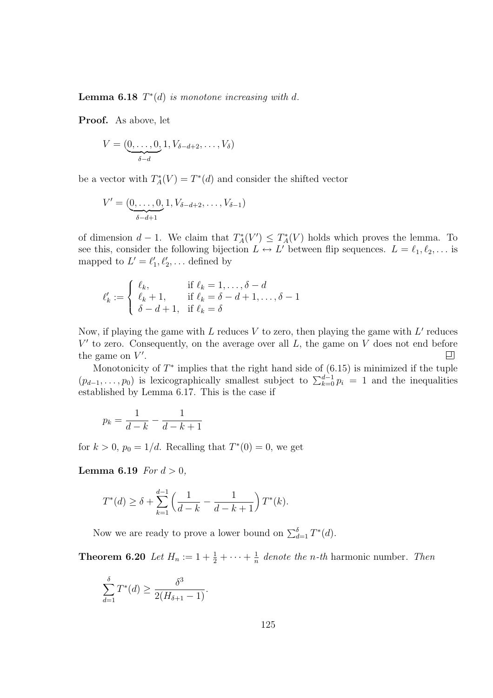**Lemma 6.18**  $T^*(d)$  is monotone increasing with d.

Proof. As above, let

$$
V = (\underbrace{0, \ldots, 0}_{\delta - d}, 1, V_{\delta - d + 2}, \ldots, V_{\delta})
$$

be a vector with  $T_A^*(V) = T^*(d)$  and consider the shifted vector

$$
V' = (\underbrace{0, \ldots, 0}_{\delta - d + 1}, 1, V_{\delta - d + 2}, \ldots, V_{\delta - 1})
$$

of dimension  $d-1$ . We claim that  $T_A^*(V') \leq T_A^*(V)$  holds which proves the lemma. To see this, consider the following bijection  $L \leftrightarrow L'$  between flip sequences.  $L = \ell_1, \ell_2, \ldots$  is mapped to  $L' = \ell'_1, \ell'_2, \ldots$  defined by

$$
\ell'_k := \begin{cases} \ell_k, & \text{if } \ell_k = 1, \dots, \delta - d \\ \ell_k + 1, & \text{if } \ell_k = \delta - d + 1, \dots, \delta - 1 \\ \delta - d + 1, & \text{if } \ell_k = \delta \end{cases}
$$

Now, if playing the game with L reduces V to zero, then playing the game with  $L'$  reduces  $V'$  to zero. Consequently, on the average over all  $L$ , the game on  $V$  does not end before the game on  $V'$ . 口

Monotonicity of  $T^*$  implies that the right hand side of  $(6.15)$  is minimized if the tuple  $(p_{d-1}, \ldots, p_0)$  is lexicographically smallest subject to  $\sum_{k=0}^{d-1} p_i = 1$  and the inequalities established by Lemma 6.17. This is the case if

$$
p_k = \frac{1}{d-k} - \frac{1}{d-k+1}
$$

for  $k > 0$ ,  $p_0 = 1/d$ . Recalling that  $T^*(0) = 0$ , we get

**Lemma 6.19** For  $d > 0$ ,

$$
T^*(d) \ge \delta + \sum_{k=1}^{d-1} \left( \frac{1}{d-k} - \frac{1}{d-k+1} \right) T^*(k).
$$

Now we are ready to prove a lower bound on  $\sum_{d=1}^{b} T^*(d)$ .

**Theorem 6.20** Let  $H_n := 1 + \frac{1}{2} + \cdots + \frac{1}{n}$  $\frac{1}{n}$  denote the *n*-th harmonic number. Then

$$
\sum_{d=1}^{\delta} T^*(d) \ge \frac{\delta^3}{2(H_{\delta+1} - 1)}.
$$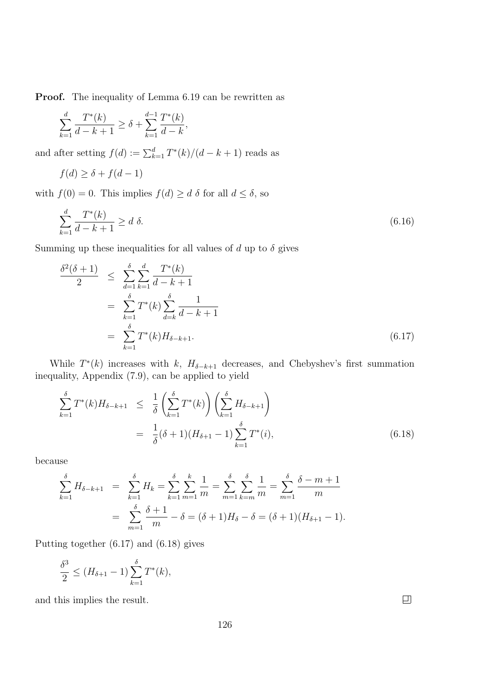Proof. The inequality of Lemma 6.19 can be rewritten as

$$
\sum_{k=1}^{d} \frac{T^*(k)}{d-k+1} \ge \delta + \sum_{k=1}^{d-1} \frac{T^*(k)}{d-k},
$$

and after setting  $f(d) := \sum_{k=1}^{d} T^*(k) / (d - k + 1)$  reads as

$$
f(d) \ge \delta + f(d - 1)
$$

with  $f(0) = 0$ . This implies  $f(d) \ge d \delta$  for all  $d \le \delta$ , so

$$
\sum_{k=1}^{d} \frac{T^*(k)}{d-k+1} \ge d \delta. \tag{6.16}
$$

Summing up these inequalities for all values of d up to  $\delta$  gives

$$
\frac{\delta^2(\delta+1)}{2} \leq \sum_{d=1}^{\delta} \sum_{k=1}^d \frac{T^*(k)}{d-k+1}
$$
  
= 
$$
\sum_{k=1}^{\delta} T^*(k) \sum_{d=k}^{\delta} \frac{1}{d-k+1}
$$
  
= 
$$
\sum_{k=1}^{\delta} T^*(k) H_{\delta-k+1}.
$$
 (6.17)

While  $T^*(k)$  increases with k,  $H_{\delta-k+1}$  decreases, and Chebyshev's first summation inequality, Appendix (7.9), can be applied to yield

$$
\sum_{k=1}^{\delta} T^*(k) H_{\delta-k+1} \leq \frac{1}{\delta} \left( \sum_{k=1}^{\delta} T^*(k) \right) \left( \sum_{k=1}^{\delta} H_{\delta-k+1} \right)
$$
\n
$$
= \frac{1}{\delta} (\delta+1) (H_{\delta+1} - 1) \sum_{k=1}^{\delta} T^*(i), \tag{6.18}
$$

because

$$
\sum_{k=1}^{\delta} H_{\delta-k+1} = \sum_{k=1}^{\delta} H_k = \sum_{k=1}^{\delta} \sum_{m=1}^{k} \frac{1}{m} = \sum_{m=1}^{\delta} \sum_{k=m}^{\delta} \frac{1}{m} = \sum_{m=1}^{\delta} \frac{\delta-m+1}{m}
$$

$$
= \sum_{m=1}^{\delta} \frac{\delta+1}{m} - \delta = (\delta+1)H_{\delta} - \delta = (\delta+1)(H_{\delta+1} - 1).
$$

Putting together (6.17) and (6.18) gives

$$
\frac{\delta^3}{2} \le (H_{\delta+1} - 1) \sum_{k=1}^{\delta} T^*(k),
$$

and this implies the result.

 $\boxed{\Box}$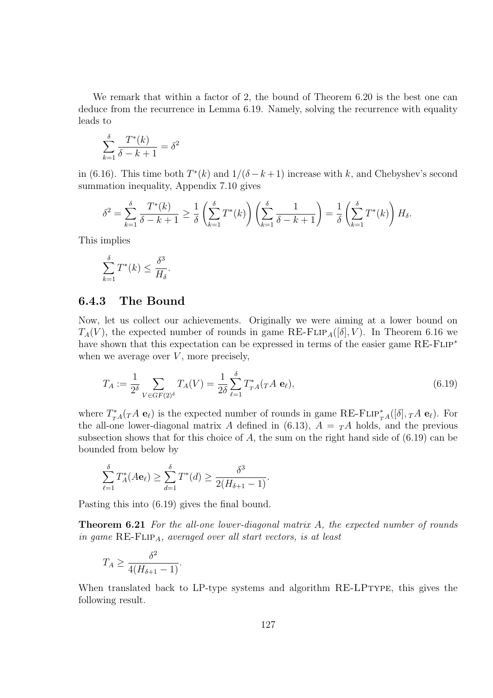We remark that within a factor of 2, the bound of Theorem 6.20 is the best one can deduce from the recurrence in Lemma 6.19. Namely, solving the recurrence with equality leads to

$$
\sum_{k=1}^{\delta} \frac{T^*(k)}{\delta - k + 1} = \delta^2
$$

in (6.16). This time both  $T^*(k)$  and  $1/(\delta - k + 1)$  increase with k, and Chebyshev's second summation inequality, Appendix 7.10 gives

$$
\delta^2 = \sum_{k=1}^{\delta} \frac{T^*(k)}{\delta - k + 1} \ge \frac{1}{\delta} \left( \sum_{k=1}^{\delta} T^*(k) \right) \left( \sum_{k=1}^{\delta} \frac{1}{\delta - k + 1} \right) = \frac{1}{\delta} \left( \sum_{k=1}^{\delta} T^*(k) \right) H_{\delta}.
$$

This implies

$$
\sum_{k=1}^{\delta} T^*(k) \le \frac{\delta^3}{H_\delta}.
$$

#### 6.4.3 The Bound

Now, let us collect our achievements. Originally we were aiming at a lower bound on  $T_A(V)$ , the expected number of rounds in game RE-FLIP<sub>A</sub>([ $\delta$ ], V). In Theorem 6.16 we have shown that this expectation can be expressed in terms of the easier game  $RE$ - $FLIP^*$ when we average over  $V$ , more precisely,

$$
T_A := \frac{1}{2^{\delta}} \sum_{V \in GF(2)^{\delta}} T_A(V) = \frac{1}{2\delta} \sum_{\ell=1}^{\delta} T_{T_A}^*(T_A \mathbf{e}_{\ell}),\tag{6.19}
$$

where  $T_{T_A}^*(T_A \mathbf{e}_\ell)$  is the expected number of rounds in game RE-FLIP<sup>\*</sup><sub>TA</sub>([ $\delta$ ],  $T_A \mathbf{e}_\ell$ ). For the all-one lower-diagonal matrix A defined in (6.13),  $A = T_A A$  holds, and the previous subsection shows that for this choice of  $A$ , the sum on the right hand side of  $(6.19)$  can be bounded from below by

$$
\sum_{\ell=1}^{\delta} T_A^*(A\mathbf{e}_{\ell}) \ge \sum_{d=1}^{\delta} T^*(d) \ge \frac{\delta^3}{2(H_{\delta+1} - 1)}.
$$

Pasting this into (6.19) gives the final bound.

**Theorem 6.21** For the all-one lower-diagonal matrix A, the expected number of rounds in game  $RE$ - $FLIP_A$ , averaged over all start vectors, is at least

$$
T_A \ge \frac{\delta^2}{4(H_{\delta+1} - 1)}.
$$

When translated back to LP-type systems and algorithm RE-LPTYPE, this gives the following result.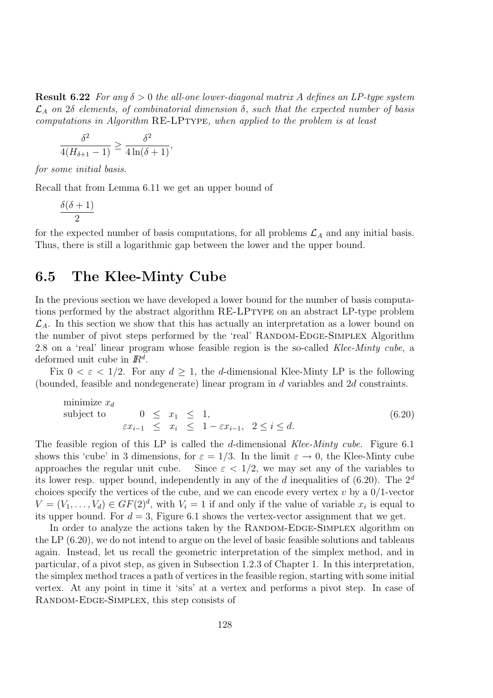**Result 6.22** For any  $\delta > 0$  the all-one lower-diagonal matrix A defines an LP-type system  $\mathcal{L}_A$  on 28 elements, of combinatorial dimension  $\delta$ , such that the expected number of basis computations in Algorithm RE-LPTYPE, when applied to the problem is at least

$$
\frac{\delta^2}{4(H_{\delta+1}-1)} \ge \frac{\delta^2}{4\ln(\delta+1)},
$$

for some initial basis.

Recall that from Lemma 6.11 we get an upper bound of

$$
\frac{\delta(\delta+1)}{2}
$$

for the expected number of basis computations, for all problems  $\mathcal{L}_A$  and any initial basis. Thus, there is still a logarithmic gap between the lower and the upper bound.

## 6.5 The Klee-Minty Cube

In the previous section we have developed a lower bound for the number of basis computations performed by the abstract algorithm RE-LPTYPE on an abstract LP-type problem  $\mathcal{L}_A$ . In this section we show that this has actually an interpretation as a lower bound on the number of pivot steps performed by the 'real' RANDOM-EDGE-SIMPLEX Algorithm 2.8 on a 'real' linear program whose feasible region is the so-called Klee-Minty cube, a deformed unit cube in  $\mathbb{R}^d$ .

Fix  $0 < \varepsilon < 1/2$ . For any  $d \ge 1$ , the d-dimensional Klee-Minty LP is the following (bounded, feasible and nondegenerate) linear program in d variables and 2d constraints.

minimize 
$$
x_d
$$
  
\nsubject to  $0 \le x_1 \le 1$ ,  
\n $\varepsilon x_{i-1} \le x_i \le 1 - \varepsilon x_{i-1}, 2 \le i \le d$ . (6.20)

The feasible region of this LP is called the d-dimensional Klee-Minty cube. Figure 6.1 shows this 'cube' in 3 dimensions, for  $\varepsilon = 1/3$ . In the limit  $\varepsilon \to 0$ , the Klee-Minty cube approaches the regular unit cube. Since  $\varepsilon < 1/2$ , we may set any of the variables to Since  $\varepsilon$  < 1/2, we may set any of the variables to its lower resp. upper bound, independently in any of the  $d$  inequalities of (6.20). The  $2^d$ choices specify the vertices of the cube, and we can encode every vertex  $v$  by a  $0/1$ -vector  $V = (V_1, \ldots, V_d) \in GF(2)^d$ , with  $V_i = 1$  if and only if the value of variable  $x_i$  is equal to its upper bound. For  $d = 3$ , Figure 6.1 shows the vertex-vector assignment that we get.

In order to analyze the actions taken by the RANDOM-EDGE-SIMPLEX algorithm on the LP (6.20), we do not intend to argue on the level of basic feasible solutions and tableaus again. Instead, let us recall the geometric interpretation of the simplex method, and in particular, of a pivot step, as given in Subsection 1.2.3 of Chapter 1. In this interpretation, the simplex method traces a path of vertices in the feasible region, starting with some initial vertex. At any point in time it 'sits' at a vertex and performs a pivot step. In case of RANDOM-EDGE-SIMPLEX, this step consists of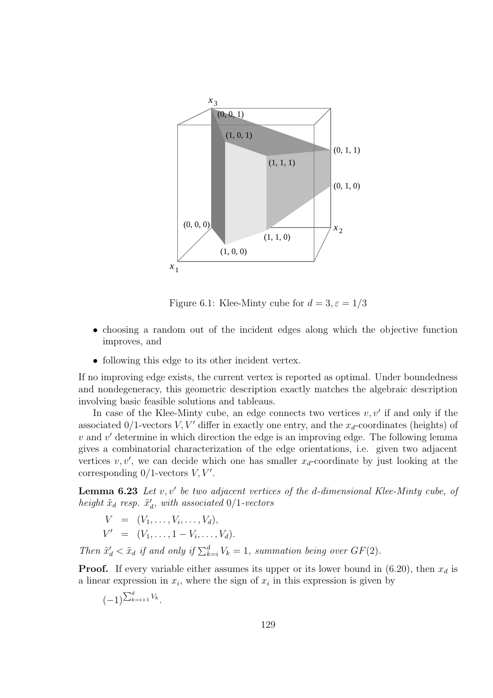

Figure 6.1: Klee-Minty cube for  $d = 3, \varepsilon = 1/3$ 

- choosing a random out of the incident edges along which the objective function improves, and
- following this edge to its other incident vertex.

If no improving edge exists, the current vertex is reported as optimal. Under boundedness and nondegeneracy, this geometric description exactly matches the algebraic description involving basic feasible solutions and tableaus.

In case of the Klee-Minty cube, an edge connects two vertices  $v, v'$  if and only if the associated  $0/1$ -vectors  $V, V'$  differ in exactly one entry, and the  $x_d$ -coordinates (heights) of  $v$  and  $v'$  determine in which direction the edge is an improving edge. The following lemma gives a combinatorial characterization of the edge orientations, i.e. given two adjacent vertices  $v, v'$ , we can decide which one has smaller  $x_d$ -coordinate by just looking at the corresponding  $0/1$ -vectors  $V, V'$ .

**Lemma 6.23** Let  $v, v'$  be two adjacent vertices of the d-dimensional Klee-Minty cube, of height  $\tilde{x}_d$  resp.  $\tilde{x}'_d$ , with associated 0/1-vectors

$$
V = (V_1, ..., V_i, ..., V_d),
$$
  
\n
$$
V' = (V_1, ..., 1 - V_i, ..., V_d).
$$

Then  $\tilde{x}'_d < \tilde{x}_d$  if and only if  $\sum_{k=i}^d V_k = 1$ , summation being over  $GF(2)$ .

**Proof.** If every variable either assumes its upper or its lower bound in (6.20), then  $x_d$  is a linear expression in  $x_i$ , where the sign of  $x_i$  in this expression is given by

$$
(-1)^{\sum_{k=i+1}^d V_k}.
$$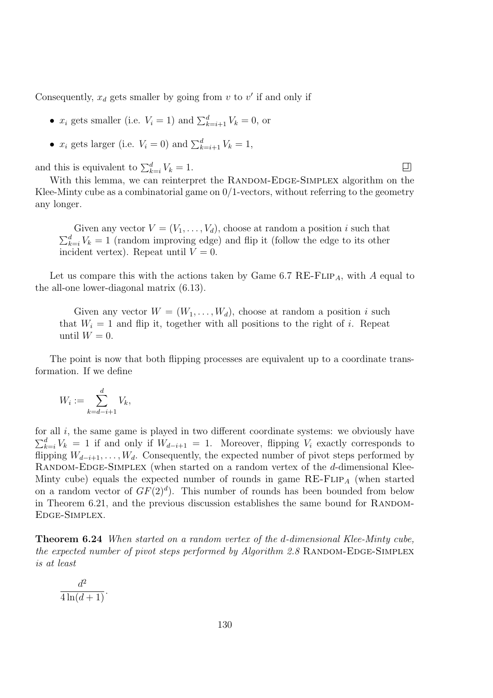Consequently,  $x_d$  gets smaller by going from  $v$  to  $v'$  if and only if

- $x_i$  gets smaller (i.e.  $V_i = 1$ ) and  $\sum_{k=i+1}^{d} V_k = 0$ , or
- $x_i$  gets larger (i.e.  $V_i = 0$ ) and  $\sum_{k=i+1}^{d} V_k = 1$ ,

and this is equivalent to  $\sum_{k=i}^{d} V_k = 1$ .

With this lemma, we can reinterpret the RANDOM-EDGE-SIMPLEX algorithm on the Klee-Minty cube as a combinatorial game on  $0/1$ -vectors, without referring to the geometry any longer.

口

Given any vector  $V = (V_1, \ldots, V_d)$ , choose at random a position i such that  $\sum_{k=i}^{d} V_k = 1$  (random improving edge) and flip it (follow the edge to its other incident vertex). Repeat until  $V = 0$ .

Let us compare this with the actions taken by Game 6.7 RE-FLIP<sub>A</sub>, with A equal to the all-one lower-diagonal matrix (6.13).

Given any vector  $W = (W_1, \ldots, W_d)$ , choose at random a position i such that  $W_i = 1$  and flip it, together with all positions to the right of i. Repeat until  $W = 0$ .

The point is now that both flipping processes are equivalent up to a coordinate transformation. If we define

$$
W_i := \sum_{k=d-i+1}^d V_k,
$$

for all  $i$ , the same game is played in two different coordinate systems: we obviously have  $\sum_{k=i}^{d} V_k = 1$  if and only if  $W_{d-i+1} = 1$ . Moreover, flipping  $V_i$  exactly corresponds to flipping  $W_{d-i+1}, \ldots, W_d$ . Consequently, the expected number of pivot steps performed by RANDOM-EDGE-SIMPLEX (when started on a random vertex of the d-dimensional Klee-Minty cube) equals the expected number of rounds in game  $RE$ -FLIP<sub>A</sub> (when started on a random vector of  $GF(2)<sup>d</sup>$ . This number of rounds has been bounded from below in Theorem  $6.21$ , and the previous discussion establishes the same bound for RANDOM-Edge-Simplex.

Theorem 6.24 When started on a random vertex of the d-dimensional Klee-Minty cube, the expected number of pivot steps performed by Algorithm 2.8 RANDOM-EDGE-SIMPLEX is at least

$$
\frac{d^2}{4\ln(d+1)}.
$$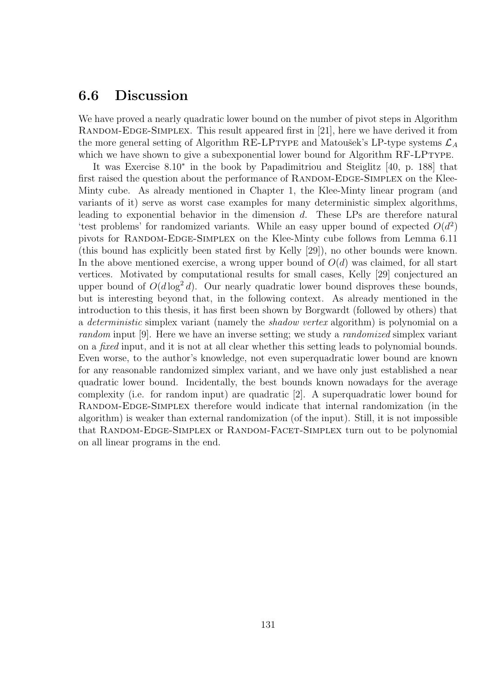### 6.6 Discussion

We have proved a nearly quadratic lower bound on the number of pivot steps in Algorithm RANDOM-EDGE-SIMPLEX. This result appeared first in [21], here we have derived it from the more general setting of Algorithm RE-LPTYPE and Matoušek's LP-type systems  $\mathcal{L}_A$ which we have shown to give a subexponential lower bound for Algorithm RF-LPTYPE.

It was Exercise 8.10<sup>∗</sup> in the book by Papadimitriou and Steiglitz [40, p. 188] that first raised the question about the performance of RANDOM-EDGE-SIMPLEX on the Klee-Minty cube. As already mentioned in Chapter 1, the Klee-Minty linear program (and variants of it) serve as worst case examples for many deterministic simplex algorithms, leading to exponential behavior in the dimension d. These LPs are therefore natural 'test problems' for randomized variants. While an easy upper bound of expected  $O(d^2)$ pivots for Random-Edge-Simplex on the Klee-Minty cube follows from Lemma 6.11 (this bound has explicitly been stated first by Kelly [29]), no other bounds were known. In the above mentioned exercise, a wrong upper bound of  $O(d)$  was claimed, for all start vertices. Motivated by computational results for small cases, Kelly [29] conjectured an upper bound of  $O(d \log^2 d)$ . Our nearly quadratic lower bound disproves these bounds, but is interesting beyond that, in the following context. As already mentioned in the introduction to this thesis, it has first been shown by Borgwardt (followed by others) that a *deterministic* simplex variant (namely the *shadow vertex* algorithm) is polynomial on a random input [9]. Here we have an inverse setting; we study a *randomized* simplex variant on a *fixed* input, and it is not at all clear whether this setting leads to polynomial bounds. Even worse, to the author's knowledge, not even superquadratic lower bound are known for any reasonable randomized simplex variant, and we have only just established a near quadratic lower bound. Incidentally, the best bounds known nowadays for the average complexity (i.e. for random input) are quadratic [2]. A superquadratic lower bound for RANDOM-EDGE-SIMPLEX therefore would indicate that internal randomization (in the algorithm) is weaker than external randomization (of the input). Still, it is not impossible that RANDOM-EDGE-SIMPLEX or RANDOM-FACET-SIMPLEX turn out to be polynomial on all linear programs in the end.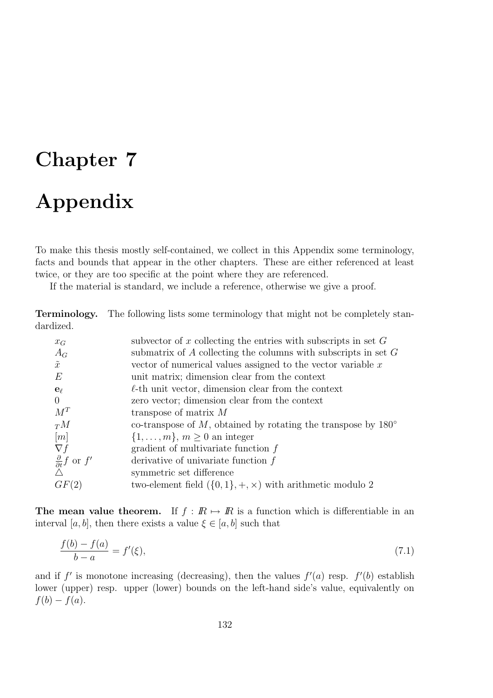# Chapter 7 Appendix

To make this thesis mostly self-contained, we collect in this Appendix some terminology, facts and bounds that appear in the other chapters. These are either referenced at least twice, or they are too specific at the point where they are referenced.

If the material is standard, we include a reference, otherwise we give a proof.

Terminology. The following lists some terminology that might not be completely standardized.

| subvector of x collecting the entries with subscripts in set $G$       |  |
|------------------------------------------------------------------------|--|
| submatrix of A collecting the columns with subscripts in set $G$       |  |
| vector of numerical values assigned to the vector variable $x$         |  |
| unit matrix; dimension clear from the context                          |  |
| $\ell$ -th unit vector, dimension clear from the context               |  |
| zero vector; dimension clear from the context                          |  |
| transpose of matrix $M$                                                |  |
| co-transpose of M, obtained by rotating the transpose by $180^{\circ}$ |  |
| $\{1,\ldots,m\}, m\geq 0$ an integer                                   |  |
| gradient of multivariate function $f$                                  |  |
| derivative of univariate function $f$                                  |  |
| symmetric set difference                                               |  |
| two-element field $({0,1}, +, \times)$ with arithmetic modulo 2        |  |
|                                                                        |  |

The mean value theorem. If  $f : \mathbb{R} \mapsto \mathbb{R}$  is a function which is differentiable in an interval [a, b], then there exists a value  $\xi \in [a, b]$  such that

$$
\frac{f(b) - f(a)}{b - a} = f'(\xi),\tag{7.1}
$$

and if f' is monotone increasing (decreasing), then the values  $f'(a)$  resp.  $f'(b)$  establish lower (upper) resp. upper (lower) bounds on the left-hand side's value, equivalently on  $f(b) - f(a)$ .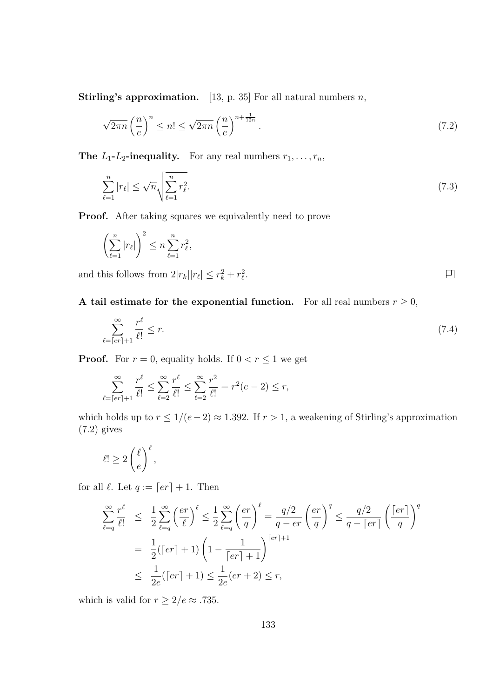**Stirling's approximation.** [13, p. 35] For all natural numbers  $n$ ,

$$
\sqrt{2\pi n} \left(\frac{n}{e}\right)^n \le n! \le \sqrt{2\pi n} \left(\frac{n}{e}\right)^{n + \frac{1}{12n}}.\tag{7.2}
$$

**The L<sub>1</sub>-L<sub>2</sub>-inequality.** For any real numbers  $r_1, \ldots, r_n$ ,

$$
\sum_{\ell=1}^{n} |r_{\ell}| \le \sqrt{n} \sqrt{\sum_{\ell=1}^{n} r_{\ell}^{2}}.
$$
\n(7.3)

Proof. After taking squares we equivalently need to prove

$$
\left(\sum_{\ell=1}^n |r_\ell|\right)^2 \le n \sum_{\ell=1}^n r_\ell^2,
$$

and this follows from  $2|r_k||r_\ell| \leq r_k^2 + r_\ell^2$ .

A tail estimate for the exponential function. For all real numbers  $r \geq 0$ ,

$$
\sum_{\ell=\lceil er\rceil+1}^{\infty} \frac{r^{\ell}}{\ell!} \le r. \tag{7.4}
$$

回

**Proof.** For  $r = 0$ , equality holds. If  $0 < r \leq 1$  we get

$$
\sum_{\ell = [er]+1}^{\infty} \frac{r^{\ell}}{\ell!} \le \sum_{\ell=2}^{\infty} \frac{r^{\ell}}{\ell!} \le \sum_{\ell=2}^{\infty} \frac{r^2}{\ell!} = r^2(e-2) \le r,
$$

which holds up to  $r \le 1/(e-2) \approx 1.392$ . If  $r > 1$ , a weakening of Stirling's approximation (7.2) gives

$$
\ell! \ge 2\left(\frac{\ell}{e}\right)^{\ell},
$$

for all  $\ell$ . Let  $q := [er] + 1$ . Then

$$
\sum_{\ell=q}^{\infty} \frac{r^{\ell}}{\ell!} \leq \frac{1}{2} \sum_{\ell=q}^{\infty} \left(\frac{er}{\ell}\right)^{\ell} \leq \frac{1}{2} \sum_{\ell=q}^{\infty} \left(\frac{er}{q}\right)^{\ell} = \frac{q/2}{q-er} \left(\frac{er}{q}\right)^{q} \leq \frac{q/2}{q-\lceil er\rceil} \left(\frac{\lceil er\rceil}{q}\right)^{q}
$$

$$
= \frac{1}{2} (\lceil er\rceil + 1) \left(1 - \frac{1}{\lceil er\rceil + 1}\right)^{\lceil er\rceil + 1}
$$

$$
\leq \frac{1}{2e} (\lceil er\rceil + 1) \leq \frac{1}{2e} (er + 2) \leq r,
$$

which is valid for  $r\geq 2/e\approx .735.$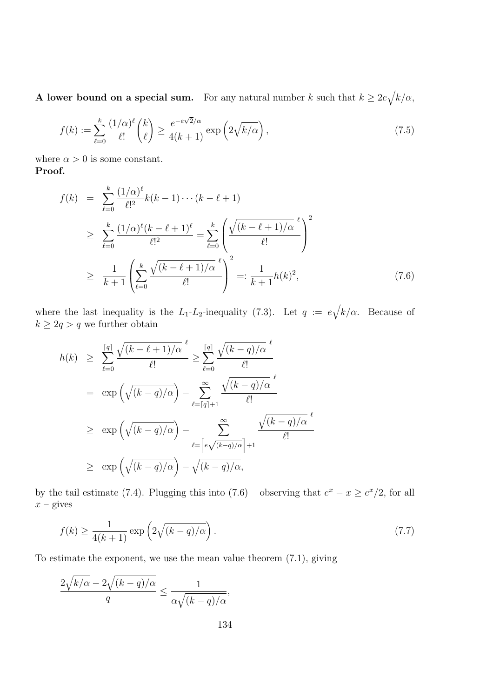A lower bound on a special sum. For any natural number k such that  $k \geq 2e\sqrt{k/\alpha}$ ,

$$
f(k) := \sum_{\ell=0}^{k} \frac{(1/\alpha)^{\ell}}{\ell!} {k \choose \ell} \ge \frac{e^{-e\sqrt{2}/\alpha}}{4(k+1)} \exp\left(2\sqrt{k/\alpha}\right),\tag{7.5}
$$

where  $\alpha > 0$  is some constant. Proof.

$$
f(k) = \sum_{\ell=0}^{k} \frac{(1/\alpha)^{\ell}}{\ell!^{2}} k(k-1) \cdots (k-\ell+1)
$$
  
\n
$$
\geq \sum_{\ell=0}^{k} \frac{(1/\alpha)^{\ell} (k-\ell+1)^{\ell}}{\ell!^{2}} = \sum_{\ell=0}^{k} \left( \frac{\sqrt{(k-\ell+1)/\alpha}}{\ell!} \right)^{2}
$$
  
\n
$$
\geq \frac{1}{k+1} \left( \sum_{\ell=0}^{k} \frac{\sqrt{(k-\ell+1)/\alpha}}{\ell!} \right)^{2} =: \frac{1}{k+1} h(k)^{2}, \tag{7.6}
$$

where the last inequality is the  $L_1$ - $L_2$ -inequality (7.3). Let  $q := e\sqrt{k/\alpha}$ . Because of  $k \geq 2q > q$  we further obtain

$$
h(k) \geq \sum_{\ell=0}^{\lceil q \rceil} \frac{\sqrt{(k-\ell+1)/\alpha}}{\ell!} \geq \sum_{\ell=0}^{\lceil q \rceil} \frac{\sqrt{(k-q)/\alpha}}{\ell!}
$$
  

$$
= \exp\left(\sqrt{(k-q)/\alpha}\right) - \sum_{\ell=\lceil q \rceil+1}^{\infty} \frac{\sqrt{(k-q)/\alpha}}{\ell!}
$$
  

$$
\geq \exp\left(\sqrt{(k-q)/\alpha}\right) - \sum_{\ell=\lceil e\sqrt{(k-q)/\alpha} \rceil+1}^{\infty} \frac{\sqrt{(k-q)/\alpha}}{\ell!}
$$
  

$$
\geq \exp\left(\sqrt{(k-q)/\alpha}\right) - \sqrt{(k-q)/\alpha},
$$

by the tail estimate (7.4). Plugging this into  $(7.6)$  – observing that  $e^x - x \ge e^x/2$ , for all  $x$  – gives

$$
f(k) \ge \frac{1}{4(k+1)} \exp\left(2\sqrt{(k-q)/\alpha}\right). \tag{7.7}
$$

To estimate the exponent, we use the mean value theorem (7.1), giving

$$
\frac{2\sqrt{k/\alpha}-2\sqrt{(k-q)/\alpha}}{q} \le \frac{1}{\alpha\sqrt{(k-q)/\alpha}},
$$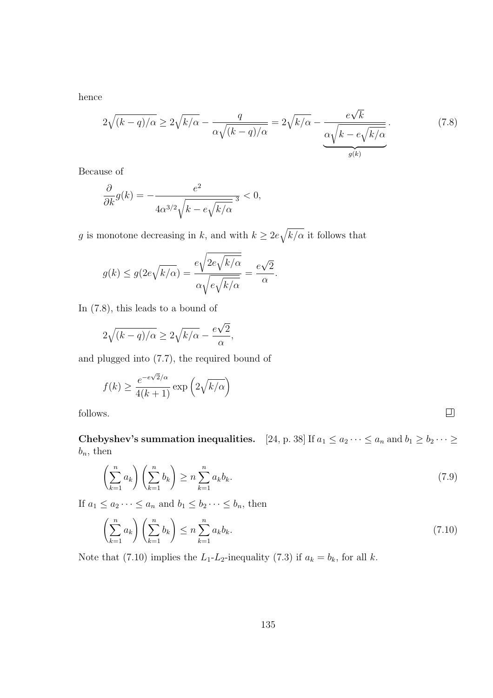hence

$$
2\sqrt{(k-q)/\alpha} \ge 2\sqrt{k/\alpha} - \frac{q}{\alpha\sqrt{(k-q)/\alpha}} = 2\sqrt{k/\alpha} - \underbrace{\frac{e\sqrt{k}}{\alpha\sqrt{k-e\sqrt{k/\alpha}}}}_{g(k)}.
$$
(7.8)

Because of

$$
\frac{\partial}{\partial k}g(k) = -\frac{e^2}{4\alpha^{3/2}\sqrt{k - e\sqrt{k/\alpha}}} \le 0,
$$

g is monotone decreasing in k, and with  $k \geq 2e\sqrt{k/\alpha}$  it follows that

$$
g(k) \le g(2e\sqrt{k/\alpha}) = \frac{e\sqrt{2e\sqrt{k/\alpha}}}{\alpha\sqrt{e\sqrt{k/\alpha}}} = \frac{e\sqrt{2}}{\alpha}.
$$

In (7.8), this leads to a bound of

$$
2\sqrt{(k-q)/\alpha} \ge 2\sqrt{k/\alpha} - \frac{e\sqrt{2}}{\alpha},
$$

and plugged into (7.7), the required bound of

$$
f(k) \ge \frac{e^{-e\sqrt{2}/\alpha}}{4(k+1)} \exp\left(2\sqrt{k/\alpha}\right)
$$
<sup>75.</sup>

follows.

Chebyshev's summation inequalities. [24, p. 38] If  $a_1 \le a_2 \cdots \le a_n$  and  $b_1 \ge b_2 \cdots \ge b_n$  $b_n$ , then

$$
\left(\sum_{k=1}^{n} a_k\right) \left(\sum_{k=1}^{n} b_k\right) \ge n \sum_{k=1}^{n} a_k b_k. \tag{7.9}
$$

If  $a_1 \le a_2 \cdots \le a_n$  and  $b_1 \le b_2 \cdots \le b_n$ , then

$$
\left(\sum_{k=1}^{n} a_k\right) \left(\sum_{k=1}^{n} b_k\right) \le n \sum_{k=1}^{n} a_k b_k. \tag{7.10}
$$

Note that (7.10) implies the  $L_1-L_2$ -inequality (7.3) if  $a_k = b_k$ , for all k.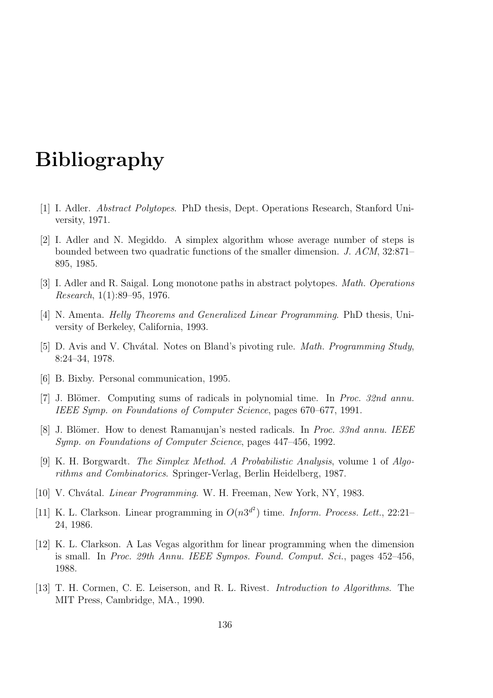## Bibliography

- [1] I. Adler. Abstract Polytopes. PhD thesis, Dept. Operations Research, Stanford University, 1971.
- [2] I. Adler and N. Megiddo. A simplex algorithm whose average number of steps is bounded between two quadratic functions of the smaller dimension. J. ACM, 32:871– 895, 1985.
- [3] I. Adler and R. Saigal. Long monotone paths in abstract polytopes. Math. Operations Research, 1(1):89–95, 1976.
- [4] N. Amenta. Helly Theorems and Generalized Linear Programming. PhD thesis, University of Berkeley, California, 1993.
- [5] D. Avis and V. Chvátal. Notes on Bland's pivoting rule. *Math. Programming Study*, 8:24–34, 1978.
- [6] B. Bixby. Personal communication, 1995.
- [7] J. Blömer. Computing sums of radicals in polynomial time. In *Proc. 32nd annu.* IEEE Symp. on Foundations of Computer Science, pages 670–677, 1991.
- [8] J. Blömer. How to denest Ramanujan's nested radicals. In *Proc. 33nd annu. IEEE* Symp. on Foundations of Computer Science, pages 447–456, 1992.
- [9] K. H. Borgwardt. The Simplex Method. A Probabilistic Analysis, volume 1 of Algorithms and Combinatorics. Springer-Verlag, Berlin Heidelberg, 1987.
- [10] V. Chvátal. *Linear Programming*. W. H. Freeman, New York, NY, 1983.
- [11] K. L. Clarkson. Linear programming in  $O(n3^{d^2})$  time. *Inform. Process. Lett.*, 22:21– 24, 1986.
- [12] K. L. Clarkson. A Las Vegas algorithm for linear programming when the dimension is small. In Proc. 29th Annu. IEEE Sympos. Found. Comput. Sci., pages 452–456, 1988.
- [13] T. H. Cormen, C. E. Leiserson, and R. L. Rivest. Introduction to Algorithms. The MIT Press, Cambridge, MA., 1990.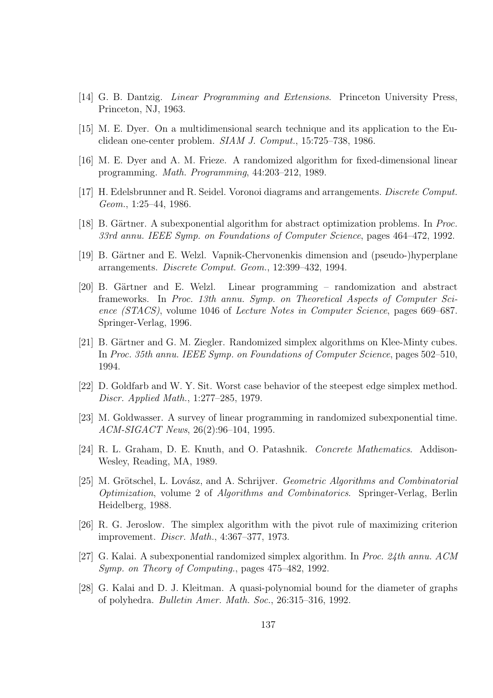- [14] G. B. Dantzig. Linear Programming and Extensions. Princeton University Press, Princeton, NJ, 1963.
- [15] M. E. Dyer. On a multidimensional search technique and its application to the Euclidean one-center problem. SIAM J. Comput., 15:725–738, 1986.
- [16] M. E. Dyer and A. M. Frieze. A randomized algorithm for fixed-dimensional linear programming. Math. Programming, 44:203–212, 1989.
- [17] H. Edelsbrunner and R. Seidel. Voronoi diagrams and arrangements. Discrete Comput. Geom., 1:25–44, 1986.
- [18] B. Gärtner. A subexponential algorithm for abstract optimization problems. In Proc. 33rd annu. IEEE Symp. on Foundations of Computer Science, pages 464–472, 1992.
- [19] B. Gärtner and E. Welzl. Vapnik-Chervonenkis dimension and (pseudo-)hyperplane arrangements. Discrete Comput. Geom., 12:399–432, 1994.
- [20] B. Gärtner and E. Welzl. Linear programming randomization and abstract frameworks. In Proc. 13th annu. Symp. on Theoretical Aspects of Computer Science (STACS), volume 1046 of Lecture Notes in Computer Science, pages 669–687. Springer-Verlag, 1996.
- [21] B. Gärtner and G. M. Ziegler. Randomized simplex algorithms on Klee-Minty cubes. In Proc. 35th annu. IEEE Symp. on Foundations of Computer Science, pages 502–510, 1994.
- [22] D. Goldfarb and W. Y. Sit. Worst case behavior of the steepest edge simplex method. Discr. Applied Math., 1:277–285, 1979.
- [23] M. Goldwasser. A survey of linear programming in randomized subexponential time. ACM-SIGACT News, 26(2):96–104, 1995.
- [24] R. L. Graham, D. E. Knuth, and O. Patashnik. Concrete Mathematics. Addison-Wesley, Reading, MA, 1989.
- [25] M. Grötschel, L. Lovász, and A. Schrijver. *Geometric Algorithms and Combinatorial* Optimization, volume 2 of Algorithms and Combinatorics. Springer-Verlag, Berlin Heidelberg, 1988.
- [26] R. G. Jeroslow. The simplex algorithm with the pivot rule of maximizing criterion improvement. Discr. Math., 4:367–377, 1973.
- [27] G. Kalai. A subexponential randomized simplex algorithm. In Proc. 24th annu. ACM Symp. on Theory of Computing., pages 475–482, 1992.
- [28] G. Kalai and D. J. Kleitman. A quasi-polynomial bound for the diameter of graphs of polyhedra. Bulletin Amer. Math. Soc., 26:315–316, 1992.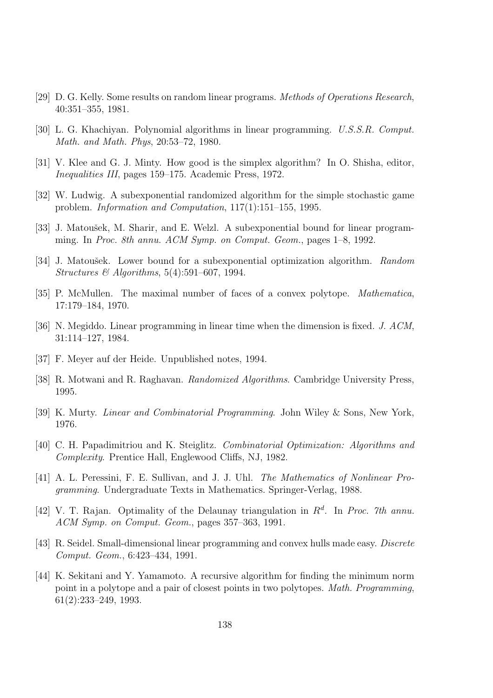- [29] D. G. Kelly. Some results on random linear programs. Methods of Operations Research, 40:351–355, 1981.
- [30] L. G. Khachiyan. Polynomial algorithms in linear programming. U.S.S.R. Comput. Math. and Math. Phys, 20:53–72, 1980.
- [31] V. Klee and G. J. Minty. How good is the simplex algorithm? In O. Shisha, editor, Inequalities III, pages 159–175. Academic Press, 1972.
- [32] W. Ludwig. A subexponential randomized algorithm for the simple stochastic game problem. Information and Computation, 117(1):151–155, 1995.
- [33] J. Matoušek, M. Sharir, and E. Welzl. A subexponential bound for linear programming. In Proc. 8th annu. ACM Symp. on Comput. Geom., pages 1–8, 1992.
- [34] J. Matoušek. Lower bound for a subexponential optimization algorithm. Random Structures  $\mathcal{B}$  Algorithms, 5(4):591–607, 1994.
- [35] P. McMullen. The maximal number of faces of a convex polytope. Mathematica, 17:179–184, 1970.
- [36] N. Megiddo. Linear programming in linear time when the dimension is fixed. J. ACM, 31:114–127, 1984.
- [37] F. Meyer auf der Heide. Unpublished notes, 1994.
- [38] R. Motwani and R. Raghavan. Randomized Algorithms. Cambridge University Press, 1995.
- [39] K. Murty. Linear and Combinatorial Programming. John Wiley & Sons, New York, 1976.
- [40] C. H. Papadimitriou and K. Steiglitz. Combinatorial Optimization: Algorithms and Complexity. Prentice Hall, Englewood Cliffs, NJ, 1982.
- [41] A. L. Peressini, F. E. Sullivan, and J. J. Uhl. The Mathematics of Nonlinear Programming. Undergraduate Texts in Mathematics. Springer-Verlag, 1988.
- [42] V. T. Rajan. Optimality of the Delaunay triangulation in  $R<sup>d</sup>$ . In Proc. 7th annu. ACM Symp. on Comput. Geom., pages 357–363, 1991.
- [43] R. Seidel. Small-dimensional linear programming and convex hulls made easy. Discrete Comput. Geom., 6:423–434, 1991.
- [44] K. Sekitani and Y. Yamamoto. A recursive algorithm for finding the minimum norm point in a polytope and a pair of closest points in two polytopes. Math. Programming, 61(2):233–249, 1993.